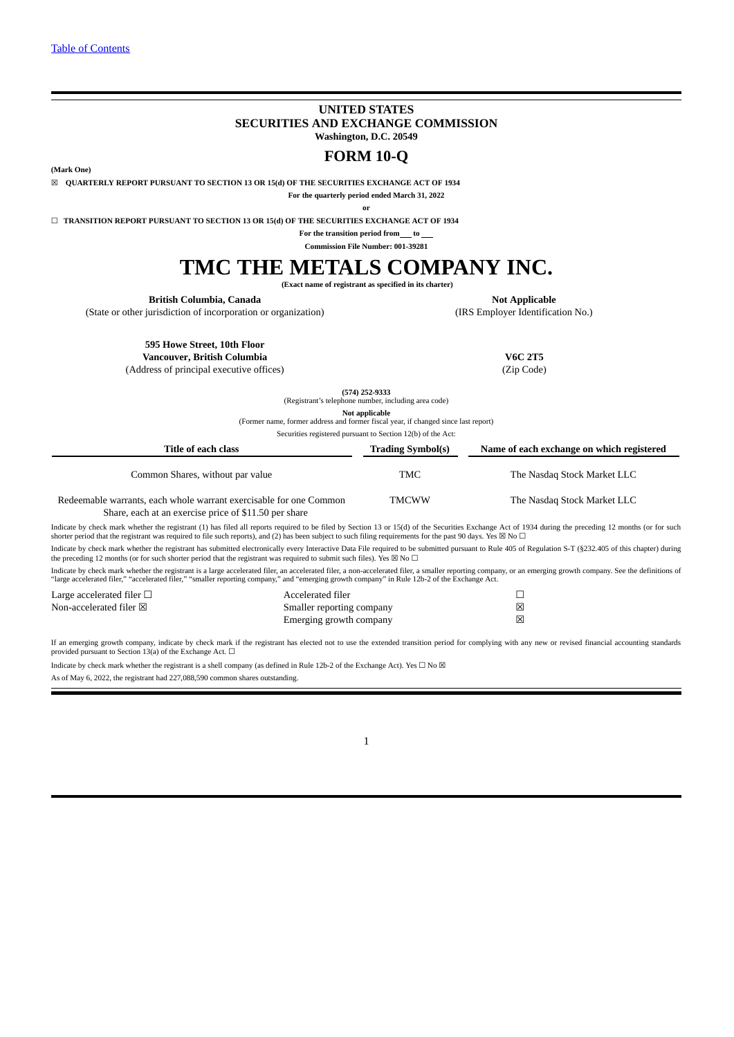# **UNITED STATES SECURITIES AND EXCHANGE COMMISSION Washington, D.C. 20549**

# **FORM 10-Q**

**(Mark One)**

☒ **QUARTERLY REPORT PURSUANT TO SECTION 13 OR 15(d) OF THE SECURITIES EXCHANGE ACT OF 1934**

**For the quarterly period ended March 31, 2022**

**or**

☐ **TRANSITION REPORT PURSUANT TO SECTION 13 OR 15(d) OF THE SECURITIES EXCHANGE ACT OF 1934**

**For the transition period from to**

**Commission File Number: 001-39281**

# **TMC THE METALS COMPANY INC.**

**(Exact name of registrant as specified in its charter)**

**British Columbia, Canada** Not Applicable Not Applicable

(State or other jurisdiction of incorporation or organization) (IRS Employer Identification No.)

**595 Howe Street, 10th Floor**

**Vancouver, British Columbia V6C 2T5**

(Address of principal executive offices) (Zip Code)

**(574) 252-9333** (Registrant's telephone number, including area code)

**Not applicable** (Former name, former address and former fiscal year, if changed since last report)

Securities registered pursuant to Section 12(b) of the Act:

| Title of each class                                                                                                         | <b>Trading Symbol(s)</b> | Name of each exchange on which registered |
|-----------------------------------------------------------------------------------------------------------------------------|--------------------------|-------------------------------------------|
| Common Shares, without par value                                                                                            | TMC                      | The Nasdaq Stock Market LLC               |
| Redeemable warrants, each whole warrant exercisable for one Common<br>Share, each at an exercise price of \$11.50 per share | <b>TMCWW</b>             | The Nasdaq Stock Market LLC               |
|                                                                                                                             |                          |                                           |

Indicate by check mark whether the registrant (1) has filed all reports required to be filed by Section 13 or 15(d) of the Securities Exchange Act of 1934 during the preceding 12 months (or for such<br>shorter period that th Indicate by check mark whether the registrant has submitted electronically every Interactive Data File required to be submitted pursuant to Rule 405 of Regulation S-T (§232.405 of this chapter) during

the preceding 12 months (or for such shorter period that the registrant was required to submit such files). Yes  $\boxtimes$  No  $\Box$ 

Indicate by check mark whether the registrant is a large accelerated filer, an accelerated filer, a non-accelerated filer, a smaller reporting company, or an emerging growth company. See the definitions of "large accelerat

| Large accelerated filer $\Box$    | Accelerated filer         |   |
|-----------------------------------|---------------------------|---|
| Non-accelerated filer $\boxtimes$ | Smaller reporting company | 冈 |
|                                   | Emerging growth company   | 冈 |

If an emerging growth company, indicate by check mark if the registrant has elected not to use the extended transition period for complying with any new or revised financial accounting standards provided pursuant to Section 13(a) of the Exchange Act.  $\Box$ 

Indicate by check mark whether the registrant is a shell company (as defined in Rule 12b-2 of the Exchange Act). Yes  $\Box$  No  $\boxtimes$ 

As of May 6, 2022, the registrant had 227,088,590 common shares outstanding.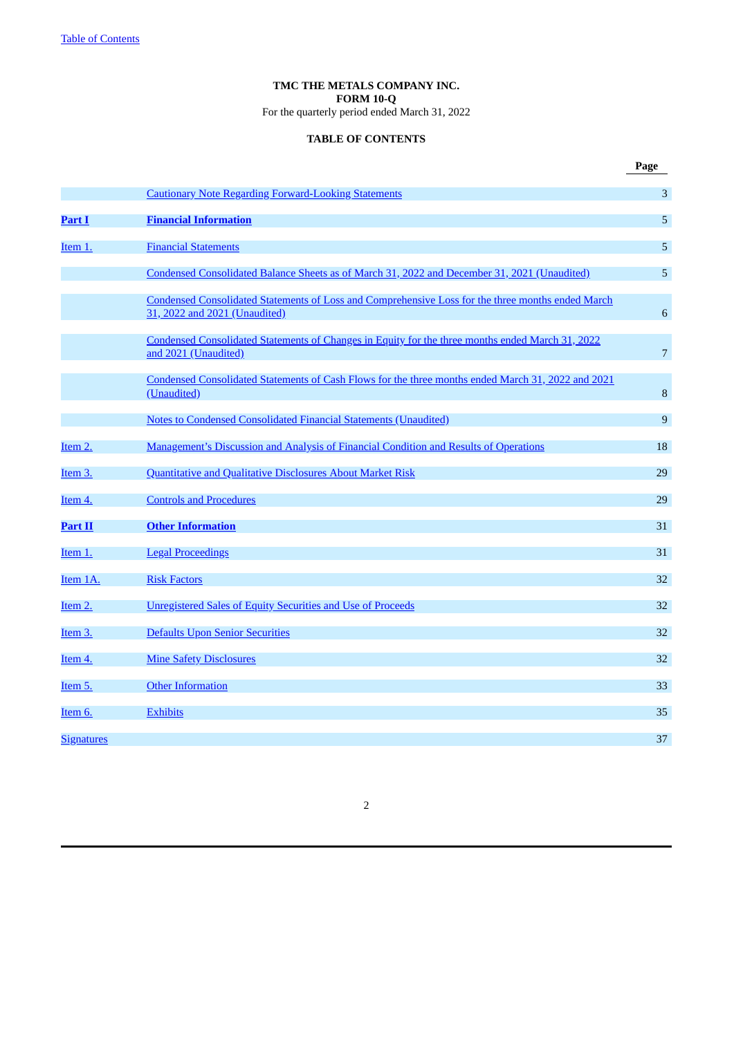# **TMC THE METALS COMPANY INC. FORM 10-Q** For the quarterly period ended March 31, 2022

# **TABLE OF CONTENTS**

<span id="page-1-0"></span>

|                   | <b>Cautionary Note Regarding Forward-Looking Statements</b>                                                                        | 3  |
|-------------------|------------------------------------------------------------------------------------------------------------------------------------|----|
| <b>Part I</b>     | <b>Financial Information</b>                                                                                                       | 5  |
| Item 1.           | <b>Financial Statements</b>                                                                                                        | 5  |
|                   | Condensed Consolidated Balance Sheets as of March 31, 2022 and December 31, 2021 (Unaudited)                                       | 5  |
|                   | Condensed Consolidated Statements of Loss and Comprehensive Loss for the three months ended March<br>31, 2022 and 2021 (Unaudited) | 6  |
|                   | Condensed Consolidated Statements of Changes in Equity for the three months ended March 31, 2022<br>and 2021 (Unaudited)           | 7  |
|                   | Condensed Consolidated Statements of Cash Flows for the three months ended March 31, 2022 and 2021<br>(Unaudited)                  | 8  |
|                   | Notes to Condensed Consolidated Financial Statements (Unaudited)                                                                   | 9  |
| Item 2.           | Management's Discussion and Analysis of Financial Condition and Results of Operations                                              | 18 |
| Item 3.           | Quantitative and Qualitative Disclosures About Market Risk                                                                         | 29 |
| Item 4.           | <b>Controls and Procedures</b>                                                                                                     | 29 |
| <b>Part II</b>    | <b>Other Information</b>                                                                                                           | 31 |
| Item 1.           | <b>Legal Proceedings</b>                                                                                                           | 31 |
| Item 1A.          | <b>Risk Factors</b>                                                                                                                | 32 |
| Item 2.           | <b>Unregistered Sales of Equity Securities and Use of Proceeds</b>                                                                 | 32 |
| Item 3.           | <b>Defaults Upon Senior Securities</b>                                                                                             | 32 |
| Item 4.           | <b>Mine Safety Disclosures</b>                                                                                                     | 32 |
| Item 5.           | <b>Other Information</b>                                                                                                           | 33 |
| Item 6.           | <b>Exhibits</b>                                                                                                                    | 35 |
| <b>Signatures</b> |                                                                                                                                    | 37 |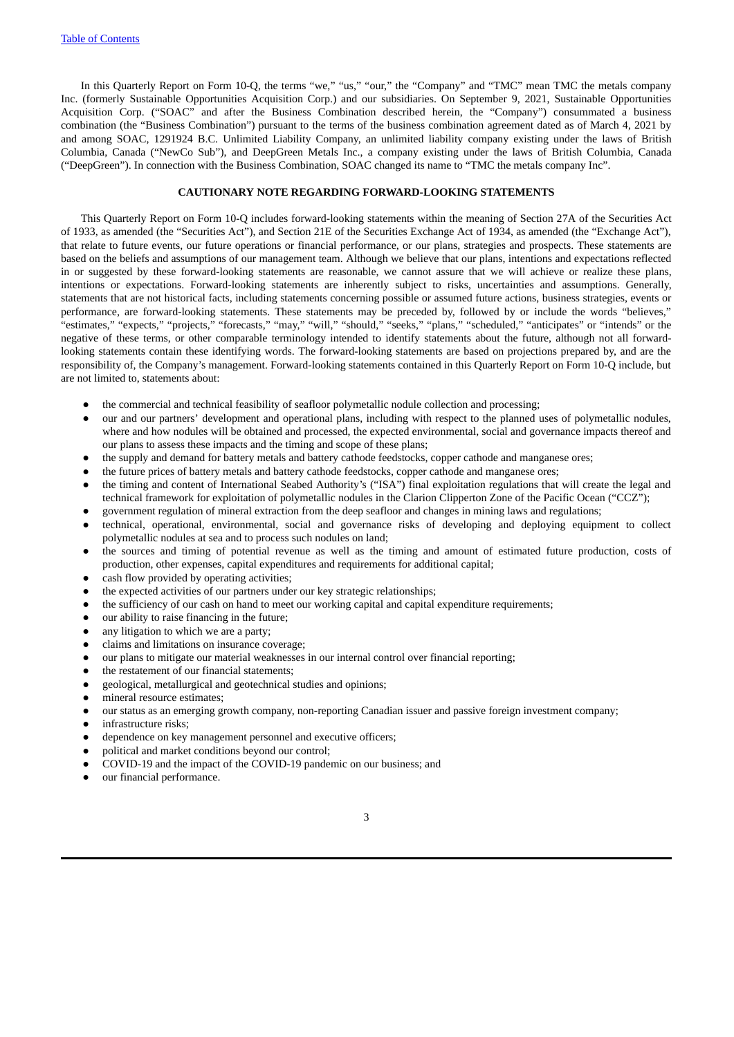In this Quarterly Report on Form 10-Q, the terms "we," "us," "our," the "Company" and "TMC" mean TMC the metals company Inc. (formerly Sustainable Opportunities Acquisition Corp.) and our subsidiaries. On September 9, 2021, Sustainable Opportunities Acquisition Corp. ("SOAC" and after the Business Combination described herein, the "Company") consummated a business combination (the "Business Combination") pursuant to the terms of the business combination agreement dated as of March 4, 2021 by and among SOAC, 1291924 B.C. Unlimited Liability Company, an unlimited liability company existing under the laws of British Columbia, Canada ("NewCo Sub"), and DeepGreen Metals Inc., a company existing under the laws of British Columbia, Canada ("DeepGreen"). In connection with the Business Combination, SOAC changed its name to "TMC the metals company Inc".

# **CAUTIONARY NOTE REGARDING FORWARD-LOOKING STATEMENTS**

<span id="page-2-0"></span>This Quarterly Report on Form 10-Q includes forward-looking statements within the meaning of Section 27A of the Securities Act of 1933, as amended (the "Securities Act"), and Section 21E of the Securities Exchange Act of 1934, as amended (the "Exchange Act"), that relate to future events, our future operations or financial performance, or our plans, strategies and prospects. These statements are based on the beliefs and assumptions of our management team. Although we believe that our plans, intentions and expectations reflected in or suggested by these forward-looking statements are reasonable, we cannot assure that we will achieve or realize these plans, intentions or expectations. Forward-looking statements are inherently subject to risks, uncertainties and assumptions. Generally, statements that are not historical facts, including statements concerning possible or assumed future actions, business strategies, events or performance, are forward-looking statements. These statements may be preceded by, followed by or include the words "believes," "estimates," "expects," "projects," "forecasts," "may," "will," "should," "seeks," "plans," "scheduled," "anticipates" or "intends" or the negative of these terms, or other comparable terminology intended to identify statements about the future, although not all forwardlooking statements contain these identifying words. The forward-looking statements are based on projections prepared by, and are the responsibility of, the Company's management. Forward-looking statements contained in this Quarterly Report on Form 10-Q include, but are not limited to, statements about:

- the commercial and technical feasibility of seafloor polymetallic nodule collection and processing;
- our and our partners' development and operational plans, including with respect to the planned uses of polymetallic nodules, where and how nodules will be obtained and processed, the expected environmental, social and governance impacts thereof and our plans to assess these impacts and the timing and scope of these plans;
- the supply and demand for battery metals and battery cathode feedstocks, copper cathode and manganese ores;
- the future prices of battery metals and battery cathode feedstocks, copper cathode and manganese ores;
- the timing and content of International Seabed Authority's ("ISA") final exploitation regulations that will create the legal and technical framework for exploitation of polymetallic nodules in the Clarion Clipperton Zone of the Pacific Ocean ("CCZ");
- government regulation of mineral extraction from the deep seafloor and changes in mining laws and regulations;
- technical, operational, environmental, social and governance risks of developing and deploying equipment to collect polymetallic nodules at sea and to process such nodules on land;
- the sources and timing of potential revenue as well as the timing and amount of estimated future production, costs of production, other expenses, capital expenditures and requirements for additional capital;
- cash flow provided by operating activities;
- the expected activities of our partners under our key strategic relationships;
- the sufficiency of our cash on hand to meet our working capital and capital expenditure requirements;
- our ability to raise financing in the future;
- any litigation to which we are a party;
- claims and limitations on insurance coverage;
- our plans to mitigate our material weaknesses in our internal control over financial reporting;
- the restatement of our financial statements;
- geological, metallurgical and geotechnical studies and opinions;
- mineral resource estimates:
- our status as an emerging growth company, non-reporting Canadian issuer and passive foreign investment company;
- infrastructure risks;
- dependence on key management personnel and executive officers;
- political and market conditions beyond our control;
- COVID-19 and the impact of the COVID-19 pandemic on our business; and
- our financial performance.

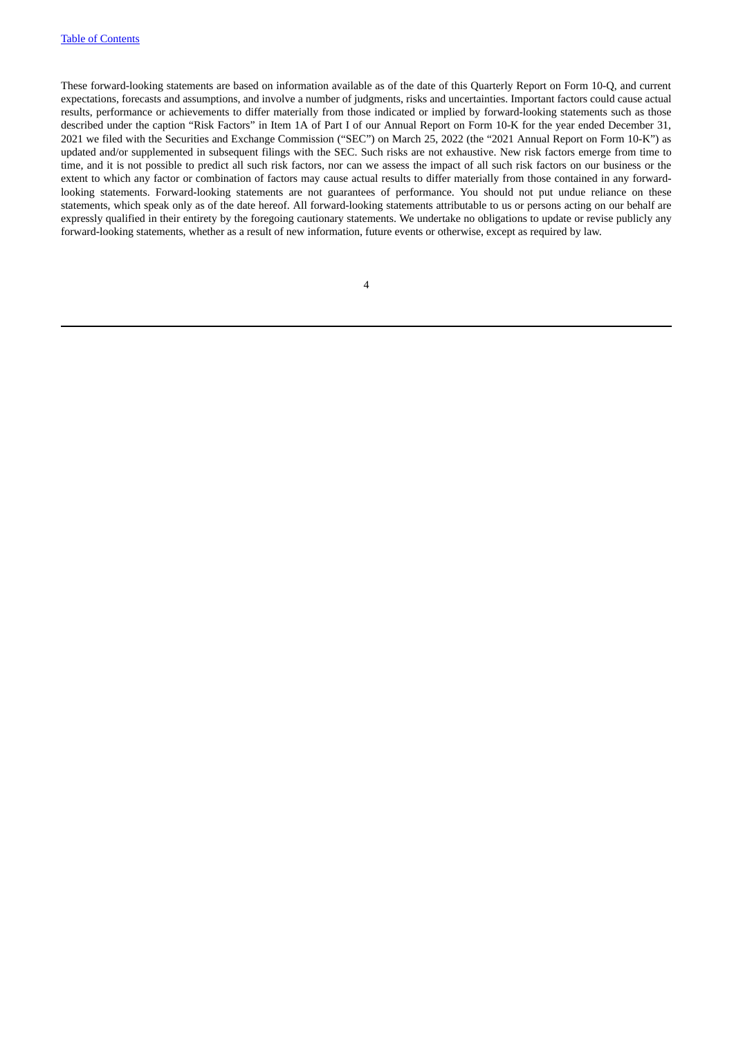These forward-looking statements are based on information available as of the date of this Quarterly Report on Form 10-Q, and current expectations, forecasts and assumptions, and involve a number of judgments, risks and uncertainties. Important factors could cause actual results, performance or achievements to differ materially from those indicated or implied by forward-looking statements such as those described under the caption "Risk Factors" in Item 1A of Part I of our Annual Report on Form 10-K for the year ended December 31, 2021 we filed with the Securities and Exchange Commission ("SEC") on March 25, 2022 (the "2021 Annual Report on Form 10-K") as updated and/or supplemented in subsequent filings with the SEC. Such risks are not exhaustive. New risk factors emerge from time to time, and it is not possible to predict all such risk factors, nor can we assess the impact of all such risk factors on our business or the extent to which any factor or combination of factors may cause actual results to differ materially from those contained in any forwardlooking statements. Forward-looking statements are not guarantees of performance. You should not put undue reliance on these statements, which speak only as of the date hereof. All forward-looking statements attributable to us or persons acting on our behalf are expressly qualified in their entirety by the foregoing cautionary statements. We undertake no obligations to update or revise publicly any forward-looking statements, whether as a result of new information, future events or otherwise, except as required by law.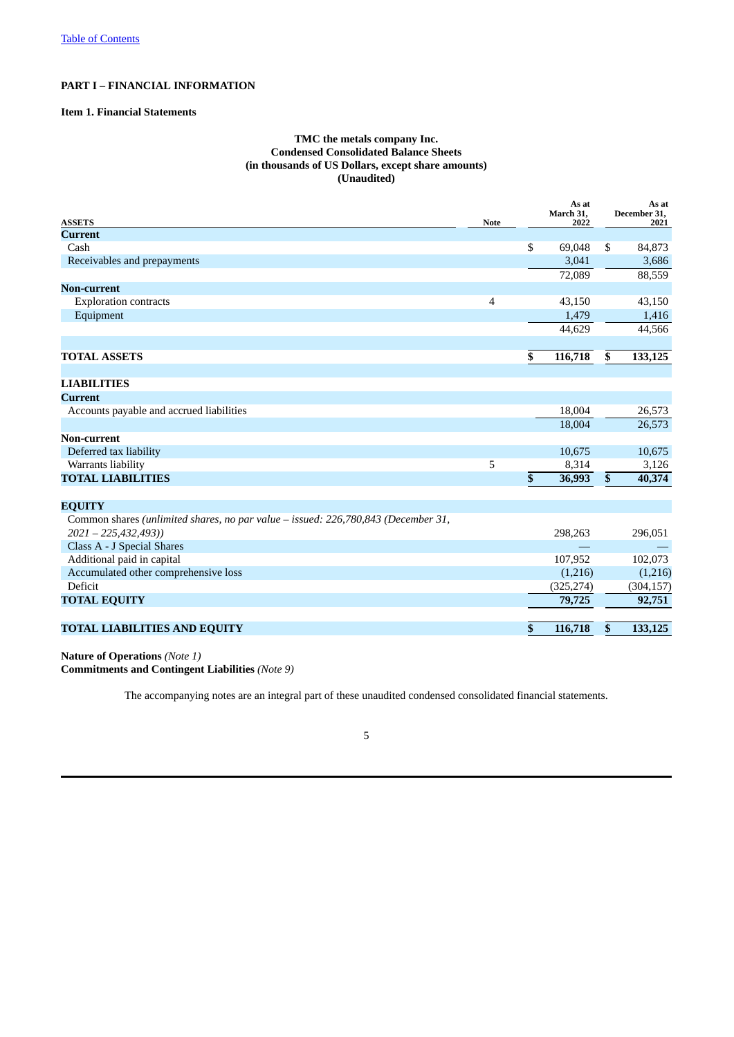# <span id="page-4-0"></span>**PART I – FINANCIAL INFORMATION**

# <span id="page-4-2"></span><span id="page-4-1"></span>**Item 1. Financial Statements**

# **TMC the metals company Inc. Condensed Consolidated Balance Sheets (in thousands of US Dollars, except share amounts) (Unaudited)**

| <b>ASSETS</b>                                                                                              | <b>Note</b> | As at<br>March 31,<br>2022 |              | As at<br>December 31,<br>2021 |
|------------------------------------------------------------------------------------------------------------|-------------|----------------------------|--------------|-------------------------------|
| <b>Current</b>                                                                                             |             |                            |              |                               |
| Cash                                                                                                       |             | \$<br>69,048               | \$           | 84,873                        |
| Receivables and prepayments                                                                                |             | 3,041                      |              | 3,686                         |
|                                                                                                            |             | 72,089                     |              | 88,559                        |
| <b>Non-current</b>                                                                                         |             |                            |              |                               |
| <b>Exploration contracts</b>                                                                               | 4           | 43,150                     |              | 43,150                        |
| Equipment                                                                                                  |             | 1,479                      |              | 1,416                         |
|                                                                                                            |             | 44,629                     |              | 44,566                        |
| <b>TOTAL ASSETS</b>                                                                                        |             | \$<br>116,718              | \$           | 133,125                       |
| <b>LIABILITIES</b>                                                                                         |             |                            |              |                               |
| <b>Current</b>                                                                                             |             |                            |              |                               |
| Accounts payable and accrued liabilities                                                                   |             | 18,004                     |              | 26,573                        |
|                                                                                                            |             | 18,004                     |              | 26,573                        |
| Non-current                                                                                                |             |                            |              |                               |
| Deferred tax liability                                                                                     |             | 10,675                     |              | 10,675                        |
| Warrants liability                                                                                         | 5           | 8,314                      |              | 3,126                         |
| <b>TOTAL LIABILITIES</b>                                                                                   |             | \$<br>36,993               | $\mathbf{s}$ | 40,374                        |
| <b>EQUITY</b>                                                                                              |             |                            |              |                               |
| Common shares (unlimited shares, no par value - issued: 226,780,843 (December 31,<br>$2021 - 225,432,493)$ |             | 298,263                    |              | 296,051                       |
| Class A - J Special Shares                                                                                 |             |                            |              |                               |
| Additional paid in capital                                                                                 |             | 107,952                    |              | 102,073                       |
| Accumulated other comprehensive loss                                                                       |             | (1,216)                    |              | (1,216)                       |
| Deficit                                                                                                    |             | (325, 274)                 |              | (304, 157)                    |
| <b>TOTAL EQUITY</b>                                                                                        |             | 79,725                     |              | 92,751                        |
|                                                                                                            |             |                            |              |                               |
| <b>TOTAL LIABILITIES AND EQUITY</b>                                                                        |             | \$<br>116,718              | \$           | 133,125                       |

**Nature of Operations** *(Note 1)*

**Commitments and Contingent Liabilities** *(Note 9)*

The accompanying notes are an integral part of these unaudited condensed consolidated financial statements.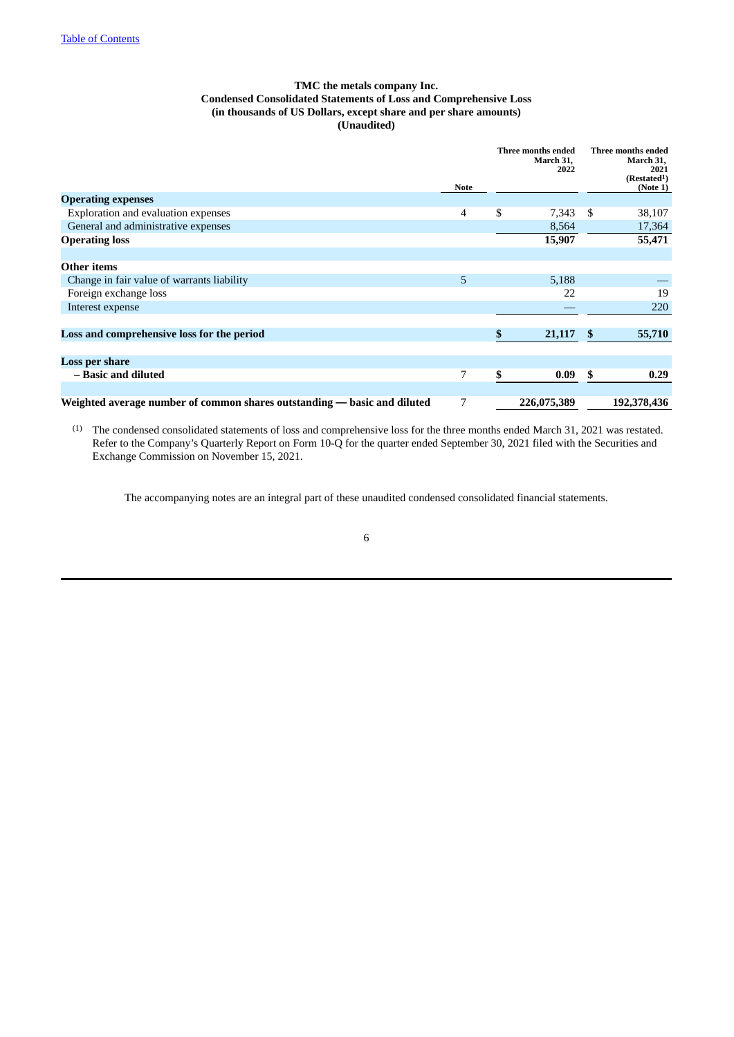# **TMC the metals company Inc. Condensed Consolidated Statements of Loss and Comprehensive Loss (in thousands of US Dollars, except share and per share amounts) (Unaudited)**

<span id="page-5-0"></span>

|                                                                          | <b>Note</b> | Three months ended<br>March 31,<br>2022 |     | Three months ended<br>March 31,<br>2021<br>(Restated <sup>1</sup> )<br>(Note 1) |
|--------------------------------------------------------------------------|-------------|-----------------------------------------|-----|---------------------------------------------------------------------------------|
| <b>Operating expenses</b>                                                |             |                                         |     |                                                                                 |
| <b>Exploration and evaluation expenses</b>                               | 4           | \$<br>7,343                             | -S  | 38,107                                                                          |
| General and administrative expenses                                      |             | 8,564                                   |     | 17,364                                                                          |
| <b>Operating loss</b>                                                    |             | 15,907                                  |     | 55,471                                                                          |
|                                                                          |             |                                         |     |                                                                                 |
| <b>Other items</b>                                                       |             |                                         |     |                                                                                 |
| Change in fair value of warrants liability                               | 5           | 5,188                                   |     |                                                                                 |
| Foreign exchange loss                                                    |             | 22                                      |     | 19                                                                              |
| Interest expense                                                         |             |                                         |     | 220                                                                             |
|                                                                          |             |                                         |     |                                                                                 |
| Loss and comprehensive loss for the period                               |             | \$<br>21,117                            | -\$ | 55,710                                                                          |
|                                                                          |             |                                         |     |                                                                                 |
| Loss per share                                                           |             |                                         |     |                                                                                 |
| - Basic and diluted                                                      | 7           | \$<br>0.09                              | -S  | 0.29                                                                            |
|                                                                          |             |                                         |     |                                                                                 |
| Weighted average number of common shares outstanding — basic and diluted | 7           | 226,075,389                             |     | 192,378,436                                                                     |

(1) The condensed consolidated statements of loss and comprehensive loss for the three months ended March 31, 2021 was restated. Refer to the Company's Quarterly Report on Form 10-Q for the quarter ended September 30, 2021 filed with the Securities and Exchange Commission on November 15, 2021.

The accompanying notes are an integral part of these unaudited condensed consolidated financial statements.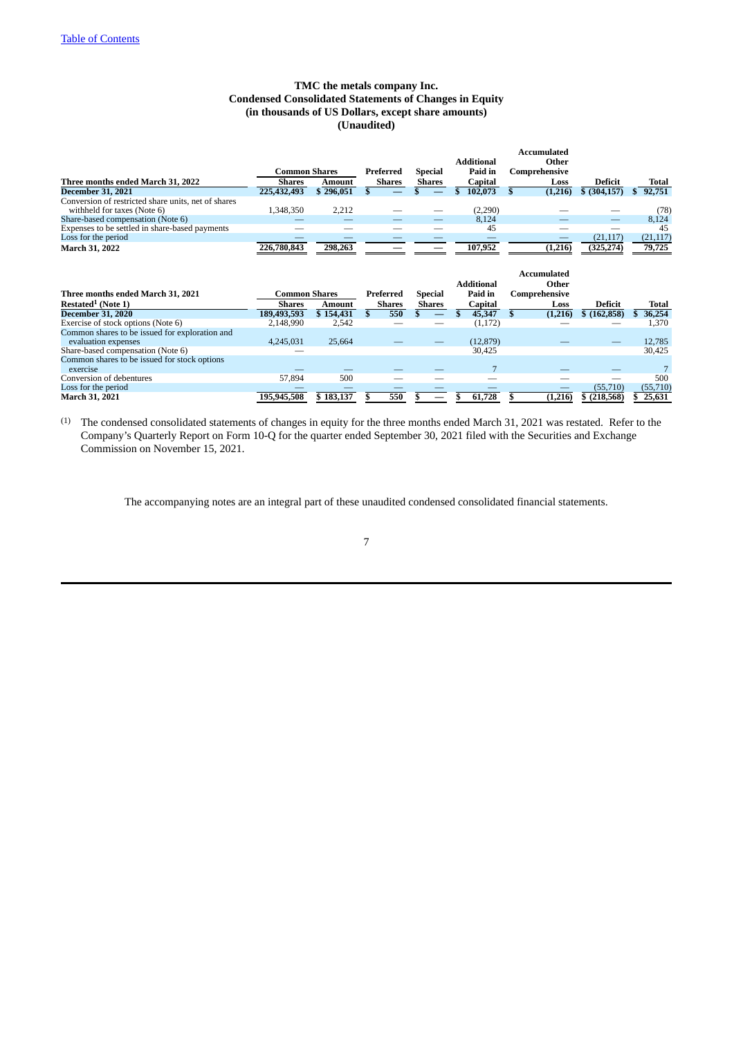# **TMC the metals company Inc. Condensed Consolidated Statements of Changes in Equity (in thousands of US Dollars, except share amounts) (Unaudited)**

<span id="page-6-0"></span>

|                                                                                    |                      |           |               |               | <b>Additional</b>            | Accumulated<br>Other                         |               |              |
|------------------------------------------------------------------------------------|----------------------|-----------|---------------|---------------|------------------------------|----------------------------------------------|---------------|--------------|
|                                                                                    | <b>Common Shares</b> |           | Preferred     | Special       | Paid in                      | Comprehensive                                |               |              |
| Three months ended March 31, 2022                                                  | <b>Shares</b>        | Amount    | <b>Shares</b> | <b>Shares</b> | Capital                      | Loss                                         | Deficit       | Total        |
| <b>December 31, 2021</b>                                                           | 225,432,493          | \$296,051 | \$            |               | 102,073                      | (1,216)<br>\$                                | \$ (304, 157) | 92,751       |
| Conversion of restricted share units, net of shares<br>withheld for taxes (Note 6) | 1,348,350            | 2,212     |               |               | (2,290)                      |                                              |               | (78)         |
| Share-based compensation (Note 6)                                                  |                      |           |               |               | 8,124                        |                                              |               | 8,124        |
| Expenses to be settled in share-based payments                                     |                      |           |               |               | 45                           |                                              |               | 45           |
| Loss for the period                                                                |                      |           |               |               |                              | $\overline{\phantom{0}}$                     | (21, 117)     | (21, 117)    |
| <b>March 31, 2022</b>                                                              | 226,780,843          | 298,263   |               |               | 107,952                      | (1,216)                                      | (325, 274)    | 79,725       |
| Three months ended March 31, 2021                                                  | <b>Common Shares</b> |           | Preferred     | Special       | <b>Additional</b><br>Paid in | <b>Accumulated</b><br>Other<br>Comprehensive |               |              |
| Restated <sup>1</sup> (Note 1)                                                     | <b>Shares</b>        | Amount    | <b>Shares</b> | <b>Shares</b> | Capital                      | Loss                                         | Deficit       | <b>Total</b> |
| <b>December 31, 2020</b>                                                           | 189,493,593          | \$154,431 | \$<br>550     |               | 45,347<br>\$.                | (1,216)<br>\$                                | \$(162, 858)  | 36,254<br>\$ |
| Exercise of stock options (Note 6)                                                 | 2,148,990            | 2,542     |               |               | (1, 172)                     |                                              |               | 1,370        |
| Common shares to be issued for exploration and<br>evaluation expenses              | 4,245,031            | 25,664    |               |               | (12, 879)                    |                                              |               | 12,785       |
| Share-based compensation (Note 6)                                                  |                      |           |               |               | 30,425                       |                                              |               | 30,425       |
| Common shares to be issued for stock options<br>exercise                           |                      |           |               |               | 7                            |                                              |               |              |
| Conversion of debentures                                                           | 57,894               | 500       |               |               |                              |                                              |               | 500          |
| Loss for the period                                                                |                      |           |               |               |                              |                                              | (55, 710)     | (55, 710)    |
|                                                                                    |                      |           |               |               |                              |                                              |               |              |

(1) The condensed consolidated statements of changes in equity for the three months ended March 31, 2021 was restated. Refer to the Company's Quarterly Report on Form 10-Q for the quarter ended September 30, 2021 filed with the Securities and Exchange Commission on November 15, 2021.

The accompanying notes are an integral part of these unaudited condensed consolidated financial statements.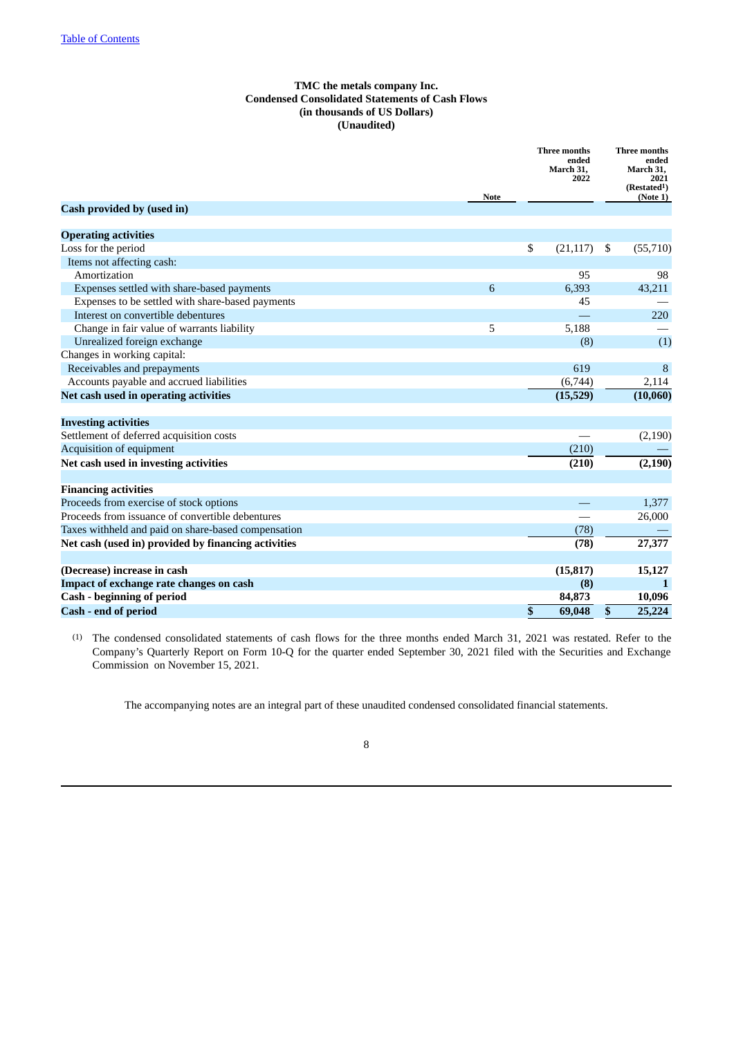# **TMC the metals company Inc. Condensed Consolidated Statements of Cash Flows (in thousands of US Dollars) (Unaudited)**

<span id="page-7-0"></span>

|                                                                                 |   | <b>Three months</b><br>ended<br>March 31,<br>2022 | <b>Three months</b><br>ended<br>March 31,<br>2021<br>(Restated <sup>1</sup> )<br>(Note 1) |              |
|---------------------------------------------------------------------------------|---|---------------------------------------------------|-------------------------------------------------------------------------------------------|--------------|
| Cash provided by (used in)                                                      |   |                                                   |                                                                                           |              |
| <b>Operating activities</b><br>Loss for the period<br>Items not affecting cash: |   |                                                   |                                                                                           |              |
|                                                                                 |   | \$<br>(21, 117)                                   | \$                                                                                        | (55,710)     |
|                                                                                 |   |                                                   |                                                                                           |              |
| Amortization                                                                    |   | 95                                                |                                                                                           | 98           |
| Expenses settled with share-based payments                                      | 6 | 6,393                                             |                                                                                           | 43,211       |
| Expenses to be settled with share-based payments                                |   | 45                                                |                                                                                           |              |
| Interest on convertible debentures                                              |   |                                                   |                                                                                           | 220          |
| Change in fair value of warrants liability                                      | 5 | 5,188                                             |                                                                                           |              |
| Unrealized foreign exchange                                                     |   | (8)                                               |                                                                                           | (1)          |
| Changes in working capital:                                                     |   |                                                   |                                                                                           |              |
| Receivables and prepayments                                                     |   | 619                                               |                                                                                           | 8            |
| Accounts payable and accrued liabilities                                        |   | (6,744)                                           |                                                                                           | 2,114        |
| Net cash used in operating activities                                           |   | (15,529)                                          |                                                                                           | (10,060)     |
|                                                                                 |   |                                                   |                                                                                           |              |
| <b>Investing activities</b>                                                     |   |                                                   |                                                                                           |              |
| Settlement of deferred acquisition costs                                        |   |                                                   |                                                                                           | (2, 190)     |
| Acquisition of equipment                                                        |   | (210)                                             |                                                                                           |              |
| Net cash used in investing activities                                           |   | (210)                                             |                                                                                           | (2, 190)     |
| <b>Financing activities</b>                                                     |   |                                                   |                                                                                           |              |
| Proceeds from exercise of stock options                                         |   |                                                   |                                                                                           | 1,377        |
| Proceeds from issuance of convertible debentures                                |   |                                                   |                                                                                           | 26,000       |
| Taxes withheld and paid on share-based compensation                             |   | (78)                                              |                                                                                           |              |
| Net cash (used in) provided by financing activities                             |   | (78)                                              |                                                                                           | 27,377       |
|                                                                                 |   |                                                   |                                                                                           |              |
| (Decrease) increase in cash                                                     |   | (15, 817)                                         |                                                                                           | 15,127       |
| Impact of exchange rate changes on cash                                         |   | (8)                                               |                                                                                           | $\mathbf{1}$ |
| <b>Cash - beginning of period</b>                                               |   | 84,873                                            |                                                                                           | 10,096       |
| <b>Cash - end of period</b>                                                     |   | \$<br>69,048                                      | \$                                                                                        | 25,224       |

(1) The condensed consolidated statements of cash flows for the three months ended March 31, 2021 was restated. Refer to the Company's Quarterly Report on Form 10-Q for the quarter ended September 30, 2021 filed with the Securities and Exchange Commission on November 15, 2021.

The accompanying notes are an integral part of these unaudited condensed consolidated financial statements.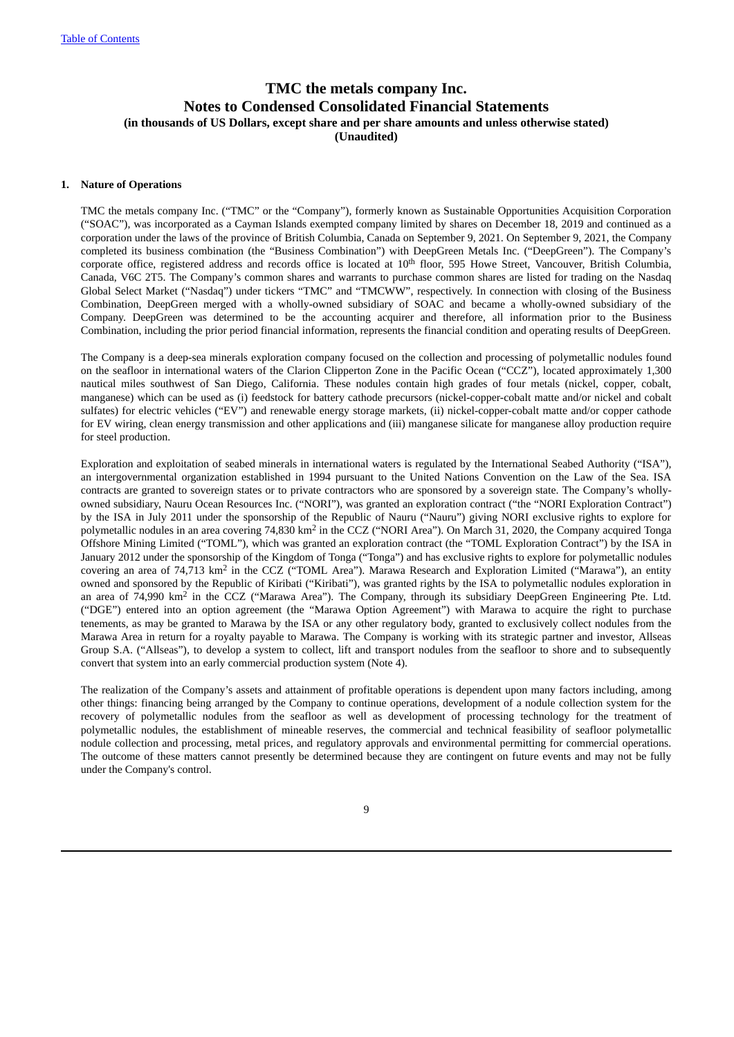# <span id="page-8-0"></span>**1. Nature of Operations**

TMC the metals company Inc. ("TMC" or the "Company"), formerly known as Sustainable Opportunities Acquisition Corporation ("SOAC"), was incorporated as a Cayman Islands exempted company limited by shares on December 18, 2019 and continued as a corporation under the laws of the province of British Columbia, Canada on September 9, 2021. On September 9, 2021, the Company completed its business combination (the "Business Combination") with DeepGreen Metals Inc. ("DeepGreen"). The Company's corporate office, registered address and records office is located at 10<sup>th</sup> floor, 595 Howe Street, Vancouver, British Columbia, Canada, V6C 2T5. The Company's common shares and warrants to purchase common shares are listed for trading on the Nasdaq Global Select Market ("Nasdaq") under tickers "TMC" and "TMCWW", respectively. In connection with closing of the Business Combination, DeepGreen merged with a wholly-owned subsidiary of SOAC and became a wholly-owned subsidiary of the Company. DeepGreen was determined to be the accounting acquirer and therefore, all information prior to the Business Combination, including the prior period financial information, represents the financial condition and operating results of DeepGreen.

The Company is a deep-sea minerals exploration company focused on the collection and processing of polymetallic nodules found on the seafloor in international waters of the Clarion Clipperton Zone in the Pacific Ocean ("CCZ"), located approximately 1,300 nautical miles southwest of San Diego, California. These nodules contain high grades of four metals (nickel, copper, cobalt, manganese) which can be used as (i) feedstock for battery cathode precursors (nickel-copper-cobalt matte and/or nickel and cobalt sulfates) for electric vehicles ("EV") and renewable energy storage markets, (ii) nickel-copper-cobalt matte and/or copper cathode for EV wiring, clean energy transmission and other applications and (iii) manganese silicate for manganese alloy production require for steel production.

Exploration and exploitation of seabed minerals in international waters is regulated by the International Seabed Authority ("ISA"), an intergovernmental organization established in 1994 pursuant to the United Nations Convention on the Law of the Sea. ISA contracts are granted to sovereign states or to private contractors who are sponsored by a sovereign state. The Company's whollyowned subsidiary, Nauru Ocean Resources Inc. ("NORI"), was granted an exploration contract ("the "NORI Exploration Contract") by the ISA in July 2011 under the sponsorship of the Republic of Nauru ("Nauru") giving NORI exclusive rights to explore for polymetallic nodules in an area covering 74,830 km<sup>2</sup> in the CCZ ("NORI Area"). On March 31, 2020, the Company acquired Tonga Offshore Mining Limited ("TOML"), which was granted an exploration contract (the "TOML Exploration Contract") by the ISA in January 2012 under the sponsorship of the Kingdom of Tonga ("Tonga") and has exclusive rights to explore for polymetallic nodules covering an area of 74,713 km<sup>2</sup> in the CCZ ("TOML Area"). Marawa Research and Exploration Limited ("Marawa"), an entity owned and sponsored by the Republic of Kiribati ("Kiribati"), was granted rights by the ISA to polymetallic nodules exploration in an area of 74,990 km<sup>2</sup> in the CCZ ("Marawa Area"). The Company, through its subsidiary DeepGreen Engineering Pte. Ltd. ("DGE") entered into an option agreement (the "Marawa Option Agreement") with Marawa to acquire the right to purchase tenements, as may be granted to Marawa by the ISA or any other regulatory body, granted to exclusively collect nodules from the Marawa Area in return for a royalty payable to Marawa. The Company is working with its strategic partner and investor, Allseas Group S.A. ("Allseas"), to develop a system to collect, lift and transport nodules from the seafloor to shore and to subsequently convert that system into an early commercial production system (Note 4).

The realization of the Company's assets and attainment of profitable operations is dependent upon many factors including, among other things: financing being arranged by the Company to continue operations, development of a nodule collection system for the recovery of polymetallic nodules from the seafloor as well as development of processing technology for the treatment of polymetallic nodules, the establishment of mineable reserves, the commercial and technical feasibility of seafloor polymetallic nodule collection and processing, metal prices, and regulatory approvals and environmental permitting for commercial operations. The outcome of these matters cannot presently be determined because they are contingent on future events and may not be fully under the Company's control.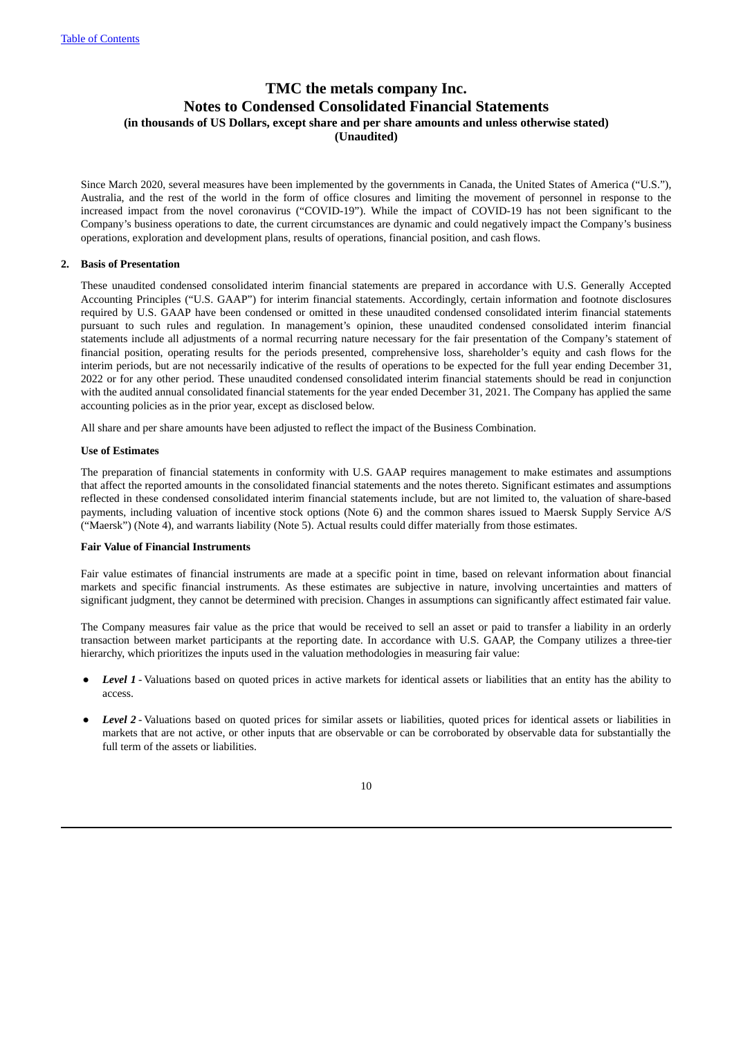Since March 2020, several measures have been implemented by the governments in Canada, the United States of America ("U.S."), Australia, and the rest of the world in the form of office closures and limiting the movement of personnel in response to the increased impact from the novel coronavirus ("COVID-19"). While the impact of COVID-19 has not been significant to the Company's business operations to date, the current circumstances are dynamic and could negatively impact the Company's business operations, exploration and development plans, results of operations, financial position, and cash flows.

# **2. Basis of Presentation**

These unaudited condensed consolidated interim financial statements are prepared in accordance with U.S. Generally Accepted Accounting Principles ("U.S. GAAP") for interim financial statements. Accordingly, certain information and footnote disclosures required by U.S. GAAP have been condensed or omitted in these unaudited condensed consolidated interim financial statements pursuant to such rules and regulation. In management's opinion, these unaudited condensed consolidated interim financial statements include all adjustments of a normal recurring nature necessary for the fair presentation of the Company's statement of financial position, operating results for the periods presented, comprehensive loss, shareholder's equity and cash flows for the interim periods, but are not necessarily indicative of the results of operations to be expected for the full year ending December 31, 2022 or for any other period. These unaudited condensed consolidated interim financial statements should be read in conjunction with the audited annual consolidated financial statements for the year ended December 31, 2021. The Company has applied the same accounting policies as in the prior year, except as disclosed below.

All share and per share amounts have been adjusted to reflect the impact of the Business Combination.

# **Use of Estimates**

The preparation of financial statements in conformity with U.S. GAAP requires management to make estimates and assumptions that affect the reported amounts in the consolidated financial statements and the notes thereto. Significant estimates and assumptions reflected in these condensed consolidated interim financial statements include, but are not limited to, the valuation of share-based payments, including valuation of incentive stock options (Note 6) and the common shares issued to Maersk Supply Service A/S ("Maersk") (Note 4), and warrants liability (Note 5). Actual results could differ materially from those estimates.

# **Fair Value of Financial Instruments**

Fair value estimates of financial instruments are made at a specific point in time, based on relevant information about financial markets and specific financial instruments. As these estimates are subjective in nature, involving uncertainties and matters of significant judgment, they cannot be determined with precision. Changes in assumptions can significantly affect estimated fair value.

The Company measures fair value as the price that would be received to sell an asset or paid to transfer a liability in an orderly transaction between market participants at the reporting date. In accordance with U.S. GAAP, the Company utilizes a three-tier hierarchy, which prioritizes the inputs used in the valuation methodologies in measuring fair value:

- *Level 1* Valuations based on quoted prices in active markets for identical assets or liabilities that an entity has the ability to access.
- Level 2 Valuations based on quoted prices for similar assets or liabilities, quoted prices for identical assets or liabilities in markets that are not active, or other inputs that are observable or can be corroborated by observable data for substantially the full term of the assets or liabilities.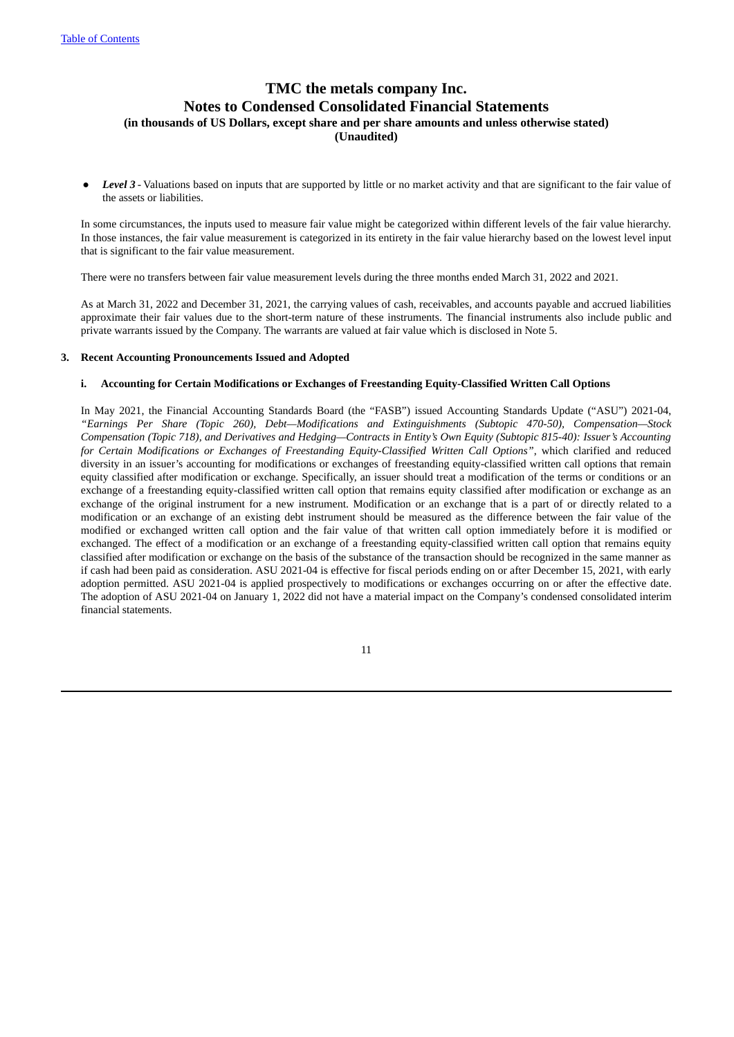● *Level 3* - Valuations based on inputs that are supported by little or no market activity and that are significant to the fair value of the assets or liabilities.

In some circumstances, the inputs used to measure fair value might be categorized within different levels of the fair value hierarchy. In those instances, the fair value measurement is categorized in its entirety in the fair value hierarchy based on the lowest level input that is significant to the fair value measurement.

There were no transfers between fair value measurement levels during the three months ended March 31, 2022 and 2021.

As at March 31, 2022 and December 31, 2021, the carrying values of cash, receivables, and accounts payable and accrued liabilities approximate their fair values due to the short-term nature of these instruments. The financial instruments also include public and private warrants issued by the Company. The warrants are valued at fair value which is disclosed in Note 5.

# **3. Recent Accounting Pronouncements Issued and Adopted**

# **i. Accounting for Certain Modifications or Exchanges of Freestanding Equity-Classified Written Call Options**

In May 2021, the Financial Accounting Standards Board (the "FASB") issued Accounting Standards Update ("ASU") 2021-04, *"Earnings Per Share (Topic 260), Debt—Modifications and Extinguishments (Subtopic 470-50), Compensation—Stock* Compensation (Topic 718), and Derivatives and Hedging-Contracts in Entity's Own Equity (Subtopic 815-40): Issuer's Accounting *for Certain Modifications or Exchanges of Freestanding Equity-Classified Written Call Options"*, which clarified and reduced diversity in an issuer's accounting for modifications or exchanges of freestanding equity-classified written call options that remain equity classified after modification or exchange. Specifically, an issuer should treat a modification of the terms or conditions or an exchange of a freestanding equity-classified written call option that remains equity classified after modification or exchange as an exchange of the original instrument for a new instrument. Modification or an exchange that is a part of or directly related to a modification or an exchange of an existing debt instrument should be measured as the difference between the fair value of the modified or exchanged written call option and the fair value of that written call option immediately before it is modified or exchanged. The effect of a modification or an exchange of a freestanding equity-classified written call option that remains equity classified after modification or exchange on the basis of the substance of the transaction should be recognized in the same manner as if cash had been paid as consideration. ASU 2021-04 is effective for fiscal periods ending on or after December 15, 2021, with early adoption permitted. ASU 2021-04 is applied prospectively to modifications or exchanges occurring on or after the effective date. The adoption of ASU 2021-04 on January 1, 2022 did not have a material impact on the Company's condensed consolidated interim financial statements.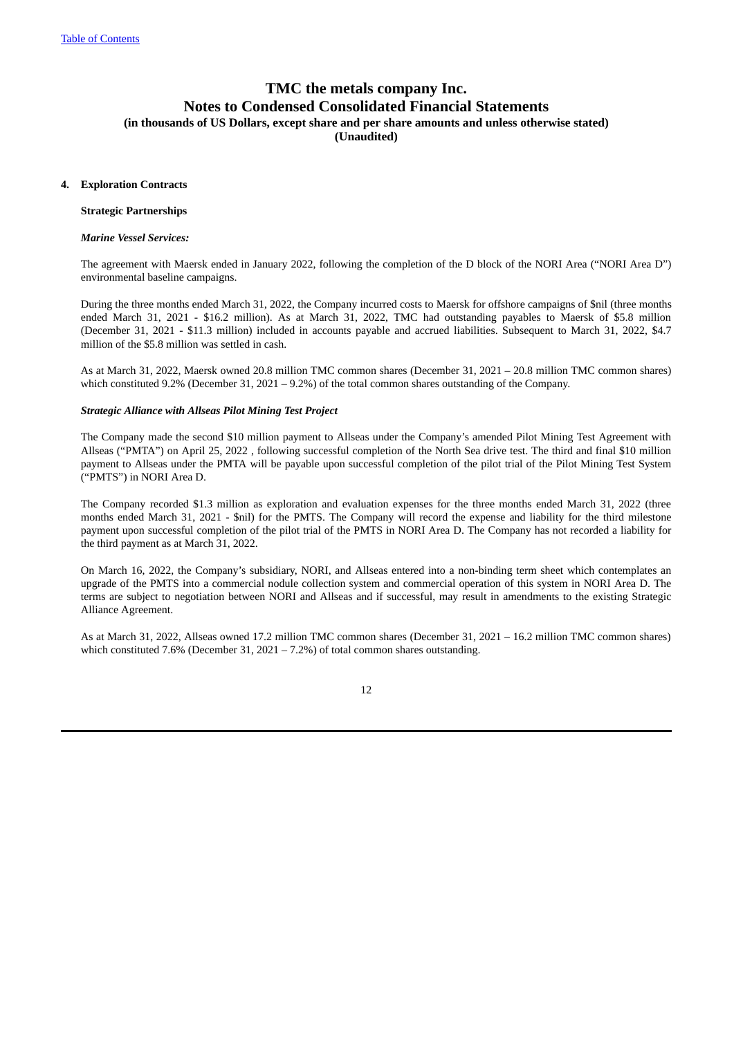# **TMC the metals company Inc. Notes to Condensed Consolidated Financial Statements**

**(in thousands of US Dollars, except share and per share amounts and unless otherwise stated)**

**(Unaudited)**

# **4. Exploration Contracts**

# **Strategic Partnerships**

## *Marine Vessel Services:*

The agreement with Maersk ended in January 2022, following the completion of the D block of the NORI Area ("NORI Area D") environmental baseline campaigns.

During the three months ended March 31, 2022, the Company incurred costs to Maersk for offshore campaigns of \$nil (three months ended March 31, 2021 - \$16.2 million). As at March 31, 2022, TMC had outstanding payables to Maersk of \$5.8 million (December 31, 2021 - \$11.3 million) included in accounts payable and accrued liabilities. Subsequent to March 31, 2022, \$4.7 million of the \$5.8 million was settled in cash.

As at March 31, 2022, Maersk owned 20.8 million TMC common shares (December 31, 2021 – 20.8 million TMC common shares) which constituted 9.2% (December 31, 2021 – 9.2%) of the total common shares outstanding of the Company.

# *Strategic Alliance with Allseas Pilot Mining Test Project*

The Company made the second \$10 million payment to Allseas under the Company's amended Pilot Mining Test Agreement with Allseas ("PMTA") on April 25, 2022 , following successful completion of the North Sea drive test. The third and final \$10 million payment to Allseas under the PMTA will be payable upon successful completion of the pilot trial of the Pilot Mining Test System ("PMTS") in NORI Area D.

The Company recorded \$1.3 million as exploration and evaluation expenses for the three months ended March 31, 2022 (three months ended March 31, 2021 - \$nil) for the PMTS. The Company will record the expense and liability for the third milestone payment upon successful completion of the pilot trial of the PMTS in NORI Area D. The Company has not recorded a liability for the third payment as at March 31, 2022.

On March 16, 2022, the Company's subsidiary, NORI, and Allseas entered into a non-binding term sheet which contemplates an upgrade of the PMTS into a commercial nodule collection system and commercial operation of this system in NORI Area D. The terms are subject to negotiation between NORI and Allseas and if successful, may result in amendments to the existing Strategic Alliance Agreement.

As at March 31, 2022, Allseas owned 17.2 million TMC common shares (December 31, 2021 – 16.2 million TMC common shares) which constituted 7.6% (December 31, 2021 – 7.2%) of total common shares outstanding.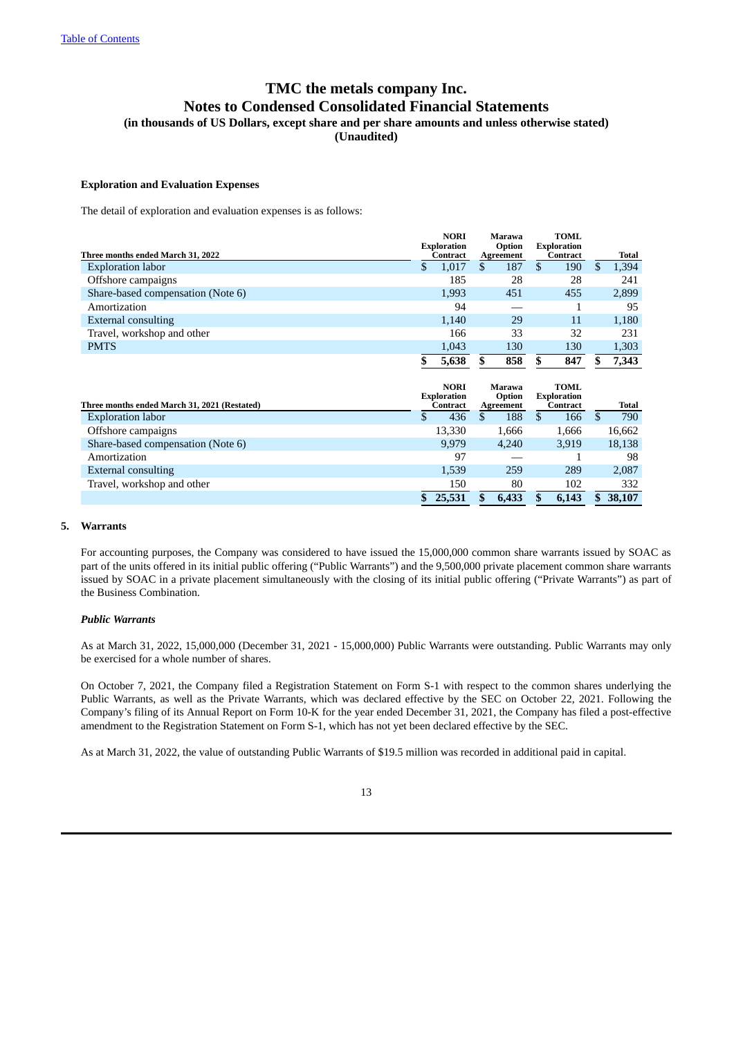# **TMC the metals company Inc. Notes to Condensed Consolidated Financial Statements**

**(in thousands of US Dollars, except share and per share amounts and unless otherwise stated)**

**(Unaudited)**

## **Exploration and Evaluation Expenses**

The detail of exploration and evaluation expenses is as follows:

|                                              | <b>NORI</b><br><b>Exploration</b> | Marawa<br>Option |              | TOML<br><b>Exploration</b> |                |        |
|----------------------------------------------|-----------------------------------|------------------|--------------|----------------------------|----------------|--------|
| Three months ended March 31, 2022            | <b>Contract</b>                   | <b>Agreement</b> |              | <b>Contract</b>            |                | Total  |
| <b>Exploration labor</b>                     | \$<br>1,017                       | \$<br>187        | $\mathbb{S}$ | 190                        | \$.            | 1,394  |
| Offshore campaigns                           | 185                               | 28               |              | 28                         |                | 241    |
| Share-based compensation (Note 6)            | 1,993                             | 451              |              | 455                        |                | 2,899  |
| Amortization                                 | 94                                |                  |              | 1                          |                | 95     |
| <b>External consulting</b>                   | 1,140                             | 29               |              | 11                         |                | 1,180  |
| Travel, workshop and other                   | 166                               | 33               |              | 32                         |                | 231    |
| <b>PMTS</b>                                  | 1,043                             | 130              |              | 130                        |                | 1,303  |
|                                              | 5,638                             | \$<br>858        | \$           | 847                        | \$             | 7,343  |
|                                              |                                   |                  |              |                            |                |        |
|                                              |                                   |                  |              |                            |                |        |
|                                              | <b>NORI</b>                       | <b>Marawa</b>    |              | <b>TOML</b>                |                |        |
|                                              | <b>Exploration</b>                | Option           |              | <b>Exploration</b>         |                |        |
| Three months ended March 31, 2021 (Restated) | Contract                          | Agreement        |              | <b>Contract</b>            |                | Total  |
| <b>Exploration labor</b>                     | \$<br>436                         | \$<br>188        | $\mathbf{s}$ | 166                        | $\mathfrak{F}$ | 790    |
| Offshore campaigns                           | 13,330                            | 1,666            |              | 1,666                      |                | 16,662 |
| Share-based compensation (Note 6)            | 9,979                             | 4,240            |              | 3,919                      |                | 18,138 |
| Amortization                                 | 97                                |                  |              | 1                          |                | 98     |
| <b>External consulting</b>                   | 1,539                             | 259              |              | 289                        |                | 2,087  |
| Travel, workshop and other                   | 150                               | 80               |              | 102                        |                | 332    |

# **5. Warrants**

For accounting purposes, the Company was considered to have issued the 15,000,000 common share warrants issued by SOAC as part of the units offered in its initial public offering ("Public Warrants") and the 9,500,000 private placement common share warrants issued by SOAC in a private placement simultaneously with the closing of its initial public offering ("Private Warrants") as part of the Business Combination.

# *Public Warrants*

As at March 31, 2022, 15,000,000 (December 31, 2021 - 15,000,000) Public Warrants were outstanding. Public Warrants may only be exercised for a whole number of shares.

On October 7, 2021, the Company filed a Registration Statement on Form S-1 with respect to the common shares underlying the Public Warrants, as well as the Private Warrants, which was declared effective by the SEC on October 22, 2021. Following the Company's filing of its Annual Report on Form 10-K for the year ended December 31, 2021, the Company has filed a post-effective amendment to the Registration Statement on Form S-1, which has not yet been declared effective by the SEC.

As at March 31, 2022, the value of outstanding Public Warrants of \$19.5 million was recorded in additional paid in capital.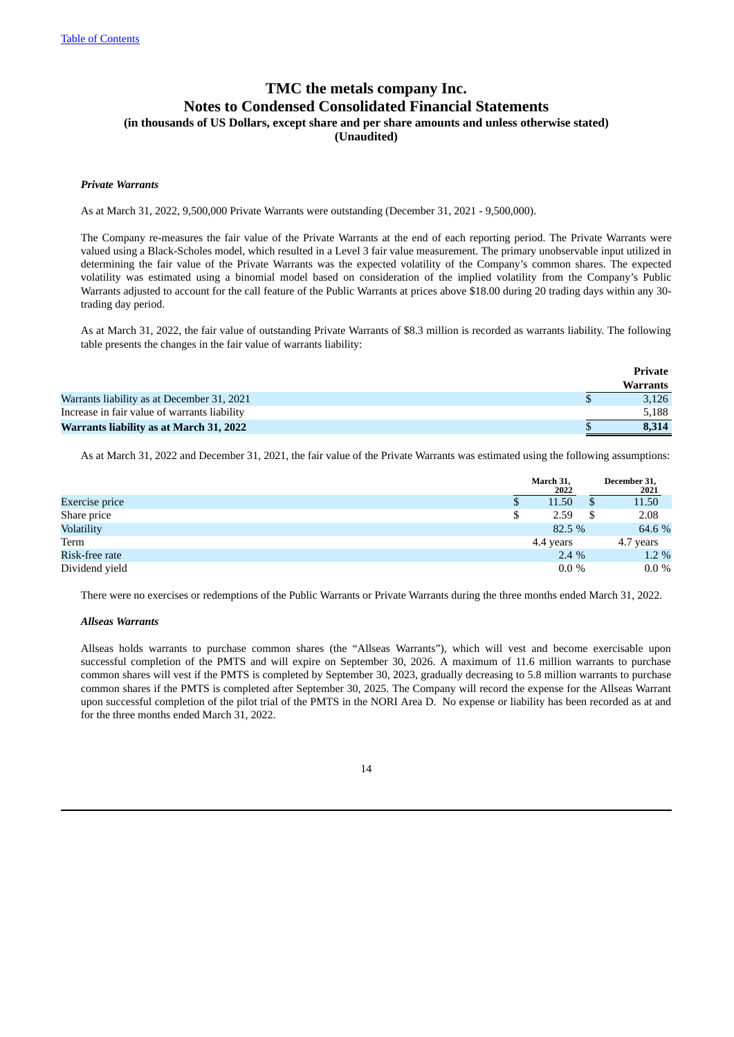**(Unaudited)**

# *Private Warrants*

As at March 31, 2022, 9,500,000 Private Warrants were outstanding (December 31, 2021 - 9,500,000).

The Company re-measures the fair value of the Private Warrants at the end of each reporting period. The Private Warrants were valued using a Black-Scholes model, which resulted in a Level 3 fair value measurement. The primary unobservable input utilized in determining the fair value of the Private Warrants was the expected volatility of the Company's common shares. The expected volatility was estimated using a binomial model based on consideration of the implied volatility from the Company's Public Warrants adjusted to account for the call feature of the Public Warrants at prices above \$18.00 during 20 trading days within any 30 trading day period.

As at March 31, 2022, the fair value of outstanding Private Warrants of \$8.3 million is recorded as warrants liability. The following table presents the changes in the fair value of warrants liability:

|                                              | Private         |
|----------------------------------------------|-----------------|
|                                              | <b>Warrants</b> |
| Warrants liability as at December 31, 2021   | 3.126           |
| Increase in fair value of warrants liability | 5,188           |
| Warrants liability as at March 31, 2022      | 8.314           |

As at March 31, 2022 and December 31, 2021, the fair value of the Private Warrants was estimated using the following assumptions:

|                   |    | March 31,<br>2022 |   | December 31,<br>2021 |
|-------------------|----|-------------------|---|----------------------|
| Exercise price    | S  | 11.50             | S | 11.50                |
| Share price       | \$ | 2.59              |   | 2.08                 |
| <b>Volatility</b> |    | 82.5 %            |   | 64.6 %               |
| Term              |    | 4.4 years         |   | 4.7 years            |
| Risk-free rate    |    | $2.4\%$           |   | 1.2 %                |
| Dividend yield    |    | $0.0\%$           |   | $0.0\%$              |
|                   |    |                   |   |                      |

There were no exercises or redemptions of the Public Warrants or Private Warrants during the three months ended March 31, 2022.

#### *Allseas Warrants*

Allseas holds warrants to purchase common shares (the "Allseas Warrants"), which will vest and become exercisable upon successful completion of the PMTS and will expire on September 30, 2026. A maximum of 11.6 million warrants to purchase common shares will vest if the PMTS is completed by September 30, 2023, gradually decreasing to 5.8 million warrants to purchase common shares if the PMTS is completed after September 30, 2025. The Company will record the expense for the Allseas Warrant upon successful completion of the pilot trial of the PMTS in the NORI Area D. No expense or liability has been recorded as at and for the three months ended March 31, 2022.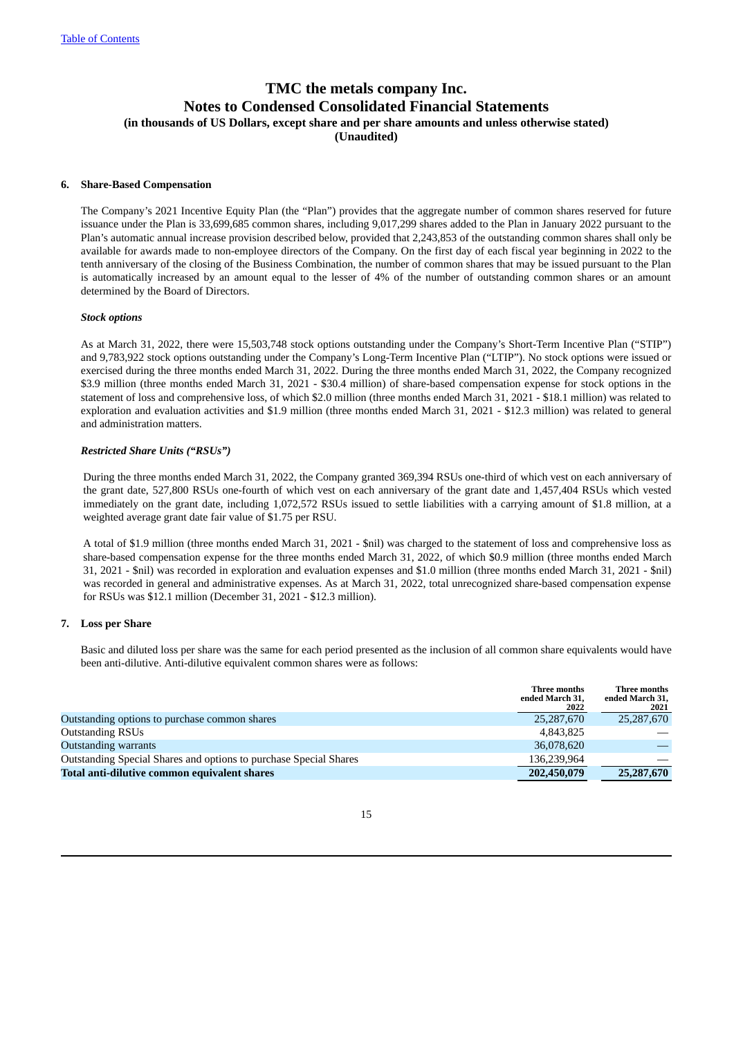# **6. Share-Based Compensation**

The Company's 2021 Incentive Equity Plan (the "Plan") provides that the aggregate number of common shares reserved for future issuance under the Plan is 33,699,685 common shares, including 9,017,299 shares added to the Plan in January 2022 pursuant to the Plan's automatic annual increase provision described below, provided that 2,243,853 of the outstanding common shares shall only be available for awards made to non-employee directors of the Company. On the first day of each fiscal year beginning in 2022 to the tenth anniversary of the closing of the Business Combination, the number of common shares that may be issued pursuant to the Plan is automatically increased by an amount equal to the lesser of 4% of the number of outstanding common shares or an amount determined by the Board of Directors.

## *Stock options*

As at March 31, 2022, there were 15,503,748 stock options outstanding under the Company's Short-Term Incentive Plan ("STIP") and 9,783,922 stock options outstanding under the Company's Long-Term Incentive Plan ("LTIP"). No stock options were issued or exercised during the three months ended March 31, 2022. During the three months ended March 31, 2022, the Company recognized \$3.9 million (three months ended March 31, 2021 - \$30.4 million) of share-based compensation expense for stock options in the statement of loss and comprehensive loss, of which \$2.0 million (three months ended March 31, 2021 - \$18.1 million) was related to exploration and evaluation activities and \$1.9 million (three months ended March 31, 2021 - \$12.3 million) was related to general and administration matters.

# *Restricted Share Units ("RSUs")*

During the three months ended March 31, 2022, the Company granted 369,394 RSUs one-third of which vest on each anniversary of the grant date, 527,800 RSUs one-fourth of which vest on each anniversary of the grant date and 1,457,404 RSUs which vested immediately on the grant date, including 1,072,572 RSUs issued to settle liabilities with a carrying amount of \$1.8 million, at a weighted average grant date fair value of \$1.75 per RSU.

A total of \$1.9 million (three months ended March 31, 2021 - \$nil) was charged to the statement of loss and comprehensive loss as share-based compensation expense for the three months ended March 31, 2022, of which \$0.9 million (three months ended March 31, 2021 - \$nil) was recorded in exploration and evaluation expenses and \$1.0 million (three months ended March 31, 2021 - \$nil) was recorded in general and administrative expenses. As at March 31, 2022, total unrecognized share-based compensation expense for RSUs was \$12.1 million (December 31, 2021 - \$12.3 million).

### **7. Loss per Share**

Basic and diluted loss per share was the same for each period presented as the inclusion of all common share equivalents would have been anti-dilutive. Anti-dilutive equivalent common shares were as follows:

|                                                                   | Three months<br>ended March 31,<br>2022 | Three months<br>ended March 31,<br>2021 |
|-------------------------------------------------------------------|-----------------------------------------|-----------------------------------------|
| Outstanding options to purchase common shares                     | 25,287,670                              | 25,287,670                              |
| <b>Outstanding RSUs</b>                                           | 4,843,825                               |                                         |
| <b>Outstanding warrants</b>                                       | 36,078,620                              |                                         |
| Outstanding Special Shares and options to purchase Special Shares | 136,239,964                             |                                         |
| Total anti-dilutive common equivalent shares                      | 202,450,079                             | 25,287,670                              |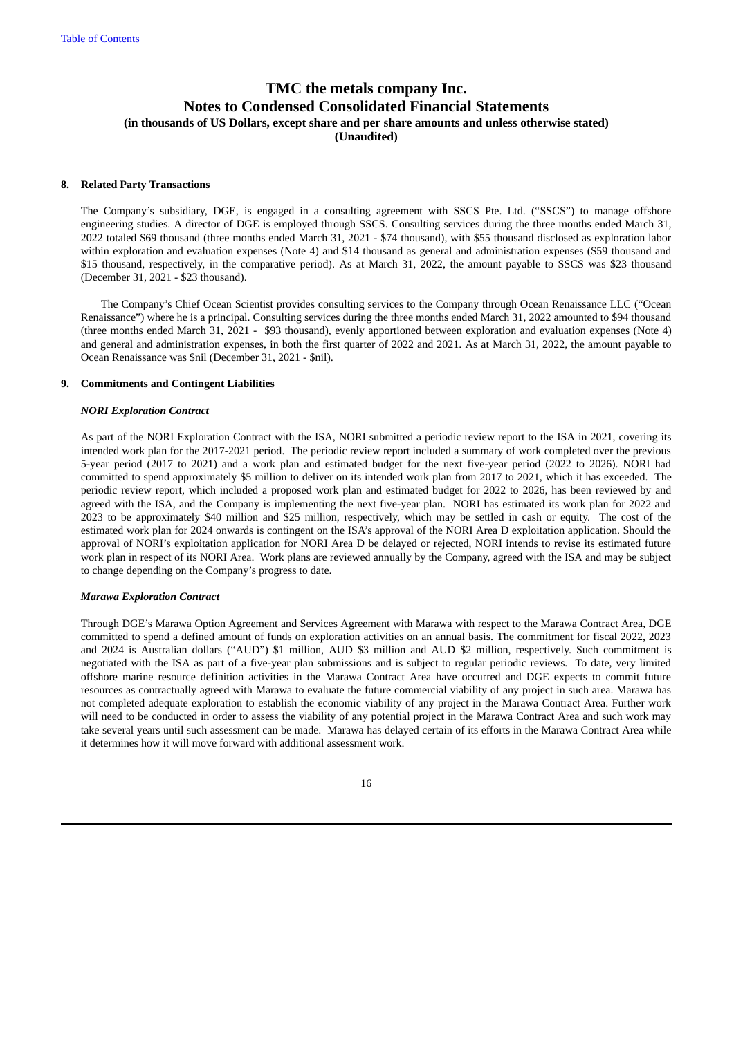# **8. Related Party Transactions**

The Company's subsidiary, DGE, is engaged in a consulting agreement with SSCS Pte. Ltd. ("SSCS") to manage offshore engineering studies. A director of DGE is employed through SSCS. Consulting services during the three months ended March 31, 2022 totaled \$69 thousand (three months ended March 31, 2021 - \$74 thousand), with \$55 thousand disclosed as exploration labor within exploration and evaluation expenses (Note 4) and \$14 thousand as general and administration expenses (\$59 thousand and \$15 thousand, respectively, in the comparative period). As at March 31, 2022, the amount payable to SSCS was \$23 thousand (December 31, 2021 - \$23 thousand).

The Company's Chief Ocean Scientist provides consulting services to the Company through Ocean Renaissance LLC ("Ocean Renaissance") where he is a principal. Consulting services during the three months ended March 31, 2022 amounted to \$94 thousand (three months ended March 31, 2021 - \$93 thousand), evenly apportioned between exploration and evaluation expenses (Note 4) and general and administration expenses, in both the first quarter of 2022 and 2021. As at March 31, 2022, the amount payable to Ocean Renaissance was \$nil (December 31, 2021 - \$nil).

#### **9. Commitments and Contingent Liabilities**

# *NORI Exploration Contract*

As part of the NORI Exploration Contract with the ISA, NORI submitted a periodic review report to the ISA in 2021, covering its intended work plan for the 2017-2021 period. The periodic review report included a summary of work completed over the previous 5-year period (2017 to 2021) and a work plan and estimated budget for the next five-year period (2022 to 2026). NORI had committed to spend approximately \$5 million to deliver on its intended work plan from 2017 to 2021, which it has exceeded. The periodic review report, which included a proposed work plan and estimated budget for 2022 to 2026, has been reviewed by and agreed with the ISA, and the Company is implementing the next five-year plan. NORI has estimated its work plan for 2022 and 2023 to be approximately \$40 million and \$25 million, respectively, which may be settled in cash or equity. The cost of the estimated work plan for 2024 onwards is contingent on the ISA's approval of the NORI Area D exploitation application. Should the approval of NORI's exploitation application for NORI Area D be delayed or rejected, NORI intends to revise its estimated future work plan in respect of its NORI Area. Work plans are reviewed annually by the Company, agreed with the ISA and may be subject to change depending on the Company's progress to date.

#### *Marawa Exploration Contract*

Through DGE's Marawa Option Agreement and Services Agreement with Marawa with respect to the Marawa Contract Area, DGE committed to spend a defined amount of funds on exploration activities on an annual basis. The commitment for fiscal 2022, 2023 and 2024 is Australian dollars ("AUD") \$1 million, AUD \$3 million and AUD \$2 million, respectively. Such commitment is negotiated with the ISA as part of a five-year plan submissions and is subject to regular periodic reviews. To date, very limited offshore marine resource definition activities in the Marawa Contract Area have occurred and DGE expects to commit future resources as contractually agreed with Marawa to evaluate the future commercial viability of any project in such area. Marawa has not completed adequate exploration to establish the economic viability of any project in the Marawa Contract Area. Further work will need to be conducted in order to assess the viability of any potential project in the Marawa Contract Area and such work may take several years until such assessment can be made. Marawa has delayed certain of its efforts in the Marawa Contract Area while it determines how it will move forward with additional assessment work.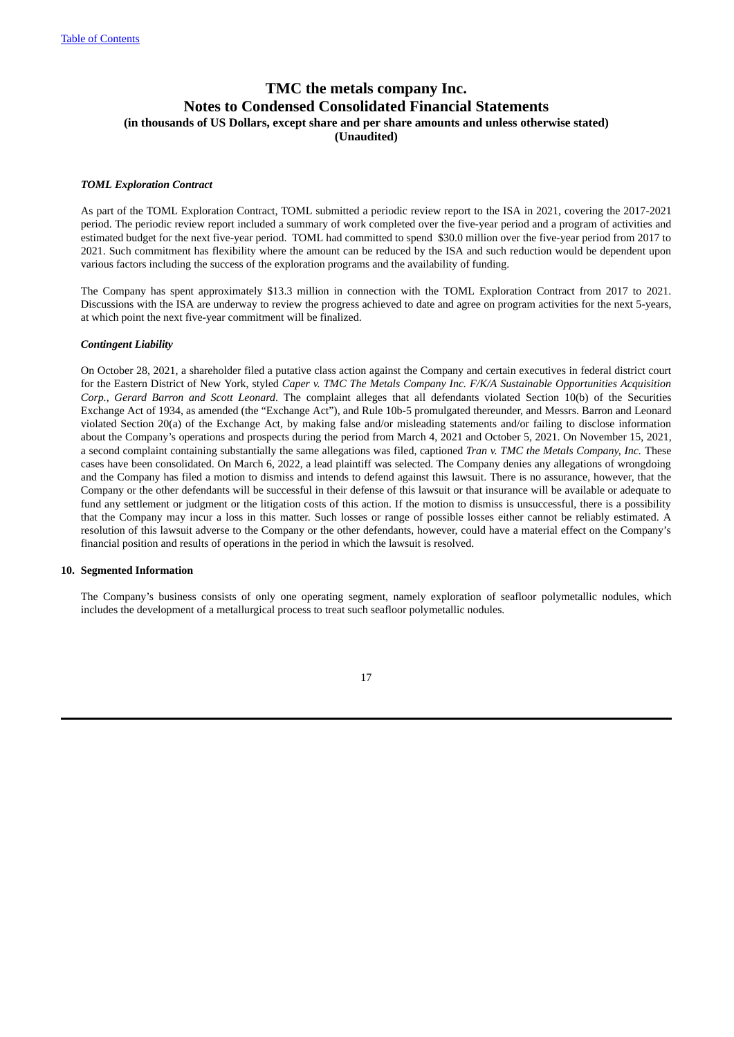#### *TOML Exploration Contract*

As part of the TOML Exploration Contract, TOML submitted a periodic review report to the ISA in 2021, covering the 2017-2021 period. The periodic review report included a summary of work completed over the five-year period and a program of activities and estimated budget for the next five-year period. TOML had committed to spend \$30.0 million over the five-year period from 2017 to 2021. Such commitment has flexibility where the amount can be reduced by the ISA and such reduction would be dependent upon various factors including the success of the exploration programs and the availability of funding.

The Company has spent approximately \$13.3 million in connection with the TOML Exploration Contract from 2017 to 2021. Discussions with the ISA are underway to review the progress achieved to date and agree on program activities for the next 5-years, at which point the next five-year commitment will be finalized.

#### *Contingent Liability*

On October 28, 2021, a shareholder filed a putative class action against the Company and certain executives in federal district court for the Eastern District of New York, styled *Caper v. TMC The Metals Company Inc. F/K/A Sustainable Opportunities Acquisition Corp., Gerard Barron and Scott Leonard*. The complaint alleges that all defendants violated Section 10(b) of the Securities Exchange Act of 1934, as amended (the "Exchange Act"), and Rule 10b-5 promulgated thereunder, and Messrs. Barron and Leonard violated Section 20(a) of the Exchange Act, by making false and/or misleading statements and/or failing to disclose information about the Company's operations and prospects during the period from March 4, 2021 and October 5, 2021. On November 15, 2021, a second complaint containing substantially the same allegations was filed, captioned *Tran v. TMC the Metals Company, Inc.* These cases have been consolidated. On March 6, 2022, a lead plaintiff was selected. The Company denies any allegations of wrongdoing and the Company has filed a motion to dismiss and intends to defend against this lawsuit. There is no assurance, however, that the Company or the other defendants will be successful in their defense of this lawsuit or that insurance will be available or adequate to fund any settlement or judgment or the litigation costs of this action. If the motion to dismiss is unsuccessful, there is a possibility that the Company may incur a loss in this matter. Such losses or range of possible losses either cannot be reliably estimated. A resolution of this lawsuit adverse to the Company or the other defendants, however, could have a material effect on the Company's financial position and results of operations in the period in which the lawsuit is resolved.

# **10. Segmented Information**

The Company's business consists of only one operating segment, namely exploration of seafloor polymetallic nodules, which includes the development of a metallurgical process to treat such seafloor polymetallic nodules.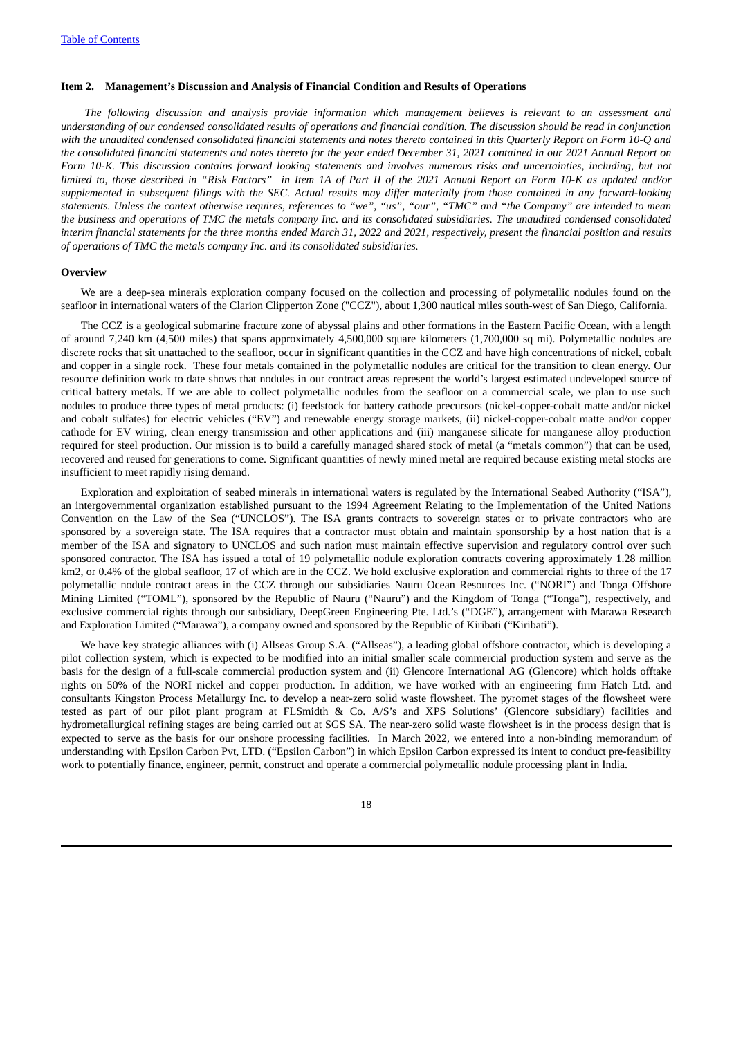## <span id="page-17-0"></span>**Item 2. Management's Discussion and Analysis of Financial Condition and Results of Operations**

The following discussion and analysis provide information which management believes is relevant to an assessment and understanding of our condensed consolidated results of operations and financial condition. The discussion should be read in conjunction with the unaudited condensed consolidated financial statements and notes thereto contained in this Quarterly Report on Form 10-Q and the consolidated financial statements and notes thereto for the year ended December 31, 2021 contained in our 2021 Annual Report on Form 10-K. This discussion contains forward looking statements and involves numerous risks and uncertainties, including, but not limited to, those described in "Risk Factors" in Item 1A of Part II of the 2021 Annual Report on Form 10-K as updated and/or supplemented in subsequent filings with the SEC. Actual results may differ materially from those contained in any forward-looking statements. Unless the context otherwise requires, references to "we", "us", "our", "TMC" and "the Company" are intended to mean the business and operations of TMC the metals company Inc. and its consolidated subsidiaries. The unaudited condensed consolidated interim financial statements for the three months ended March 31, 2022 and 2021, respectively, present the financial position and results *of operations of TMC the metals company Inc. and its consolidated subsidiaries.*

#### **Overview**

We are a deep-sea minerals exploration company focused on the collection and processing of polymetallic nodules found on the seafloor in international waters of the Clarion Clipperton Zone ("CCZ"), about 1,300 nautical miles south-west of San Diego, California.

The CCZ is a geological submarine fracture zone of abyssal plains and other formations in the Eastern Pacific Ocean, with a length of around 7,240 km (4,500 miles) that spans approximately 4,500,000 square kilometers (1,700,000 sq mi). Polymetallic nodules are discrete rocks that sit unattached to the seafloor, occur in significant quantities in the CCZ and have high concentrations of nickel, cobalt and copper in a single rock. These four metals contained in the polymetallic nodules are critical for the transition to clean energy. Our resource definition work to date shows that nodules in our contract areas represent the world's largest estimated undeveloped source of critical battery metals. If we are able to collect polymetallic nodules from the seafloor on a commercial scale, we plan to use such nodules to produce three types of metal products: (i) feedstock for battery cathode precursors (nickel-copper-cobalt matte and/or nickel and cobalt sulfates) for electric vehicles ("EV") and renewable energy storage markets, (ii) nickel-copper-cobalt matte and/or copper cathode for EV wiring, clean energy transmission and other applications and (iii) manganese silicate for manganese alloy production required for steel production. Our mission is to build a carefully managed shared stock of metal (a "metals common") that can be used, recovered and reused for generations to come. Significant quantities of newly mined metal are required because existing metal stocks are insufficient to meet rapidly rising demand.

Exploration and exploitation of seabed minerals in international waters is regulated by the International Seabed Authority ("ISA"), an intergovernmental organization established pursuant to the 1994 Agreement Relating to the Implementation of the United Nations Convention on the Law of the Sea ("UNCLOS"). The ISA grants contracts to sovereign states or to private contractors who are sponsored by a sovereign state. The ISA requires that a contractor must obtain and maintain sponsorship by a host nation that is a member of the ISA and signatory to UNCLOS and such nation must maintain effective supervision and regulatory control over such sponsored contractor. The ISA has issued a total of 19 polymetallic nodule exploration contracts covering approximately 1.28 million km2, or 0.4% of the global seafloor, 17 of which are in the CCZ. We hold exclusive exploration and commercial rights to three of the 17 polymetallic nodule contract areas in the CCZ through our subsidiaries Nauru Ocean Resources Inc. ("NORI") and Tonga Offshore Mining Limited ("TOML"), sponsored by the Republic of Nauru ("Nauru") and the Kingdom of Tonga ("Tonga"), respectively, and exclusive commercial rights through our subsidiary, DeepGreen Engineering Pte. Ltd.'s ("DGE"), arrangement with Marawa Research and Exploration Limited ("Marawa"), a company owned and sponsored by the Republic of Kiribati ("Kiribati").

We have key strategic alliances with (i) Allseas Group S.A. ("Allseas"), a leading global offshore contractor, which is developing a pilot collection system, which is expected to be modified into an initial smaller scale commercial production system and serve as the basis for the design of a full-scale commercial production system and (ii) Glencore International AG (Glencore) which holds offtake rights on 50% of the NORI nickel and copper production. In addition, we have worked with an engineering firm Hatch Ltd. and consultants Kingston Process Metallurgy Inc. to develop a near-zero solid waste flowsheet. The pyromet stages of the flowsheet were tested as part of our pilot plant program at FLSmidth & Co. A/S's and XPS Solutions' (Glencore subsidiary) facilities and hydrometallurgical refining stages are being carried out at SGS SA. The near-zero solid waste flowsheet is in the process design that is expected to serve as the basis for our onshore processing facilities. In March 2022, we entered into a non-binding memorandum of understanding with Epsilon Carbon Pvt, LTD. ("Epsilon Carbon") in which Epsilon Carbon expressed its intent to conduct pre-feasibility work to potentially finance, engineer, permit, construct and operate a commercial polymetallic nodule processing plant in India.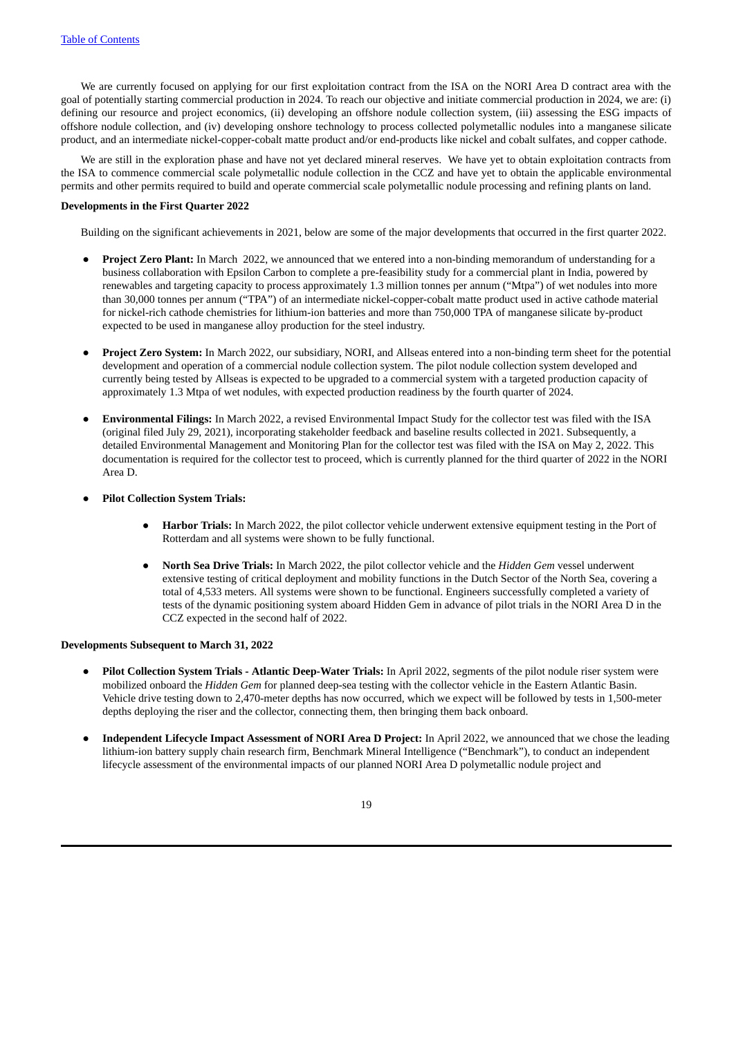We are currently focused on applying for our first exploitation contract from the ISA on the NORI Area D contract area with the goal of potentially starting commercial production in 2024. To reach our objective and initiate commercial production in 2024, we are: (i) defining our resource and project economics, (ii) developing an offshore nodule collection system, (iii) assessing the ESG impacts of offshore nodule collection, and (iv) developing onshore technology to process collected polymetallic nodules into a manganese silicate product, and an intermediate nickel-copper-cobalt matte product and/or end-products like nickel and cobalt sulfates, and copper cathode.

We are still in the exploration phase and have not yet declared mineral reserves. We have yet to obtain exploitation contracts from the ISA to commence commercial scale polymetallic nodule collection in the CCZ and have yet to obtain the applicable environmental permits and other permits required to build and operate commercial scale polymetallic nodule processing and refining plants on land.

#### **Developments in the First Quarter 2022**

Building on the significant achievements in 2021, below are some of the major developments that occurred in the first quarter 2022.

- **Project Zero Plant:** In March 2022, we announced that we entered into a non-binding memorandum of understanding for a business collaboration with Epsilon Carbon to complete a pre-feasibility study for a commercial plant in India, powered by renewables and targeting capacity to process approximately 1.3 million tonnes per annum ("Mtpa") of wet nodules into more than 30,000 tonnes per annum ("TPA") of an intermediate nickel-copper-cobalt matte product used in active cathode material for nickel-rich cathode chemistries for lithium-ion batteries and more than 750,000 TPA of manganese silicate by-product expected to be used in manganese alloy production for the steel industry.
- **Project Zero System:** In March 2022, our subsidiary, NORI, and Allseas entered into a non-binding term sheet for the potential development and operation of a commercial nodule collection system. The pilot nodule collection system developed and currently being tested by Allseas is expected to be upgraded to a commercial system with a targeted production capacity of approximately 1.3 Mtpa of wet nodules, with expected production readiness by the fourth quarter of 2024.
- **Environmental Filings:** In March 2022, a revised Environmental Impact Study for the collector test was filed with the ISA (original filed July 29, 2021), incorporating stakeholder feedback and baseline results collected in 2021. Subsequently, a detailed Environmental Management and Monitoring Plan for the collector test was filed with the ISA on May 2, 2022. This documentation is required for the collector test to proceed, which is currently planned for the third quarter of 2022 in the NORI Area D.
- **Pilot Collection System Trials:**
	- **Harbor Trials:** In March 2022, the pilot collector vehicle underwent extensive equipment testing in the Port of Rotterdam and all systems were shown to be fully functional.
	- **North Sea Drive Trials:** In March 2022, the pilot collector vehicle and the *Hidden Gem* vessel underwent extensive testing of critical deployment and mobility functions in the Dutch Sector of the North Sea, covering a total of 4,533 meters. All systems were shown to be functional. Engineers successfully completed a variety of tests of the dynamic positioning system aboard Hidden Gem in advance of pilot trials in the NORI Area D in the CCZ expected in the second half of 2022.

# **Developments Subsequent to March 31, 2022**

- **Pilot Collection System Trials - Atlantic Deep-Water Trials:** In April 2022, segments of the pilot nodule riser system were mobilized onboard the *Hidden Gem* for planned deep-sea testing with the collector vehicle in the Eastern Atlantic Basin. Vehicle drive testing down to 2,470-meter depths has now occurred, which we expect will be followed by tests in 1,500-meter depths deploying the riser and the collector, connecting them, then bringing them back onboard.
- **Independent Lifecycle Impact Assessment of NORI Area D Project:** In April 2022, we announced that we chose the leading lithium-ion battery supply chain research firm, Benchmark Mineral Intelligence ("Benchmark"), to conduct an independent lifecycle assessment of the environmental impacts of our planned NORI Area D polymetallic nodule project and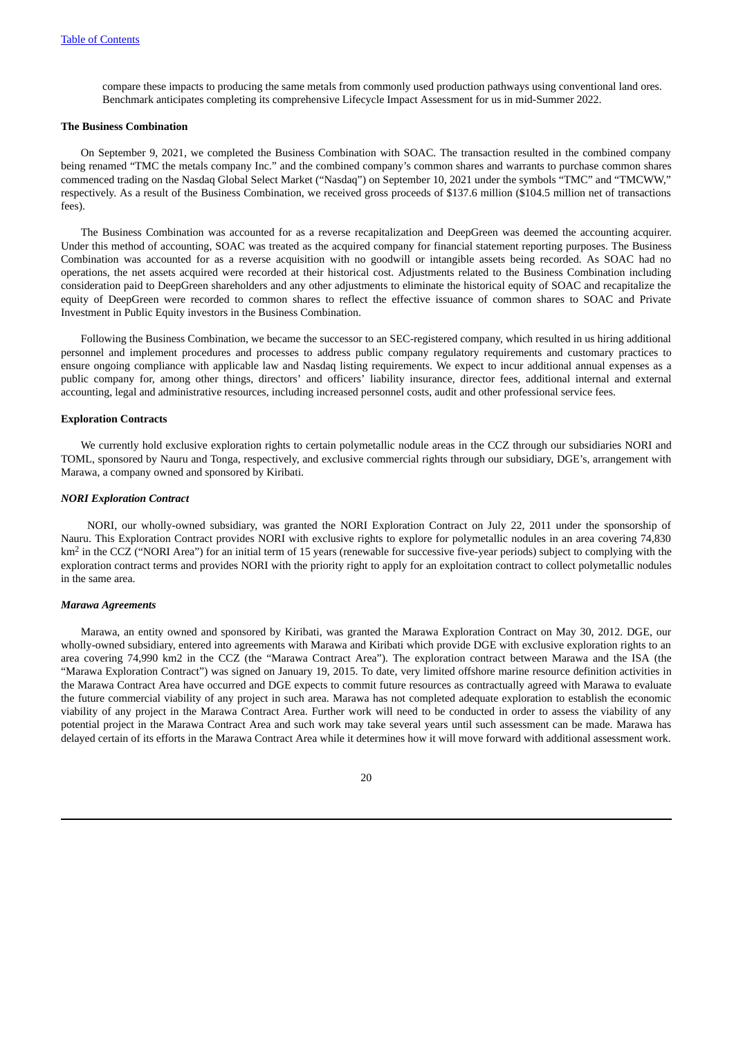compare these impacts to producing the same metals from commonly used production pathways using conventional land ores. Benchmark anticipates completing its comprehensive Lifecycle Impact Assessment for us in mid-Summer 2022.

#### **The Business Combination**

On September 9, 2021, we completed the Business Combination with SOAC. The transaction resulted in the combined company being renamed "TMC the metals company Inc." and the combined company's common shares and warrants to purchase common shares commenced trading on the Nasdaq Global Select Market ("Nasdaq") on September 10, 2021 under the symbols "TMC" and "TMCWW," respectively. As a result of the Business Combination, we received gross proceeds of \$137.6 million (\$104.5 million net of transactions fees).

The Business Combination was accounted for as a reverse recapitalization and DeepGreen was deemed the accounting acquirer. Under this method of accounting, SOAC was treated as the acquired company for financial statement reporting purposes. The Business Combination was accounted for as a reverse acquisition with no goodwill or intangible assets being recorded. As SOAC had no operations, the net assets acquired were recorded at their historical cost. Adjustments related to the Business Combination including consideration paid to DeepGreen shareholders and any other adjustments to eliminate the historical equity of SOAC and recapitalize the equity of DeepGreen were recorded to common shares to reflect the effective issuance of common shares to SOAC and Private Investment in Public Equity investors in the Business Combination.

Following the Business Combination, we became the successor to an SEC-registered company, which resulted in us hiring additional personnel and implement procedures and processes to address public company regulatory requirements and customary practices to ensure ongoing compliance with applicable law and Nasdaq listing requirements. We expect to incur additional annual expenses as a public company for, among other things, directors' and officers' liability insurance, director fees, additional internal and external accounting, legal and administrative resources, including increased personnel costs, audit and other professional service fees.

#### **Exploration Contracts**

We currently hold exclusive exploration rights to certain polymetallic nodule areas in the CCZ through our subsidiaries NORI and TOML, sponsored by Nauru and Tonga, respectively, and exclusive commercial rights through our subsidiary, DGE's, arrangement with Marawa, a company owned and sponsored by Kiribati.

#### *NORI Exploration Contract*

NORI, our wholly-owned subsidiary, was granted the NORI Exploration Contract on July 22, 2011 under the sponsorship of Nauru. This Exploration Contract provides NORI with exclusive rights to explore for polymetallic nodules in an area covering 74,830 km<sup>2</sup> in the CCZ ("NORI Area") for an initial term of 15 years (renewable for successive five-year periods) subject to complying with the exploration contract terms and provides NORI with the priority right to apply for an exploitation contract to collect polymetallic nodules in the same area.

#### *Marawa Agreements*

Marawa, an entity owned and sponsored by Kiribati, was granted the Marawa Exploration Contract on May 30, 2012. DGE, our wholly-owned subsidiary, entered into agreements with Marawa and Kiribati which provide DGE with exclusive exploration rights to an area covering 74,990 km2 in the CCZ (the "Marawa Contract Area"). The exploration contract between Marawa and the ISA (the "Marawa Exploration Contract") was signed on January 19, 2015. To date, very limited offshore marine resource definition activities in the Marawa Contract Area have occurred and DGE expects to commit future resources as contractually agreed with Marawa to evaluate the future commercial viability of any project in such area. Marawa has not completed adequate exploration to establish the economic viability of any project in the Marawa Contract Area. Further work will need to be conducted in order to assess the viability of any potential project in the Marawa Contract Area and such work may take several years until such assessment can be made. Marawa has delayed certain of its efforts in the Marawa Contract Area while it determines how it will move forward with additional assessment work.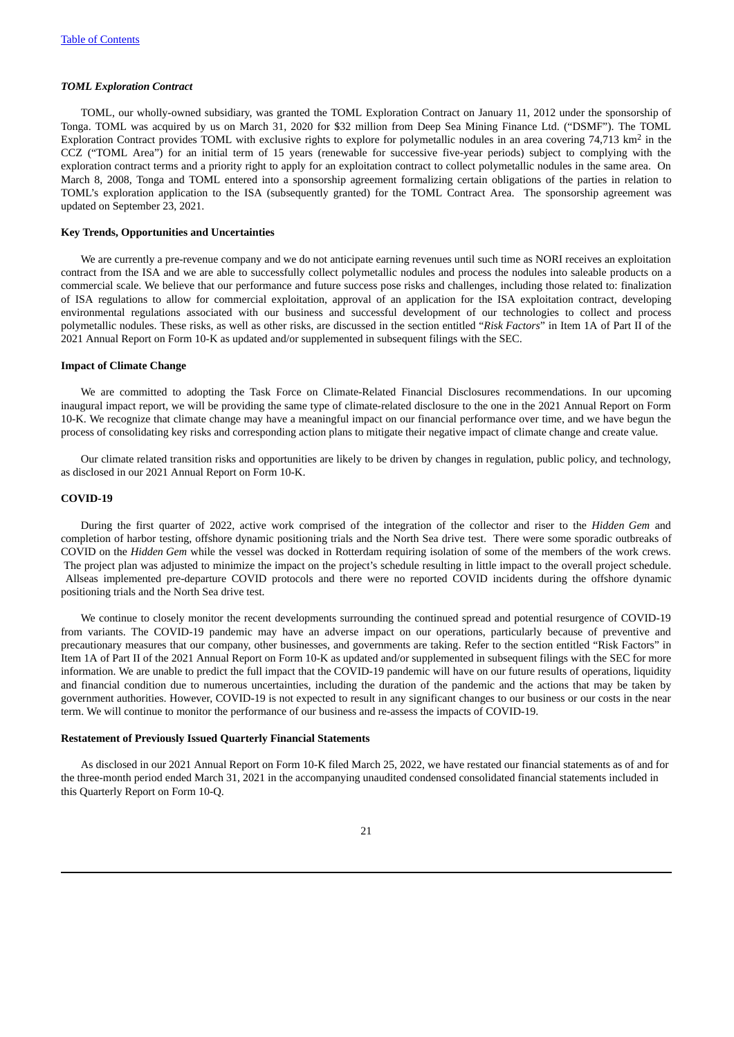## *TOML Exploration Contract*

TOML, our wholly-owned subsidiary, was granted the TOML Exploration Contract on January 11, 2012 under the sponsorship of Tonga. TOML was acquired by us on March 31, 2020 for \$32 million from Deep Sea Mining Finance Ltd. ("DSMF"). The TOML Exploration Contract provides TOML with exclusive rights to explore for polymetallic nodules in an area covering 74,713 km<sup>2</sup> in the CCZ ("TOML Area") for an initial term of 15 years (renewable for successive five-year periods) subject to complying with the exploration contract terms and a priority right to apply for an exploitation contract to collect polymetallic nodules in the same area. On March 8, 2008, Tonga and TOML entered into a sponsorship agreement formalizing certain obligations of the parties in relation to TOML's exploration application to the ISA (subsequently granted) for the TOML Contract Area. The sponsorship agreement was updated on September 23, 2021.

#### **Key Trends, Opportunities and Uncertainties**

We are currently a pre-revenue company and we do not anticipate earning revenues until such time as NORI receives an exploitation contract from the ISA and we are able to successfully collect polymetallic nodules and process the nodules into saleable products on a commercial scale. We believe that our performance and future success pose risks and challenges, including those related to: finalization of ISA regulations to allow for commercial exploitation, approval of an application for the ISA exploitation contract, developing environmental regulations associated with our business and successful development of our technologies to collect and process polymetallic nodules. These risks, as well as other risks, are discussed in the section entitled "*Risk Factors*" in Item 1A of Part II of the 2021 Annual Report on Form 10-K as updated and/or supplemented in subsequent filings with the SEC.

#### **Impact of Climate Change**

We are committed to adopting the Task Force on Climate-Related Financial Disclosures recommendations. In our upcoming inaugural impact report, we will be providing the same type of climate-related disclosure to the one in the 2021 Annual Report on Form 10-K. We recognize that climate change may have a meaningful impact on our financial performance over time, and we have begun the process of consolidating key risks and corresponding action plans to mitigate their negative impact of climate change and create value.

Our climate related transition risks and opportunities are likely to be driven by changes in regulation, public policy, and technology, as disclosed in our 2021 Annual Report on Form 10-K.

# **COVID-19**

During the first quarter of 2022, active work comprised of the integration of the collector and riser to the *Hidden Gem* and completion of harbor testing, offshore dynamic positioning trials and the North Sea drive test. There were some sporadic outbreaks of COVID on the *Hidden Gem* while the vessel was docked in Rotterdam requiring isolation of some of the members of the work crews. The project plan was adjusted to minimize the impact on the project's schedule resulting in little impact to the overall project schedule. Allseas implemented pre-departure COVID protocols and there were no reported COVID incidents during the offshore dynamic positioning trials and the North Sea drive test.

We continue to closely monitor the recent developments surrounding the continued spread and potential resurgence of COVID-19 from variants. The COVID-19 pandemic may have an adverse impact on our operations, particularly because of preventive and precautionary measures that our company, other businesses, and governments are taking. Refer to the section entitled "Risk Factors" in Item 1A of Part II of the 2021 Annual Report on Form 10-K as updated and/or supplemented in subsequent filings with the SEC for more information. We are unable to predict the full impact that the COVID-19 pandemic will have on our future results of operations, liquidity and financial condition due to numerous uncertainties, including the duration of the pandemic and the actions that may be taken by government authorities. However, COVID-19 is not expected to result in any significant changes to our business or our costs in the near term. We will continue to monitor the performance of our business and re-assess the impacts of COVID-19.

#### **Restatement of Previously Issued Quarterly Financial Statements**

As disclosed in our 2021 Annual Report on Form 10-K filed March 25, 2022, we have restated our financial statements as of and for the three-month period ended March 31, 2021 in the accompanying unaudited condensed consolidated financial statements included in this Quarterly Report on Form 10-Q.

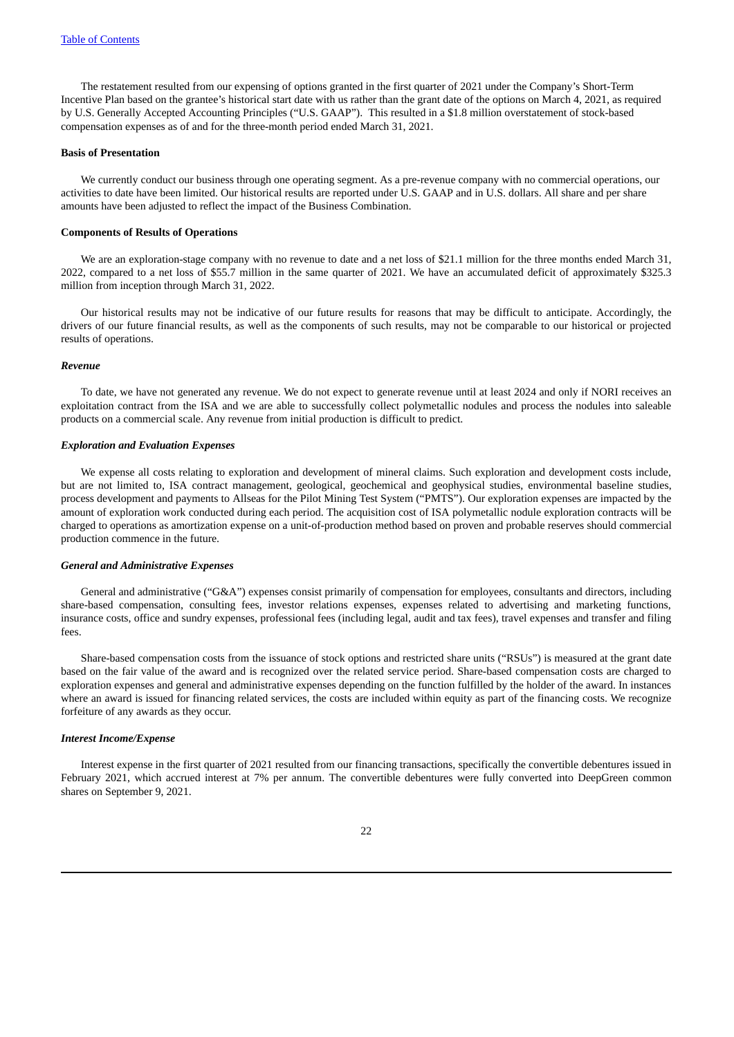The restatement resulted from our expensing of options granted in the first quarter of 2021 under the Company's Short-Term Incentive Plan based on the grantee's historical start date with us rather than the grant date of the options on March 4, 2021, as required by U.S. Generally Accepted Accounting Principles ("U.S. GAAP"). This resulted in a \$1.8 million overstatement of stock-based compensation expenses as of and for the three-month period ended March 31, 2021.

# **Basis of Presentation**

We currently conduct our business through one operating segment. As a pre-revenue company with no commercial operations, our activities to date have been limited. Our historical results are reported under U.S. GAAP and in U.S. dollars. All share and per share amounts have been adjusted to reflect the impact of the Business Combination.

#### **Components of Results of Operations**

We are an exploration-stage company with no revenue to date and a net loss of \$21.1 million for the three months ended March 31, 2022, compared to a net loss of \$55.7 million in the same quarter of 2021. We have an accumulated deficit of approximately \$325.3 million from inception through March 31, 2022.

Our historical results may not be indicative of our future results for reasons that may be difficult to anticipate. Accordingly, the drivers of our future financial results, as well as the components of such results, may not be comparable to our historical or projected results of operations.

## *Revenue*

To date, we have not generated any revenue. We do not expect to generate revenue until at least 2024 and only if NORI receives an exploitation contract from the ISA and we are able to successfully collect polymetallic nodules and process the nodules into saleable products on a commercial scale. Any revenue from initial production is difficult to predict.

#### *Exploration and Evaluation Expenses*

We expense all costs relating to exploration and development of mineral claims. Such exploration and development costs include, but are not limited to, ISA contract management, geological, geochemical and geophysical studies, environmental baseline studies, process development and payments to Allseas for the Pilot Mining Test System ("PMTS"). Our exploration expenses are impacted by the amount of exploration work conducted during each period. The acquisition cost of ISA polymetallic nodule exploration contracts will be charged to operations as amortization expense on a unit-of-production method based on proven and probable reserves should commercial production commence in the future.

#### *General and Administrative Expenses*

General and administrative ("G&A") expenses consist primarily of compensation for employees, consultants and directors, including share-based compensation, consulting fees, investor relations expenses, expenses related to advertising and marketing functions, insurance costs, office and sundry expenses, professional fees (including legal, audit and tax fees), travel expenses and transfer and filing fees.

Share-based compensation costs from the issuance of stock options and restricted share units ("RSUs") is measured at the grant date based on the fair value of the award and is recognized over the related service period. Share-based compensation costs are charged to exploration expenses and general and administrative expenses depending on the function fulfilled by the holder of the award. In instances where an award is issued for financing related services, the costs are included within equity as part of the financing costs. We recognize forfeiture of any awards as they occur.

#### *Interest Income/Expense*

Interest expense in the first quarter of 2021 resulted from our financing transactions, specifically the convertible debentures issued in February 2021, which accrued interest at 7% per annum. The convertible debentures were fully converted into DeepGreen common shares on September 9, 2021.

 $\overline{22}$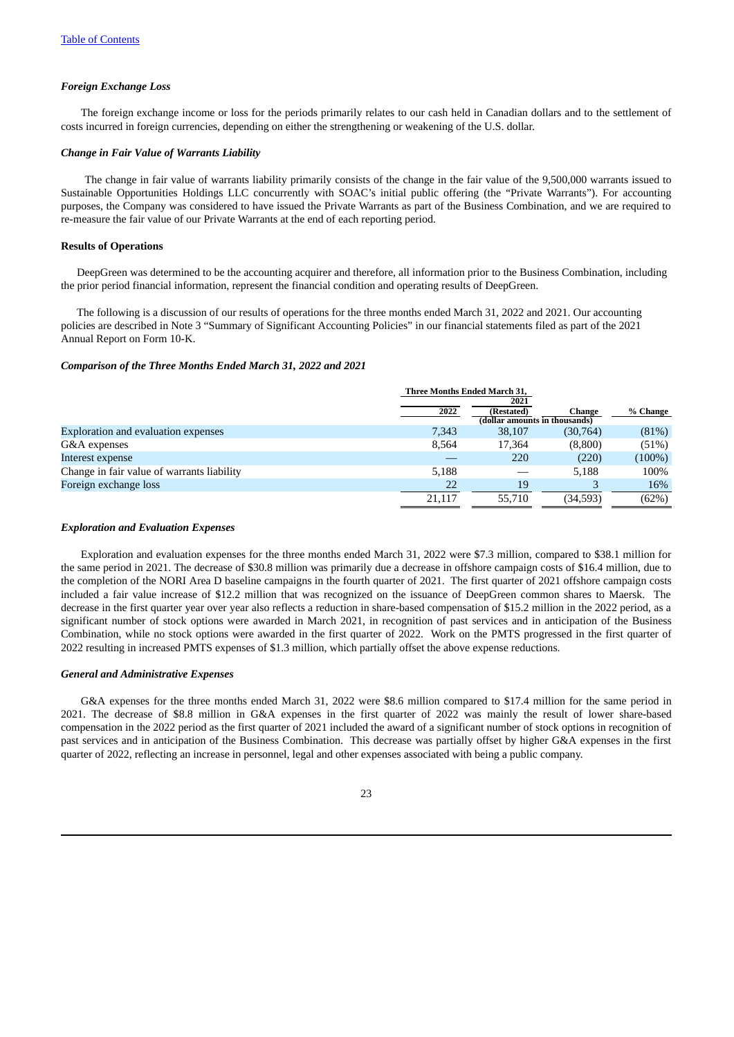## *Foreign Exchange Loss*

The foreign exchange income or loss for the periods primarily relates to our cash held in Canadian dollars and to the settlement of costs incurred in foreign currencies, depending on either the strengthening or weakening of the U.S. dollar.

# *Change in Fair Value of Warrants Liability*

The change in fair value of warrants liability primarily consists of the change in the fair value of the 9,500,000 warrants issued to Sustainable Opportunities Holdings LLC concurrently with SOAC's initial public offering (the "Private Warrants"). For accounting purposes, the Company was considered to have issued the Private Warrants as part of the Business Combination, and we are required to re-measure the fair value of our Private Warrants at the end of each reporting period.

#### **Results of Operations**

DeepGreen was determined to be the accounting acquirer and therefore, all information prior to the Business Combination, including the prior period financial information, represent the financial condition and operating results of DeepGreen.

The following is a discussion of our results of operations for the three months ended March 31, 2022 and 2021. Our accounting policies are described in Note 3 "Summary of Significant Accounting Policies" in our financial statements filed as part of the 2021 Annual Report on Form 10-K.

#### *Comparison of the Three Months Ended March 31, 2022 and 2021*

|                                            |        | <b>Three Months Ended March 31.</b> |          |           |  |  |  |
|--------------------------------------------|--------|-------------------------------------|----------|-----------|--|--|--|
|                                            |        | 2021                                |          |           |  |  |  |
|                                            | 2022   | (Restated)                          | Change   | % Change  |  |  |  |
|                                            |        | (dollar amounts in thousands)       |          |           |  |  |  |
| <b>Exploration and evaluation expenses</b> | 7,343  | 38,107                              | (30,764) | (81%)     |  |  |  |
| G&A expenses                               | 8.564  | 17.364                              | (8,800)  | (51%)     |  |  |  |
| Interest expense                           |        | 220                                 | (220)    | $(100\%)$ |  |  |  |
| Change in fair value of warrants liability | 5,188  |                                     | 5.188    | 100%      |  |  |  |
| Foreign exchange loss                      | 22     | 19                                  |          | 16%       |  |  |  |
|                                            | 21,117 | 55,710                              | (34,593) | (62%)     |  |  |  |

#### *Exploration and Evaluation Expenses*

Exploration and evaluation expenses for the three months ended March 31, 2022 were \$7.3 million, compared to \$38.1 million for the same period in 2021. The decrease of \$30.8 million was primarily due a decrease in offshore campaign costs of \$16.4 million, due to the completion of the NORI Area D baseline campaigns in the fourth quarter of 2021. The first quarter of 2021 offshore campaign costs included a fair value increase of \$12.2 million that was recognized on the issuance of DeepGreen common shares to Maersk. The decrease in the first quarter year over year also reflects a reduction in share-based compensation of \$15.2 million in the 2022 period, as a significant number of stock options were awarded in March 2021, in recognition of past services and in anticipation of the Business Combination, while no stock options were awarded in the first quarter of 2022. Work on the PMTS progressed in the first quarter of 2022 resulting in increased PMTS expenses of \$1.3 million, which partially offset the above expense reductions.

#### *General and Administrative Expenses*

G&A expenses for the three months ended March 31, 2022 were \$8.6 million compared to \$17.4 million for the same period in 2021. The decrease of \$8.8 million in G&A expenses in the first quarter of 2022 was mainly the result of lower share-based compensation in the 2022 period as the first quarter of 2021 included the award of a significant number of stock options in recognition of past services and in anticipation of the Business Combination. This decrease was partially offset by higher G&A expenses in the first quarter of 2022, reflecting an increase in personnel, legal and other expenses associated with being a public company.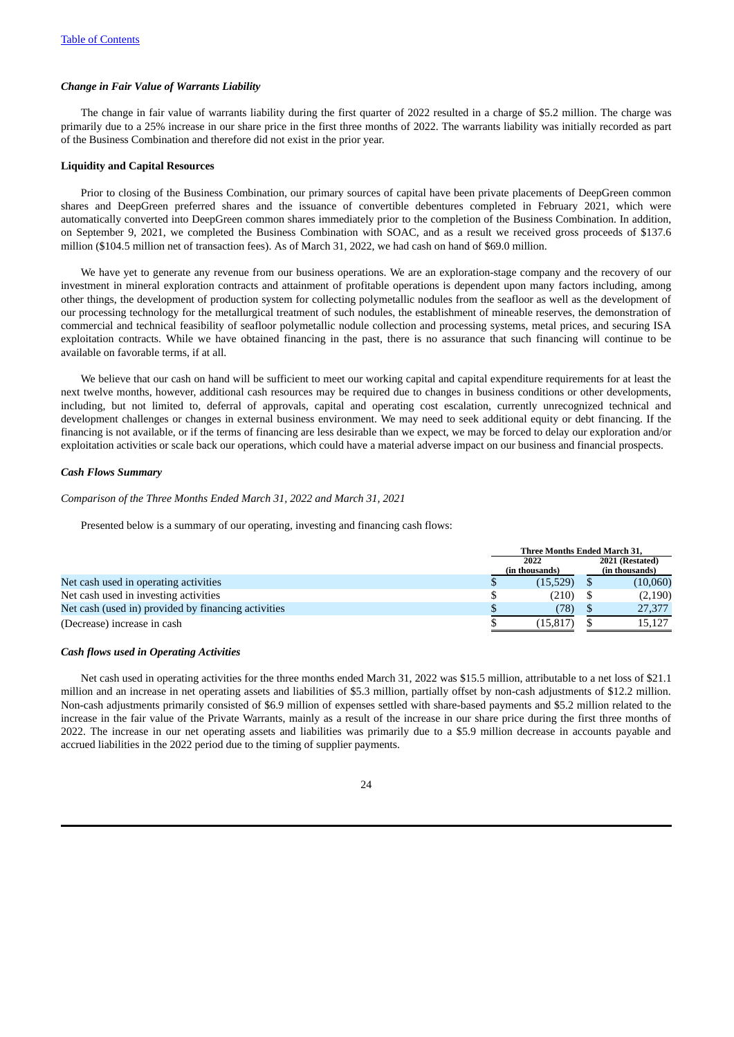# *Change in Fair Value of Warrants Liability*

The change in fair value of warrants liability during the first quarter of 2022 resulted in a charge of \$5.2 million. The charge was primarily due to a 25% increase in our share price in the first three months of 2022. The warrants liability was initially recorded as part of the Business Combination and therefore did not exist in the prior year.

#### **Liquidity and Capital Resources**

Prior to closing of the Business Combination, our primary sources of capital have been private placements of DeepGreen common shares and DeepGreen preferred shares and the issuance of convertible debentures completed in February 2021, which were automatically converted into DeepGreen common shares immediately prior to the completion of the Business Combination. In addition, on September 9, 2021, we completed the Business Combination with SOAC, and as a result we received gross proceeds of \$137.6 million (\$104.5 million net of transaction fees). As of March 31, 2022, we had cash on hand of \$69.0 million.

We have yet to generate any revenue from our business operations. We are an exploration-stage company and the recovery of our investment in mineral exploration contracts and attainment of profitable operations is dependent upon many factors including, among other things, the development of production system for collecting polymetallic nodules from the seafloor as well as the development of our processing technology for the metallurgical treatment of such nodules, the establishment of mineable reserves, the demonstration of commercial and technical feasibility of seafloor polymetallic nodule collection and processing systems, metal prices, and securing ISA exploitation contracts. While we have obtained financing in the past, there is no assurance that such financing will continue to be available on favorable terms, if at all.

We believe that our cash on hand will be sufficient to meet our working capital and capital expenditure requirements for at least the next twelve months, however, additional cash resources may be required due to changes in business conditions or other developments, including, but not limited to, deferral of approvals, capital and operating cost escalation, currently unrecognized technical and development challenges or changes in external business environment. We may need to seek additional equity or debt financing. If the financing is not available, or if the terms of financing are less desirable than we expect, we may be forced to delay our exploration and/or exploitation activities or scale back our operations, which could have a material adverse impact on our business and financial prospects.

#### *Cash Flows Summary*

#### *Comparison of the Three Months Ended March 31, 2022 and March 31, 2021*

Presented below is a summary of our operating, investing and financing cash flows:

|                                                     | <b>Three Months Ended March 31.</b> |  |                                   |
|-----------------------------------------------------|-------------------------------------|--|-----------------------------------|
|                                                     | 2022<br>(in thousands)              |  | 2021 (Restated)<br>(in thousands) |
| Net cash used in operating activities               | (15, 529)                           |  | (10,060)                          |
| Net cash used in investing activities               | (210)                               |  | (2,190)                           |
| Net cash (used in) provided by financing activities | (78)                                |  | 27,377                            |
| (Decrease) increase in cash                         | 15,817                              |  | 15.127                            |

#### *Cash flows used in Operating Activities*

Net cash used in operating activities for the three months ended March 31, 2022 was \$15.5 million, attributable to a net loss of \$21.1 million and an increase in net operating assets and liabilities of \$5.3 million, partially offset by non-cash adjustments of \$12.2 million. Non-cash adjustments primarily consisted of \$6.9 million of expenses settled with share-based payments and \$5.2 million related to the increase in the fair value of the Private Warrants, mainly as a result of the increase in our share price during the first three months of 2022. The increase in our net operating assets and liabilities was primarily due to a \$5.9 million decrease in accounts payable and accrued liabilities in the 2022 period due to the timing of supplier payments.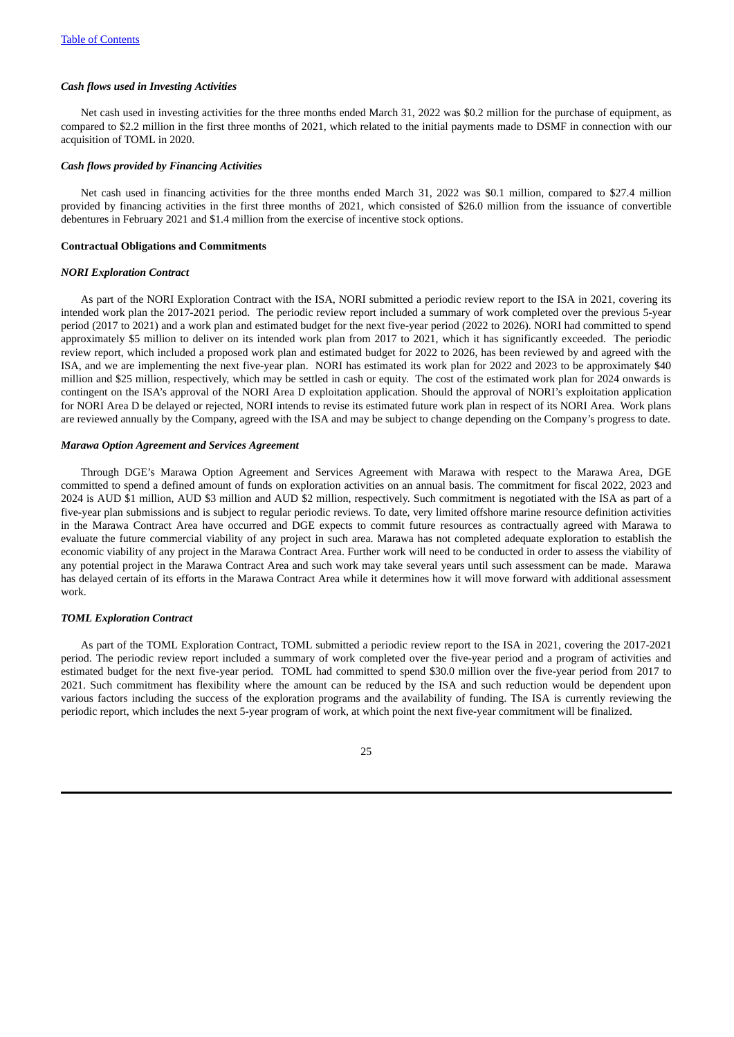# *Cash flows used in Investing Activities*

Net cash used in investing activities for the three months ended March 31, 2022 was \$0.2 million for the purchase of equipment, as compared to \$2.2 million in the first three months of 2021, which related to the initial payments made to DSMF in connection with our acquisition of TOML in 2020.

#### *Cash flows provided by Financing Activities*

Net cash used in financing activities for the three months ended March 31, 2022 was \$0.1 million, compared to \$27.4 million provided by financing activities in the first three months of 2021, which consisted of \$26.0 million from the issuance of convertible debentures in February 2021 and \$1.4 million from the exercise of incentive stock options.

#### **Contractual Obligations and Commitments**

#### *NORI Exploration Contract*

As part of the NORI Exploration Contract with the ISA, NORI submitted a periodic review report to the ISA in 2021, covering its intended work plan the 2017-2021 period. The periodic review report included a summary of work completed over the previous 5-year period (2017 to 2021) and a work plan and estimated budget for the next five-year period (2022 to 2026). NORI had committed to spend approximately \$5 million to deliver on its intended work plan from 2017 to 2021, which it has significantly exceeded. The periodic review report, which included a proposed work plan and estimated budget for 2022 to 2026, has been reviewed by and agreed with the ISA, and we are implementing the next five-year plan. NORI has estimated its work plan for 2022 and 2023 to be approximately \$40 million and \$25 million, respectively, which may be settled in cash or equity. The cost of the estimated work plan for 2024 onwards is contingent on the ISA's approval of the NORI Area D exploitation application. Should the approval of NORI's exploitation application for NORI Area D be delayed or rejected, NORI intends to revise its estimated future work plan in respect of its NORI Area. Work plans are reviewed annually by the Company, agreed with the ISA and may be subject to change depending on the Company's progress to date.

#### *Marawa Option Agreement and Services Agreement*

Through DGE's Marawa Option Agreement and Services Agreement with Marawa with respect to the Marawa Area, DGE committed to spend a defined amount of funds on exploration activities on an annual basis. The commitment for fiscal 2022, 2023 and 2024 is AUD \$1 million, AUD \$3 million and AUD \$2 million, respectively. Such commitment is negotiated with the ISA as part of a five-year plan submissions and is subject to regular periodic reviews. To date, very limited offshore marine resource definition activities in the Marawa Contract Area have occurred and DGE expects to commit future resources as contractually agreed with Marawa to evaluate the future commercial viability of any project in such area. Marawa has not completed adequate exploration to establish the economic viability of any project in the Marawa Contract Area. Further work will need to be conducted in order to assess the viability of any potential project in the Marawa Contract Area and such work may take several years until such assessment can be made. Marawa has delayed certain of its efforts in the Marawa Contract Area while it determines how it will move forward with additional assessment work.

#### *TOML Exploration Contract*

As part of the TOML Exploration Contract, TOML submitted a periodic review report to the ISA in 2021, covering the 2017-2021 period. The periodic review report included a summary of work completed over the five-year period and a program of activities and estimated budget for the next five-year period. TOML had committed to spend \$30.0 million over the five-year period from 2017 to 2021. Such commitment has flexibility where the amount can be reduced by the ISA and such reduction would be dependent upon various factors including the success of the exploration programs and the availability of funding. The ISA is currently reviewing the periodic report, which includes the next 5-year program of work, at which point the next five-year commitment will be finalized.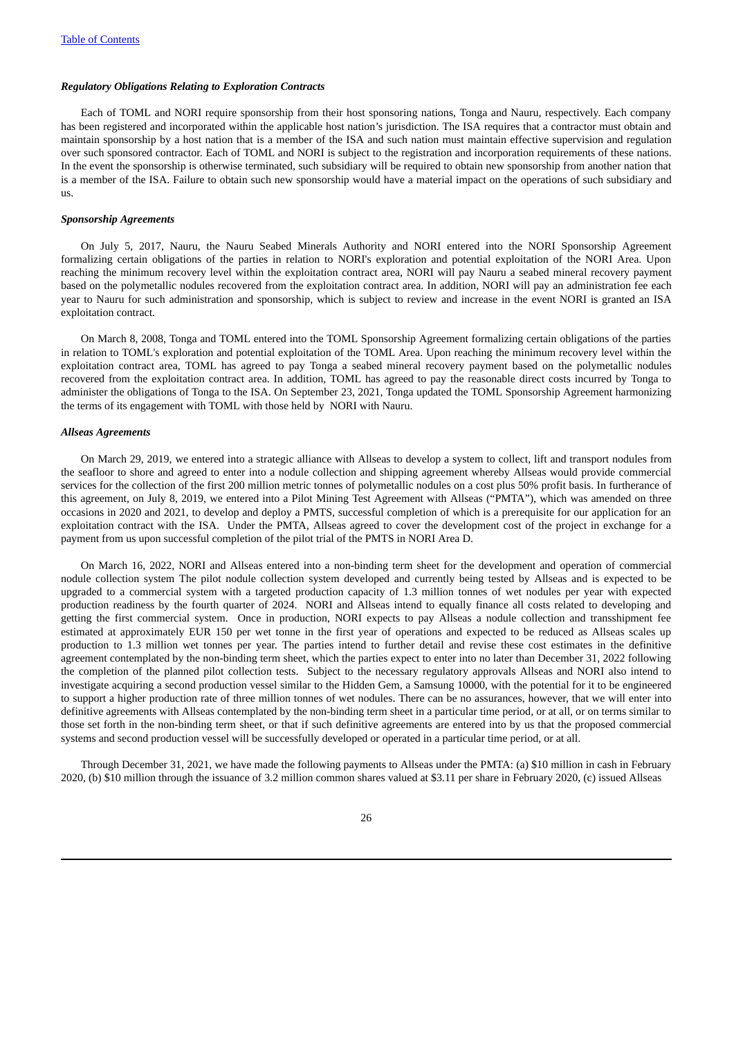# *Regulatory Obligations Relating to Exploration Contracts*

Each of TOML and NORI require sponsorship from their host sponsoring nations, Tonga and Nauru, respectively. Each company has been registered and incorporated within the applicable host nation's jurisdiction. The ISA requires that a contractor must obtain and maintain sponsorship by a host nation that is a member of the ISA and such nation must maintain effective supervision and regulation over such sponsored contractor. Each of TOML and NORI is subject to the registration and incorporation requirements of these nations. In the event the sponsorship is otherwise terminated, such subsidiary will be required to obtain new sponsorship from another nation that is a member of the ISA. Failure to obtain such new sponsorship would have a material impact on the operations of such subsidiary and us.

#### *Sponsorship Agreements*

On July 5, 2017, Nauru, the Nauru Seabed Minerals Authority and NORI entered into the NORI Sponsorship Agreement formalizing certain obligations of the parties in relation to NORI's exploration and potential exploitation of the NORI Area. Upon reaching the minimum recovery level within the exploitation contract area, NORI will pay Nauru a seabed mineral recovery payment based on the polymetallic nodules recovered from the exploitation contract area. In addition, NORI will pay an administration fee each year to Nauru for such administration and sponsorship, which is subject to review and increase in the event NORI is granted an ISA exploitation contract.

On March 8, 2008, Tonga and TOML entered into the TOML Sponsorship Agreement formalizing certain obligations of the parties in relation to TOML's exploration and potential exploitation of the TOML Area. Upon reaching the minimum recovery level within the exploitation contract area, TOML has agreed to pay Tonga a seabed mineral recovery payment based on the polymetallic nodules recovered from the exploitation contract area. In addition, TOML has agreed to pay the reasonable direct costs incurred by Tonga to administer the obligations of Tonga to the ISA. On September 23, 2021, Tonga updated the TOML Sponsorship Agreement harmonizing the terms of its engagement with TOML with those held by NORI with Nauru.

#### *Allseas Agreements*

On March 29, 2019, we entered into a strategic alliance with Allseas to develop a system to collect, lift and transport nodules from the seafloor to shore and agreed to enter into a nodule collection and shipping agreement whereby Allseas would provide commercial services for the collection of the first 200 million metric tonnes of polymetallic nodules on a cost plus 50% profit basis. In furtherance of this agreement, on July 8, 2019, we entered into a Pilot Mining Test Agreement with Allseas ("PMTA"), which was amended on three occasions in 2020 and 2021, to develop and deploy a PMTS, successful completion of which is a prerequisite for our application for an exploitation contract with the ISA. Under the PMTA, Allseas agreed to cover the development cost of the project in exchange for a payment from us upon successful completion of the pilot trial of the PMTS in NORI Area D.

On March 16, 2022, NORI and Allseas entered into a non-binding term sheet for the development and operation of commercial nodule collection system The pilot nodule collection system developed and currently being tested by Allseas and is expected to be upgraded to a commercial system with a targeted production capacity of 1.3 million tonnes of wet nodules per year with expected production readiness by the fourth quarter of 2024. NORI and Allseas intend to equally finance all costs related to developing and getting the first commercial system. Once in production, NORI expects to pay Allseas a nodule collection and transshipment fee estimated at approximately EUR 150 per wet tonne in the first year of operations and expected to be reduced as Allseas scales up production to 1.3 million wet tonnes per year. The parties intend to further detail and revise these cost estimates in the definitive agreement contemplated by the non-binding term sheet, which the parties expect to enter into no later than December 31, 2022 following the completion of the planned pilot collection tests. Subject to the necessary regulatory approvals Allseas and NORI also intend to investigate acquiring a second production vessel similar to the Hidden Gem, a Samsung 10000, with the potential for it to be engineered to support a higher production rate of three million tonnes of wet nodules. There can be no assurances, however, that we will enter into definitive agreements with Allseas contemplated by the non-binding term sheet in a particular time period, or at all, or on terms similar to those set forth in the non-binding term sheet, or that if such definitive agreements are entered into by us that the proposed commercial systems and second production vessel will be successfully developed or operated in a particular time period, or at all.

Through December 31, 2021, we have made the following payments to Allseas under the PMTA: (a) \$10 million in cash in February 2020, (b) \$10 million through the issuance of 3.2 million common shares valued at \$3.11 per share in February 2020, (c) issued Allseas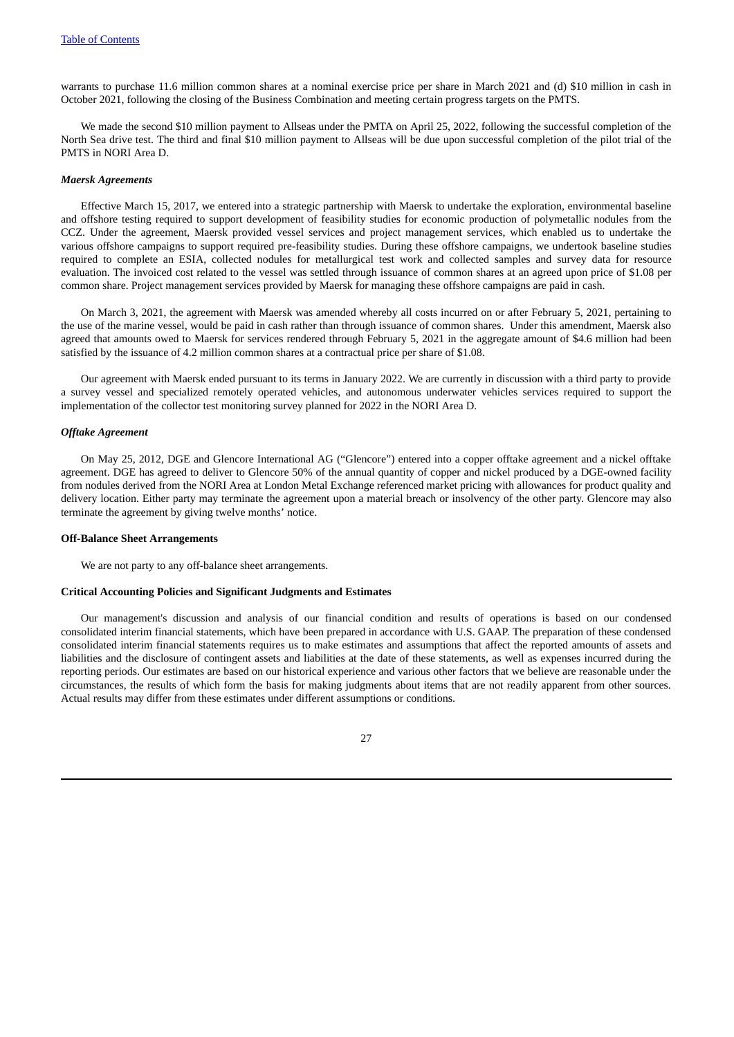warrants to purchase 11.6 million common shares at a nominal exercise price per share in March 2021 and (d) \$10 million in cash in October 2021, following the closing of the Business Combination and meeting certain progress targets on the PMTS.

We made the second \$10 million payment to Allseas under the PMTA on April 25, 2022, following the successful completion of the North Sea drive test. The third and final \$10 million payment to Allseas will be due upon successful completion of the pilot trial of the PMTS in NORI Area D.

#### *Maersk Agreements*

Effective March 15, 2017, we entered into a strategic partnership with Maersk to undertake the exploration, environmental baseline and offshore testing required to support development of feasibility studies for economic production of polymetallic nodules from the CCZ. Under the agreement, Maersk provided vessel services and project management services, which enabled us to undertake the various offshore campaigns to support required pre-feasibility studies. During these offshore campaigns, we undertook baseline studies required to complete an ESIA, collected nodules for metallurgical test work and collected samples and survey data for resource evaluation. The invoiced cost related to the vessel was settled through issuance of common shares at an agreed upon price of \$1.08 per common share. Project management services provided by Maersk for managing these offshore campaigns are paid in cash.

On March 3, 2021, the agreement with Maersk was amended whereby all costs incurred on or after February 5, 2021, pertaining to the use of the marine vessel, would be paid in cash rather than through issuance of common shares. Under this amendment, Maersk also agreed that amounts owed to Maersk for services rendered through February 5, 2021 in the aggregate amount of \$4.6 million had been satisfied by the issuance of 4.2 million common shares at a contractual price per share of \$1.08.

Our agreement with Maersk ended pursuant to its terms in January 2022. We are currently in discussion with a third party to provide a survey vessel and specialized remotely operated vehicles, and autonomous underwater vehicles services required to support the implementation of the collector test monitoring survey planned for 2022 in the NORI Area D.

#### *Offtake Agreement*

On May 25, 2012, DGE and Glencore International AG ("Glencore") entered into a copper offtake agreement and a nickel offtake agreement. DGE has agreed to deliver to Glencore 50% of the annual quantity of copper and nickel produced by a DGE-owned facility from nodules derived from the NORI Area at London Metal Exchange referenced market pricing with allowances for product quality and delivery location. Either party may terminate the agreement upon a material breach or insolvency of the other party. Glencore may also terminate the agreement by giving twelve months' notice.

#### **Off-Balance Sheet Arrangements**

We are not party to any off-balance sheet arrangements.

#### **Critical Accounting Policies and Significant Judgments and Estimates**

Our management's discussion and analysis of our financial condition and results of operations is based on our condensed consolidated interim financial statements, which have been prepared in accordance with U.S. GAAP. The preparation of these condensed consolidated interim financial statements requires us to make estimates and assumptions that affect the reported amounts of assets and liabilities and the disclosure of contingent assets and liabilities at the date of these statements, as well as expenses incurred during the reporting periods. Our estimates are based on our historical experience and various other factors that we believe are reasonable under the circumstances, the results of which form the basis for making judgments about items that are not readily apparent from other sources. Actual results may differ from these estimates under different assumptions or conditions.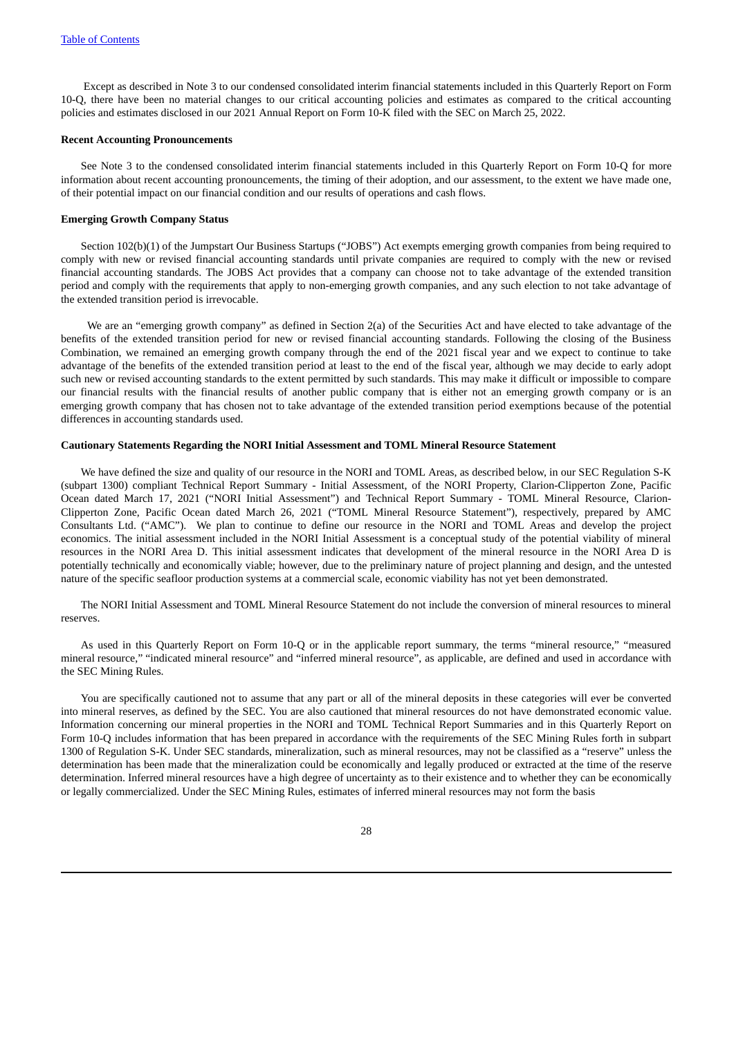Except as described in Note 3 to our condensed consolidated interim financial statements included in this Quarterly Report on Form 10-Q, there have been no material changes to our critical accounting policies and estimates as compared to the critical accounting policies and estimates disclosed in our 2021 Annual Report on Form 10-K filed with the SEC on March 25, 2022.

#### **Recent Accounting Pronouncements**

See Note 3 to the condensed consolidated interim financial statements included in this Quarterly Report on Form 10-Q for more information about recent accounting pronouncements, the timing of their adoption, and our assessment, to the extent we have made one, of their potential impact on our financial condition and our results of operations and cash flows.

#### **Emerging Growth Company Status**

Section 102(b)(1) of the Jumpstart Our Business Startups ("JOBS") Act exempts emerging growth companies from being required to comply with new or revised financial accounting standards until private companies are required to comply with the new or revised financial accounting standards. The JOBS Act provides that a company can choose not to take advantage of the extended transition period and comply with the requirements that apply to non-emerging growth companies, and any such election to not take advantage of the extended transition period is irrevocable.

We are an "emerging growth company" as defined in Section 2(a) of the Securities Act and have elected to take advantage of the benefits of the extended transition period for new or revised financial accounting standards. Following the closing of the Business Combination, we remained an emerging growth company through the end of the 2021 fiscal year and we expect to continue to take advantage of the benefits of the extended transition period at least to the end of the fiscal year, although we may decide to early adopt such new or revised accounting standards to the extent permitted by such standards. This may make it difficult or impossible to compare our financial results with the financial results of another public company that is either not an emerging growth company or is an emerging growth company that has chosen not to take advantage of the extended transition period exemptions because of the potential differences in accounting standards used.

#### **Cautionary Statements Regarding the NORI Initial Assessment and TOML Mineral Resource Statement**

We have defined the size and quality of our resource in the NORI and TOML Areas, as described below, in our SEC Regulation S-K (subpart 1300) compliant Technical Report Summary - Initial Assessment, of the NORI Property, Clarion-Clipperton Zone, Pacific Ocean dated March 17, 2021 ("NORI Initial Assessment") and Technical Report Summary - TOML Mineral Resource, Clarion-Clipperton Zone, Pacific Ocean dated March 26, 2021 ("TOML Mineral Resource Statement"), respectively, prepared by AMC Consultants Ltd. ("AMC"). We plan to continue to define our resource in the NORI and TOML Areas and develop the project economics. The initial assessment included in the NORI Initial Assessment is a conceptual study of the potential viability of mineral resources in the NORI Area D. This initial assessment indicates that development of the mineral resource in the NORI Area D is potentially technically and economically viable; however, due to the preliminary nature of project planning and design, and the untested nature of the specific seafloor production systems at a commercial scale, economic viability has not yet been demonstrated.

The NORI Initial Assessment and TOML Mineral Resource Statement do not include the conversion of mineral resources to mineral reserves.

As used in this Quarterly Report on Form 10-Q or in the applicable report summary, the terms "mineral resource," "measured mineral resource," "indicated mineral resource" and "inferred mineral resource", as applicable, are defined and used in accordance with the SEC Mining Rules.

You are specifically cautioned not to assume that any part or all of the mineral deposits in these categories will ever be converted into mineral reserves, as defined by the SEC. You are also cautioned that mineral resources do not have demonstrated economic value. Information concerning our mineral properties in the NORI and TOML Technical Report Summaries and in this Quarterly Report on Form 10-Q includes information that has been prepared in accordance with the requirements of the SEC Mining Rules forth in subpart 1300 of Regulation S-K. Under SEC standards, mineralization, such as mineral resources, may not be classified as a "reserve" unless the determination has been made that the mineralization could be economically and legally produced or extracted at the time of the reserve determination. Inferred mineral resources have a high degree of uncertainty as to their existence and to whether they can be economically or legally commercialized. Under the SEC Mining Rules, estimates of inferred mineral resources may not form the basis

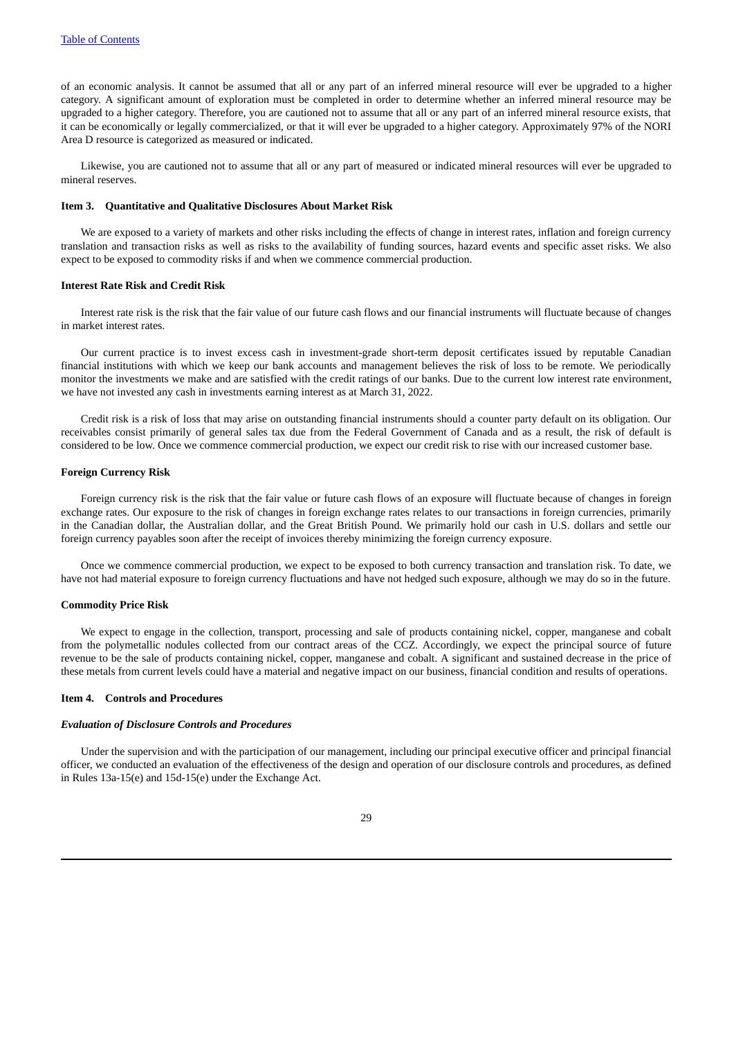of an economic analysis. It cannot be assumed that all or any part of an inferred mineral resource will ever be upgraded to a higher category. A significant amount of exploration must be completed in order to determine whether an inferred mineral resource may be upgraded to a higher category. Therefore, you are cautioned not to assume that all or any part of an inferred mineral resource exists, that it can be economically or legally commercialized, or that it will ever be upgraded to a higher category. Approximately 97% of the NORI Area D resource is categorized as measured or indicated.

Likewise, you are cautioned not to assume that all or any part of measured or indicated mineral resources will ever be upgraded to mineral reserves.

#### <span id="page-28-0"></span>**Item 3. Quantitative and Qualitative Disclosures About Market Risk**

We are exposed to a variety of markets and other risks including the effects of change in interest rates, inflation and foreign currency translation and transaction risks as well as risks to the availability of funding sources, hazard events and specific asset risks. We also expect to be exposed to commodity risks if and when we commence commercial production.

#### **Interest Rate Risk and Credit Risk**

Interest rate risk is the risk that the fair value of our future cash flows and our financial instruments will fluctuate because of changes in market interest rates.

Our current practice is to invest excess cash in investment-grade short-term deposit certificates issued by reputable Canadian financial institutions with which we keep our bank accounts and management believes the risk of loss to be remote. We periodically monitor the investments we make and are satisfied with the credit ratings of our banks. Due to the current low interest rate environment, we have not invested any cash in investments earning interest as at March 31, 2022.

Credit risk is a risk of loss that may arise on outstanding financial instruments should a counter party default on its obligation. Our receivables consist primarily of general sales tax due from the Federal Government of Canada and as a result, the risk of default is considered to be low. Once we commence commercial production, we expect our credit risk to rise with our increased customer base.

#### **Foreign Currency Risk**

Foreign currency risk is the risk that the fair value or future cash flows of an exposure will fluctuate because of changes in foreign exchange rates. Our exposure to the risk of changes in foreign exchange rates relates to our transactions in foreign currencies, primarily in the Canadian dollar, the Australian dollar, and the Great British Pound. We primarily hold our cash in U.S. dollars and settle our foreign currency payables soon after the receipt of invoices thereby minimizing the foreign currency exposure.

Once we commence commercial production, we expect to be exposed to both currency transaction and translation risk. To date, we have not had material exposure to foreign currency fluctuations and have not hedged such exposure, although we may do so in the future.

#### **Commodity Price Risk**

We expect to engage in the collection, transport, processing and sale of products containing nickel, copper, manganese and cobalt from the polymetallic nodules collected from our contract areas of the CCZ. Accordingly, we expect the principal source of future revenue to be the sale of products containing nickel, copper, manganese and cobalt. A significant and sustained decrease in the price of these metals from current levels could have a material and negative impact on our business, financial condition and results of operations.

# <span id="page-28-1"></span>**Item 4. Controls and Procedures**

#### *Evaluation of Disclosure Controls and Procedures*

Under the supervision and with the participation of our management, including our principal executive officer and principal financial officer, we conducted an evaluation of the effectiveness of the design and operation of our disclosure controls and procedures, as defined in Rules 13a-15(e) and 15d-15(e) under the Exchange Act.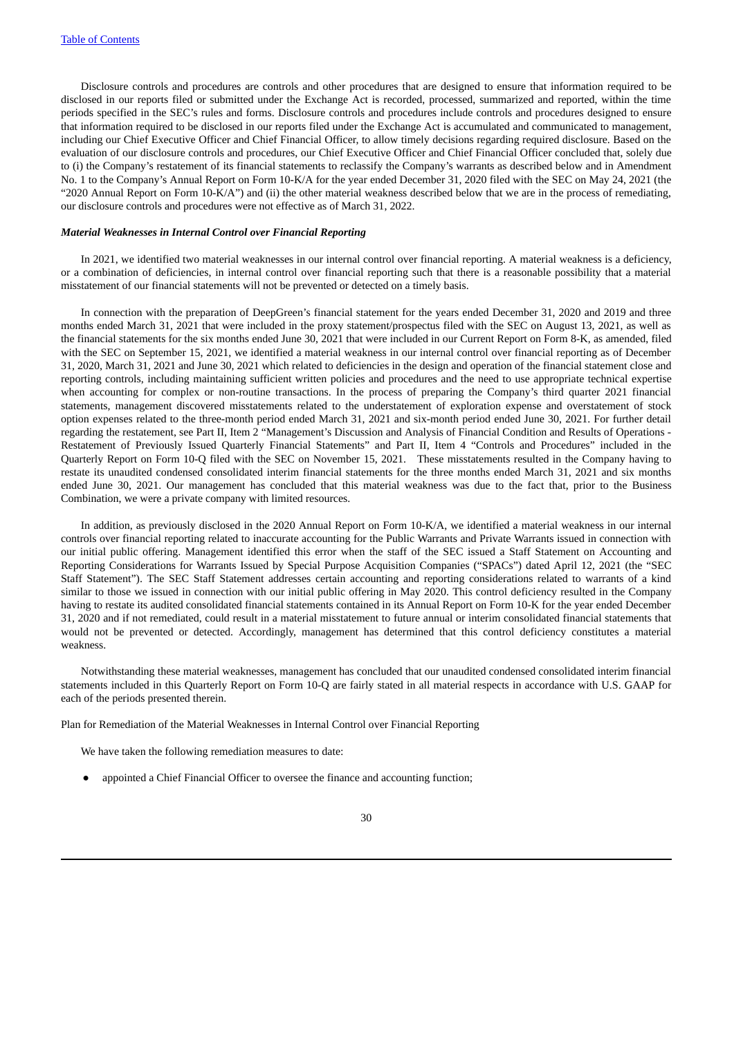Disclosure controls and procedures are controls and other procedures that are designed to ensure that information required to be disclosed in our reports filed or submitted under the Exchange Act is recorded, processed, summarized and reported, within the time periods specified in the SEC's rules and forms. Disclosure controls and procedures include controls and procedures designed to ensure that information required to be disclosed in our reports filed under the Exchange Act is accumulated and communicated to management, including our Chief Executive Officer and Chief Financial Officer, to allow timely decisions regarding required disclosure. Based on the evaluation of our disclosure controls and procedures, our Chief Executive Officer and Chief Financial Officer concluded that, solely due to (i) the Company's restatement of its financial statements to reclassify the Company's warrants as described below and in Amendment No. 1 to the Company's Annual Report on Form 10-K/A for the year ended December 31, 2020 filed with the SEC on May 24, 2021 (the "2020 Annual Report on Form 10-K/A") and (ii) the other material weakness described below that we are in the process of remediating, our disclosure controls and procedures were not effective as of March 31, 2022.

#### *Material Weaknesses in Internal Control over Financial Reporting*

In 2021, we identified two material weaknesses in our internal control over financial reporting. A material weakness is a deficiency, or a combination of deficiencies, in internal control over financial reporting such that there is a reasonable possibility that a material misstatement of our financial statements will not be prevented or detected on a timely basis.

In connection with the preparation of DeepGreen's financial statement for the years ended December 31, 2020 and 2019 and three months ended March 31, 2021 that were included in the proxy statement/prospectus filed with the SEC on August 13, 2021, as well as the financial statements for the six months ended June 30, 2021 that were included in our Current Report on Form 8-K, as amended, filed with the SEC on September 15, 2021, we identified a material weakness in our internal control over financial reporting as of December 31, 2020, March 31, 2021 and June 30, 2021 which related to deficiencies in the design and operation of the financial statement close and reporting controls, including maintaining sufficient written policies and procedures and the need to use appropriate technical expertise when accounting for complex or non-routine transactions. In the process of preparing the Company's third quarter 2021 financial statements, management discovered misstatements related to the understatement of exploration expense and overstatement of stock option expenses related to the three-month period ended March 31, 2021 and six-month period ended June 30, 2021. For further detail regarding the restatement, see Part II, Item 2 "Management's Discussion and Analysis of Financial Condition and Results of Operations - Restatement of Previously Issued Quarterly Financial Statements" and Part II, Item 4 "Controls and Procedures" included in the Quarterly Report on Form 10-Q filed with the SEC on November 15, 2021. These misstatements resulted in the Company having to restate its unaudited condensed consolidated interim financial statements for the three months ended March 31, 2021 and six months ended June 30, 2021. Our management has concluded that this material weakness was due to the fact that, prior to the Business Combination, we were a private company with limited resources.

In addition, as previously disclosed in the 2020 Annual Report on Form 10-K/A, we identified a material weakness in our internal controls over financial reporting related to inaccurate accounting for the Public Warrants and Private Warrants issued in connection with our initial public offering. Management identified this error when the staff of the SEC issued a Staff Statement on Accounting and Reporting Considerations for Warrants Issued by Special Purpose Acquisition Companies ("SPACs") dated April 12, 2021 (the "SEC Staff Statement"). The SEC Staff Statement addresses certain accounting and reporting considerations related to warrants of a kind similar to those we issued in connection with our initial public offering in May 2020. This control deficiency resulted in the Company having to restate its audited consolidated financial statements contained in its Annual Report on Form 10-K for the year ended December 31, 2020 and if not remediated, could result in a material misstatement to future annual or interim consolidated financial statements that would not be prevented or detected. Accordingly, management has determined that this control deficiency constitutes a material weakness.

Notwithstanding these material weaknesses, management has concluded that our unaudited condensed consolidated interim financial statements included in this Quarterly Report on Form 10-Q are fairly stated in all material respects in accordance with U.S. GAAP for each of the periods presented therein.

Plan for Remediation of the Material Weaknesses in Internal Control over Financial Reporting

We have taken the following remediation measures to date:

appointed a Chief Financial Officer to oversee the finance and accounting function;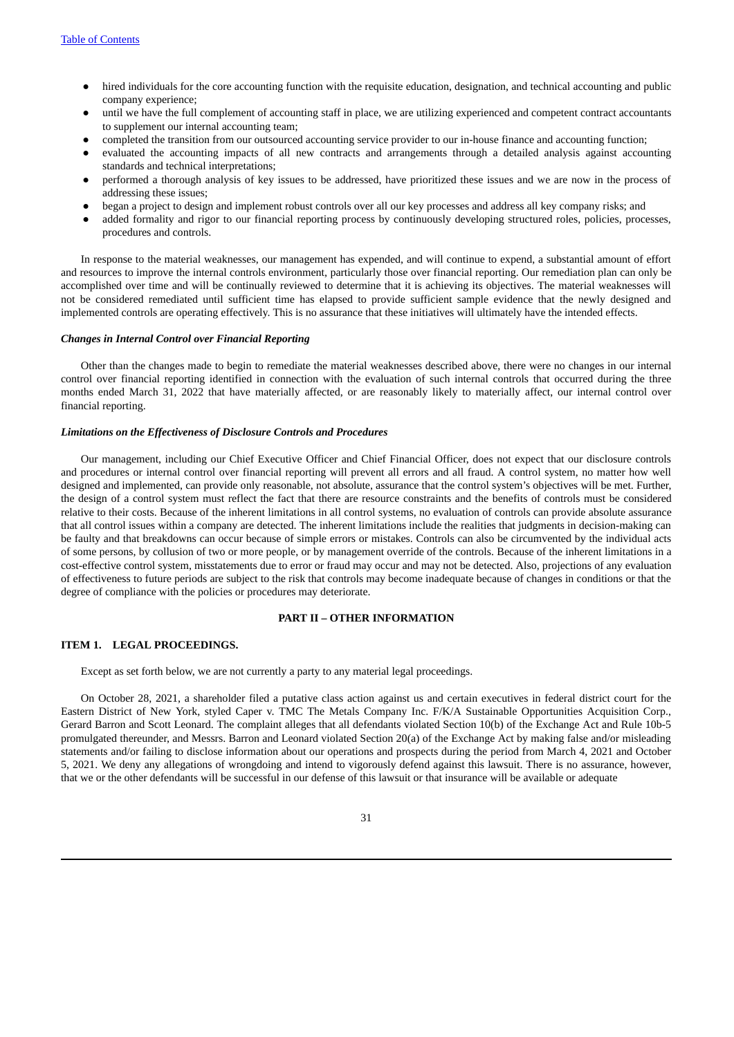- hired individuals for the core accounting function with the requisite education, designation, and technical accounting and public company experience;
- until we have the full complement of accounting staff in place, we are utilizing experienced and competent contract accountants to supplement our internal accounting team;
- completed the transition from our outsourced accounting service provider to our in-house finance and accounting function;
- evaluated the accounting impacts of all new contracts and arrangements through a detailed analysis against accounting standards and technical interpretations;
- performed a thorough analysis of key issues to be addressed, have prioritized these issues and we are now in the process of addressing these issues;
- began a project to design and implement robust controls over all our key processes and address all key company risks; and
- added formality and rigor to our financial reporting process by continuously developing structured roles, policies, processes, procedures and controls.

In response to the material weaknesses, our management has expended, and will continue to expend, a substantial amount of effort and resources to improve the internal controls environment, particularly those over financial reporting. Our remediation plan can only be accomplished over time and will be continually reviewed to determine that it is achieving its objectives. The material weaknesses will not be considered remediated until sufficient time has elapsed to provide sufficient sample evidence that the newly designed and implemented controls are operating effectively. This is no assurance that these initiatives will ultimately have the intended effects.

#### *Changes in Internal Control over Financial Reporting*

Other than the changes made to begin to remediate the material weaknesses described above, there were no changes in our internal control over financial reporting identified in connection with the evaluation of such internal controls that occurred during the three months ended March 31, 2022 that have materially affected, or are reasonably likely to materially affect, our internal control over financial reporting.

## *Limitations on the Effectiveness of Disclosure Controls and Procedures*

Our management, including our Chief Executive Officer and Chief Financial Officer, does not expect that our disclosure controls and procedures or internal control over financial reporting will prevent all errors and all fraud. A control system, no matter how well designed and implemented, can provide only reasonable, not absolute, assurance that the control system's objectives will be met. Further, the design of a control system must reflect the fact that there are resource constraints and the benefits of controls must be considered relative to their costs. Because of the inherent limitations in all control systems, no evaluation of controls can provide absolute assurance that all control issues within a company are detected. The inherent limitations include the realities that judgments in decision-making can be faulty and that breakdowns can occur because of simple errors or mistakes. Controls can also be circumvented by the individual acts of some persons, by collusion of two or more people, or by management override of the controls. Because of the inherent limitations in a cost-effective control system, misstatements due to error or fraud may occur and may not be detected. Also, projections of any evaluation of effectiveness to future periods are subject to the risk that controls may become inadequate because of changes in conditions or that the degree of compliance with the policies or procedures may deteriorate.

#### **PART II – OTHER INFORMATION**

#### <span id="page-30-1"></span><span id="page-30-0"></span>**ITEM 1. LEGAL PROCEEDINGS.**

Except as set forth below, we are not currently a party to any material legal proceedings.

On October 28, 2021, a shareholder filed a putative class action against us and certain executives in federal district court for the Eastern District of New York, styled Caper v. TMC The Metals Company Inc. F/K/A Sustainable Opportunities Acquisition Corp., Gerard Barron and Scott Leonard. The complaint alleges that all defendants violated Section 10(b) of the Exchange Act and Rule 10b-5 promulgated thereunder, and Messrs. Barron and Leonard violated Section 20(a) of the Exchange Act by making false and/or misleading statements and/or failing to disclose information about our operations and prospects during the period from March 4, 2021 and October 5, 2021. We deny any allegations of wrongdoing and intend to vigorously defend against this lawsuit. There is no assurance, however, that we or the other defendants will be successful in our defense of this lawsuit or that insurance will be available or adequate

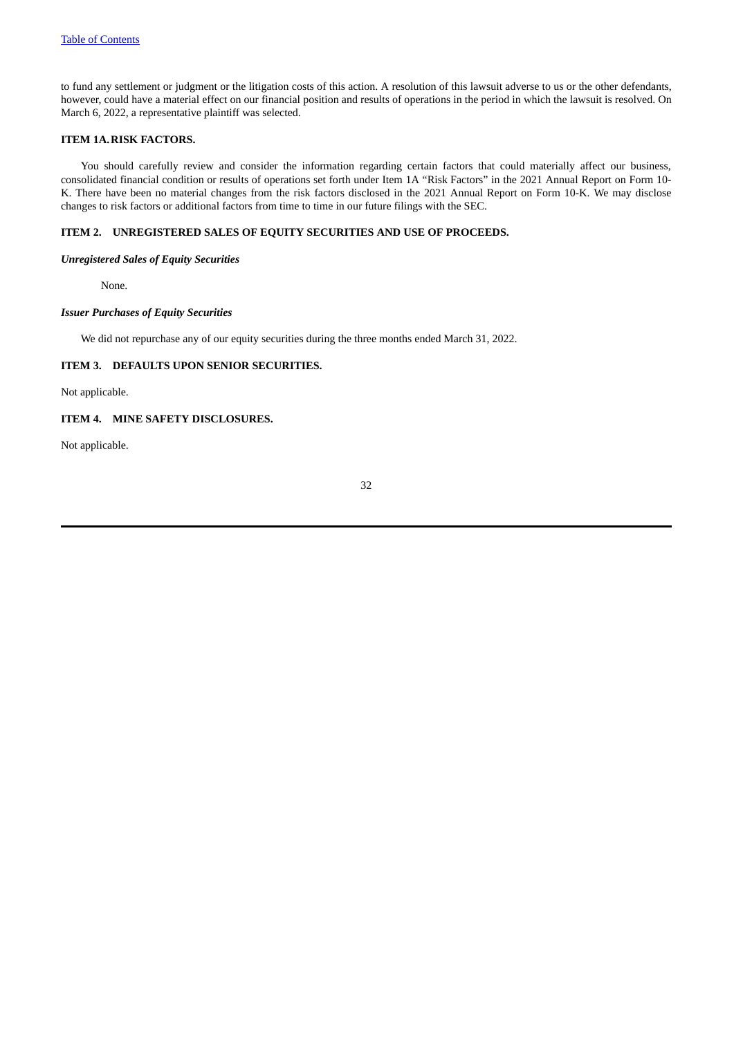to fund any settlement or judgment or the litigation costs of this action. A resolution of this lawsuit adverse to us or the other defendants, however, could have a material effect on our financial position and results of operations in the period in which the lawsuit is resolved. On March 6, 2022, a representative plaintiff was selected.

# <span id="page-31-0"></span>**ITEM 1A.RISK FACTORS.**

You should carefully review and consider the information regarding certain factors that could materially affect our business, consolidated financial condition or results of operations set forth under Item 1A "Risk Factors" in the 2021 Annual Report on Form 10- K. There have been no material changes from the risk factors disclosed in the 2021 Annual Report on Form 10-K. We may disclose changes to risk factors or additional factors from time to time in our future filings with the SEC.

# <span id="page-31-1"></span>**ITEM 2. UNREGISTERED SALES OF EQUITY SECURITIES AND USE OF PROCEEDS.**

# *Unregistered Sales of Equity Securities*

None.

# *Issuer Purchases of Equity Securities*

We did not repurchase any of our equity securities during the three months ended March 31, 2022.

# <span id="page-31-2"></span>**ITEM 3. DEFAULTS UPON SENIOR SECURITIES.**

Not applicable.

# <span id="page-31-3"></span>**ITEM 4. MINE SAFETY DISCLOSURES.**

Not applicable.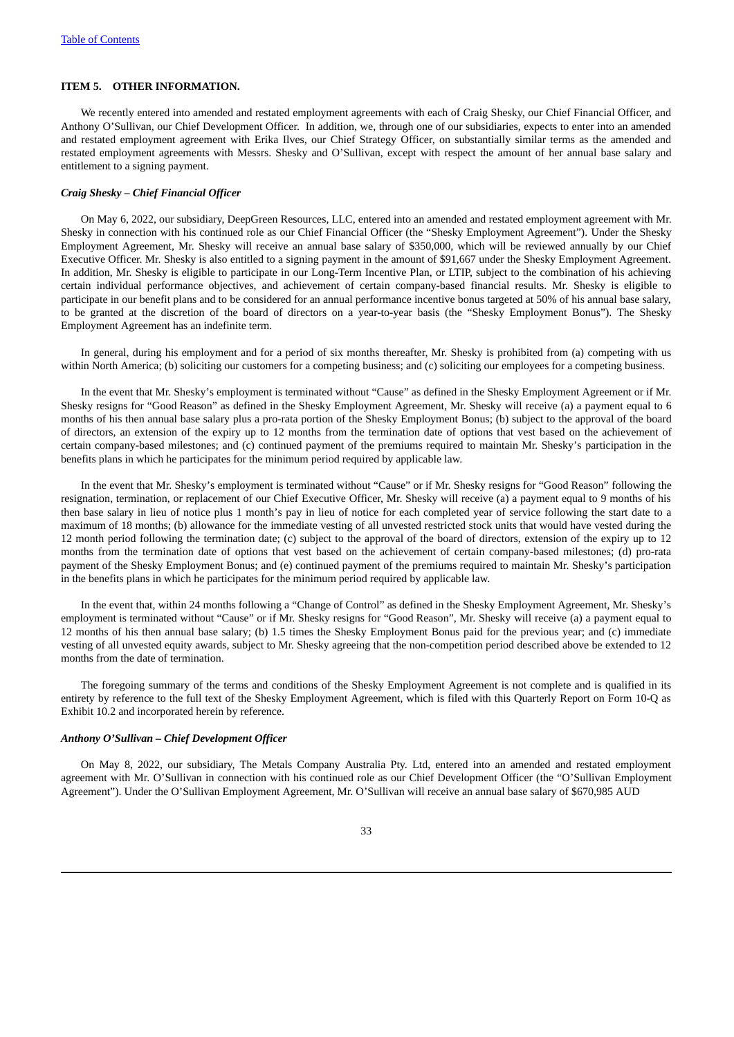# <span id="page-32-0"></span>**ITEM 5. OTHER INFORMATION.**

We recently entered into amended and restated employment agreements with each of Craig Shesky, our Chief Financial Officer, and Anthony O'Sullivan, our Chief Development Officer. In addition, we, through one of our subsidiaries, expects to enter into an amended and restated employment agreement with Erika Ilves, our Chief Strategy Officer, on substantially similar terms as the amended and restated employment agreements with Messrs. Shesky and O'Sullivan, except with respect the amount of her annual base salary and entitlement to a signing payment.

#### *Craig Shesky – Chief Financial Officer*

On May 6, 2022, our subsidiary, DeepGreen Resources, LLC, entered into an amended and restated employment agreement with Mr. Shesky in connection with his continued role as our Chief Financial Officer (the "Shesky Employment Agreement"). Under the Shesky Employment Agreement, Mr. Shesky will receive an annual base salary of \$350,000, which will be reviewed annually by our Chief Executive Officer. Mr. Shesky is also entitled to a signing payment in the amount of \$91,667 under the Shesky Employment Agreement. In addition, Mr. Shesky is eligible to participate in our Long-Term Incentive Plan, or LTIP, subject to the combination of his achieving certain individual performance objectives, and achievement of certain company-based financial results. Mr. Shesky is eligible to participate in our benefit plans and to be considered for an annual performance incentive bonus targeted at 50% of his annual base salary, to be granted at the discretion of the board of directors on a year-to-year basis (the "Shesky Employment Bonus"). The Shesky Employment Agreement has an indefinite term.

In general, during his employment and for a period of six months thereafter, Mr. Shesky is prohibited from (a) competing with us within North America; (b) soliciting our customers for a competing business; and (c) soliciting our employees for a competing business.

In the event that Mr. Shesky's employment is terminated without "Cause" as defined in the Shesky Employment Agreement or if Mr. Shesky resigns for "Good Reason" as defined in the Shesky Employment Agreement, Mr. Shesky will receive (a) a payment equal to 6 months of his then annual base salary plus a pro-rata portion of the Shesky Employment Bonus; (b) subject to the approval of the board of directors, an extension of the expiry up to 12 months from the termination date of options that vest based on the achievement of certain company-based milestones; and (c) continued payment of the premiums required to maintain Mr. Shesky's participation in the benefits plans in which he participates for the minimum period required by applicable law.

In the event that Mr. Shesky's employment is terminated without "Cause" or if Mr. Shesky resigns for "Good Reason" following the resignation, termination, or replacement of our Chief Executive Officer, Mr. Shesky will receive (a) a payment equal to 9 months of his then base salary in lieu of notice plus 1 month's pay in lieu of notice for each completed year of service following the start date to a maximum of 18 months; (b) allowance for the immediate vesting of all unvested restricted stock units that would have vested during the 12 month period following the termination date; (c) subject to the approval of the board of directors, extension of the expiry up to 12 months from the termination date of options that vest based on the achievement of certain company-based milestones; (d) pro-rata payment of the Shesky Employment Bonus; and (e) continued payment of the premiums required to maintain Mr. Shesky's participation in the benefits plans in which he participates for the minimum period required by applicable law.

In the event that, within 24 months following a "Change of Control" as defined in the Shesky Employment Agreement, Mr. Shesky's employment is terminated without "Cause" or if Mr. Shesky resigns for "Good Reason", Mr. Shesky will receive (a) a payment equal to 12 months of his then annual base salary; (b) 1.5 times the Shesky Employment Bonus paid for the previous year; and (c) immediate vesting of all unvested equity awards, subject to Mr. Shesky agreeing that the non-competition period described above be extended to 12 months from the date of termination.

The foregoing summary of the terms and conditions of the Shesky Employment Agreement is not complete and is qualified in its entirety by reference to the full text of the Shesky Employment Agreement, which is filed with this Quarterly Report on Form 10-Q as Exhibit 10.2 and incorporated herein by reference.

#### *Anthony O'Sullivan – Chief Development Officer*

On May 8, 2022, our subsidiary, The Metals Company Australia Pty. Ltd, entered into an amended and restated employment agreement with Mr. O'Sullivan in connection with his continued role as our Chief Development Officer (the "O'Sullivan Employment Agreement"). Under the O'Sullivan Employment Agreement, Mr. O'Sullivan will receive an annual base salary of \$670,985 AUD

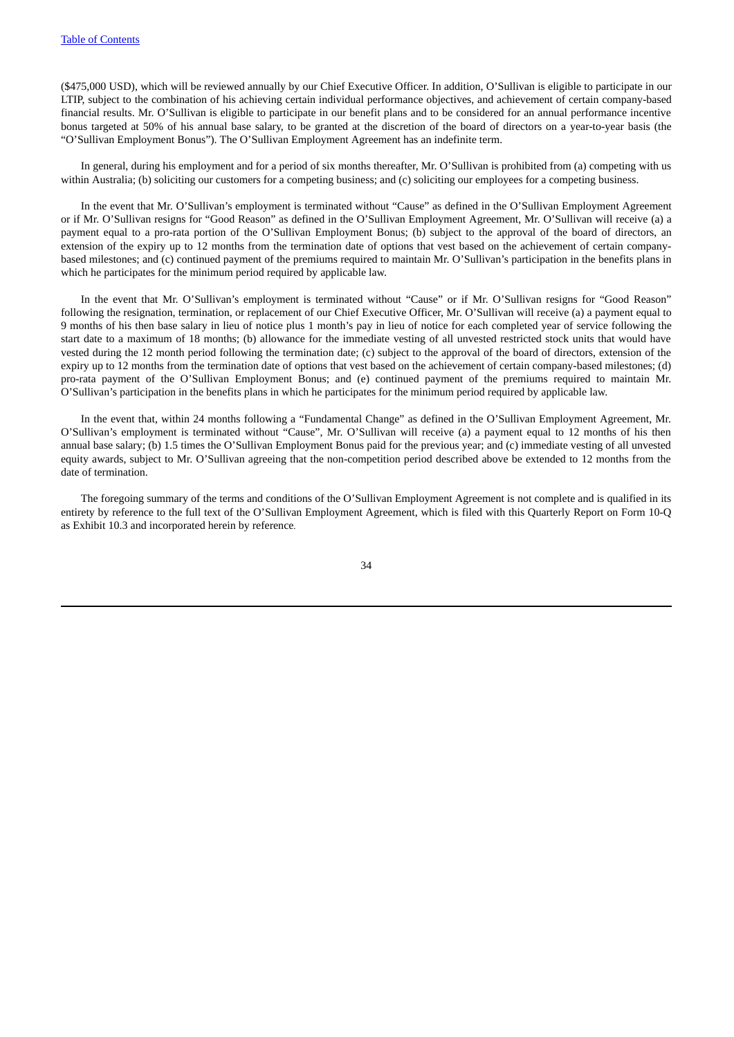(\$475,000 USD), which will be reviewed annually by our Chief Executive Officer. In addition, O'Sullivan is eligible to participate in our LTIP, subject to the combination of his achieving certain individual performance objectives, and achievement of certain company-based financial results. Mr. O'Sullivan is eligible to participate in our benefit plans and to be considered for an annual performance incentive bonus targeted at 50% of his annual base salary, to be granted at the discretion of the board of directors on a year-to-year basis (the "O'Sullivan Employment Bonus"). The O'Sullivan Employment Agreement has an indefinite term.

In general, during his employment and for a period of six months thereafter, Mr. O'Sullivan is prohibited from (a) competing with us within Australia; (b) soliciting our customers for a competing business; and (c) soliciting our employees for a competing business.

In the event that Mr. O'Sullivan's employment is terminated without "Cause" as defined in the O'Sullivan Employment Agreement or if Mr. O'Sullivan resigns for "Good Reason" as defined in the O'Sullivan Employment Agreement, Mr. O'Sullivan will receive (a) a payment equal to a pro-rata portion of the O'Sullivan Employment Bonus; (b) subject to the approval of the board of directors, an extension of the expiry up to 12 months from the termination date of options that vest based on the achievement of certain companybased milestones; and (c) continued payment of the premiums required to maintain Mr. O'Sullivan's participation in the benefits plans in which he participates for the minimum period required by applicable law.

In the event that Mr. O'Sullivan's employment is terminated without "Cause" or if Mr. O'Sullivan resigns for "Good Reason" following the resignation, termination, or replacement of our Chief Executive Officer, Mr. O'Sullivan will receive (a) a payment equal to 9 months of his then base salary in lieu of notice plus 1 month's pay in lieu of notice for each completed year of service following the start date to a maximum of 18 months; (b) allowance for the immediate vesting of all unvested restricted stock units that would have vested during the 12 month period following the termination date; (c) subject to the approval of the board of directors, extension of the expiry up to 12 months from the termination date of options that vest based on the achievement of certain company-based milestones; (d) pro-rata payment of the O'Sullivan Employment Bonus; and (e) continued payment of the premiums required to maintain Mr. O'Sullivan's participation in the benefits plans in which he participates for the minimum period required by applicable law.

In the event that, within 24 months following a "Fundamental Change" as defined in the O'Sullivan Employment Agreement, Mr. O'Sullivan's employment is terminated without "Cause", Mr. O'Sullivan will receive (a) a payment equal to 12 months of his then annual base salary; (b) 1.5 times the O'Sullivan Employment Bonus paid for the previous year; and (c) immediate vesting of all unvested equity awards, subject to Mr. O'Sullivan agreeing that the non-competition period described above be extended to 12 months from the date of termination.

The foregoing summary of the terms and conditions of the O'Sullivan Employment Agreement is not complete and is qualified in its entirety by reference to the full text of the O'Sullivan Employment Agreement, which is filed with this Quarterly Report on Form 10-Q as Exhibit 10.3 and incorporated herein by reference.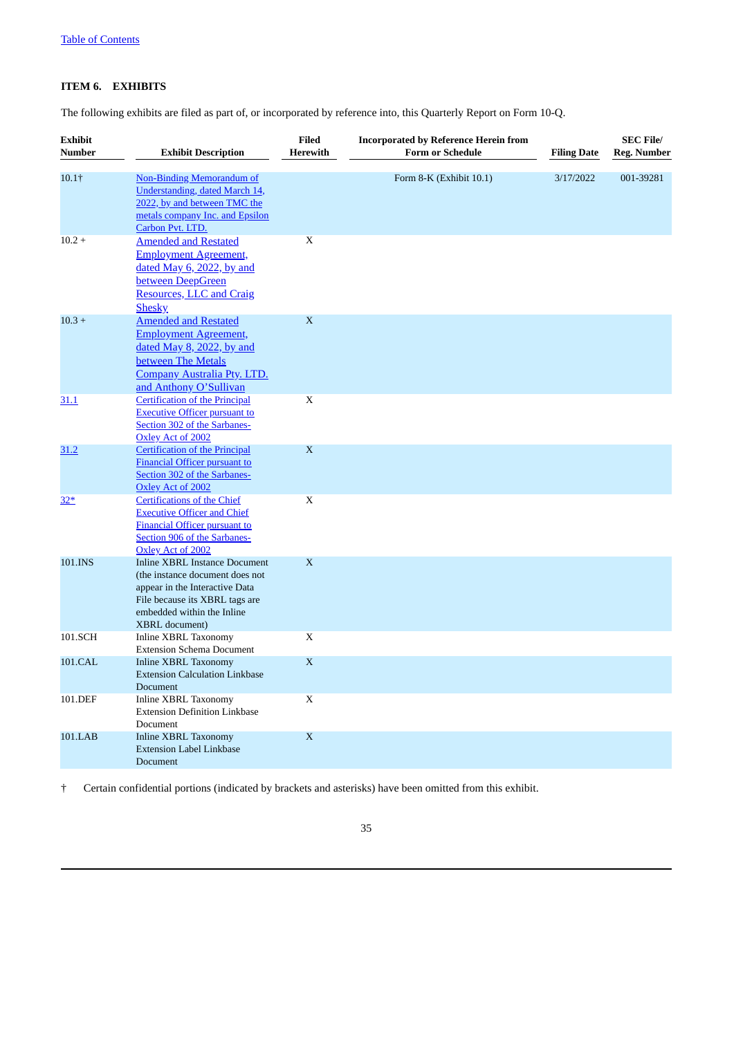# <span id="page-34-0"></span>**ITEM 6. EXHIBITS**

The following exhibits are filed as part of, or incorporated by reference into, this Quarterly Report on Form 10-Q.

| <b>Exhibit</b><br><b>Number</b> | <b>Exhibit Description</b>                                                                                                                                                                  | <b>Filed</b><br>Herewith | <b>Incorporated by Reference Herein from</b><br><b>Form or Schedule</b> | <b>Filing Date</b> | <b>SEC File/</b><br>Reg. Number |
|---------------------------------|---------------------------------------------------------------------------------------------------------------------------------------------------------------------------------------------|--------------------------|-------------------------------------------------------------------------|--------------------|---------------------------------|
| 10.1†                           | Non-Binding Memorandum of<br>Understanding, dated March 14,<br>2022, by and between TMC the<br>metals company Inc. and Epsilon<br>Carbon Pvt. LTD.                                          |                          | Form 8-K (Exhibit 10.1)                                                 | 3/17/2022          | 001-39281                       |
| $10.2 +$                        | <b>Amended and Restated</b><br><b>Employment Agreement,</b><br>dated May 6, 2022, by and<br>between DeepGreen<br>Resources, LLC and Craig<br><b>Shesky</b>                                  | X                        |                                                                         |                    |                                 |
| $10.3 +$                        | <b>Amended and Restated</b><br><b>Employment Agreement,</b><br>dated May 8, 2022, by and<br>between The Metals<br>Company Australia Pty. LTD.<br>and Anthony O'Sullivan                     | X                        |                                                                         |                    |                                 |
| <u>31.1</u>                     | <b>Certification of the Principal</b><br><b>Executive Officer pursuant to</b><br>Section 302 of the Sarbanes-<br>Oxley Act of 2002                                                          | $\mathbf X$              |                                                                         |                    |                                 |
| 31.2                            | <b>Certification of the Principal</b><br><b>Financial Officer pursuant to</b><br>Section 302 of the Sarbanes-<br>Oxley Act of 2002                                                          | X                        |                                                                         |                    |                                 |
| $32*$                           | <b>Certifications of the Chief</b><br><b>Executive Officer and Chief</b><br><b>Financial Officer pursuant to</b><br>Section 906 of the Sarbanes-<br>Oxley Act of 2002                       | X                        |                                                                         |                    |                                 |
| 101.INS                         | <b>Inline XBRL Instance Document</b><br>(the instance document does not<br>appear in the Interactive Data<br>File because its XBRL tags are<br>embedded within the Inline<br>XBRL document) | $\mathbf X$              |                                                                         |                    |                                 |
| 101.SCH                         | Inline XBRL Taxonomy<br><b>Extension Schema Document</b>                                                                                                                                    | X                        |                                                                         |                    |                                 |
| 101.CAL                         | <b>Inline XBRL Taxonomy</b><br><b>Extension Calculation Linkbase</b><br>Document                                                                                                            | $\mathbf X$              |                                                                         |                    |                                 |
| 101.DEF                         | <b>Inline XBRL Taxonomy</b><br><b>Extension Definition Linkbase</b><br>Document                                                                                                             | $\mathbf X$              |                                                                         |                    |                                 |
| 101.LAB                         | <b>Inline XBRL Taxonomy</b><br><b>Extension Label Linkbase</b><br>Document                                                                                                                  | $\mathbf X$              |                                                                         |                    |                                 |

† Certain confidential portions (indicated by brackets and asterisks) have been omitted from this exhibit.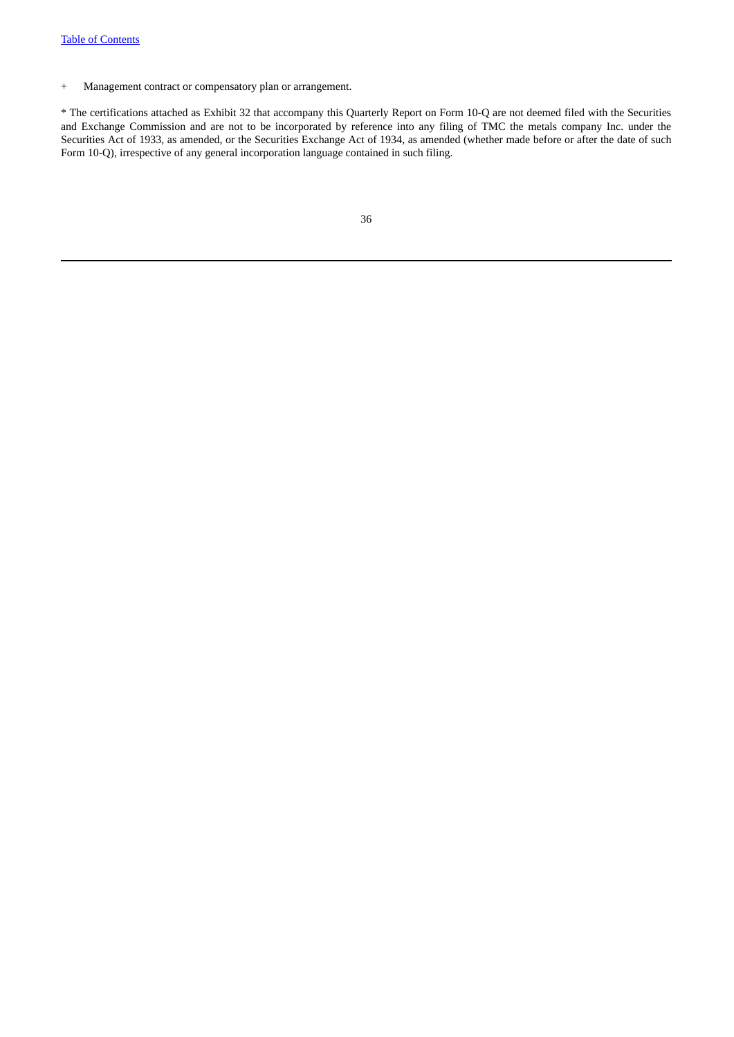+ Management contract or compensatory plan or arrangement.

\* The certifications attached as Exhibit 32 that accompany this Quarterly Report on Form 10-Q are not deemed filed with the Securities and Exchange Commission and are not to be incorporated by reference into any filing of TMC the metals company Inc. under the Securities Act of 1933, as amended, or the Securities Exchange Act of 1934, as amended (whether made before or after the date of such Form 10-Q), irrespective of any general incorporation language contained in such filing.

| ۰ | ٠  |
|---|----|
|   |    |
| ٠ |    |
| × |    |
|   |    |
|   |    |
|   |    |
|   |    |
| I | ï  |
| × |    |
| ٠ | ۰. |
|   |    |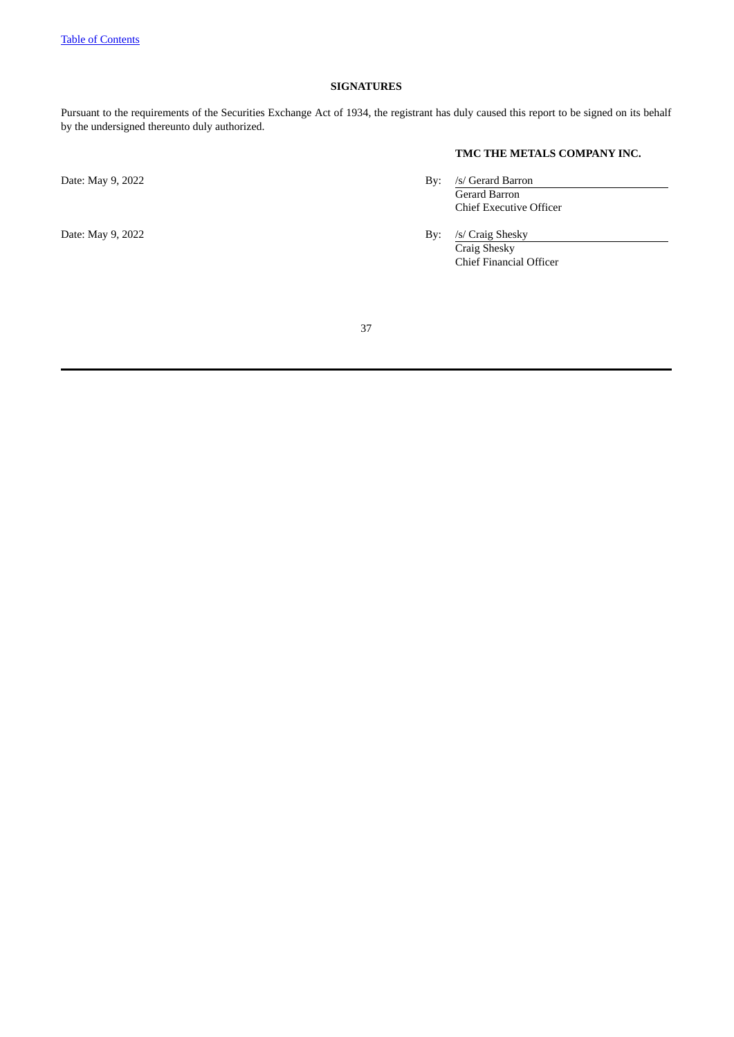#### **SIGNATURES**

Pursuant to the requirements of the Securities Exchange Act of 1934, the registrant has duly caused this report to be signed on its behalf by the undersigned thereunto duly authorized.

**TMC THE METALS COMPANY INC.**

Date: May 9, 2022 By: /s/ Gerard Barron

Gerard Barron Chief Executive Officer

Date: May 9, 2022 **By:** *Simus* By: *Simus* By: *Simus* By: *Simus* By: *Simus* By: *Simus* By: *Simus* By: *Simus* By: *Simus* By: *Simus* By: *Simus* By: *Simus* By: *Simus* By: *Simus* By: *Simus* By: *Simus* By: *Simus* Craig Shesky Chief Financial Officer

37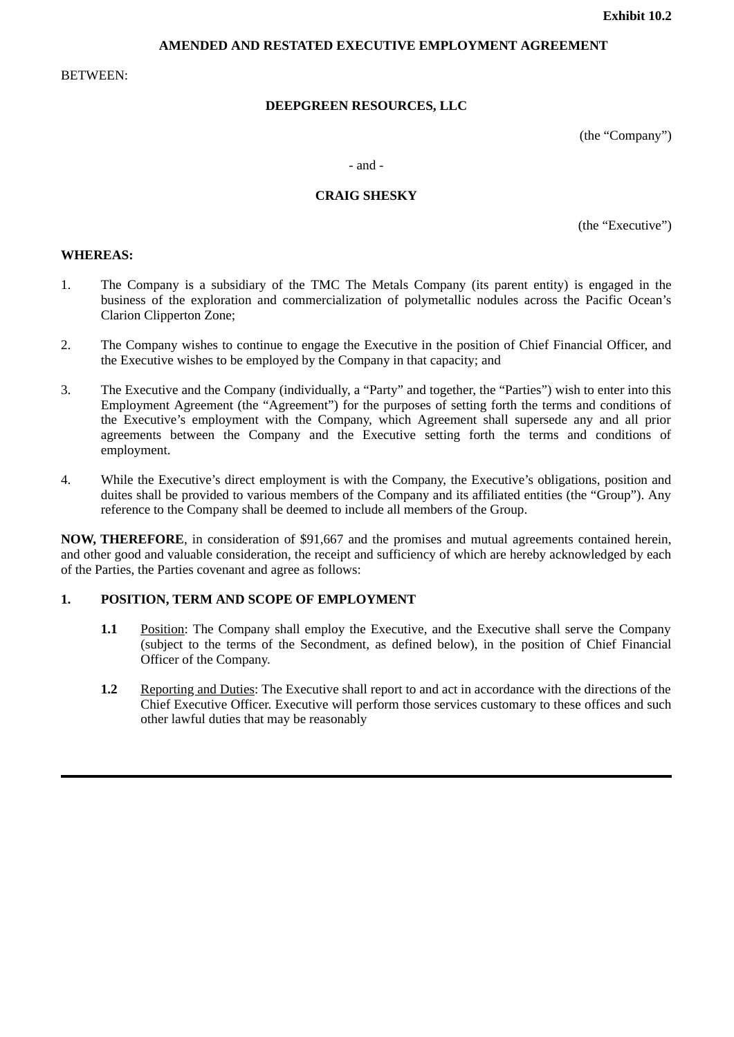#### **AMENDED AND RESTATED EXECUTIVE EMPLOYMENT AGREEMENT**

BETWEEN:

## **DEEPGREEN RESOURCES, LLC**

(the "Company")

#### - and -

## **CRAIG SHESKY**

(the "Executive")

#### **WHEREAS:**

- 1. The Company is a subsidiary of the TMC The Metals Company (its parent entity) is engaged in the business of the exploration and commercialization of polymetallic nodules across the Pacific Ocean's Clarion Clipperton Zone;
- 2. The Company wishes to continue to engage the Executive in the position of Chief Financial Officer, and the Executive wishes to be employed by the Company in that capacity; and
- 3. The Executive and the Company (individually, a "Party" and together, the "Parties") wish to enter into this Employment Agreement (the "Agreement") for the purposes of setting forth the terms and conditions of the Executive's employment with the Company, which Agreement shall supersede any and all prior agreements between the Company and the Executive setting forth the terms and conditions of employment.
- 4. While the Executive's direct employment is with the Company, the Executive's obligations, position and duites shall be provided to various members of the Company and its affiliated entities (the "Group"). Any reference to the Company shall be deemed to include all members of the Group.

**NOW, THEREFORE**, in consideration of \$91,667 and the promises and mutual agreements contained herein, and other good and valuable consideration, the receipt and sufficiency of which are hereby acknowledged by each of the Parties, the Parties covenant and agree as follows:

#### **1. POSITION, TERM AND SCOPE OF EMPLOYMENT**

- **1.1** Position: The Company shall employ the Executive, and the Executive shall serve the Company (subject to the terms of the Secondment, as defined below), in the position of Chief Financial Officer of the Company.
- **1.2** Reporting and Duties: The Executive shall report to and act in accordance with the directions of the Chief Executive Officer. Executive will perform those services customary to these offices and such other lawful duties that may be reasonably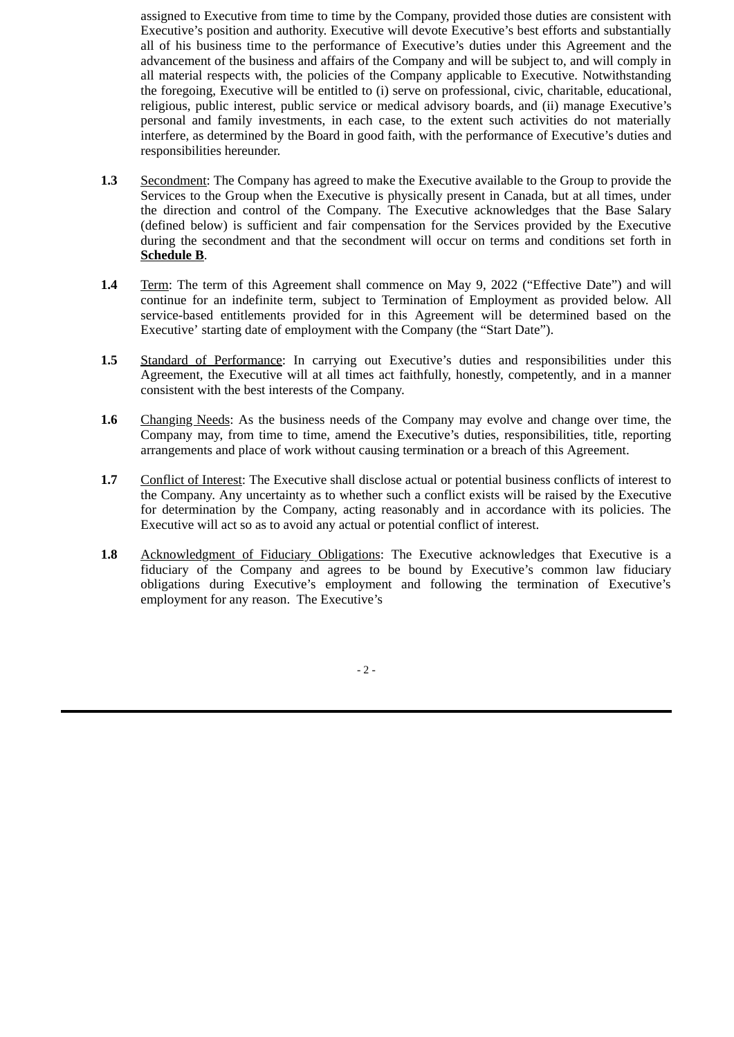assigned to Executive from time to time by the Company, provided those duties are consistent with Executive's position and authority. Executive will devote Executive's best efforts and substantially all of his business time to the performance of Executive's duties under this Agreement and the advancement of the business and affairs of the Company and will be subject to, and will comply in all material respects with, the policies of the Company applicable to Executive. Notwithstanding the foregoing, Executive will be entitled to (i) serve on professional, civic, charitable, educational, religious, public interest, public service or medical advisory boards, and (ii) manage Executive's personal and family investments, in each case, to the extent such activities do not materially interfere, as determined by the Board in good faith, with the performance of Executive's duties and responsibilities hereunder.

- **1.3** Secondment: The Company has agreed to make the Executive available to the Group to provide the Services to the Group when the Executive is physically present in Canada, but at all times, under the direction and control of the Company. The Executive acknowledges that the Base Salary (defined below) is sufficient and fair compensation for the Services provided by the Executive during the secondment and that the secondment will occur on terms and conditions set forth in **Schedule B**.
- 1.4 Term: The term of this Agreement shall commence on May 9, 2022 ("Effective Date") and will continue for an indefinite term, subject to Termination of Employment as provided below. All service-based entitlements provided for in this Agreement will be determined based on the Executive' starting date of employment with the Company (the "Start Date").
- **1.5** Standard of Performance: In carrying out Executive's duties and responsibilities under this Agreement, the Executive will at all times act faithfully, honestly, competently, and in a manner consistent with the best interests of the Company.
- **1.6** Changing Needs: As the business needs of the Company may evolve and change over time, the Company may, from time to time, amend the Executive's duties, responsibilities, title, reporting arrangements and place of work without causing termination or a breach of this Agreement.
- **1.7** Conflict of Interest: The Executive shall disclose actual or potential business conflicts of interest to the Company. Any uncertainty as to whether such a conflict exists will be raised by the Executive for determination by the Company, acting reasonably and in accordance with its policies. The Executive will act so as to avoid any actual or potential conflict of interest.
- **1.8** Acknowledgment of Fiduciary Obligations: The Executive acknowledges that Executive is a fiduciary of the Company and agrees to be bound by Executive's common law fiduciary obligations during Executive's employment and following the termination of Executive's employment for any reason. The Executive's

- 2 -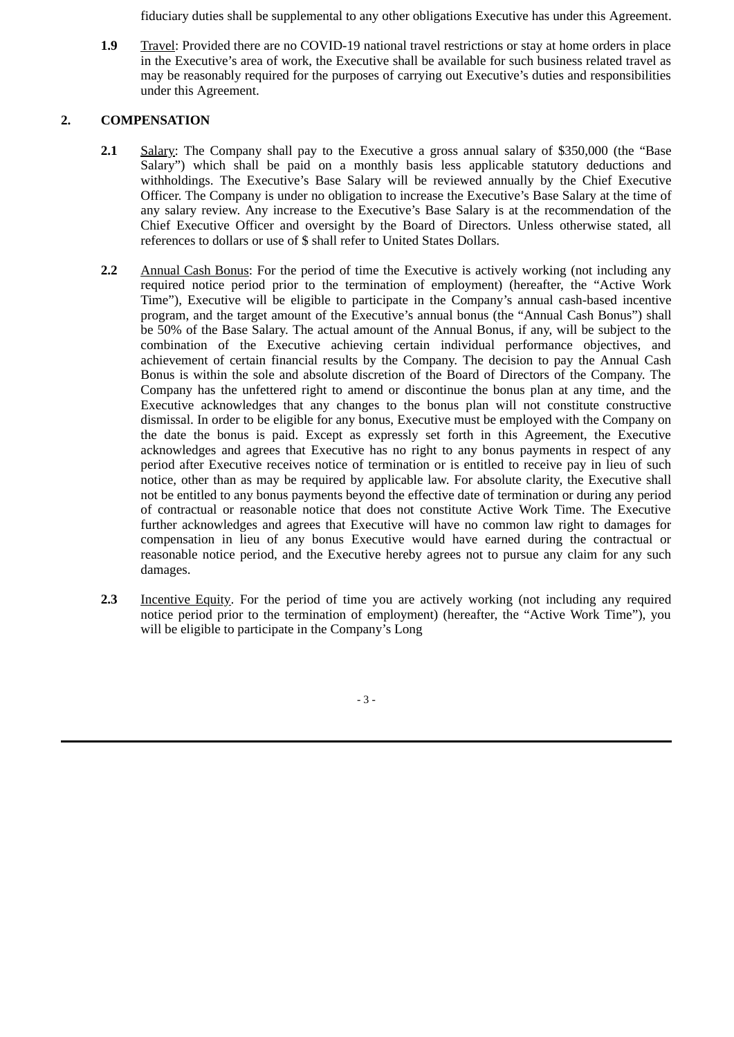fiduciary duties shall be supplemental to any other obligations Executive has under this Agreement.

**1.9** Travel: Provided there are no COVID-19 national travel restrictions or stay at home orders in place in the Executive's area of work, the Executive shall be available for such business related travel as may be reasonably required for the purposes of carrying out Executive's duties and responsibilities under this Agreement.

# **2. COMPENSATION**

- **2.1** Salary: The Company shall pay to the Executive a gross annual salary of \$350,000 (the "Base Salary") which shall be paid on a monthly basis less applicable statutory deductions and withholdings. The Executive's Base Salary will be reviewed annually by the Chief Executive Officer. The Company is under no obligation to increase the Executive's Base Salary at the time of any salary review. Any increase to the Executive's Base Salary is at the recommendation of the Chief Executive Officer and oversight by the Board of Directors. Unless otherwise stated, all references to dollars or use of \$ shall refer to United States Dollars.
- **2.2** Annual Cash Bonus: For the period of time the Executive is actively working (not including any required notice period prior to the termination of employment) (hereafter, the "Active Work Time"), Executive will be eligible to participate in the Company's annual cash-based incentive program, and the target amount of the Executive's annual bonus (the "Annual Cash Bonus") shall be 50% of the Base Salary. The actual amount of the Annual Bonus, if any, will be subject to the combination of the Executive achieving certain individual performance objectives, and achievement of certain financial results by the Company. The decision to pay the Annual Cash Bonus is within the sole and absolute discretion of the Board of Directors of the Company. The Company has the unfettered right to amend or discontinue the bonus plan at any time, and the Executive acknowledges that any changes to the bonus plan will not constitute constructive dismissal. In order to be eligible for any bonus, Executive must be employed with the Company on the date the bonus is paid. Except as expressly set forth in this Agreement, the Executive acknowledges and agrees that Executive has no right to any bonus payments in respect of any period after Executive receives notice of termination or is entitled to receive pay in lieu of such notice, other than as may be required by applicable law. For absolute clarity, the Executive shall not be entitled to any bonus payments beyond the effective date of termination or during any period of contractual or reasonable notice that does not constitute Active Work Time. The Executive further acknowledges and agrees that Executive will have no common law right to damages for compensation in lieu of any bonus Executive would have earned during the contractual or reasonable notice period, and the Executive hereby agrees not to pursue any claim for any such damages.
- **2.3** Incentive Equity. For the period of time you are actively working (not including any required notice period prior to the termination of employment) (hereafter, the "Active Work Time"), you will be eligible to participate in the Company's Long

- 3 -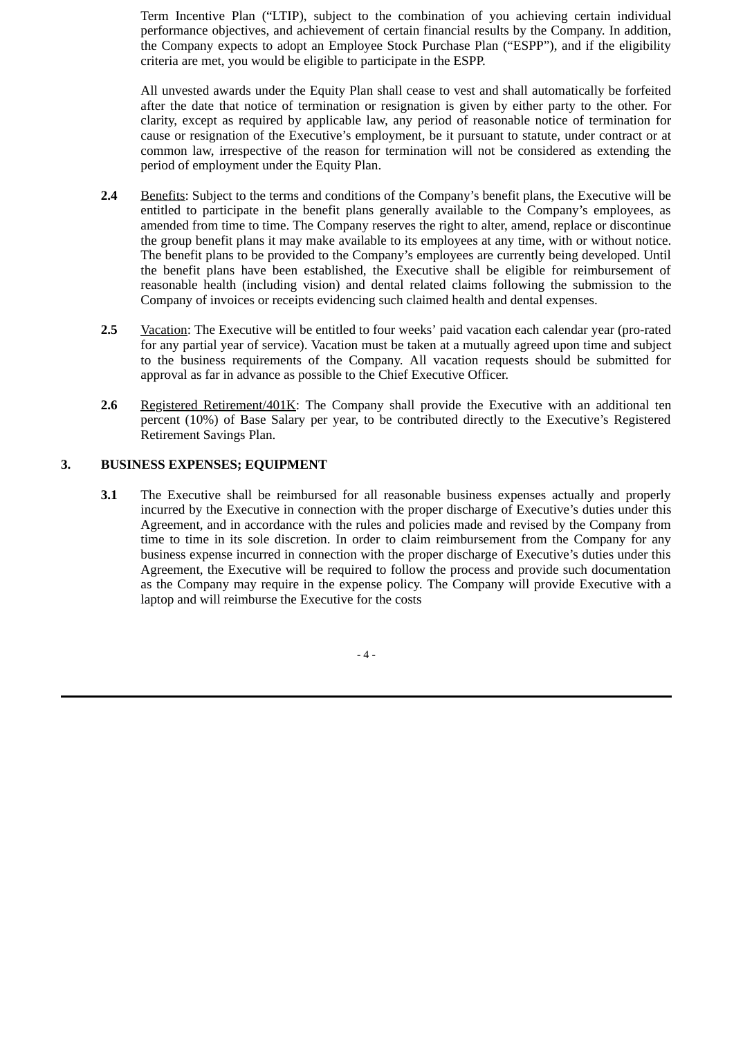Term Incentive Plan ("LTIP), subject to the combination of you achieving certain individual performance objectives, and achievement of certain financial results by the Company. In addition, the Company expects to adopt an Employee Stock Purchase Plan ("ESPP"), and if the eligibility criteria are met, you would be eligible to participate in the ESPP.

All unvested awards under the Equity Plan shall cease to vest and shall automatically be forfeited after the date that notice of termination or resignation is given by either party to the other. For clarity, except as required by applicable law, any period of reasonable notice of termination for cause or resignation of the Executive's employment, be it pursuant to statute, under contract or at common law, irrespective of the reason for termination will not be considered as extending the period of employment under the Equity Plan.

- **2.4** Benefits: Subject to the terms and conditions of the Company's benefit plans, the Executive will be entitled to participate in the benefit plans generally available to the Company's employees, as amended from time to time. The Company reserves the right to alter, amend, replace or discontinue the group benefit plans it may make available to its employees at any time, with or without notice. The benefit plans to be provided to the Company's employees are currently being developed. Until the benefit plans have been established, the Executive shall be eligible for reimbursement of reasonable health (including vision) and dental related claims following the submission to the Company of invoices or receipts evidencing such claimed health and dental expenses.
- **2.5** Vacation: The Executive will be entitled to four weeks' paid vacation each calendar year (pro-rated for any partial year of service). Vacation must be taken at a mutually agreed upon time and subject to the business requirements of the Company. All vacation requests should be submitted for approval as far in advance as possible to the Chief Executive Officer.
- **2.6** Registered Retirement/401K: The Company shall provide the Executive with an additional ten percent (10%) of Base Salary per year, to be contributed directly to the Executive's Registered Retirement Savings Plan.

# **3. BUSINESS EXPENSES; EQUIPMENT**

**3.1** The Executive shall be reimbursed for all reasonable business expenses actually and properly incurred by the Executive in connection with the proper discharge of Executive's duties under this Agreement, and in accordance with the rules and policies made and revised by the Company from time to time in its sole discretion. In order to claim reimbursement from the Company for any business expense incurred in connection with the proper discharge of Executive's duties under this Agreement, the Executive will be required to follow the process and provide such documentation as the Company may require in the expense policy. The Company will provide Executive with a laptop and will reimburse the Executive for the costs

- 4 -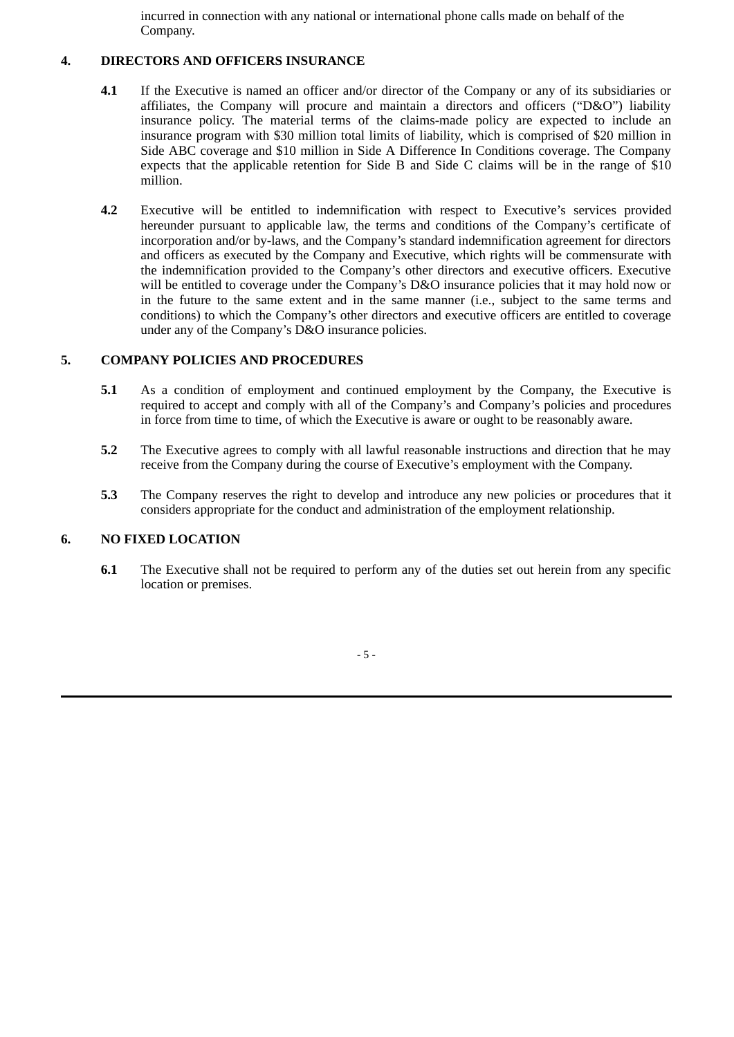incurred in connection with any national or international phone calls made on behalf of the Company.

# **4. DIRECTORS AND OFFICERS INSURANCE**

- **4.1** If the Executive is named an officer and/or director of the Company or any of its subsidiaries or affiliates, the Company will procure and maintain a directors and officers ("D&O") liability insurance policy. The material terms of the claims-made policy are expected to include an insurance program with \$30 million total limits of liability, which is comprised of \$20 million in Side ABC coverage and \$10 million in Side A Difference In Conditions coverage. The Company expects that the applicable retention for Side B and Side C claims will be in the range of \$10 million.
- **4.2** Executive will be entitled to indemnification with respect to Executive's services provided hereunder pursuant to applicable law, the terms and conditions of the Company's certificate of incorporation and/or by-laws, and the Company's standard indemnification agreement for directors and officers as executed by the Company and Executive, which rights will be commensurate with the indemnification provided to the Company's other directors and executive officers. Executive will be entitled to coverage under the Company's D&O insurance policies that it may hold now or in the future to the same extent and in the same manner (i.e., subject to the same terms and conditions) to which the Company's other directors and executive officers are entitled to coverage under any of the Company's D&O insurance policies.

## **5. COMPANY POLICIES AND PROCEDURES**

- **5.1** As a condition of employment and continued employment by the Company, the Executive is required to accept and comply with all of the Company's and Company's policies and procedures in force from time to time, of which the Executive is aware or ought to be reasonably aware.
- **5.2** The Executive agrees to comply with all lawful reasonable instructions and direction that he may receive from the Company during the course of Executive's employment with the Company.
- **5.3** The Company reserves the right to develop and introduce any new policies or procedures that it considers appropriate for the conduct and administration of the employment relationship.

## **6. NO FIXED LOCATION**

**6.1** The Executive shall not be required to perform any of the duties set out herein from any specific location or premises.

- 5 -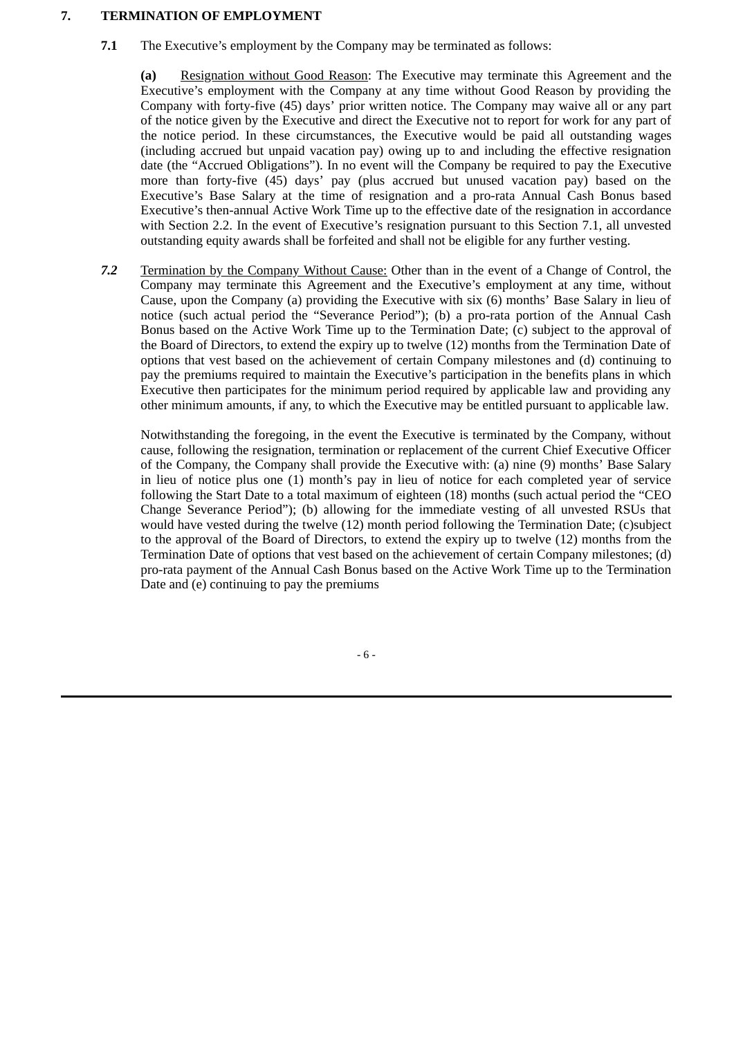#### **7. TERMINATION OF EMPLOYMENT**

**7.1** The Executive's employment by the Company may be terminated as follows:

**(a)** Resignation without Good Reason: The Executive may terminate this Agreement and the Executive's employment with the Company at any time without Good Reason by providing the Company with forty-five (45) days' prior written notice. The Company may waive all or any part of the notice given by the Executive and direct the Executive not to report for work for any part of the notice period. In these circumstances, the Executive would be paid all outstanding wages (including accrued but unpaid vacation pay) owing up to and including the effective resignation date (the "Accrued Obligations"). In no event will the Company be required to pay the Executive more than forty-five (45) days' pay (plus accrued but unused vacation pay) based on the Executive's Base Salary at the time of resignation and a pro-rata Annual Cash Bonus based Executive's then-annual Active Work Time up to the effective date of the resignation in accordance with Section 2.2. In the event of Executive's resignation pursuant to this Section 7.1, all unvested outstanding equity awards shall be forfeited and shall not be eligible for any further vesting.

*7.2* Termination by the Company Without Cause: Other than in the event of a Change of Control, the Company may terminate this Agreement and the Executive's employment at any time, without Cause, upon the Company (a) providing the Executive with six (6) months' Base Salary in lieu of notice (such actual period the "Severance Period"); (b) a pro-rata portion of the Annual Cash Bonus based on the Active Work Time up to the Termination Date; (c) subject to the approval of the Board of Directors, to extend the expiry up to twelve (12) months from the Termination Date of options that vest based on the achievement of certain Company milestones and (d) continuing to pay the premiums required to maintain the Executive's participation in the benefits plans in which Executive then participates for the minimum period required by applicable law and providing any other minimum amounts, if any, to which the Executive may be entitled pursuant to applicable law*.*

Notwithstanding the foregoing, in the event the Executive is terminated by the Company, without cause, following the resignation, termination or replacement of the current Chief Executive Officer of the Company, the Company shall provide the Executive with: (a) nine (9) months' Base Salary in lieu of notice plus one (1) month's pay in lieu of notice for each completed year of service following the Start Date to a total maximum of eighteen (18) months (such actual period the "CEO Change Severance Period"); (b) allowing for the immediate vesting of all unvested RSUs that would have vested during the twelve (12) month period following the Termination Date; (c)subject to the approval of the Board of Directors, to extend the expiry up to twelve (12) months from the Termination Date of options that vest based on the achievement of certain Company milestones; (d) pro-rata payment of the Annual Cash Bonus based on the Active Work Time up to the Termination Date and (e) continuing to pay the premiums

- 6 -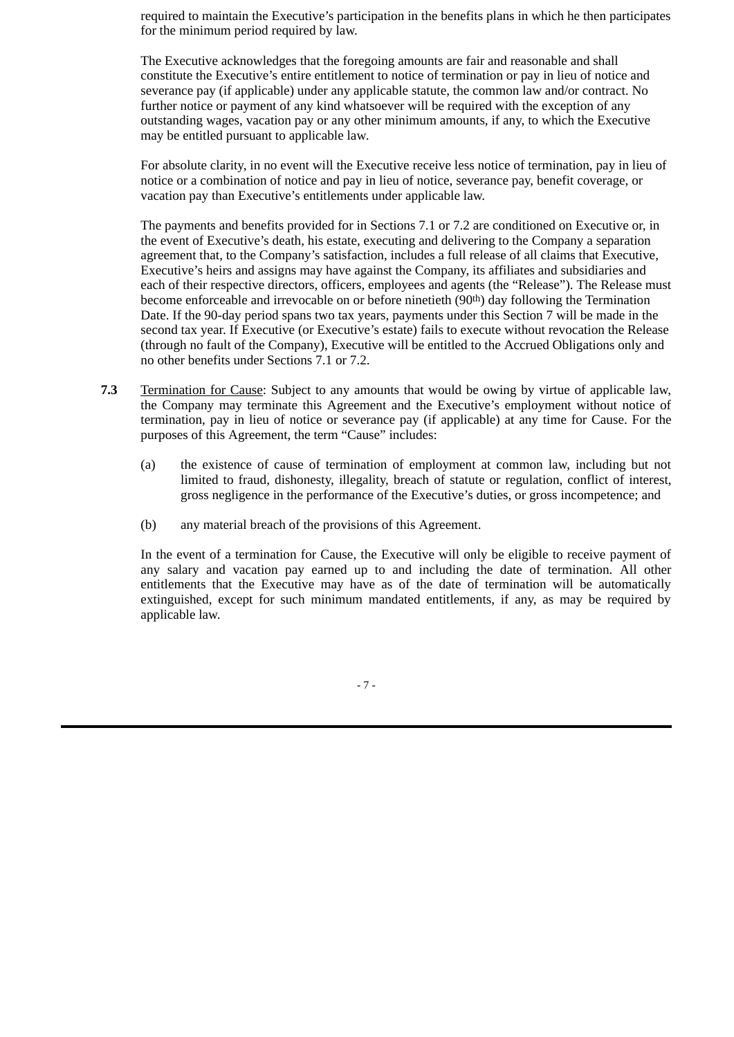required to maintain the Executive's participation in the benefits plans in which he then participates for the minimum period required by law.

The Executive acknowledges that the foregoing amounts are fair and reasonable and shall constitute the Executive's entire entitlement to notice of termination or pay in lieu of notice and severance pay (if applicable) under any applicable statute, the common law and/or contract. No further notice or payment of any kind whatsoever will be required with the exception of any outstanding wages, vacation pay or any other minimum amounts, if any, to which the Executive may be entitled pursuant to applicable law*.*

For absolute clarity, in no event will the Executive receive less notice of termination, pay in lieu of notice or a combination of notice and pay in lieu of notice, severance pay, benefit coverage, or vacation pay than Executive's entitlements under applicable law.

The payments and benefits provided for in Sections 7.1 or 7.2 are conditioned on Executive or, in the event of Executive's death, his estate, executing and delivering to the Company a separation agreement that, to the Company's satisfaction, includes a full release of all claims that Executive, Executive's heirs and assigns may have against the Company, its affiliates and subsidiaries and each of their respective directors, officers, employees and agents (the "Release"). The Release must become enforceable and irrevocable on or before ninetieth (90th) day following the Termination Date. If the 90-day period spans two tax years, payments under this Section 7 will be made in the second tax year. If Executive (or Executive's estate) fails to execute without revocation the Release (through no fault of the Company), Executive will be entitled to the Accrued Obligations only and no other benefits under Sections 7.1 or 7.2.

- **7.3** Termination for Cause: Subject to any amounts that would be owing by virtue of applicable law, the Company may terminate this Agreement and the Executive's employment without notice of termination, pay in lieu of notice or severance pay (if applicable) at any time for Cause. For the purposes of this Agreement, the term "Cause" includes:
	- (a) the existence of cause of termination of employment at common law, including but not limited to fraud, dishonesty, illegality, breach of statute or regulation, conflict of interest, gross negligence in the performance of the Executive's duties, or gross incompetence; and
	- (b) any material breach of the provisions of this Agreement.

In the event of a termination for Cause, the Executive will only be eligible to receive payment of any salary and vacation pay earned up to and including the date of termination. All other entitlements that the Executive may have as of the date of termination will be automatically extinguished, except for such minimum mandated entitlements, if any, as may be required by applicable law.

- 7 -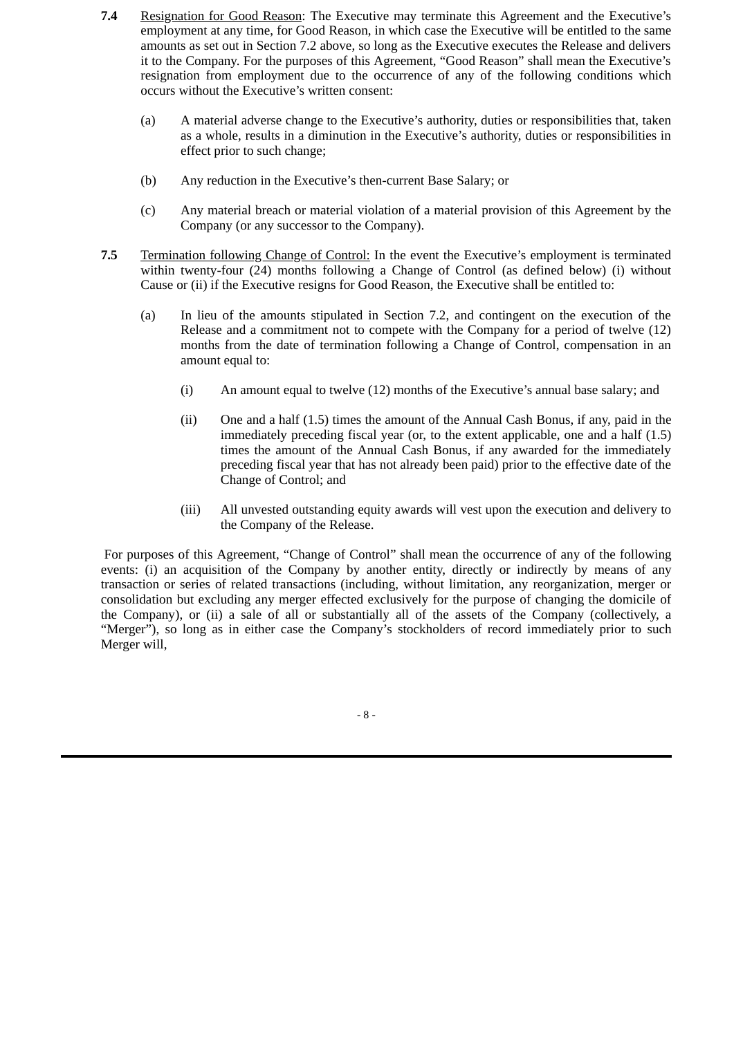- **7.4** Resignation for Good Reason: The Executive may terminate this Agreement and the Executive's employment at any time, for Good Reason, in which case the Executive will be entitled to the same amounts as set out in Section 7.2 above, so long as the Executive executes the Release and delivers it to the Company. For the purposes of this Agreement, "Good Reason" shall mean the Executive's resignation from employment due to the occurrence of any of the following conditions which occurs without the Executive's written consent:
	- (a) A material adverse change to the Executive's authority, duties or responsibilities that, taken as a whole, results in a diminution in the Executive's authority, duties or responsibilities in effect prior to such change;
	- (b) Any reduction in the Executive's then-current Base Salary; or
	- (c) Any material breach or material violation of a material provision of this Agreement by the Company (or any successor to the Company).
- **7.5** Termination following Change of Control: In the event the Executive's employment is terminated within twenty-four (24) months following a Change of Control (as defined below) (i) without Cause or (ii) if the Executive resigns for Good Reason, the Executive shall be entitled to:
	- (a) In lieu of the amounts stipulated in Section 7.2, and contingent on the execution of the Release and a commitment not to compete with the Company for a period of twelve (12) months from the date of termination following a Change of Control, compensation in an amount equal to:
		- (i) An amount equal to twelve (12) months of the Executive's annual base salary; and
		- (ii) One and a half (1.5) times the amount of the Annual Cash Bonus, if any, paid in the immediately preceding fiscal year (or, to the extent applicable, one and a half (1.5) times the amount of the Annual Cash Bonus, if any awarded for the immediately preceding fiscal year that has not already been paid) prior to the effective date of the Change of Control; and
		- (iii) All unvested outstanding equity awards will vest upon the execution and delivery to the Company of the Release.

For purposes of this Agreement, "Change of Control" shall mean the occurrence of any of the following events: (i) an acquisition of the Company by another entity, directly or indirectly by means of any transaction or series of related transactions (including, without limitation, any reorganization, merger or consolidation but excluding any merger effected exclusively for the purpose of changing the domicile of the Company), or (ii) a sale of all or substantially all of the assets of the Company (collectively, a "Merger"), so long as in either case the Company's stockholders of record immediately prior to such Merger will,

- 8 -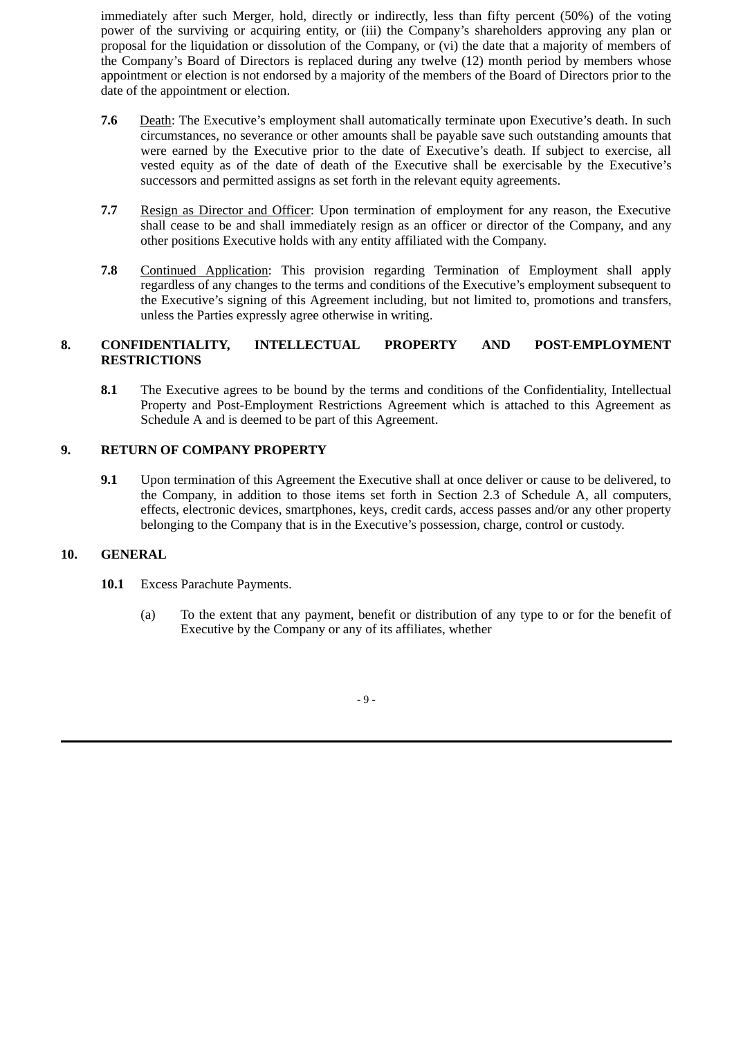immediately after such Merger, hold, directly or indirectly, less than fifty percent (50%) of the voting power of the surviving or acquiring entity, or (iii) the Company's shareholders approving any plan or proposal for the liquidation or dissolution of the Company, or (vi) the date that a majority of members of the Company's Board of Directors is replaced during any twelve (12) month period by members whose appointment or election is not endorsed by a majority of the members of the Board of Directors prior to the date of the appointment or election.

- **7.6** Death: The Executive's employment shall automatically terminate upon Executive's death. In such circumstances, no severance or other amounts shall be payable save such outstanding amounts that were earned by the Executive prior to the date of Executive's death. If subject to exercise, all vested equity as of the date of death of the Executive shall be exercisable by the Executive's successors and permitted assigns as set forth in the relevant equity agreements.
- **7.7** Resign as Director and Officer: Upon termination of employment for any reason, the Executive shall cease to be and shall immediately resign as an officer or director of the Company, and any other positions Executive holds with any entity affiliated with the Company.
- **7.8** Continued Application: This provision regarding Termination of Employment shall apply regardless of any changes to the terms and conditions of the Executive's employment subsequent to the Executive's signing of this Agreement including, but not limited to, promotions and transfers, unless the Parties expressly agree otherwise in writing.

# **8. CONFIDENTIALITY, INTELLECTUAL PROPERTY AND POST-EMPLOYMENT RESTRICTIONS**

**8.1** The Executive agrees to be bound by the terms and conditions of the Confidentiality, Intellectual Property and Post-Employment Restrictions Agreement which is attached to this Agreement as Schedule A and is deemed to be part of this Agreement.

# **9. RETURN OF COMPANY PROPERTY**

**9.1** Upon termination of this Agreement the Executive shall at once deliver or cause to be delivered, to the Company, in addition to those items set forth in Section 2.3 of Schedule A, all computers, effects, electronic devices, smartphones, keys, credit cards, access passes and/or any other property belonging to the Company that is in the Executive's possession, charge, control or custody.

## **10. GENERAL**

- **10.1** Excess Parachute Payments.
	- (a) To the extent that any payment, benefit or distribution of any type to or for the benefit of Executive by the Company or any of its affiliates, whether

- 9 -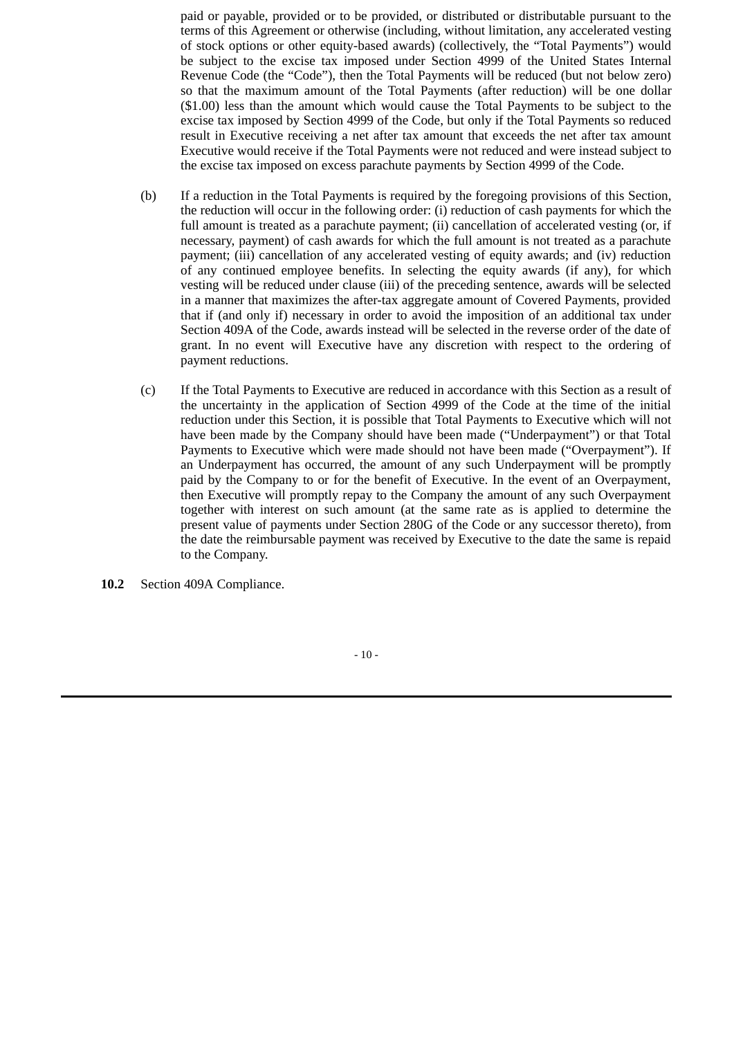paid or payable, provided or to be provided, or distributed or distributable pursuant to the terms of this Agreement or otherwise (including, without limitation, any accelerated vesting of stock options or other equity-based awards) (collectively, the "Total Payments") would be subject to the excise tax imposed under Section 4999 of the United States Internal Revenue Code (the "Code"), then the Total Payments will be reduced (but not below zero) so that the maximum amount of the Total Payments (after reduction) will be one dollar (\$1.00) less than the amount which would cause the Total Payments to be subject to the excise tax imposed by Section 4999 of the Code, but only if the Total Payments so reduced result in Executive receiving a net after tax amount that exceeds the net after tax amount Executive would receive if the Total Payments were not reduced and were instead subject to the excise tax imposed on excess parachute payments by Section 4999 of the Code.

- (b) If a reduction in the Total Payments is required by the foregoing provisions of this Section, the reduction will occur in the following order: (i) reduction of cash payments for which the full amount is treated as a parachute payment; (ii) cancellation of accelerated vesting (or, if necessary, payment) of cash awards for which the full amount is not treated as a parachute payment; (iii) cancellation of any accelerated vesting of equity awards; and (iv) reduction of any continued employee benefits. In selecting the equity awards (if any), for which vesting will be reduced under clause (iii) of the preceding sentence, awards will be selected in a manner that maximizes the after-tax aggregate amount of Covered Payments, provided that if (and only if) necessary in order to avoid the imposition of an additional tax under Section 409A of the Code, awards instead will be selected in the reverse order of the date of grant. In no event will Executive have any discretion with respect to the ordering of payment reductions.
- (c) If the Total Payments to Executive are reduced in accordance with this Section as a result of the uncertainty in the application of Section 4999 of the Code at the time of the initial reduction under this Section, it is possible that Total Payments to Executive which will not have been made by the Company should have been made ("Underpayment") or that Total Payments to Executive which were made should not have been made ("Overpayment"). If an Underpayment has occurred, the amount of any such Underpayment will be promptly paid by the Company to or for the benefit of Executive. In the event of an Overpayment, then Executive will promptly repay to the Company the amount of any such Overpayment together with interest on such amount (at the same rate as is applied to determine the present value of payments under Section 280G of the Code or any successor thereto), from the date the reimbursable payment was received by Executive to the date the same is repaid to the Company.
- **10.2** Section 409A Compliance.

- 10 -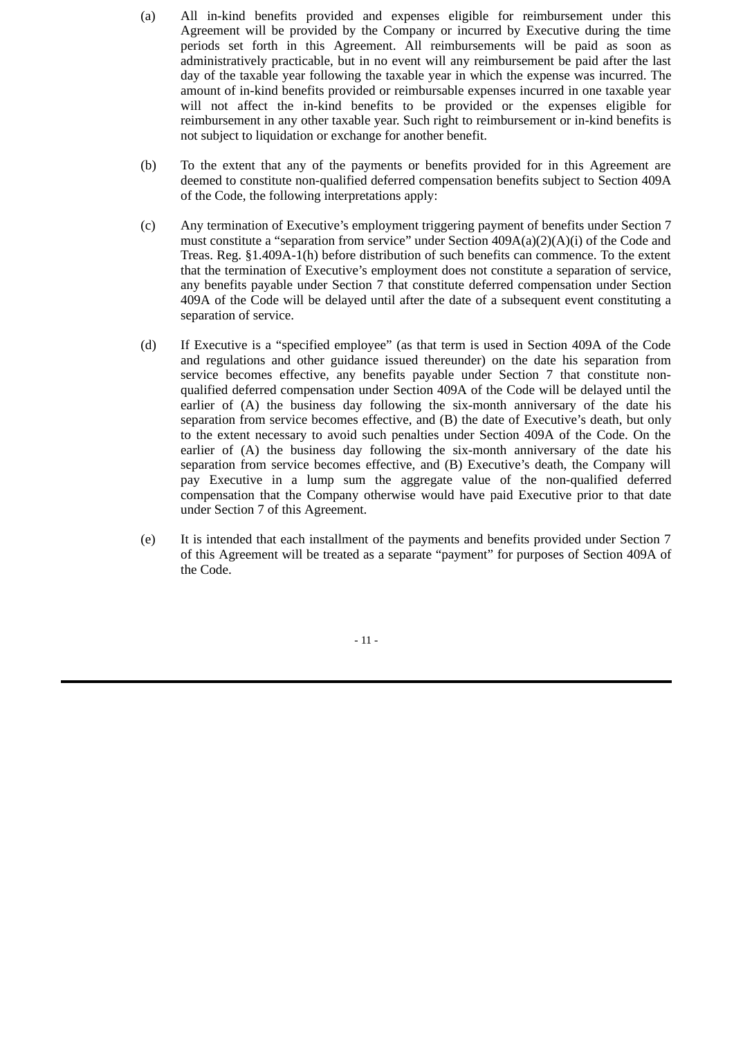- (a) All in-kind benefits provided and expenses eligible for reimbursement under this Agreement will be provided by the Company or incurred by Executive during the time periods set forth in this Agreement. All reimbursements will be paid as soon as administratively practicable, but in no event will any reimbursement be paid after the last day of the taxable year following the taxable year in which the expense was incurred. The amount of in-kind benefits provided or reimbursable expenses incurred in one taxable year will not affect the in-kind benefits to be provided or the expenses eligible for reimbursement in any other taxable year. Such right to reimbursement or in-kind benefits is not subject to liquidation or exchange for another benefit.
- (b) To the extent that any of the payments or benefits provided for in this Agreement are deemed to constitute non-qualified deferred compensation benefits subject to Section 409A of the Code, the following interpretations apply:
- (c) Any termination of Executive's employment triggering payment of benefits under Section 7 must constitute a "separation from service" under Section 409A(a)(2)(A)(i) of the Code and Treas. Reg. §1.409A-1(h) before distribution of such benefits can commence. To the extent that the termination of Executive's employment does not constitute a separation of service, any benefits payable under Section 7 that constitute deferred compensation under Section 409A of the Code will be delayed until after the date of a subsequent event constituting a separation of service.
- (d) If Executive is a "specified employee" (as that term is used in Section 409A of the Code and regulations and other guidance issued thereunder) on the date his separation from service becomes effective, any benefits payable under Section 7 that constitute nonqualified deferred compensation under Section 409A of the Code will be delayed until the earlier of (A) the business day following the six-month anniversary of the date his separation from service becomes effective, and (B) the date of Executive's death, but only to the extent necessary to avoid such penalties under Section 409A of the Code. On the earlier of (A) the business day following the six-month anniversary of the date his separation from service becomes effective, and (B) Executive's death, the Company will pay Executive in a lump sum the aggregate value of the non-qualified deferred compensation that the Company otherwise would have paid Executive prior to that date under Section 7 of this Agreement.
- (e) It is intended that each installment of the payments and benefits provided under Section 7 of this Agreement will be treated as a separate "payment" for purposes of Section 409A of the Code.

- 11 -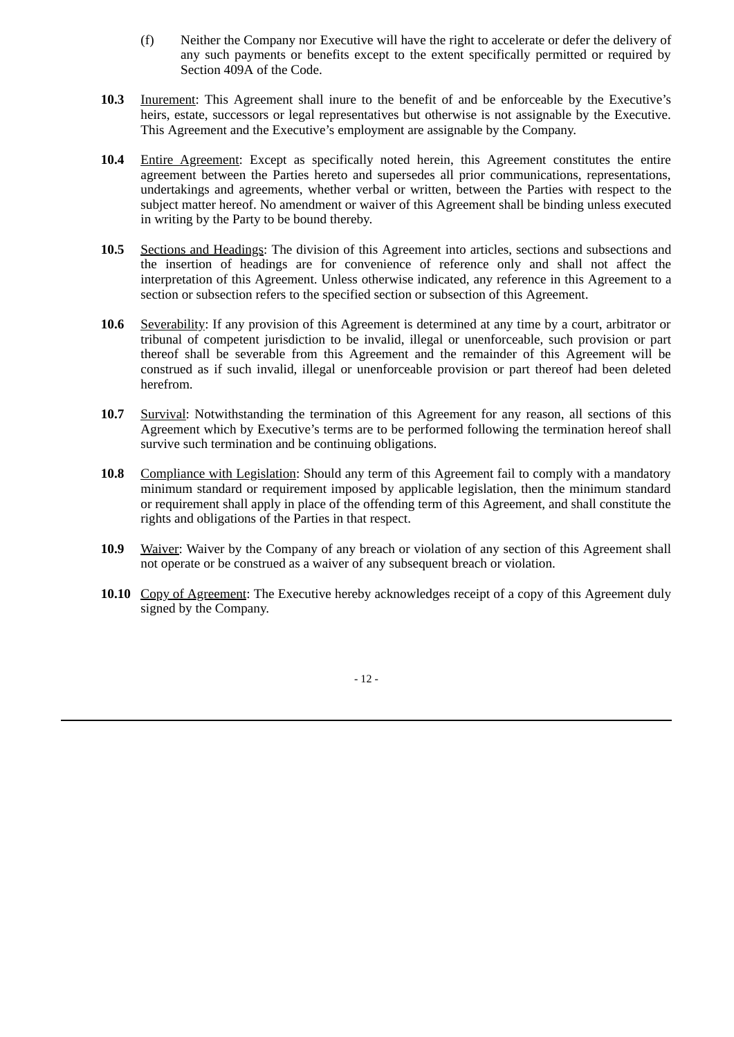- (f) Neither the Company nor Executive will have the right to accelerate or defer the delivery of any such payments or benefits except to the extent specifically permitted or required by Section 409A of the Code.
- **10.3** Inurement: This Agreement shall inure to the benefit of and be enforceable by the Executive's heirs, estate, successors or legal representatives but otherwise is not assignable by the Executive. This Agreement and the Executive's employment are assignable by the Company.
- **10.4** Entire Agreement: Except as specifically noted herein, this Agreement constitutes the entire agreement between the Parties hereto and supersedes all prior communications, representations, undertakings and agreements, whether verbal or written, between the Parties with respect to the subject matter hereof. No amendment or waiver of this Agreement shall be binding unless executed in writing by the Party to be bound thereby.
- **10.5** Sections and Headings: The division of this Agreement into articles, sections and subsections and the insertion of headings are for convenience of reference only and shall not affect the interpretation of this Agreement. Unless otherwise indicated, any reference in this Agreement to a section or subsection refers to the specified section or subsection of this Agreement.
- **10.6** Severability: If any provision of this Agreement is determined at any time by a court, arbitrator or tribunal of competent jurisdiction to be invalid, illegal or unenforceable, such provision or part thereof shall be severable from this Agreement and the remainder of this Agreement will be construed as if such invalid, illegal or unenforceable provision or part thereof had been deleted herefrom.
- **10.7** Survival: Notwithstanding the termination of this Agreement for any reason, all sections of this Agreement which by Executive's terms are to be performed following the termination hereof shall survive such termination and be continuing obligations.
- 10.8 Compliance with Legislation: Should any term of this Agreement fail to comply with a mandatory minimum standard or requirement imposed by applicable legislation, then the minimum standard or requirement shall apply in place of the offending term of this Agreement, and shall constitute the rights and obligations of the Parties in that respect.
- **10.9** Waiver: Waiver by the Company of any breach or violation of any section of this Agreement shall not operate or be construed as a waiver of any subsequent breach or violation.
- **10.10** Copy of Agreement: The Executive hereby acknowledges receipt of a copy of this Agreement duly signed by the Company.

- 12 -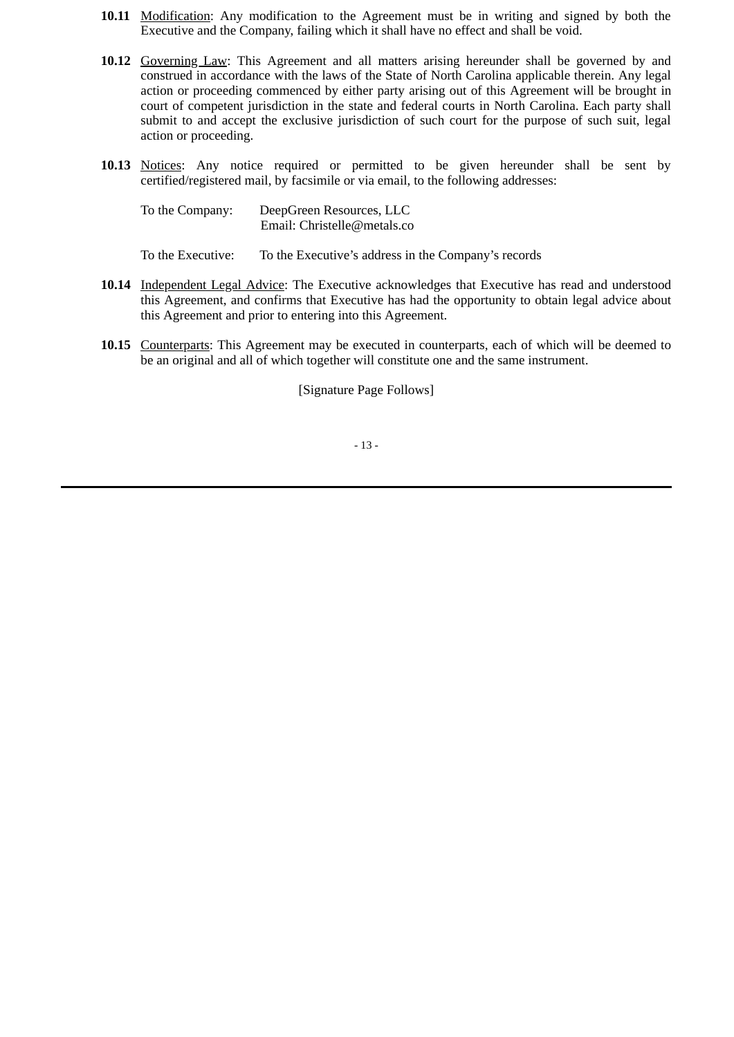- **10.11** Modification: Any modification to the Agreement must be in writing and signed by both the Executive and the Company, failing which it shall have no effect and shall be void.
- **10.12** Governing Law: This Agreement and all matters arising hereunder shall be governed by and construed in accordance with the laws of the State of North Carolina applicable therein. Any legal action or proceeding commenced by either party arising out of this Agreement will be brought in court of competent jurisdiction in the state and federal courts in North Carolina. Each party shall submit to and accept the exclusive jurisdiction of such court for the purpose of such suit, legal action or proceeding.
- **10.13** Notices: Any notice required or permitted to be given hereunder shall be sent by certified/registered mail, by facsimile or via email, to the following addresses:

| To the Company: | DeepGreen Resources, LLC<br>Email: Christelle@metals.co |
|-----------------|---------------------------------------------------------|
|                 |                                                         |

- To the Executive: To the Executive's address in the Company's records
- **10.14** Independent Legal Advice: The Executive acknowledges that Executive has read and understood this Agreement, and confirms that Executive has had the opportunity to obtain legal advice about this Agreement and prior to entering into this Agreement.
- **10.15** Counterparts: This Agreement may be executed in counterparts, each of which will be deemed to be an original and all of which together will constitute one and the same instrument.

[Signature Page Follows]

- 13 -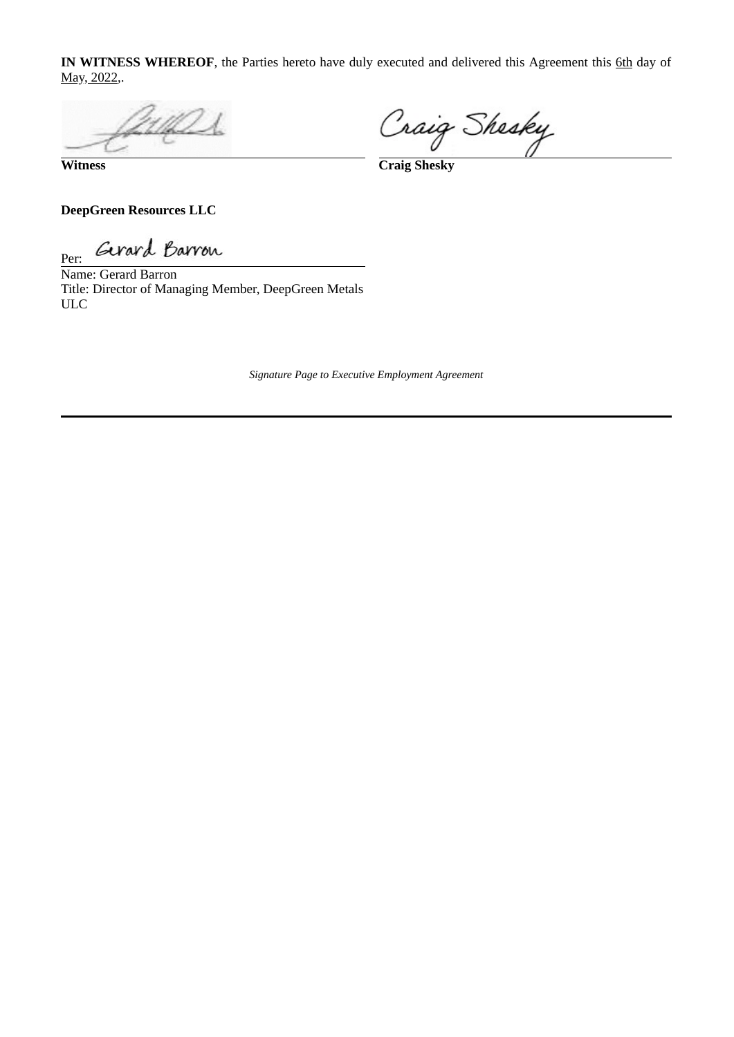**IN WITNESS WHEREOF**, the Parties hereto have duly executed and delivered this Agreement this 6th day of May, 2022,.

11121

Witness Craig Shesky

**DeepGreen Resources LLC**

Gerard Barron Per:

Name: Gerard Barron Title: Director of Managing Member, DeepGreen Metals ULC

*Signature Page to Executive Employment Agreement*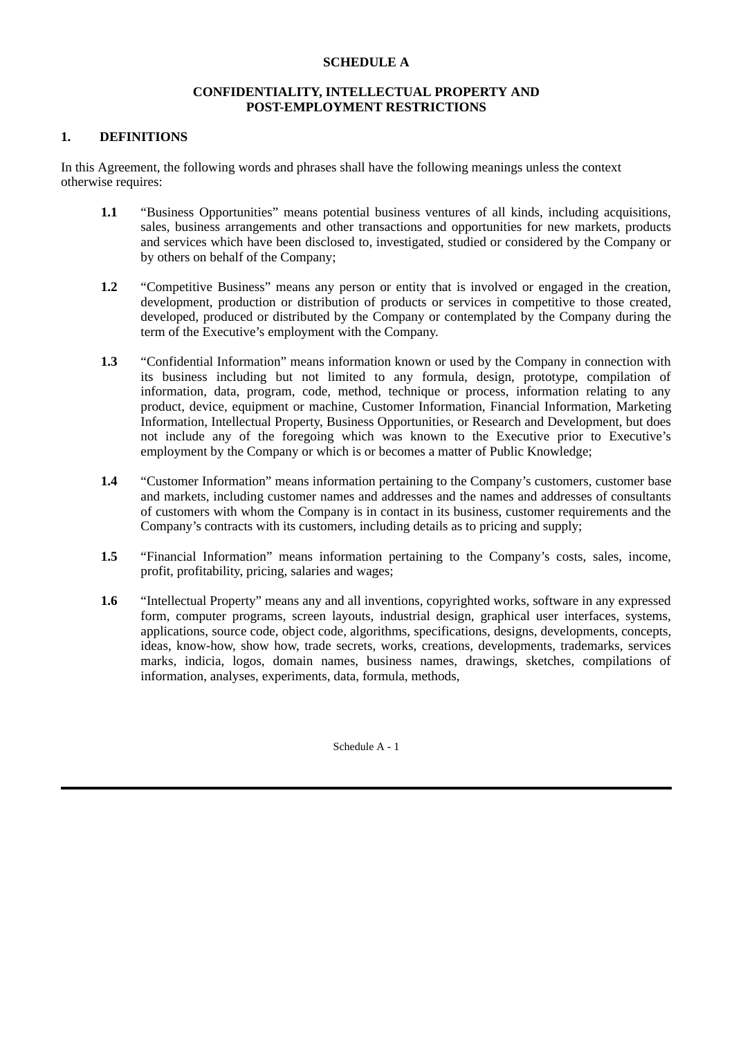#### **SCHEDULE A**

#### **CONFIDENTIALITY, INTELLECTUAL PROPERTY AND POST-EMPLOYMENT RESTRICTIONS**

## **1. DEFINITIONS**

In this Agreement, the following words and phrases shall have the following meanings unless the context otherwise requires:

- **1.1** "Business Opportunities" means potential business ventures of all kinds, including acquisitions, sales, business arrangements and other transactions and opportunities for new markets, products and services which have been disclosed to, investigated, studied or considered by the Company or by others on behalf of the Company;
- **1.2** "Competitive Business" means any person or entity that is involved or engaged in the creation, development, production or distribution of products or services in competitive to those created, developed, produced or distributed by the Company or contemplated by the Company during the term of the Executive's employment with the Company.
- **1.3** "Confidential Information" means information known or used by the Company in connection with its business including but not limited to any formula, design, prototype, compilation of information, data, program, code, method, technique or process, information relating to any product, device, equipment or machine, Customer Information, Financial Information, Marketing Information, Intellectual Property, Business Opportunities, or Research and Development, but does not include any of the foregoing which was known to the Executive prior to Executive's employment by the Company or which is or becomes a matter of Public Knowledge;
- **1.4** "Customer Information" means information pertaining to the Company's customers, customer base and markets, including customer names and addresses and the names and addresses of consultants of customers with whom the Company is in contact in its business, customer requirements and the Company's contracts with its customers, including details as to pricing and supply;
- **1.5** "Financial Information" means information pertaining to the Company's costs, sales, income, profit, profitability, pricing, salaries and wages;
- **1.6** "Intellectual Property" means any and all inventions, copyrighted works, software in any expressed form, computer programs, screen layouts, industrial design, graphical user interfaces, systems, applications, source code, object code, algorithms, specifications, designs, developments, concepts, ideas, know-how, show how, trade secrets, works, creations, developments, trademarks, services marks, indicia, logos, domain names, business names, drawings, sketches, compilations of information, analyses, experiments, data, formula, methods,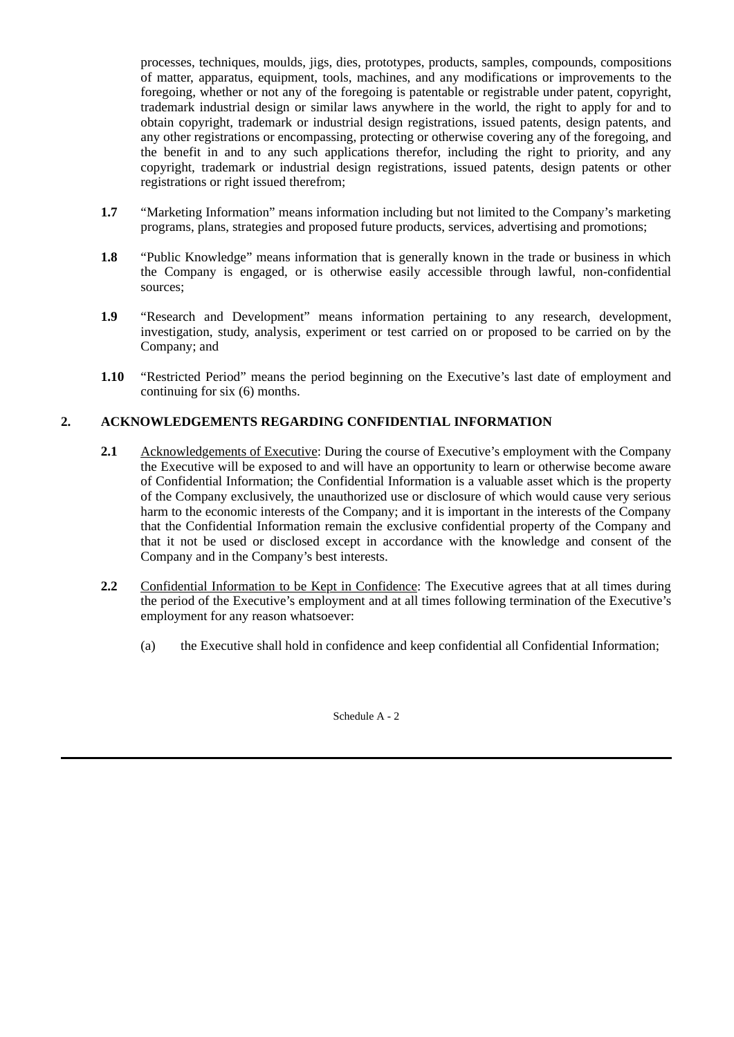processes, techniques, moulds, jigs, dies, prototypes, products, samples, compounds, compositions of matter, apparatus, equipment, tools, machines, and any modifications or improvements to the foregoing, whether or not any of the foregoing is patentable or registrable under patent, copyright, trademark industrial design or similar laws anywhere in the world, the right to apply for and to obtain copyright, trademark or industrial design registrations, issued patents, design patents, and any other registrations or encompassing, protecting or otherwise covering any of the foregoing, and the benefit in and to any such applications therefor, including the right to priority, and any copyright, trademark or industrial design registrations, issued patents, design patents or other registrations or right issued therefrom;

- **1.7** "Marketing Information" means information including but not limited to the Company's marketing programs, plans, strategies and proposed future products, services, advertising and promotions;
- **1.8** "Public Knowledge" means information that is generally known in the trade or business in which the Company is engaged, or is otherwise easily accessible through lawful, non-confidential sources;
- **1.9** "Research and Development" means information pertaining to any research, development, investigation, study, analysis, experiment or test carried on or proposed to be carried on by the Company; and
- **1.10** "Restricted Period" means the period beginning on the Executive's last date of employment and continuing for six (6) months.

# **2. ACKNOWLEDGEMENTS REGARDING CONFIDENTIAL INFORMATION**

- **2.1** Acknowledgements of Executive: During the course of Executive's employment with the Company the Executive will be exposed to and will have an opportunity to learn or otherwise become aware of Confidential Information; the Confidential Information is a valuable asset which is the property of the Company exclusively, the unauthorized use or disclosure of which would cause very serious harm to the economic interests of the Company; and it is important in the interests of the Company that the Confidential Information remain the exclusive confidential property of the Company and that it not be used or disclosed except in accordance with the knowledge and consent of the Company and in the Company's best interests.
- **2.2** Confidential Information to be Kept in Confidence: The Executive agrees that at all times during the period of the Executive's employment and at all times following termination of the Executive's employment for any reason whatsoever:
	- (a) the Executive shall hold in confidence and keep confidential all Confidential Information;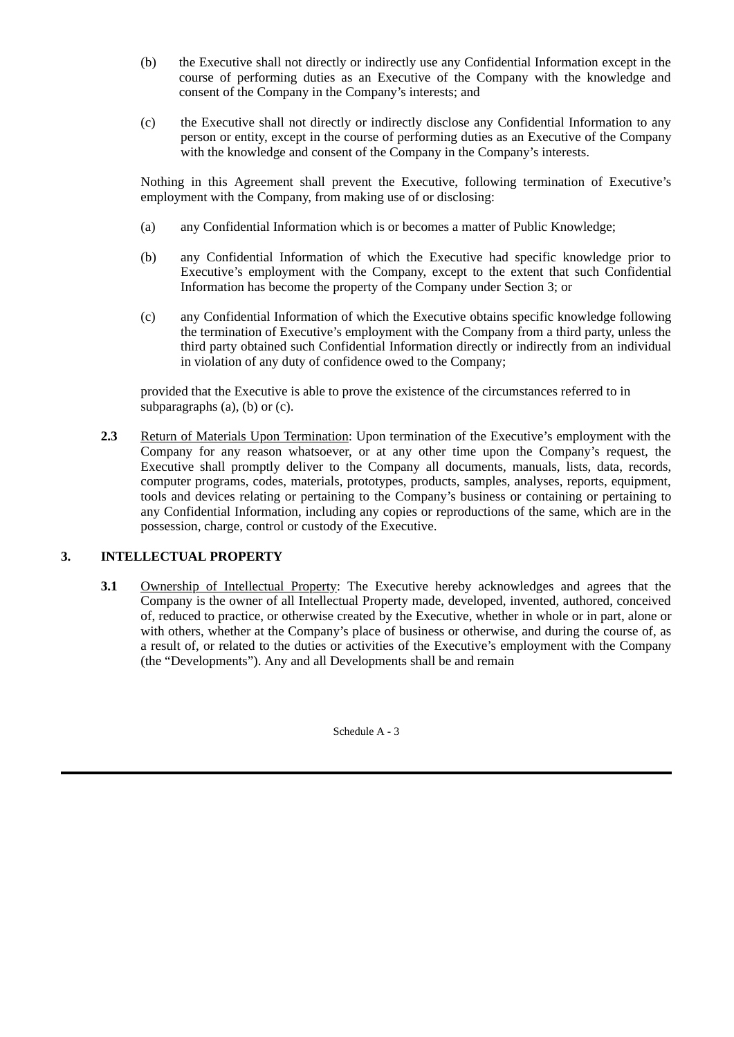- (b) the Executive shall not directly or indirectly use any Confidential Information except in the course of performing duties as an Executive of the Company with the knowledge and consent of the Company in the Company's interests; and
- (c) the Executive shall not directly or indirectly disclose any Confidential Information to any person or entity, except in the course of performing duties as an Executive of the Company with the knowledge and consent of the Company in the Company's interests.

Nothing in this Agreement shall prevent the Executive, following termination of Executive's employment with the Company, from making use of or disclosing:

- (a) any Confidential Information which is or becomes a matter of Public Knowledge;
- (b) any Confidential Information of which the Executive had specific knowledge prior to Executive's employment with the Company, except to the extent that such Confidential Information has become the property of the Company under Section 3; or
- (c) any Confidential Information of which the Executive obtains specific knowledge following the termination of Executive's employment with the Company from a third party, unless the third party obtained such Confidential Information directly or indirectly from an individual in violation of any duty of confidence owed to the Company;

provided that the Executive is able to prove the existence of the circumstances referred to in subparagraphs (a), (b) or (c).

**2.3** Return of Materials Upon Termination: Upon termination of the Executive's employment with the Company for any reason whatsoever, or at any other time upon the Company's request, the Executive shall promptly deliver to the Company all documents, manuals, lists, data, records, computer programs, codes, materials, prototypes, products, samples, analyses, reports, equipment, tools and devices relating or pertaining to the Company's business or containing or pertaining to any Confidential Information, including any copies or reproductions of the same, which are in the possession, charge, control or custody of the Executive.

# **3. INTELLECTUAL PROPERTY**

**3.1** Ownership of Intellectual Property: The Executive hereby acknowledges and agrees that the Company is the owner of all Intellectual Property made, developed, invented, authored, conceived of, reduced to practice, or otherwise created by the Executive, whether in whole or in part, alone or with others, whether at the Company's place of business or otherwise, and during the course of, as a result of, or related to the duties or activities of the Executive's employment with the Company (the "Developments"). Any and all Developments shall be and remain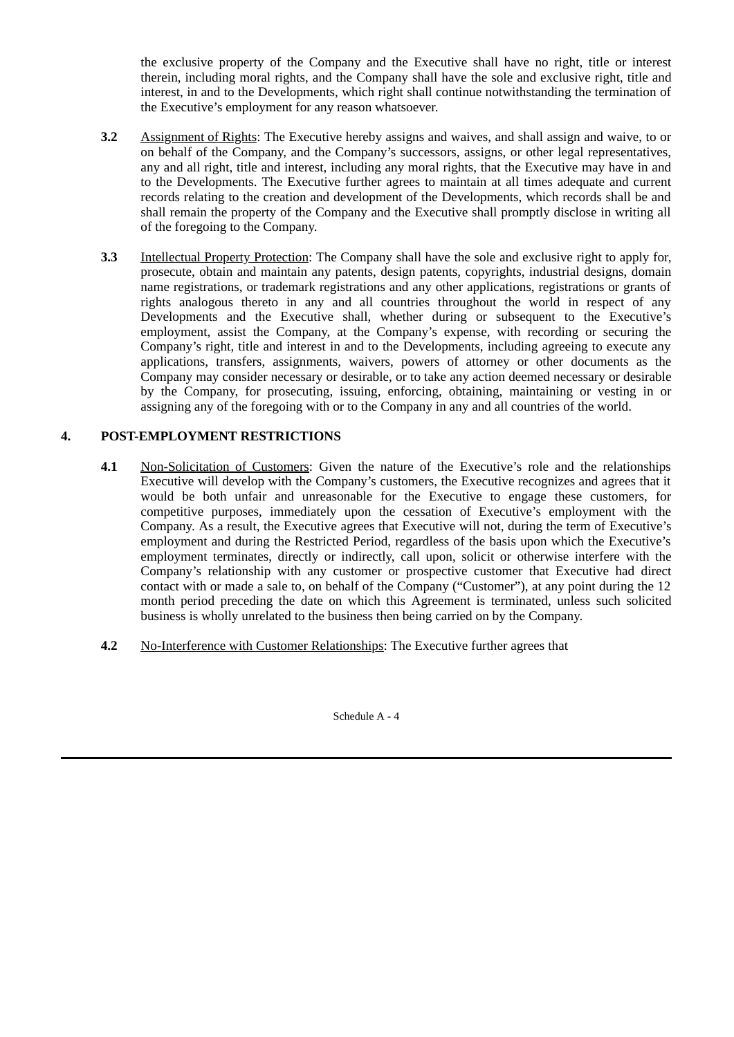the exclusive property of the Company and the Executive shall have no right, title or interest therein, including moral rights, and the Company shall have the sole and exclusive right, title and interest, in and to the Developments, which right shall continue notwithstanding the termination of the Executive's employment for any reason whatsoever.

- **3.2** Assignment of Rights: The Executive hereby assigns and waives, and shall assign and waive, to or on behalf of the Company, and the Company's successors, assigns, or other legal representatives, any and all right, title and interest, including any moral rights, that the Executive may have in and to the Developments. The Executive further agrees to maintain at all times adequate and current records relating to the creation and development of the Developments, which records shall be and shall remain the property of the Company and the Executive shall promptly disclose in writing all of the foregoing to the Company.
- **3.3** Intellectual Property Protection: The Company shall have the sole and exclusive right to apply for, prosecute, obtain and maintain any patents, design patents, copyrights, industrial designs, domain name registrations, or trademark registrations and any other applications, registrations or grants of rights analogous thereto in any and all countries throughout the world in respect of any Developments and the Executive shall, whether during or subsequent to the Executive's employment, assist the Company, at the Company's expense, with recording or securing the Company's right, title and interest in and to the Developments, including agreeing to execute any applications, transfers, assignments, waivers, powers of attorney or other documents as the Company may consider necessary or desirable, or to take any action deemed necessary or desirable by the Company, for prosecuting, issuing, enforcing, obtaining, maintaining or vesting in or assigning any of the foregoing with or to the Company in any and all countries of the world.

# **4. POST-EMPLOYMENT RESTRICTIONS**

- **4.1** Non-Solicitation of Customers: Given the nature of the Executive's role and the relationships Executive will develop with the Company's customers, the Executive recognizes and agrees that it would be both unfair and unreasonable for the Executive to engage these customers, for competitive purposes, immediately upon the cessation of Executive's employment with the Company. As a result, the Executive agrees that Executive will not, during the term of Executive's employment and during the Restricted Period, regardless of the basis upon which the Executive's employment terminates, directly or indirectly, call upon, solicit or otherwise interfere with the Company's relationship with any customer or prospective customer that Executive had direct contact with or made a sale to, on behalf of the Company ("Customer"), at any point during the 12 month period preceding the date on which this Agreement is terminated, unless such solicited business is wholly unrelated to the business then being carried on by the Company.
- **4.2** No-Interference with Customer Relationships: The Executive further agrees that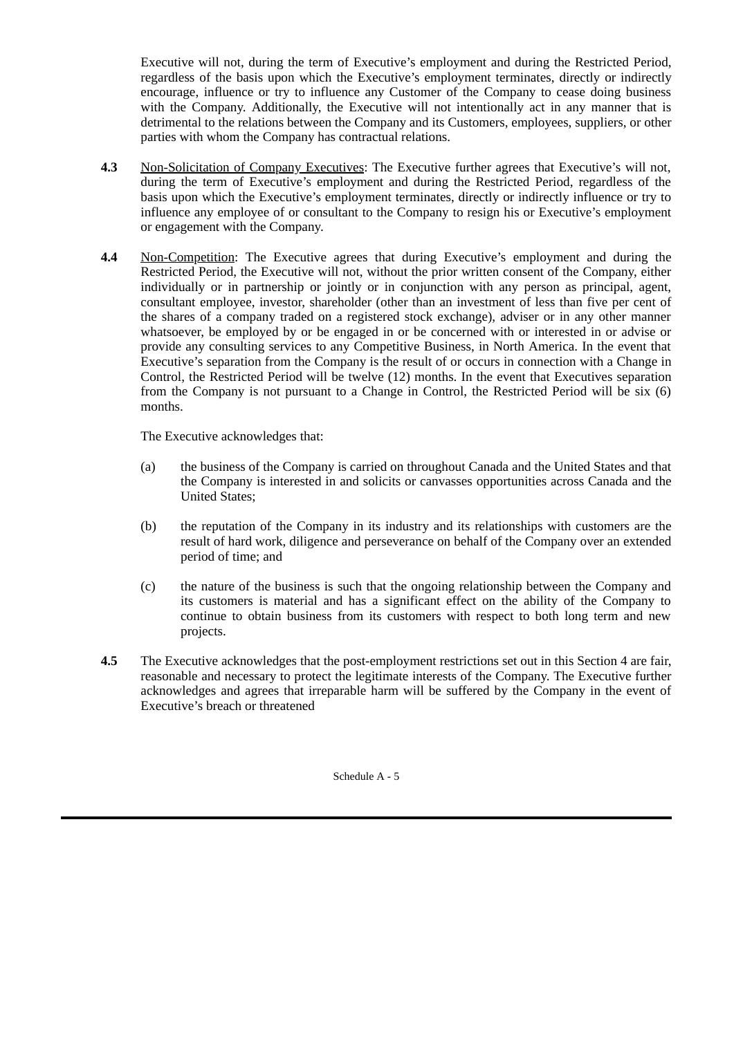Executive will not, during the term of Executive's employment and during the Restricted Period, regardless of the basis upon which the Executive's employment terminates, directly or indirectly encourage, influence or try to influence any Customer of the Company to cease doing business with the Company. Additionally, the Executive will not intentionally act in any manner that is detrimental to the relations between the Company and its Customers, employees, suppliers, or other parties with whom the Company has contractual relations.

- **4.3** Non-Solicitation of Company Executives: The Executive further agrees that Executive's will not, during the term of Executive's employment and during the Restricted Period, regardless of the basis upon which the Executive's employment terminates, directly or indirectly influence or try to influence any employee of or consultant to the Company to resign his or Executive's employment or engagement with the Company.
- **4.4** Non-Competition: The Executive agrees that during Executive's employment and during the Restricted Period, the Executive will not, without the prior written consent of the Company, either individually or in partnership or jointly or in conjunction with any person as principal, agent, consultant employee, investor, shareholder (other than an investment of less than five per cent of the shares of a company traded on a registered stock exchange), adviser or in any other manner whatsoever, be employed by or be engaged in or be concerned with or interested in or advise or provide any consulting services to any Competitive Business, in North America. In the event that Executive's separation from the Company is the result of or occurs in connection with a Change in Control, the Restricted Period will be twelve (12) months. In the event that Executives separation from the Company is not pursuant to a Change in Control, the Restricted Period will be six (6) months.

The Executive acknowledges that:

- (a) the business of the Company is carried on throughout Canada and the United States and that the Company is interested in and solicits or canvasses opportunities across Canada and the United States;
- (b) the reputation of the Company in its industry and its relationships with customers are the result of hard work, diligence and perseverance on behalf of the Company over an extended period of time; and
- (c) the nature of the business is such that the ongoing relationship between the Company and its customers is material and has a significant effect on the ability of the Company to continue to obtain business from its customers with respect to both long term and new projects.
- **4.5** The Executive acknowledges that the post-employment restrictions set out in this Section 4 are fair, reasonable and necessary to protect the legitimate interests of the Company. The Executive further acknowledges and agrees that irreparable harm will be suffered by the Company in the event of Executive's breach or threatened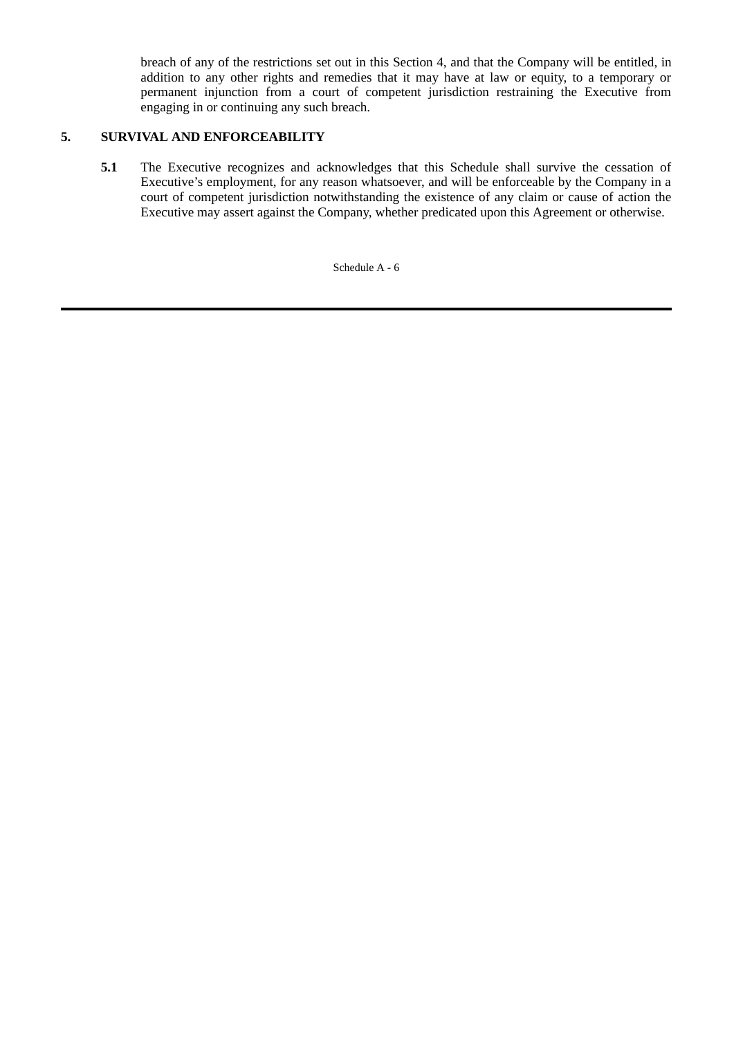breach of any of the restrictions set out in this Section 4, and that the Company will be entitled, in addition to any other rights and remedies that it may have at law or equity, to a temporary or permanent injunction from a court of competent jurisdiction restraining the Executive from engaging in or continuing any such breach.

# **5. SURVIVAL AND ENFORCEABILITY**

**5.1** The Executive recognizes and acknowledges that this Schedule shall survive the cessation of Executive's employment, for any reason whatsoever, and will be enforceable by the Company in a court of competent jurisdiction notwithstanding the existence of any claim or cause of action the Executive may assert against the Company, whether predicated upon this Agreement or otherwise.

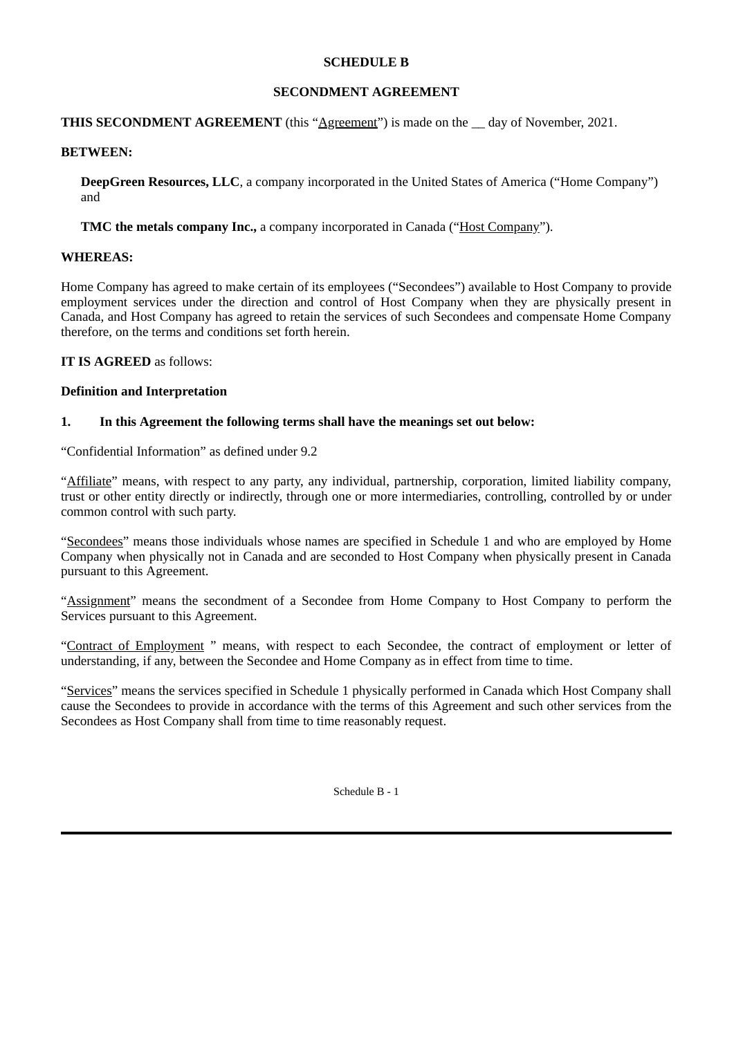#### **SCHEDULE B**

#### **SECONDMENT AGREEMENT**

## **THIS SECONDMENT AGREEMENT** (this "Agreement") is made on the \_\_ day of November, 2021.

#### **BETWEEN:**

**DeepGreen Resources, LLC**, a company incorporated in the United States of America ("Home Company") and

**TMC the metals company Inc.,** a company incorporated in Canada ("Host Company").

#### **WHEREAS:**

Home Company has agreed to make certain of its employees ("Secondees") available to Host Company to provide employment services under the direction and control of Host Company when they are physically present in Canada, and Host Company has agreed to retain the services of such Secondees and compensate Home Company therefore, on the terms and conditions set forth herein.

#### **IT IS AGREED** as follows:

#### **Definition and Interpretation**

#### **1. In this Agreement the following terms shall have the meanings set out below:**

"Confidential Information" as defined under 9.2

"Affiliate" means, with respect to any party, any individual, partnership, corporation, limited liability company, trust or other entity directly or indirectly, through one or more intermediaries, controlling, controlled by or under common control with such party.

"Secondees" means those individuals whose names are specified in Schedule 1 and who are employed by Home Company when physically not in Canada and are seconded to Host Company when physically present in Canada pursuant to this Agreement.

"Assignment" means the secondment of a Secondee from Home Company to Host Company to perform the Services pursuant to this Agreement.

"Contract of Employment " means, with respect to each Secondee, the contract of employment or letter of understanding, if any, between the Secondee and Home Company as in effect from time to time.

"Services" means the services specified in Schedule 1 physically performed in Canada which Host Company shall cause the Secondees to provide in accordance with the terms of this Agreement and such other services from the Secondees as Host Company shall from time to time reasonably request.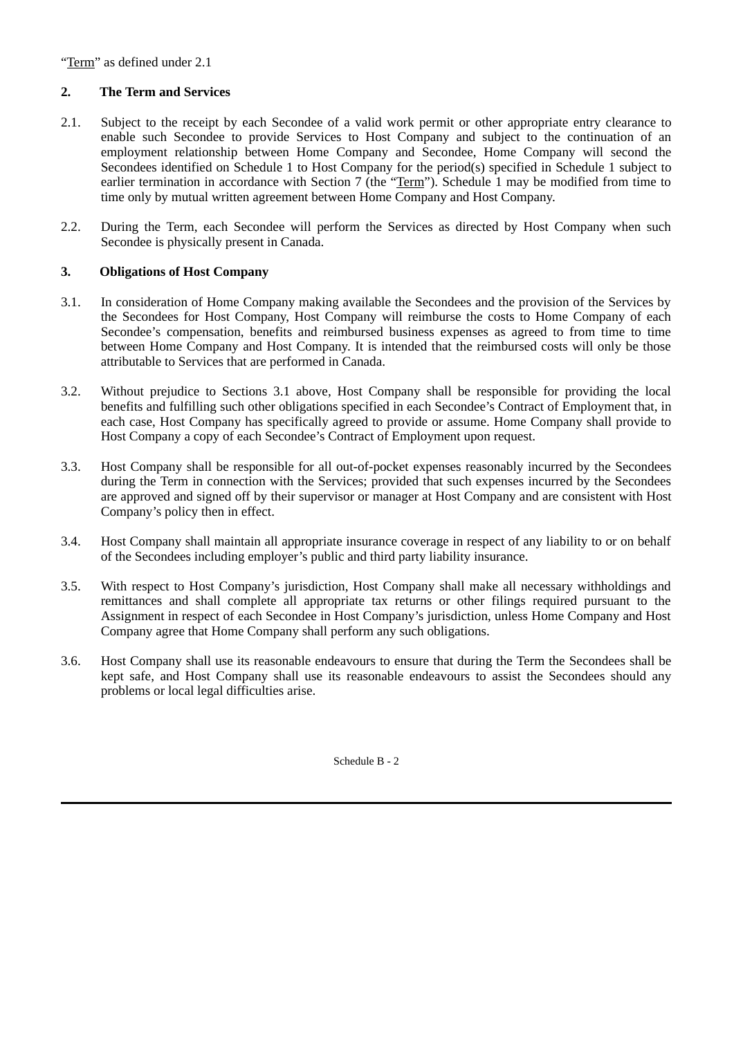"Term" as defined under 2.1

# **2. The Term and Services**

- 2.1. Subject to the receipt by each Secondee of a valid work permit or other appropriate entry clearance to enable such Secondee to provide Services to Host Company and subject to the continuation of an employment relationship between Home Company and Secondee, Home Company will second the Secondees identified on Schedule 1 to Host Company for the period(s) specified in Schedule 1 subject to earlier termination in accordance with Section 7 (the "Term"). Schedule 1 may be modified from time to time only by mutual written agreement between Home Company and Host Company.
- 2.2. During the Term, each Secondee will perform the Services as directed by Host Company when such Secondee is physically present in Canada.

## **3. Obligations of Host Company**

- 3.1. In consideration of Home Company making available the Secondees and the provision of the Services by the Secondees for Host Company, Host Company will reimburse the costs to Home Company of each Secondee's compensation, benefits and reimbursed business expenses as agreed to from time to time between Home Company and Host Company. It is intended that the reimbursed costs will only be those attributable to Services that are performed in Canada.
- 3.2. Without prejudice to Sections 3.1 above, Host Company shall be responsible for providing the local benefits and fulfilling such other obligations specified in each Secondee's Contract of Employment that, in each case, Host Company has specifically agreed to provide or assume. Home Company shall provide to Host Company a copy of each Secondee's Contract of Employment upon request.
- 3.3. Host Company shall be responsible for all out-of-pocket expenses reasonably incurred by the Secondees during the Term in connection with the Services; provided that such expenses incurred by the Secondees are approved and signed off by their supervisor or manager at Host Company and are consistent with Host Company's policy then in effect.
- 3.4. Host Company shall maintain all appropriate insurance coverage in respect of any liability to or on behalf of the Secondees including employer's public and third party liability insurance.
- 3.5. With respect to Host Company's jurisdiction, Host Company shall make all necessary withholdings and remittances and shall complete all appropriate tax returns or other filings required pursuant to the Assignment in respect of each Secondee in Host Company's jurisdiction, unless Home Company and Host Company agree that Home Company shall perform any such obligations.
- 3.6. Host Company shall use its reasonable endeavours to ensure that during the Term the Secondees shall be kept safe, and Host Company shall use its reasonable endeavours to assist the Secondees should any problems or local legal difficulties arise.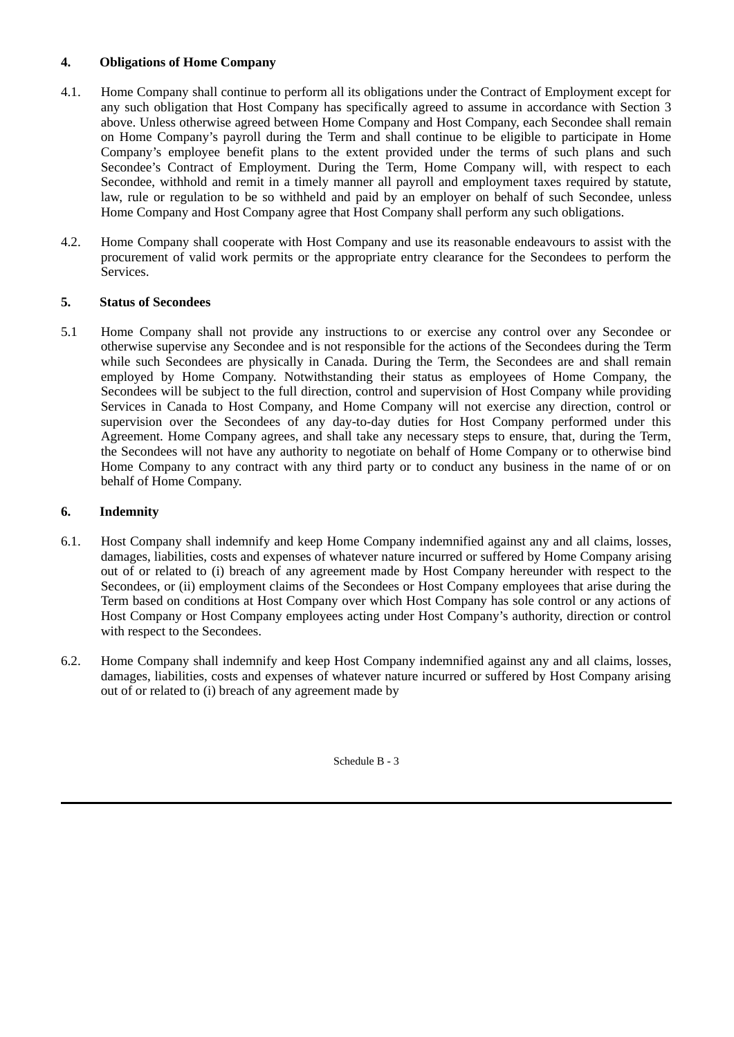## **4. Obligations of Home Company**

- 4.1. Home Company shall continue to perform all its obligations under the Contract of Employment except for any such obligation that Host Company has specifically agreed to assume in accordance with Section 3 above. Unless otherwise agreed between Home Company and Host Company, each Secondee shall remain on Home Company's payroll during the Term and shall continue to be eligible to participate in Home Company's employee benefit plans to the extent provided under the terms of such plans and such Secondee's Contract of Employment. During the Term, Home Company will, with respect to each Secondee, withhold and remit in a timely manner all payroll and employment taxes required by statute, law, rule or regulation to be so withheld and paid by an employer on behalf of such Secondee, unless Home Company and Host Company agree that Host Company shall perform any such obligations.
- 4.2. Home Company shall cooperate with Host Company and use its reasonable endeavours to assist with the procurement of valid work permits or the appropriate entry clearance for the Secondees to perform the Services.

# **5. Status of Secondees**

5.1 Home Company shall not provide any instructions to or exercise any control over any Secondee or otherwise supervise any Secondee and is not responsible for the actions of the Secondees during the Term while such Secondees are physically in Canada. During the Term, the Secondees are and shall remain employed by Home Company. Notwithstanding their status as employees of Home Company, the Secondees will be subject to the full direction, control and supervision of Host Company while providing Services in Canada to Host Company, and Home Company will not exercise any direction, control or supervision over the Secondees of any day-to-day duties for Host Company performed under this Agreement. Home Company agrees, and shall take any necessary steps to ensure, that, during the Term, the Secondees will not have any authority to negotiate on behalf of Home Company or to otherwise bind Home Company to any contract with any third party or to conduct any business in the name of or on behalf of Home Company.

## **6. Indemnity**

- 6.1. Host Company shall indemnify and keep Home Company indemnified against any and all claims, losses, damages, liabilities, costs and expenses of whatever nature incurred or suffered by Home Company arising out of or related to (i) breach of any agreement made by Host Company hereunder with respect to the Secondees, or (ii) employment claims of the Secondees or Host Company employees that arise during the Term based on conditions at Host Company over which Host Company has sole control or any actions of Host Company or Host Company employees acting under Host Company's authority, direction or control with respect to the Secondees.
- 6.2. Home Company shall indemnify and keep Host Company indemnified against any and all claims, losses, damages, liabilities, costs and expenses of whatever nature incurred or suffered by Host Company arising out of or related to (i) breach of any agreement made by

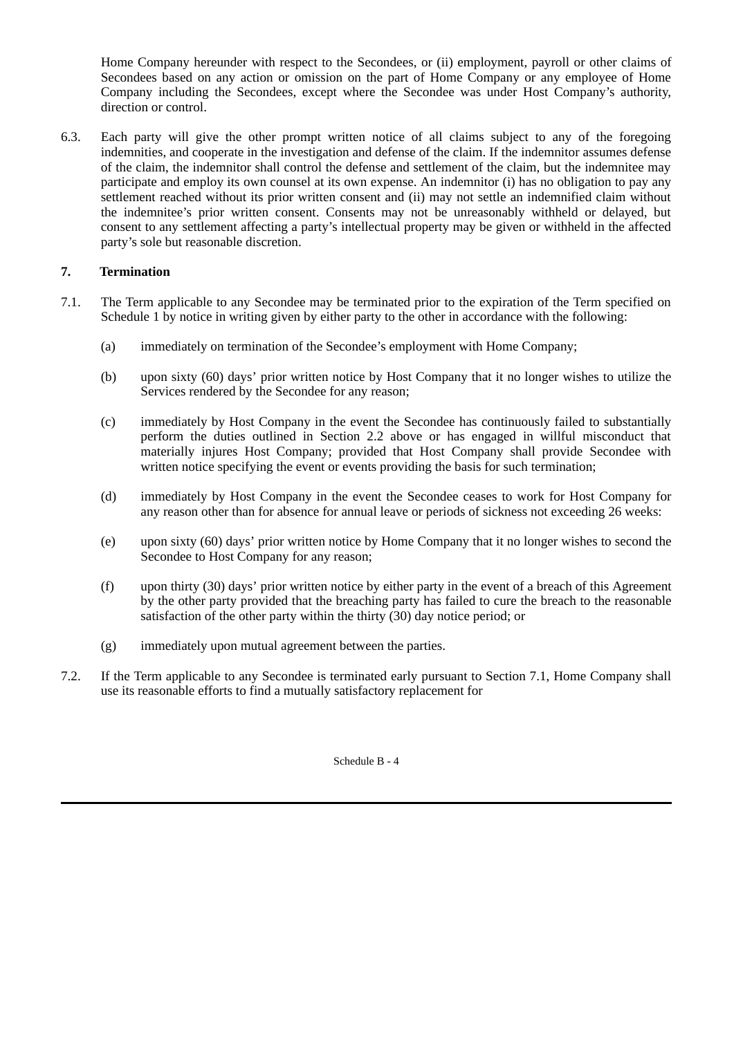Home Company hereunder with respect to the Secondees, or (ii) employment, payroll or other claims of Secondees based on any action or omission on the part of Home Company or any employee of Home Company including the Secondees, except where the Secondee was under Host Company's authority, direction or control.

6.3. Each party will give the other prompt written notice of all claims subject to any of the foregoing indemnities, and cooperate in the investigation and defense of the claim. If the indemnitor assumes defense of the claim, the indemnitor shall control the defense and settlement of the claim, but the indemnitee may participate and employ its own counsel at its own expense. An indemnitor (i) has no obligation to pay any settlement reached without its prior written consent and (ii) may not settle an indemnified claim without the indemnitee's prior written consent. Consents may not be unreasonably withheld or delayed, but consent to any settlement affecting a party's intellectual property may be given or withheld in the affected party's sole but reasonable discretion.

# **7. Termination**

- 7.1. The Term applicable to any Secondee may be terminated prior to the expiration of the Term specified on Schedule 1 by notice in writing given by either party to the other in accordance with the following:
	- (a) immediately on termination of the Secondee's employment with Home Company;
	- (b) upon sixty (60) days' prior written notice by Host Company that it no longer wishes to utilize the Services rendered by the Secondee for any reason;
	- (c) immediately by Host Company in the event the Secondee has continuously failed to substantially perform the duties outlined in Section 2.2 above or has engaged in willful misconduct that materially injures Host Company; provided that Host Company shall provide Secondee with written notice specifying the event or events providing the basis for such termination;
	- (d) immediately by Host Company in the event the Secondee ceases to work for Host Company for any reason other than for absence for annual leave or periods of sickness not exceeding 26 weeks:
	- (e) upon sixty (60) days' prior written notice by Home Company that it no longer wishes to second the Secondee to Host Company for any reason;
	- (f) upon thirty (30) days' prior written notice by either party in the event of a breach of this Agreement by the other party provided that the breaching party has failed to cure the breach to the reasonable satisfaction of the other party within the thirty (30) day notice period; or
	- (g) immediately upon mutual agreement between the parties.
- 7.2. If the Term applicable to any Secondee is terminated early pursuant to Section 7.1, Home Company shall use its reasonable efforts to find a mutually satisfactory replacement for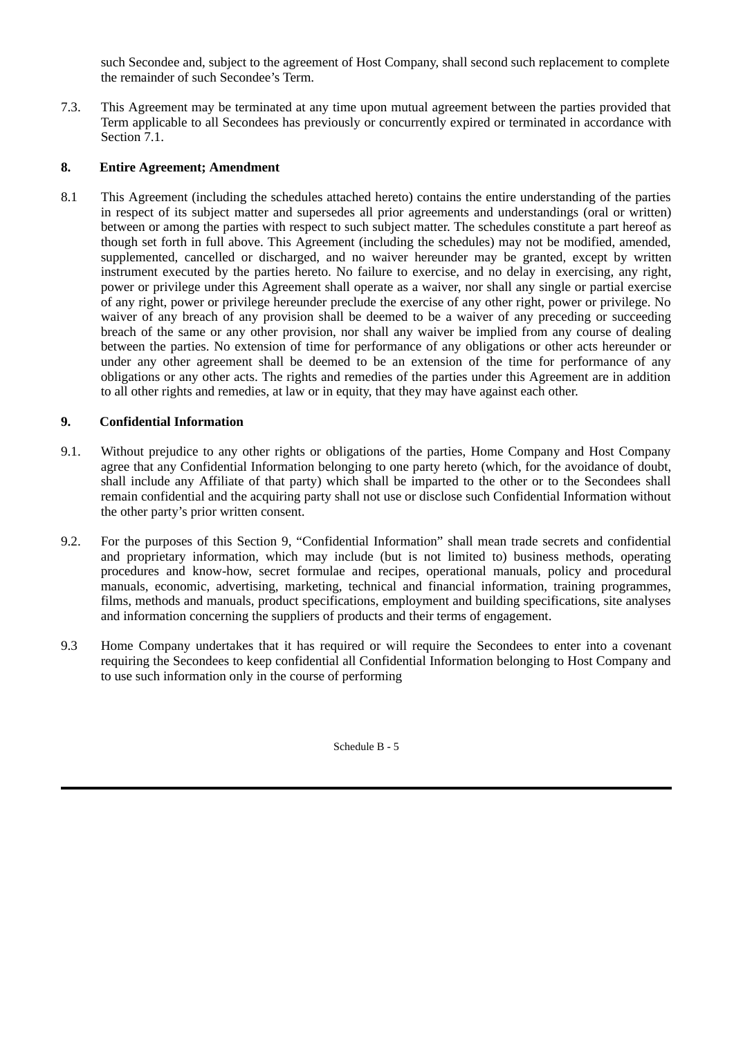such Secondee and, subject to the agreement of Host Company, shall second such replacement to complete the remainder of such Secondee's Term.

7.3. This Agreement may be terminated at any time upon mutual agreement between the parties provided that Term applicable to all Secondees has previously or concurrently expired or terminated in accordance with Section 7.1.

# **8. Entire Agreement; Amendment**

8.1 This Agreement (including the schedules attached hereto) contains the entire understanding of the parties in respect of its subject matter and supersedes all prior agreements and understandings (oral or written) between or among the parties with respect to such subject matter. The schedules constitute a part hereof as though set forth in full above. This Agreement (including the schedules) may not be modified, amended, supplemented, cancelled or discharged, and no waiver hereunder may be granted, except by written instrument executed by the parties hereto. No failure to exercise, and no delay in exercising, any right, power or privilege under this Agreement shall operate as a waiver, nor shall any single or partial exercise of any right, power or privilege hereunder preclude the exercise of any other right, power or privilege. No waiver of any breach of any provision shall be deemed to be a waiver of any preceding or succeeding breach of the same or any other provision, nor shall any waiver be implied from any course of dealing between the parties. No extension of time for performance of any obligations or other acts hereunder or under any other agreement shall be deemed to be an extension of the time for performance of any obligations or any other acts. The rights and remedies of the parties under this Agreement are in addition to all other rights and remedies, at law or in equity, that they may have against each other.

# **9. Confidential Information**

- 9.1. Without prejudice to any other rights or obligations of the parties, Home Company and Host Company agree that any Confidential Information belonging to one party hereto (which, for the avoidance of doubt, shall include any Affiliate of that party) which shall be imparted to the other or to the Secondees shall remain confidential and the acquiring party shall not use or disclose such Confidential Information without the other party's prior written consent.
- 9.2. For the purposes of this Section 9, "Confidential Information" shall mean trade secrets and confidential and proprietary information, which may include (but is not limited to) business methods, operating procedures and know-how, secret formulae and recipes, operational manuals, policy and procedural manuals, economic, advertising, marketing, technical and financial information, training programmes, films, methods and manuals, product specifications, employment and building specifications, site analyses and information concerning the suppliers of products and their terms of engagement.
- 9.3 Home Company undertakes that it has required or will require the Secondees to enter into a covenant requiring the Secondees to keep confidential all Confidential Information belonging to Host Company and to use such information only in the course of performing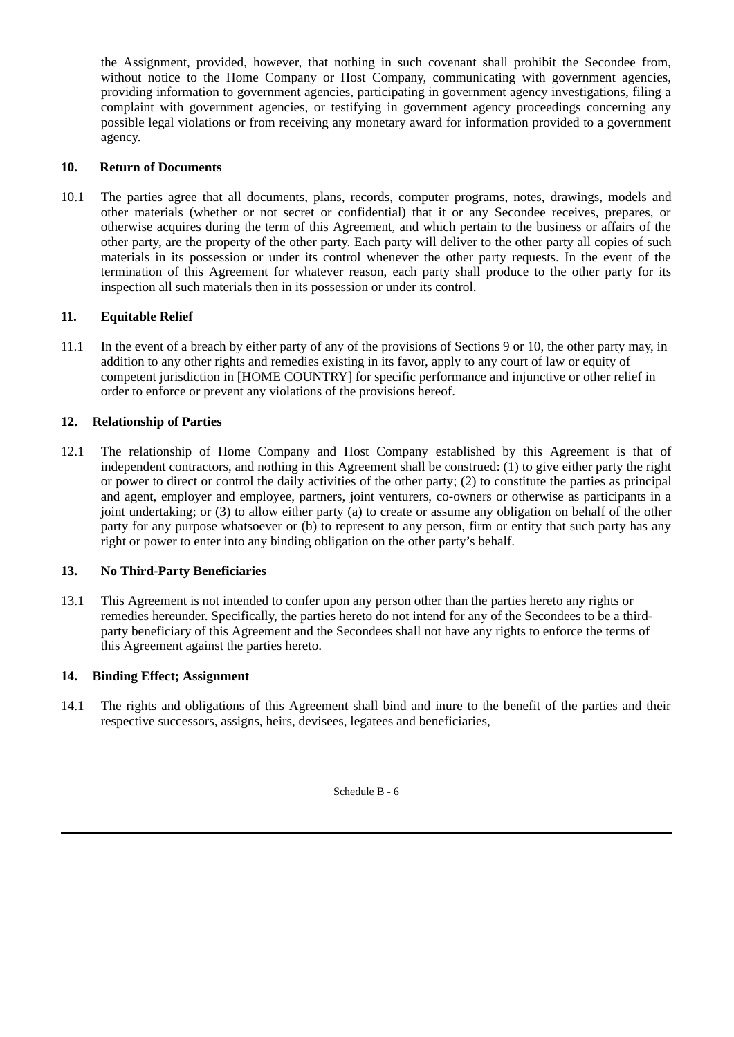the Assignment, provided, however, that nothing in such covenant shall prohibit the Secondee from, without notice to the Home Company or Host Company, communicating with government agencies, providing information to government agencies, participating in government agency investigations, filing a complaint with government agencies, or testifying in government agency proceedings concerning any possible legal violations or from receiving any monetary award for information provided to a government agency.

## **10. Return of Documents**

10.1 The parties agree that all documents, plans, records, computer programs, notes, drawings, models and other materials (whether or not secret or confidential) that it or any Secondee receives, prepares, or otherwise acquires during the term of this Agreement, and which pertain to the business or affairs of the other party, are the property of the other party. Each party will deliver to the other party all copies of such materials in its possession or under its control whenever the other party requests. In the event of the termination of this Agreement for whatever reason, each party shall produce to the other party for its inspection all such materials then in its possession or under its control.

# **11. Equitable Relief**

11.1 In the event of a breach by either party of any of the provisions of Sections 9 or 10, the other party may, in addition to any other rights and remedies existing in its favor, apply to any court of law or equity of competent jurisdiction in [HOME COUNTRY] for specific performance and injunctive or other relief in order to enforce or prevent any violations of the provisions hereof.

# **12. Relationship of Parties**

12.1 The relationship of Home Company and Host Company established by this Agreement is that of independent contractors, and nothing in this Agreement shall be construed: (1) to give either party the right or power to direct or control the daily activities of the other party; (2) to constitute the parties as principal and agent, employer and employee, partners, joint venturers, co-owners or otherwise as participants in a joint undertaking; or (3) to allow either party (a) to create or assume any obligation on behalf of the other party for any purpose whatsoever or (b) to represent to any person, firm or entity that such party has any right or power to enter into any binding obligation on the other party's behalf.

## **13. No Third-Party Beneficiaries**

13.1 This Agreement is not intended to confer upon any person other than the parties hereto any rights or remedies hereunder. Specifically, the parties hereto do not intend for any of the Secondees to be a thirdparty beneficiary of this Agreement and the Secondees shall not have any rights to enforce the terms of this Agreement against the parties hereto.

## **14. Binding Effect; Assignment**

14.1 The rights and obligations of this Agreement shall bind and inure to the benefit of the parties and their respective successors, assigns, heirs, devisees, legatees and beneficiaries,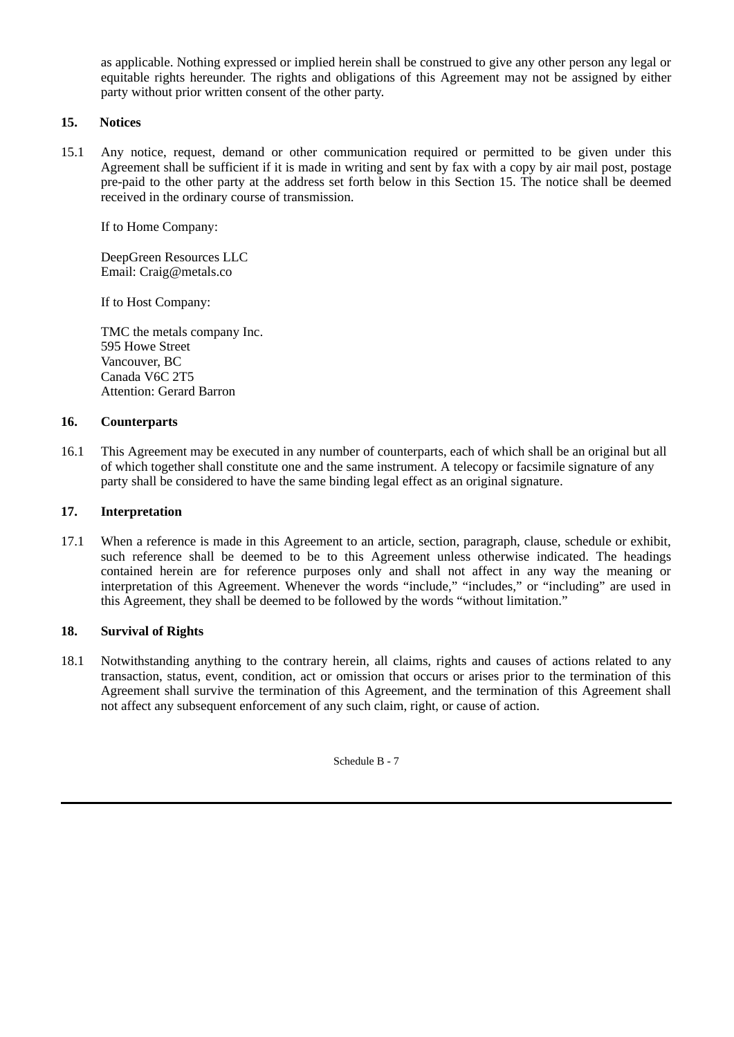as applicable. Nothing expressed or implied herein shall be construed to give any other person any legal or equitable rights hereunder. The rights and obligations of this Agreement may not be assigned by either party without prior written consent of the other party.

## **15. Notices**

15.1 Any notice, request, demand or other communication required or permitted to be given under this Agreement shall be sufficient if it is made in writing and sent by fax with a copy by air mail post, postage pre-paid to the other party at the address set forth below in this Section 15. The notice shall be deemed received in the ordinary course of transmission.

If to Home Company:

DeepGreen Resources LLC Email: Craig@metals.co

If to Host Company:

TMC the metals company Inc. 595 Howe Street Vancouver, BC Canada V6C 2T5 Attention: Gerard Barron

## **16. Counterparts**

16.1 This Agreement may be executed in any number of counterparts, each of which shall be an original but all of which together shall constitute one and the same instrument. A telecopy or facsimile signature of any party shall be considered to have the same binding legal effect as an original signature.

## **17. Interpretation**

17.1 When a reference is made in this Agreement to an article, section, paragraph, clause, schedule or exhibit, such reference shall be deemed to be to this Agreement unless otherwise indicated. The headings contained herein are for reference purposes only and shall not affect in any way the meaning or interpretation of this Agreement. Whenever the words "include," "includes," or "including" are used in this Agreement, they shall be deemed to be followed by the words "without limitation."

# **18. Survival of Rights**

18.1 Notwithstanding anything to the contrary herein, all claims, rights and causes of actions related to any transaction, status, event, condition, act or omission that occurs or arises prior to the termination of this Agreement shall survive the termination of this Agreement, and the termination of this Agreement shall not affect any subsequent enforcement of any such claim, right, or cause of action.

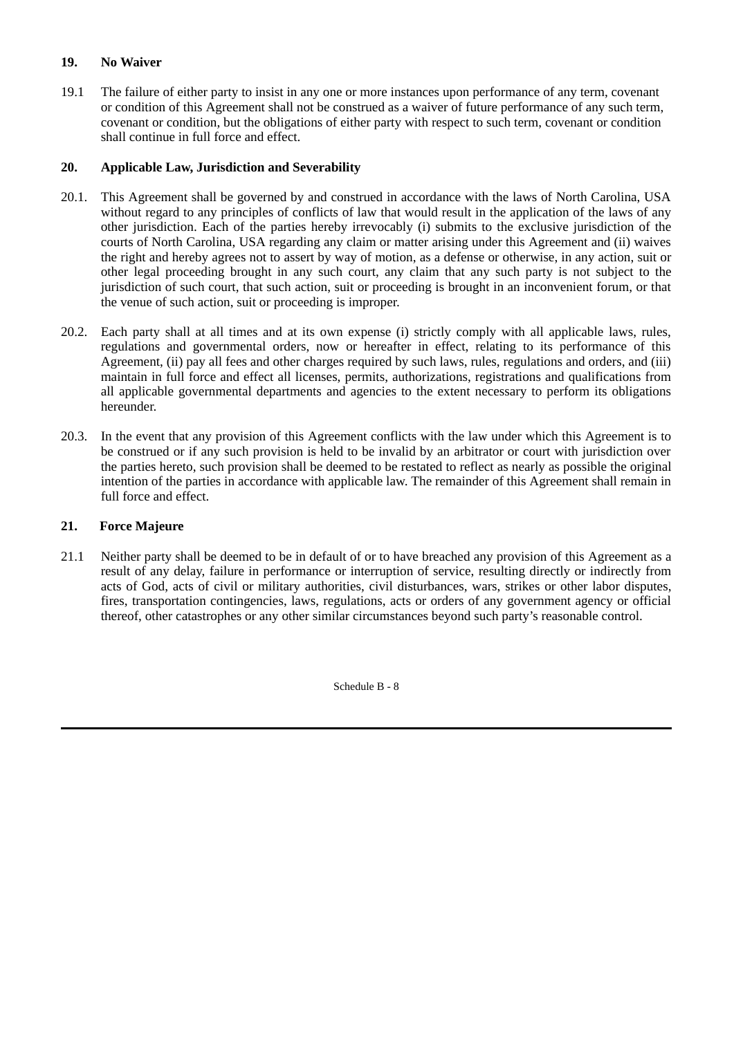## **19. No Waiver**

19.1 The failure of either party to insist in any one or more instances upon performance of any term, covenant or condition of this Agreement shall not be construed as a waiver of future performance of any such term, covenant or condition, but the obligations of either party with respect to such term, covenant or condition shall continue in full force and effect.

# **20. Applicable Law, Jurisdiction and Severability**

- 20.1. This Agreement shall be governed by and construed in accordance with the laws of North Carolina, USA without regard to any principles of conflicts of law that would result in the application of the laws of any other jurisdiction. Each of the parties hereby irrevocably (i) submits to the exclusive jurisdiction of the courts of North Carolina, USA regarding any claim or matter arising under this Agreement and (ii) waives the right and hereby agrees not to assert by way of motion, as a defense or otherwise, in any action, suit or other legal proceeding brought in any such court, any claim that any such party is not subject to the jurisdiction of such court, that such action, suit or proceeding is brought in an inconvenient forum, or that the venue of such action, suit or proceeding is improper.
- 20.2. Each party shall at all times and at its own expense (i) strictly comply with all applicable laws, rules, regulations and governmental orders, now or hereafter in effect, relating to its performance of this Agreement, (ii) pay all fees and other charges required by such laws, rules, regulations and orders, and (iii) maintain in full force and effect all licenses, permits, authorizations, registrations and qualifications from all applicable governmental departments and agencies to the extent necessary to perform its obligations hereunder.
- 20.3. In the event that any provision of this Agreement conflicts with the law under which this Agreement is to be construed or if any such provision is held to be invalid by an arbitrator or court with jurisdiction over the parties hereto, such provision shall be deemed to be restated to reflect as nearly as possible the original intention of the parties in accordance with applicable law. The remainder of this Agreement shall remain in full force and effect.

## **21. Force Majeure**

21.1 Neither party shall be deemed to be in default of or to have breached any provision of this Agreement as a result of any delay, failure in performance or interruption of service, resulting directly or indirectly from acts of God, acts of civil or military authorities, civil disturbances, wars, strikes or other labor disputes, fires, transportation contingencies, laws, regulations, acts or orders of any government agency or official thereof, other catastrophes or any other similar circumstances beyond such party's reasonable control.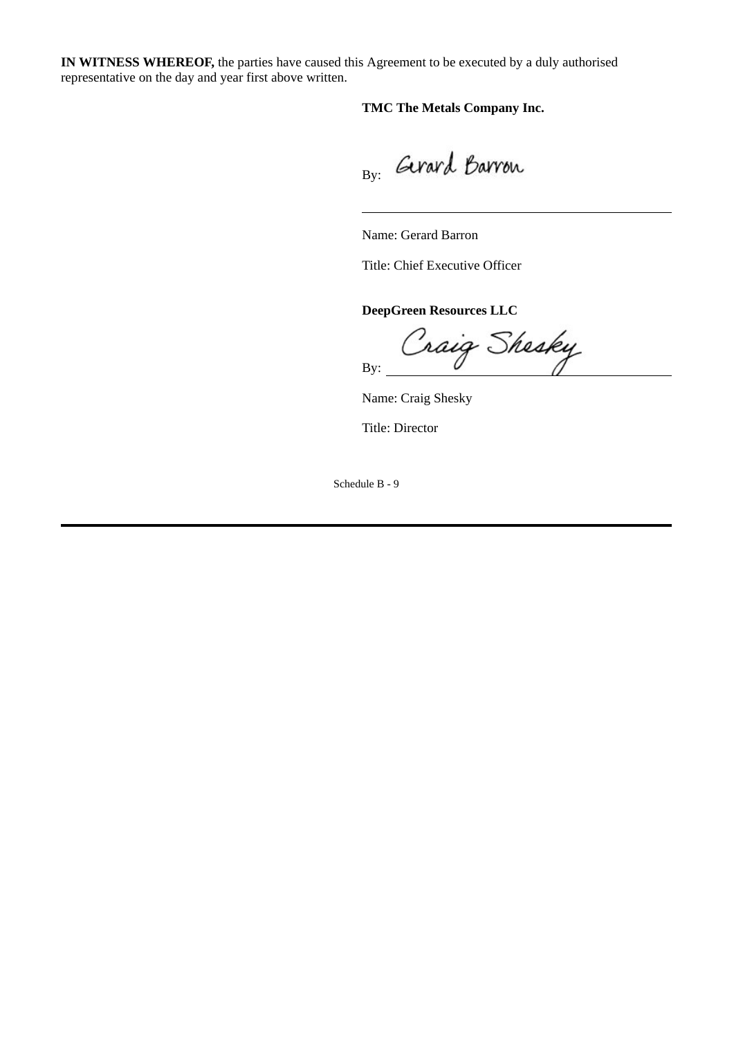**IN WITNESS WHEREOF,** the parties have caused this Agreement to be executed by a duly authorised representative on the day and year first above written.

**TMC The Metals Company Inc.**

By: Gerard Barron

Name: Gerard Barron

Title: Chief Executive Officer

**DeepGreen Resources LLC**

Craig Shesky

Name: Craig Shesky

Title: Director

Schedule B - 9

By: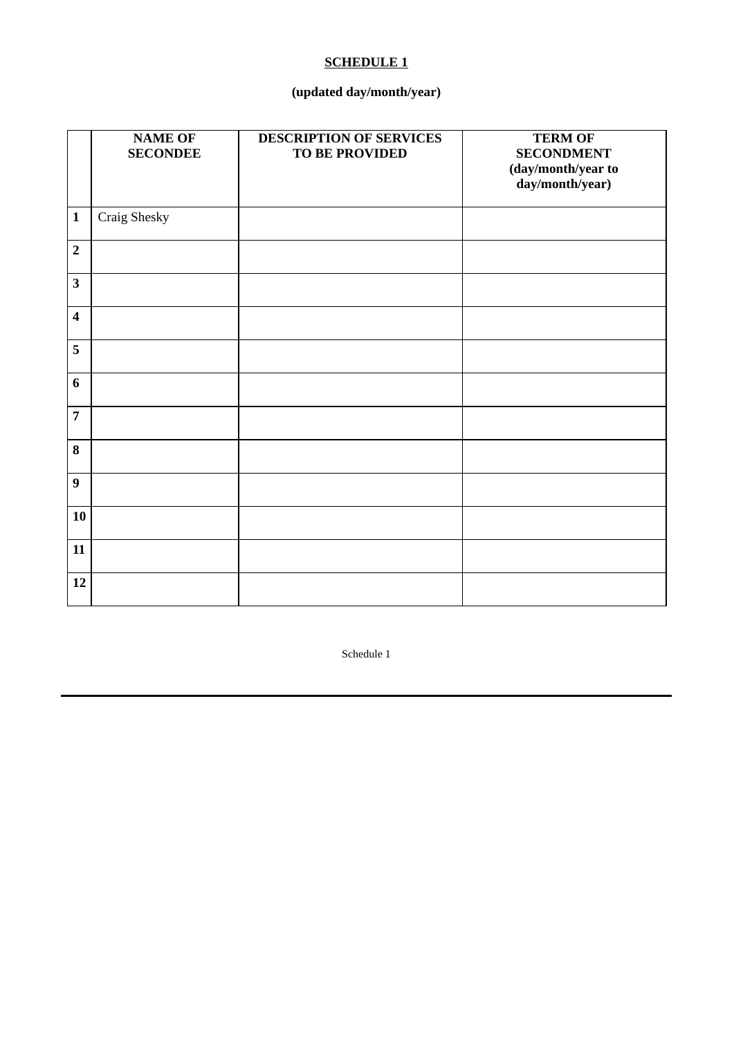# **SCHEDULE 1**

# **(updated day/month/year)**

|                         | <b>NAME OF</b><br><b>SECONDEE</b> | <b>DESCRIPTION OF SERVICES</b><br>TO BE PROVIDED | <b>TERM OF</b><br><b>SECONDMENT</b><br>(day/month/year to<br>day/month/year) |
|-------------------------|-----------------------------------|--------------------------------------------------|------------------------------------------------------------------------------|
| $\mathbf{1}$            | Craig Shesky                      |                                                  |                                                                              |
| $\overline{2}$          |                                   |                                                  |                                                                              |
| 3                       |                                   |                                                  |                                                                              |
| $\overline{\mathbf{4}}$ |                                   |                                                  |                                                                              |
| 5                       |                                   |                                                  |                                                                              |
| $6\phantom{1}$          |                                   |                                                  |                                                                              |
| $\overline{7}$          |                                   |                                                  |                                                                              |
| $\bf{8}$                |                                   |                                                  |                                                                              |
| $\boldsymbol{9}$        |                                   |                                                  |                                                                              |
| ${\bf 10}$              |                                   |                                                  |                                                                              |
| 11                      |                                   |                                                  |                                                                              |
| 12                      |                                   |                                                  |                                                                              |

Schedule 1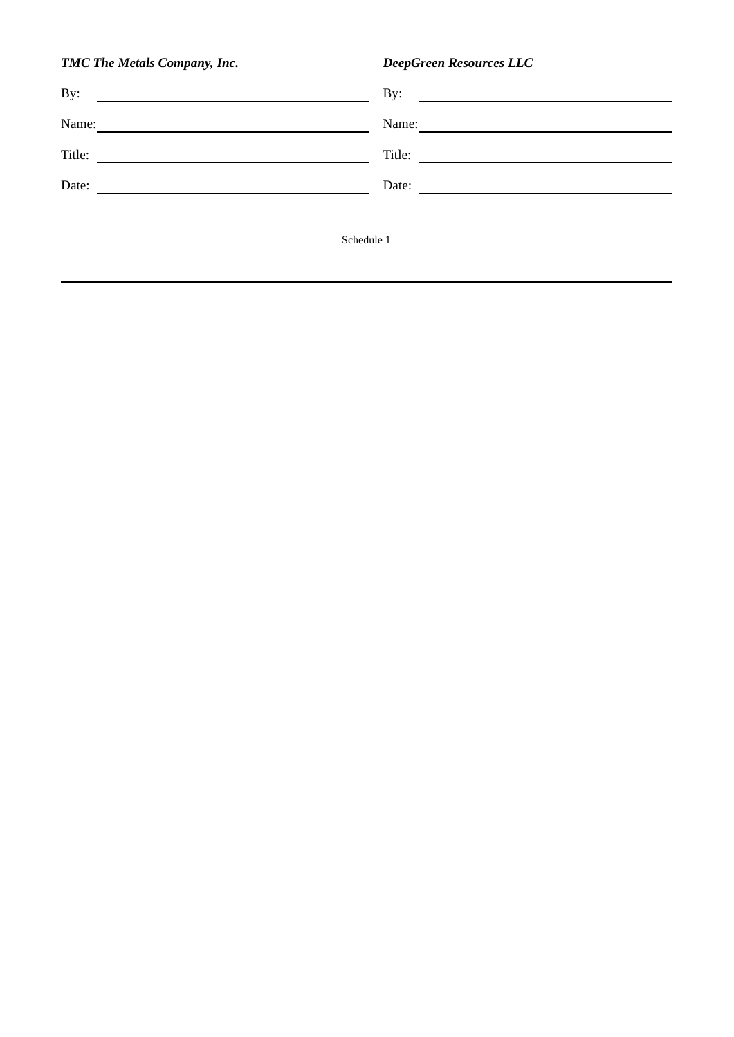| TMC The Metals Company, Inc. | DeepGreen Resources LLC                                                    |  |
|------------------------------|----------------------------------------------------------------------------|--|
| By:                          | By:<br><u> 1989 - Johann Stein, mars an deus Amerikaansk kommunister (</u> |  |
| Name:                        | Name:                                                                      |  |
| Title:                       | Title:                                                                     |  |
| Date:                        | Date:                                                                      |  |
|                              |                                                                            |  |
|                              | Schedule 1                                                                 |  |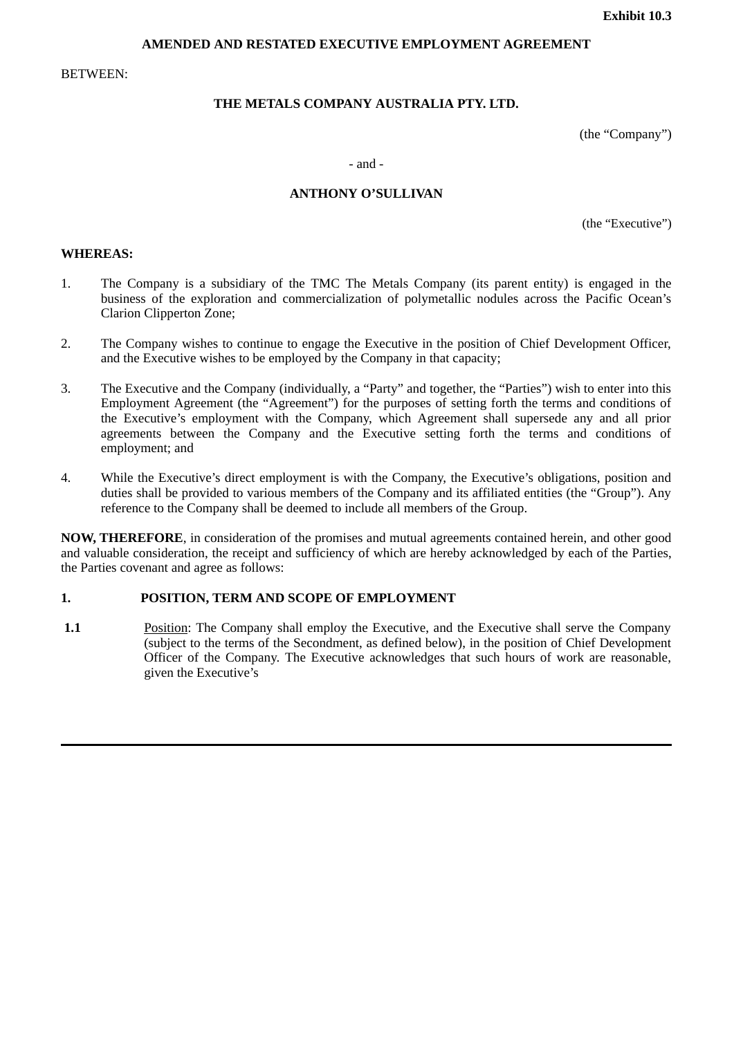#### **AMENDED AND RESTATED EXECUTIVE EMPLOYMENT AGREEMENT**

BETWEEN:

#### **THE METALS COMPANY AUSTRALIA PTY. LTD.**

(the "Company")

#### - and -

#### **ANTHONY O'SULLIVAN**

(the "Executive")

#### **WHEREAS:**

- 1. The Company is a subsidiary of the TMC The Metals Company (its parent entity) is engaged in the business of the exploration and commercialization of polymetallic nodules across the Pacific Ocean's Clarion Clipperton Zone;
- 2. The Company wishes to continue to engage the Executive in the position of Chief Development Officer, and the Executive wishes to be employed by the Company in that capacity;
- 3. The Executive and the Company (individually, a "Party" and together, the "Parties") wish to enter into this Employment Agreement (the "Agreement") for the purposes of setting forth the terms and conditions of the Executive's employment with the Company, which Agreement shall supersede any and all prior agreements between the Company and the Executive setting forth the terms and conditions of employment; and
- 4. While the Executive's direct employment is with the Company, the Executive's obligations, position and duties shall be provided to various members of the Company and its affiliated entities (the "Group"). Any reference to the Company shall be deemed to include all members of the Group.

**NOW, THEREFORE**, in consideration of the promises and mutual agreements contained herein, and other good and valuable consideration, the receipt and sufficiency of which are hereby acknowledged by each of the Parties, the Parties covenant and agree as follows:

#### **1. POSITION, TERM AND SCOPE OF EMPLOYMENT**

**1.1** Position: The Company shall employ the Executive, and the Executive shall serve the Company (subject to the terms of the Secondment, as defined below), in the position of Chief Development Officer of the Company. The Executive acknowledges that such hours of work are reasonable, given the Executive's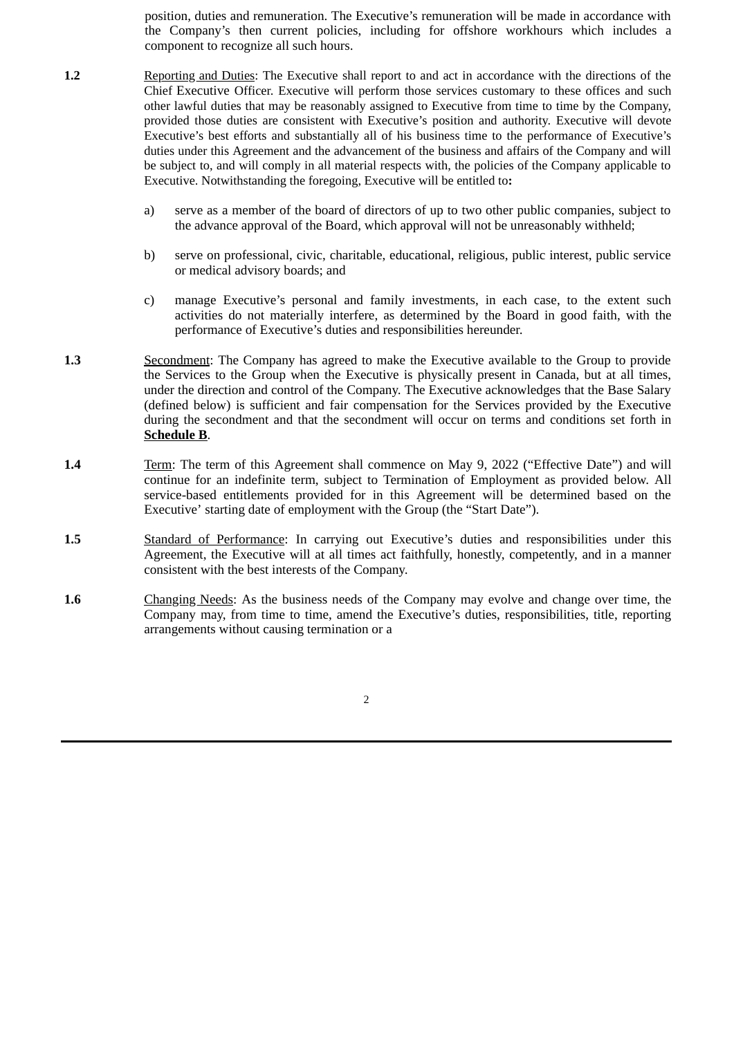position, duties and remuneration. The Executive's remuneration will be made in accordance with the Company's then current policies, including for offshore workhours which includes a component to recognize all such hours.

- **1.2** Reporting and Duties: The Executive shall report to and act in accordance with the directions of the Chief Executive Officer. Executive will perform those services customary to these offices and such other lawful duties that may be reasonably assigned to Executive from time to time by the Company, provided those duties are consistent with Executive's position and authority. Executive will devote Executive's best efforts and substantially all of his business time to the performance of Executive's duties under this Agreement and the advancement of the business and affairs of the Company and will be subject to, and will comply in all material respects with, the policies of the Company applicable to Executive. Notwithstanding the foregoing, Executive will be entitled to**:**
	- a) serve as a member of the board of directors of up to two other public companies, subject to the advance approval of the Board, which approval will not be unreasonably withheld;
	- b) serve on professional, civic, charitable, educational, religious, public interest, public service or medical advisory boards; and
	- c) manage Executive's personal and family investments, in each case, to the extent such activities do not materially interfere, as determined by the Board in good faith, with the performance of Executive's duties and responsibilities hereunder.
- **1.3** Secondment: The Company has agreed to make the Executive available to the Group to provide the Services to the Group when the Executive is physically present in Canada, but at all times, under the direction and control of the Company. The Executive acknowledges that the Base Salary (defined below) is sufficient and fair compensation for the Services provided by the Executive during the secondment and that the secondment will occur on terms and conditions set forth in **Schedule B**.
- **1.4** Term: The term of this Agreement shall commence on May 9, 2022 ("Effective Date") and will continue for an indefinite term, subject to Termination of Employment as provided below. All service-based entitlements provided for in this Agreement will be determined based on the Executive' starting date of employment with the Group (the "Start Date").
- **1.5** Standard of Performance: In carrying out Executive's duties and responsibilities under this Agreement, the Executive will at all times act faithfully, honestly, competently, and in a manner consistent with the best interests of the Company.
- **1.6** Changing Needs: As the business needs of the Company may evolve and change over time, the Company may, from time to time, amend the Executive's duties, responsibilities, title, reporting arrangements without causing termination or a

2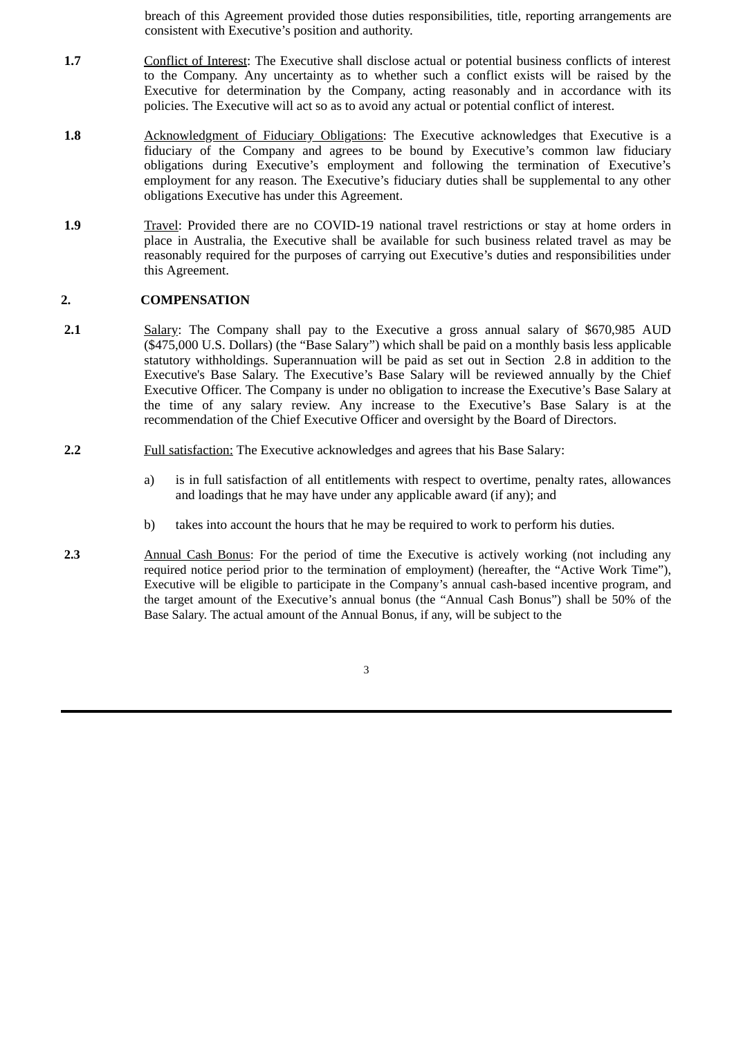breach of this Agreement provided those duties responsibilities, title, reporting arrangements are consistent with Executive's position and authority.

- **1.7** Conflict of Interest: The Executive shall disclose actual or potential business conflicts of interest to the Company. Any uncertainty as to whether such a conflict exists will be raised by the Executive for determination by the Company, acting reasonably and in accordance with its policies. The Executive will act so as to avoid any actual or potential conflict of interest.
- **1.8** Acknowledgment of Fiduciary Obligations: The Executive acknowledges that Executive is a fiduciary of the Company and agrees to be bound by Executive's common law fiduciary obligations during Executive's employment and following the termination of Executive's employment for any reason. The Executive's fiduciary duties shall be supplemental to any other obligations Executive has under this Agreement.
- **1.9** Travel: Provided there are no COVID-19 national travel restrictions or stay at home orders in place in Australia, the Executive shall be available for such business related travel as may be reasonably required for the purposes of carrying out Executive's duties and responsibilities under this Agreement.

## **2. COMPENSATION**

- **2.1** Salary: The Company shall pay to the Executive a gross annual salary of \$670,985 AUD (\$475,000 U.S. Dollars) (the "Base Salary") which shall be paid on a monthly basis less applicable statutory withholdings. Superannuation will be paid as set out in Section 2.8 in addition to the Executive's Base Salary. The Executive's Base Salary will be reviewed annually by the Chief Executive Officer. The Company is under no obligation to increase the Executive's Base Salary at the time of any salary review. Any increase to the Executive's Base Salary is at the recommendation of the Chief Executive Officer and oversight by the Board of Directors.
- **2.2** Full satisfaction: The Executive acknowledges and agrees that his Base Salary:
	- a) is in full satisfaction of all entitlements with respect to overtime, penalty rates, allowances and loadings that he may have under any applicable award (if any); and
	- b) takes into account the hours that he may be required to work to perform his duties.
- **2.3** Annual Cash Bonus: For the period of time the Executive is actively working (not including any required notice period prior to the termination of employment) (hereafter, the "Active Work Time"), Executive will be eligible to participate in the Company's annual cash-based incentive program, and the target amount of the Executive's annual bonus (the "Annual Cash Bonus") shall be 50% of the Base Salary. The actual amount of the Annual Bonus, if any, will be subject to the
	- 3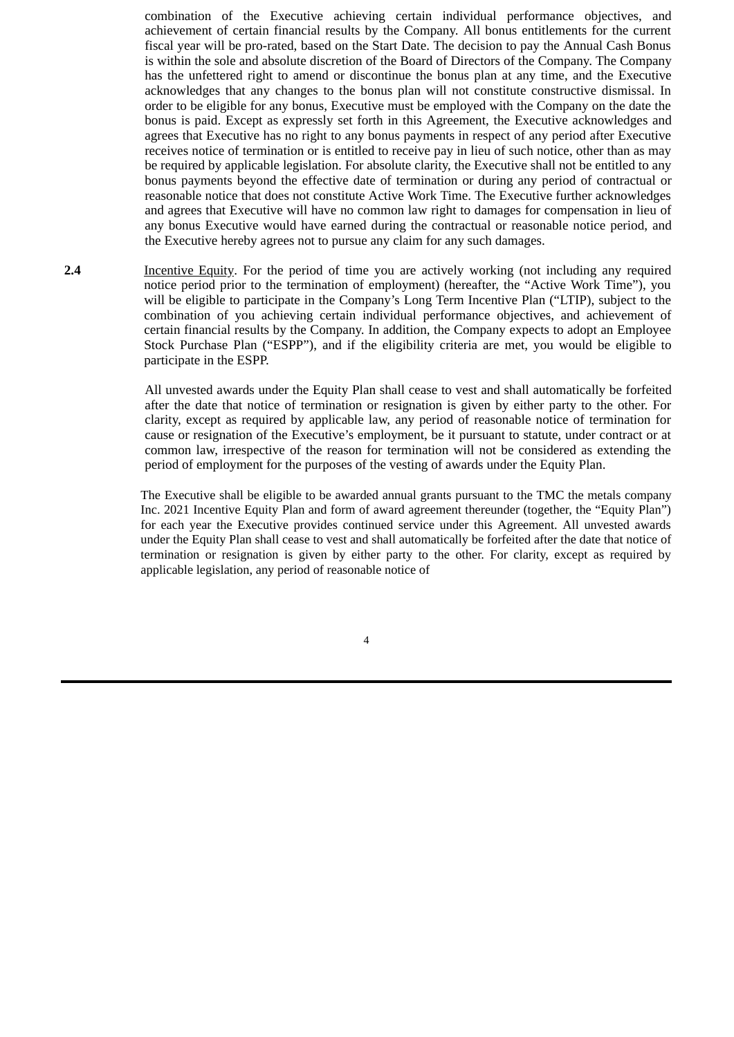combination of the Executive achieving certain individual performance objectives, and achievement of certain financial results by the Company. All bonus entitlements for the current fiscal year will be pro-rated, based on the Start Date. The decision to pay the Annual Cash Bonus is within the sole and absolute discretion of the Board of Directors of the Company. The Company has the unfettered right to amend or discontinue the bonus plan at any time, and the Executive acknowledges that any changes to the bonus plan will not constitute constructive dismissal. In order to be eligible for any bonus, Executive must be employed with the Company on the date the bonus is paid. Except as expressly set forth in this Agreement, the Executive acknowledges and agrees that Executive has no right to any bonus payments in respect of any period after Executive receives notice of termination or is entitled to receive pay in lieu of such notice, other than as may be required by applicable legislation. For absolute clarity, the Executive shall not be entitled to any bonus payments beyond the effective date of termination or during any period of contractual or reasonable notice that does not constitute Active Work Time. The Executive further acknowledges and agrees that Executive will have no common law right to damages for compensation in lieu of any bonus Executive would have earned during the contractual or reasonable notice period, and the Executive hereby agrees not to pursue any claim for any such damages.

**2.4** Incentive Equity. For the period of time you are actively working (not including any required notice period prior to the termination of employment) (hereafter, the "Active Work Time"), you will be eligible to participate in the Company's Long Term Incentive Plan ("LTIP), subject to the combination of you achieving certain individual performance objectives, and achievement of certain financial results by the Company. In addition, the Company expects to adopt an Employee Stock Purchase Plan ("ESPP"), and if the eligibility criteria are met, you would be eligible to participate in the ESPP.

> All unvested awards under the Equity Plan shall cease to vest and shall automatically be forfeited after the date that notice of termination or resignation is given by either party to the other. For clarity, except as required by applicable law, any period of reasonable notice of termination for cause or resignation of the Executive's employment, be it pursuant to statute, under contract or at common law, irrespective of the reason for termination will not be considered as extending the period of employment for the purposes of the vesting of awards under the Equity Plan.

> The Executive shall be eligible to be awarded annual grants pursuant to the TMC the metals company Inc. 2021 Incentive Equity Plan and form of award agreement thereunder (together, the "Equity Plan") for each year the Executive provides continued service under this Agreement. All unvested awards under the Equity Plan shall cease to vest and shall automatically be forfeited after the date that notice of termination or resignation is given by either party to the other. For clarity, except as required by applicable legislation, any period of reasonable notice of

> > 4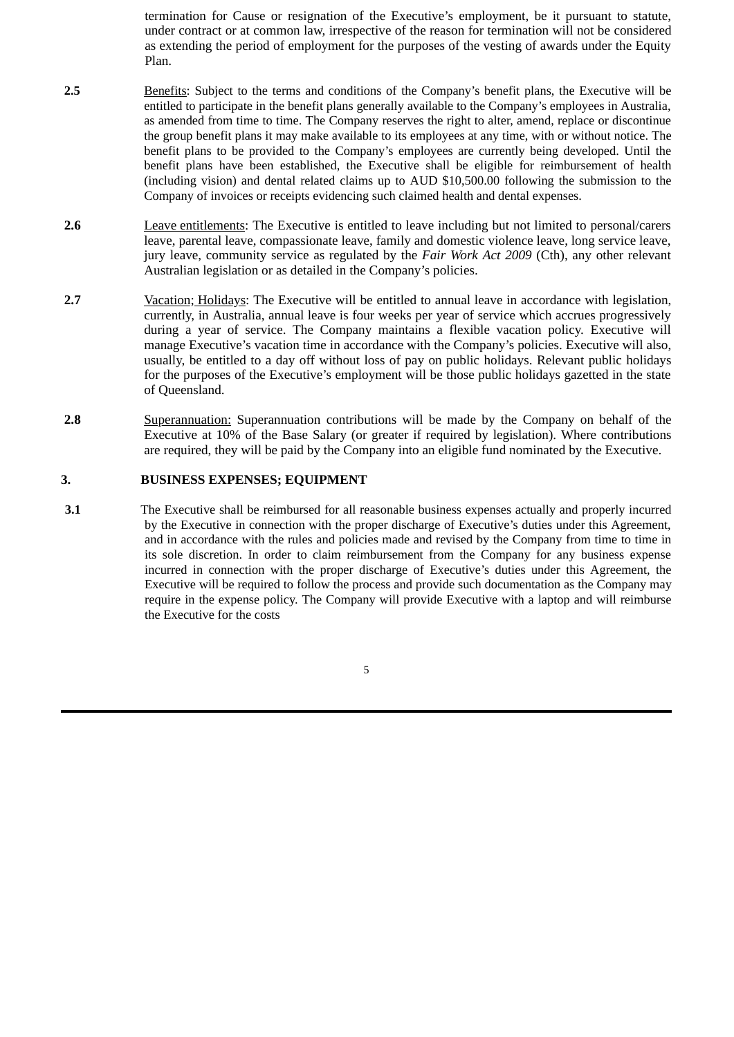termination for Cause or resignation of the Executive's employment, be it pursuant to statute, under contract or at common law, irrespective of the reason for termination will not be considered as extending the period of employment for the purposes of the vesting of awards under the Equity Plan.

- **2.5** Benefits: Subject to the terms and conditions of the Company's benefit plans, the Executive will be entitled to participate in the benefit plans generally available to the Company's employees in Australia, as amended from time to time. The Company reserves the right to alter, amend, replace or discontinue the group benefit plans it may make available to its employees at any time, with or without notice. The benefit plans to be provided to the Company's employees are currently being developed. Until the benefit plans have been established, the Executive shall be eligible for reimbursement of health (including vision) and dental related claims up to AUD \$10,500.00 following the submission to the Company of invoices or receipts evidencing such claimed health and dental expenses.
- **2.6** Leave entitlements: The Executive is entitled to leave including but not limited to personal/carers leave, parental leave, compassionate leave, family and domestic violence leave, long service leave, jury leave, community service as regulated by the *Fair Work Act 2009* (Cth), any other relevant Australian legislation or as detailed in the Company's policies.
- **2.7** Vacation; Holidays: The Executive will be entitled to annual leave in accordance with legislation, currently, in Australia, annual leave is four weeks per year of service which accrues progressively during a year of service. The Company maintains a flexible vacation policy. Executive will manage Executive's vacation time in accordance with the Company's policies. Executive will also, usually, be entitled to a day off without loss of pay on public holidays. Relevant public holidays for the purposes of the Executive's employment will be those public holidays gazetted in the state of Queensland.
- **2.8** Superannuation: Superannuation contributions will be made by the Company on behalf of the Executive at 10% of the Base Salary (or greater if required by legislation). Where contributions are required, they will be paid by the Company into an eligible fund nominated by the Executive.

#### **3. BUSINESS EXPENSES; EQUIPMENT**

**3.1** The Executive shall be reimbursed for all reasonable business expenses actually and properly incurred by the Executive in connection with the proper discharge of Executive's duties under this Agreement, and in accordance with the rules and policies made and revised by the Company from time to time in its sole discretion. In order to claim reimbursement from the Company for any business expense incurred in connection with the proper discharge of Executive's duties under this Agreement, the Executive will be required to follow the process and provide such documentation as the Company may require in the expense policy. The Company will provide Executive with a laptop and will reimburse the Executive for the costs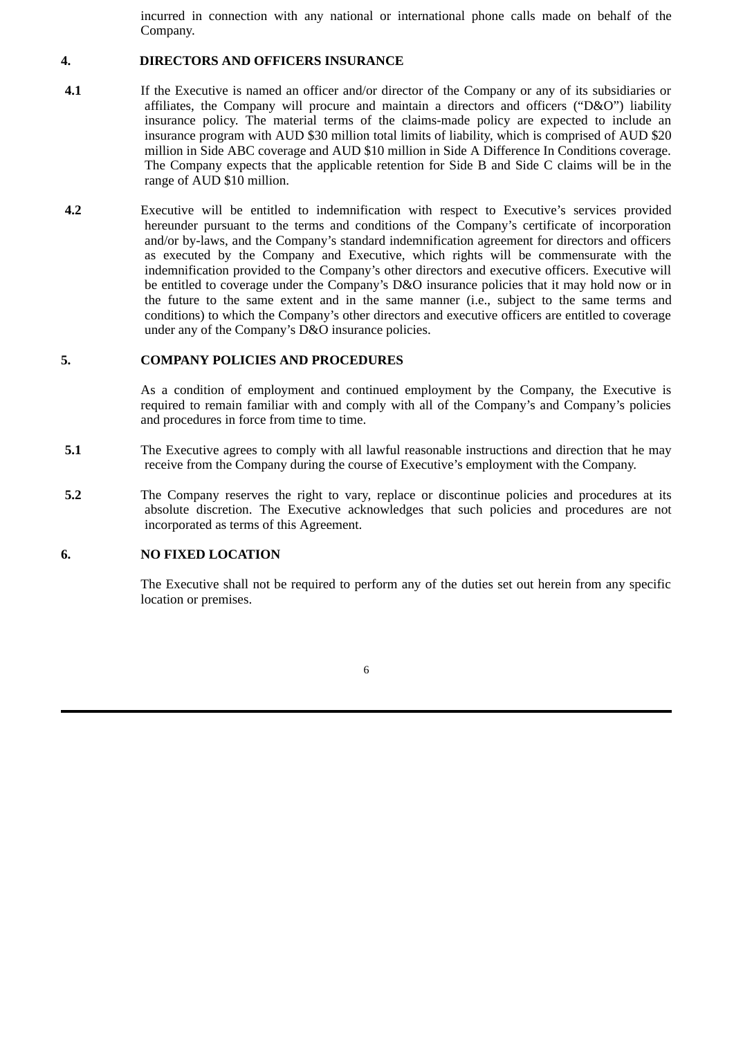incurred in connection with any national or international phone calls made on behalf of the Company.

### **4. DIRECTORS AND OFFICERS INSURANCE**

- **4.1** If the Executive is named an officer and/or director of the Company or any of its subsidiaries or affiliates, the Company will procure and maintain a directors and officers ("D&O") liability insurance policy. The material terms of the claims-made policy are expected to include an insurance program with AUD \$30 million total limits of liability, which is comprised of AUD \$20 million in Side ABC coverage and AUD \$10 million in Side A Difference In Conditions coverage. The Company expects that the applicable retention for Side B and Side C claims will be in the range of AUD \$10 million.
- **4.2** Executive will be entitled to indemnification with respect to Executive's services provided hereunder pursuant to the terms and conditions of the Company's certificate of incorporation and/or by-laws, and the Company's standard indemnification agreement for directors and officers as executed by the Company and Executive, which rights will be commensurate with the indemnification provided to the Company's other directors and executive officers. Executive will be entitled to coverage under the Company's D&O insurance policies that it may hold now or in the future to the same extent and in the same manner (i.e., subject to the same terms and conditions) to which the Company's other directors and executive officers are entitled to coverage under any of the Company's D&O insurance policies.

### **5. COMPANY POLICIES AND PROCEDURES**

As a condition of employment and continued employment by the Company, the Executive is required to remain familiar with and comply with all of the Company's and Company's policies and procedures in force from time to time.

- **5.1** The Executive agrees to comply with all lawful reasonable instructions and direction that he may receive from the Company during the course of Executive's employment with the Company.
- **5.2** The Company reserves the right to vary, replace or discontinue policies and procedures at its absolute discretion. The Executive acknowledges that such policies and procedures are not incorporated as terms of this Agreement.

#### **6. NO FIXED LOCATION**

The Executive shall not be required to perform any of the duties set out herein from any specific location or premises.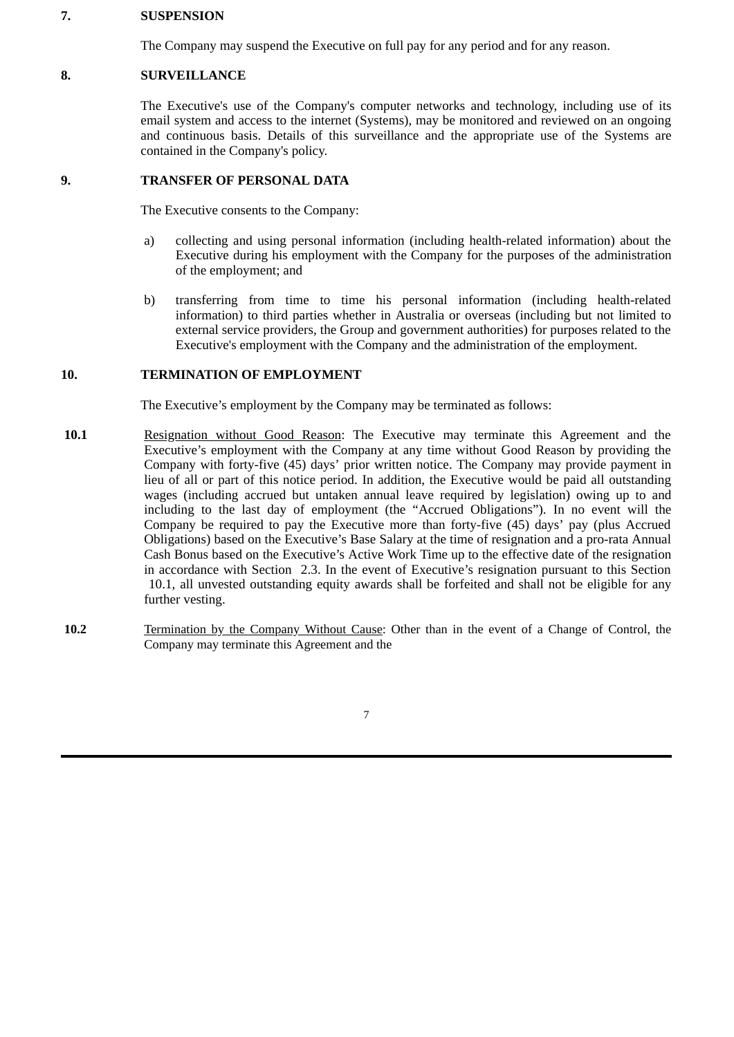### **7. SUSPENSION**

The Company may suspend the Executive on full pay for any period and for any reason.

### **8. SURVEILLANCE**

The Executive's use of the Company's computer networks and technology, including use of its email system and access to the internet (Systems), may be monitored and reviewed on an ongoing and continuous basis. Details of this surveillance and the appropriate use of the Systems are contained in the Company's policy.

#### **9. TRANSFER OF PERSONAL DATA**

The Executive consents to the Company:

- a) collecting and using personal information (including health-related information) about the Executive during his employment with the Company for the purposes of the administration of the employment; and
- b) transferring from time to time his personal information (including health-related information) to third parties whether in Australia or overseas (including but not limited to external service providers, the Group and government authorities) for purposes related to the Executive's employment with the Company and the administration of the employment.

# **10. TERMINATION OF EMPLOYMENT**

The Executive's employment by the Company may be terminated as follows:

- **10.1** Resignation without Good Reason: The Executive may terminate this Agreement and the Executive's employment with the Company at any time without Good Reason by providing the Company with forty-five (45) days' prior written notice. The Company may provide payment in lieu of all or part of this notice period. In addition, the Executive would be paid all outstanding wages (including accrued but untaken annual leave required by legislation) owing up to and including to the last day of employment (the "Accrued Obligations"). In no event will the Company be required to pay the Executive more than forty-five (45) days' pay (plus Accrued Obligations) based on the Executive's Base Salary at the time of resignation and a pro-rata Annual Cash Bonus based on the Executive's Active Work Time up to the effective date of the resignation in accordance with Section 2.3. In the event of Executive's resignation pursuant to this Section 10.1, all unvested outstanding equity awards shall be forfeited and shall not be eligible for any further vesting.
- **10.2** Termination by the Company Without Cause: Other than in the event of a Change of Control, the Company may terminate this Agreement and the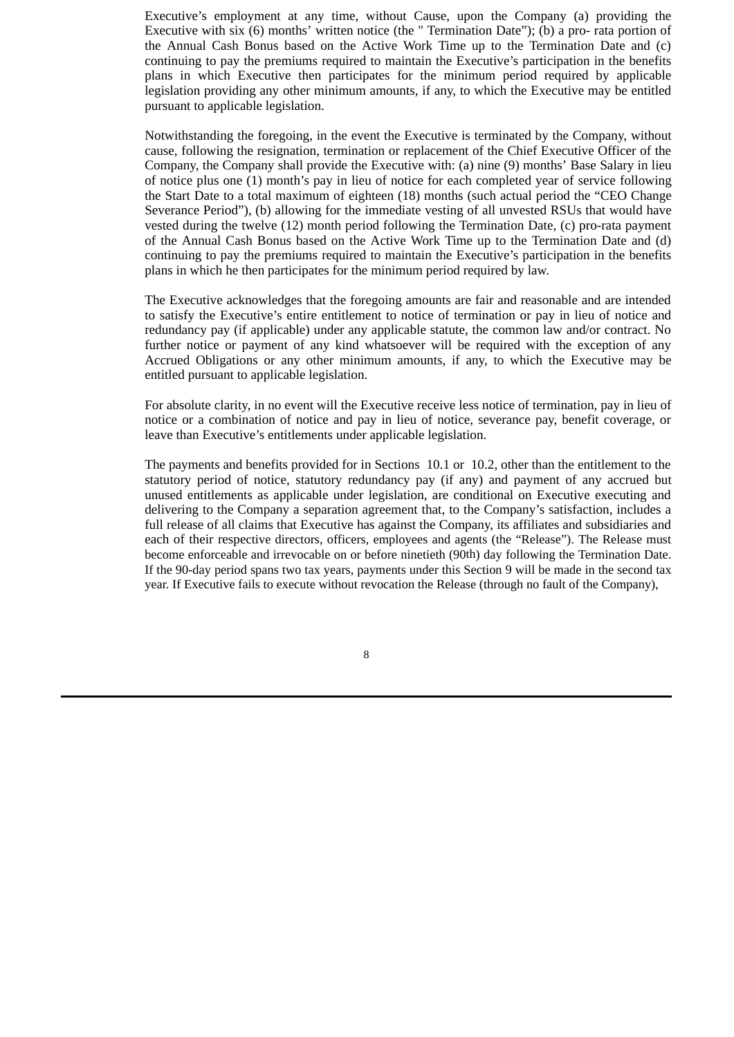Executive's employment at any time, without Cause, upon the Company (a) providing the Executive with six (6) months' written notice (the " Termination Date"); (b) a pro- rata portion of the Annual Cash Bonus based on the Active Work Time up to the Termination Date and (c) continuing to pay the premiums required to maintain the Executive's participation in the benefits plans in which Executive then participates for the minimum period required by applicable legislation providing any other minimum amounts, if any, to which the Executive may be entitled pursuant to applicable legislation.

Notwithstanding the foregoing, in the event the Executive is terminated by the Company, without cause, following the resignation, termination or replacement of the Chief Executive Officer of the Company, the Company shall provide the Executive with: (a) nine (9) months' Base Salary in lieu of notice plus one (1) month's pay in lieu of notice for each completed year of service following the Start Date to a total maximum of eighteen (18) months (such actual period the "CEO Change Severance Period"), (b) allowing for the immediate vesting of all unvested RSUs that would have vested during the twelve (12) month period following the Termination Date, (c) pro-rata payment of the Annual Cash Bonus based on the Active Work Time up to the Termination Date and (d) continuing to pay the premiums required to maintain the Executive's participation in the benefits plans in which he then participates for the minimum period required by law.

The Executive acknowledges that the foregoing amounts are fair and reasonable and are intended to satisfy the Executive's entire entitlement to notice of termination or pay in lieu of notice and redundancy pay (if applicable) under any applicable statute, the common law and/or contract. No further notice or payment of any kind whatsoever will be required with the exception of any Accrued Obligations or any other minimum amounts, if any, to which the Executive may be entitled pursuant to applicable legislation.

For absolute clarity, in no event will the Executive receive less notice of termination, pay in lieu of notice or a combination of notice and pay in lieu of notice, severance pay, benefit coverage, or leave than Executive's entitlements under applicable legislation.

The payments and benefits provided for in Sections 10.1 or 10.2, other than the entitlement to the statutory period of notice, statutory redundancy pay (if any) and payment of any accrued but unused entitlements as applicable under legislation, are conditional on Executive executing and delivering to the Company a separation agreement that, to the Company's satisfaction, includes a full release of all claims that Executive has against the Company, its affiliates and subsidiaries and each of their respective directors, officers, employees and agents (the "Release"). The Release must become enforceable and irrevocable on or before ninetieth (90th) day following the Termination Date. If the 90-day period spans two tax years, payments under this Section 9 will be made in the second tax year. If Executive fails to execute without revocation the Release (through no fault of the Company),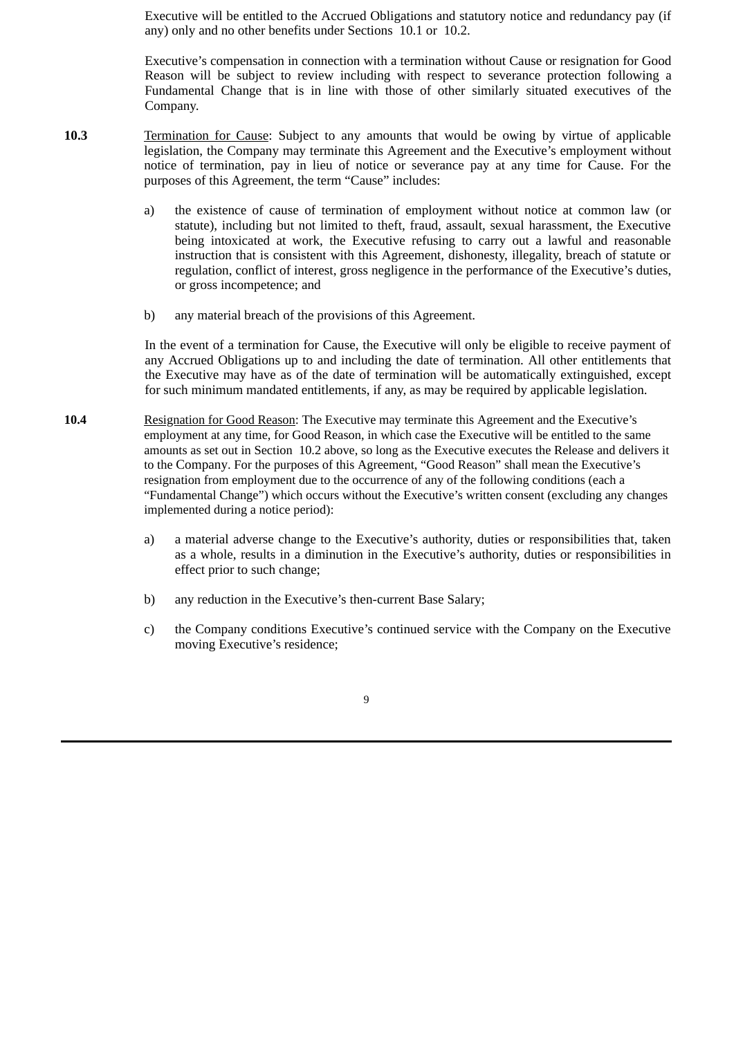Executive will be entitled to the Accrued Obligations and statutory notice and redundancy pay (if any) only and no other benefits under Sections 10.1 or 10.2.

Executive's compensation in connection with a termination without Cause or resignation for Good Reason will be subject to review including with respect to severance protection following a Fundamental Change that is in line with those of other similarly situated executives of the Company.

- **10.3** Termination for Cause: Subject to any amounts that would be owing by virtue of applicable legislation, the Company may terminate this Agreement and the Executive's employment without notice of termination, pay in lieu of notice or severance pay at any time for Cause. For the purposes of this Agreement, the term "Cause" includes:
	- a) the existence of cause of termination of employment without notice at common law (or statute), including but not limited to theft, fraud, assault, sexual harassment, the Executive being intoxicated at work, the Executive refusing to carry out a lawful and reasonable instruction that is consistent with this Agreement, dishonesty, illegality, breach of statute or regulation, conflict of interest, gross negligence in the performance of the Executive's duties, or gross incompetence; and
	- b) any material breach of the provisions of this Agreement.

In the event of a termination for Cause, the Executive will only be eligible to receive payment of any Accrued Obligations up to and including the date of termination. All other entitlements that the Executive may have as of the date of termination will be automatically extinguished, except for such minimum mandated entitlements, if any, as may be required by applicable legislation.

- **10.4** Resignation for Good Reason: The Executive may terminate this Agreement and the Executive's employment at any time, for Good Reason, in which case the Executive will be entitled to the same amounts as set out in Section 10.2 above, so long as the Executive executes the Release and delivers it to the Company. For the purposes of this Agreement, "Good Reason" shall mean the Executive's resignation from employment due to the occurrence of any of the following conditions (each a "Fundamental Change") which occurs without the Executive's written consent (excluding any changes implemented during a notice period):
	- a) a material adverse change to the Executive's authority, duties or responsibilities that, taken as a whole, results in a diminution in the Executive's authority, duties or responsibilities in effect prior to such change;
	- b) any reduction in the Executive's then-current Base Salary;
	- c) the Company conditions Executive's continued service with the Company on the Executive moving Executive's residence;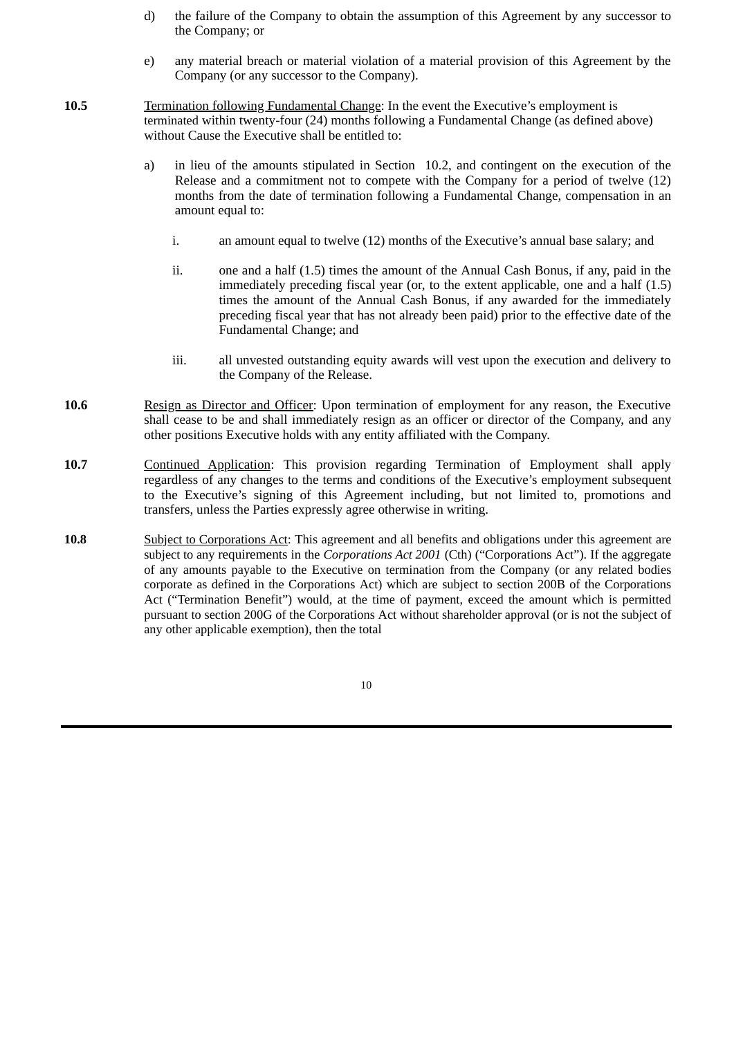- d) the failure of the Company to obtain the assumption of this Agreement by any successor to the Company; or
- e) any material breach or material violation of a material provision of this Agreement by the Company (or any successor to the Company).
- **10.5** Termination following Fundamental Change: In the event the Executive's employment is terminated within twenty-four (24) months following a Fundamental Change (as defined above) without Cause the Executive shall be entitled to:
	- a) in lieu of the amounts stipulated in Section 10.2, and contingent on the execution of the Release and a commitment not to compete with the Company for a period of twelve (12) months from the date of termination following a Fundamental Change, compensation in an amount equal to:
		- i. an amount equal to twelve (12) months of the Executive's annual base salary; and
		- ii. one and a half (1.5) times the amount of the Annual Cash Bonus, if any, paid in the immediately preceding fiscal year (or, to the extent applicable, one and a half (1.5) times the amount of the Annual Cash Bonus, if any awarded for the immediately preceding fiscal year that has not already been paid) prior to the effective date of the Fundamental Change; and
		- iii. all unvested outstanding equity awards will vest upon the execution and delivery to the Company of the Release.
- **10.6** Resign as Director and Officer: Upon termination of employment for any reason, the Executive shall cease to be and shall immediately resign as an officer or director of the Company, and any other positions Executive holds with any entity affiliated with the Company.
- **10.7** Continued Application: This provision regarding Termination of Employment shall apply regardless of any changes to the terms and conditions of the Executive's employment subsequent to the Executive's signing of this Agreement including, but not limited to, promotions and transfers, unless the Parties expressly agree otherwise in writing.
- **10.8** Subject to Corporations Act: This agreement and all benefits and obligations under this agreement are subject to any requirements in the *Corporations Act 2001* (Cth) ("Corporations Act"). If the aggregate of any amounts payable to the Executive on termination from the Company (or any related bodies corporate as defined in the Corporations Act) which are subject to section 200B of the Corporations Act ("Termination Benefit") would, at the time of payment, exceed the amount which is permitted pursuant to section 200G of the Corporations Act without shareholder approval (or is not the subject of any other applicable exemption), then the total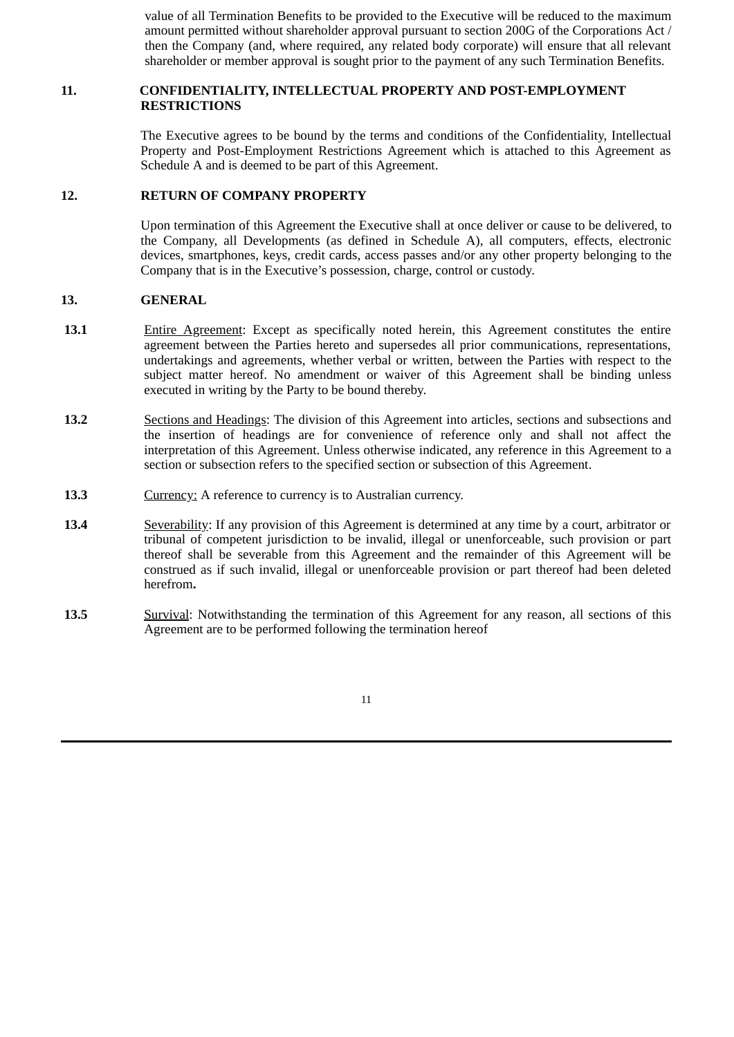value of all Termination Benefits to be provided to the Executive will be reduced to the maximum amount permitted without shareholder approval pursuant to section 200G of the Corporations Act / then the Company (and, where required, any related body corporate) will ensure that all relevant shareholder or member approval is sought prior to the payment of any such Termination Benefits.

# **11. CONFIDENTIALITY, INTELLECTUAL PROPERTY AND POST-EMPLOYMENT RESTRICTIONS**

The Executive agrees to be bound by the terms and conditions of the Confidentiality, Intellectual Property and Post-Employment Restrictions Agreement which is attached to this Agreement as Schedule A and is deemed to be part of this Agreement.

# **12. RETURN OF COMPANY PROPERTY**

Upon termination of this Agreement the Executive shall at once deliver or cause to be delivered, to the Company, all Developments (as defined in Schedule A), all computers, effects, electronic devices, smartphones, keys, credit cards, access passes and/or any other property belonging to the Company that is in the Executive's possession, charge, control or custody.

#### **13. GENERAL**

- **13.1** Entire Agreement: Except as specifically noted herein, this Agreement constitutes the entire agreement between the Parties hereto and supersedes all prior communications, representations, undertakings and agreements, whether verbal or written, between the Parties with respect to the subject matter hereof. No amendment or waiver of this Agreement shall be binding unless executed in writing by the Party to be bound thereby.
- **13.2** Sections and Headings: The division of this Agreement into articles, sections and subsections and the insertion of headings are for convenience of reference only and shall not affect the interpretation of this Agreement. Unless otherwise indicated, any reference in this Agreement to a section or subsection refers to the specified section or subsection of this Agreement.
- **13.3** Currency: A reference to currency is to Australian currency.
- **13.4** Severability: If any provision of this Agreement is determined at any time by a court, arbitrator or tribunal of competent jurisdiction to be invalid, illegal or unenforceable, such provision or part thereof shall be severable from this Agreement and the remainder of this Agreement will be construed as if such invalid, illegal or unenforceable provision or part thereof had been deleted herefrom**.**
- **13.5** Survival: Notwithstanding the termination of this Agreement for any reason, all sections of this Agreement are to be performed following the termination hereof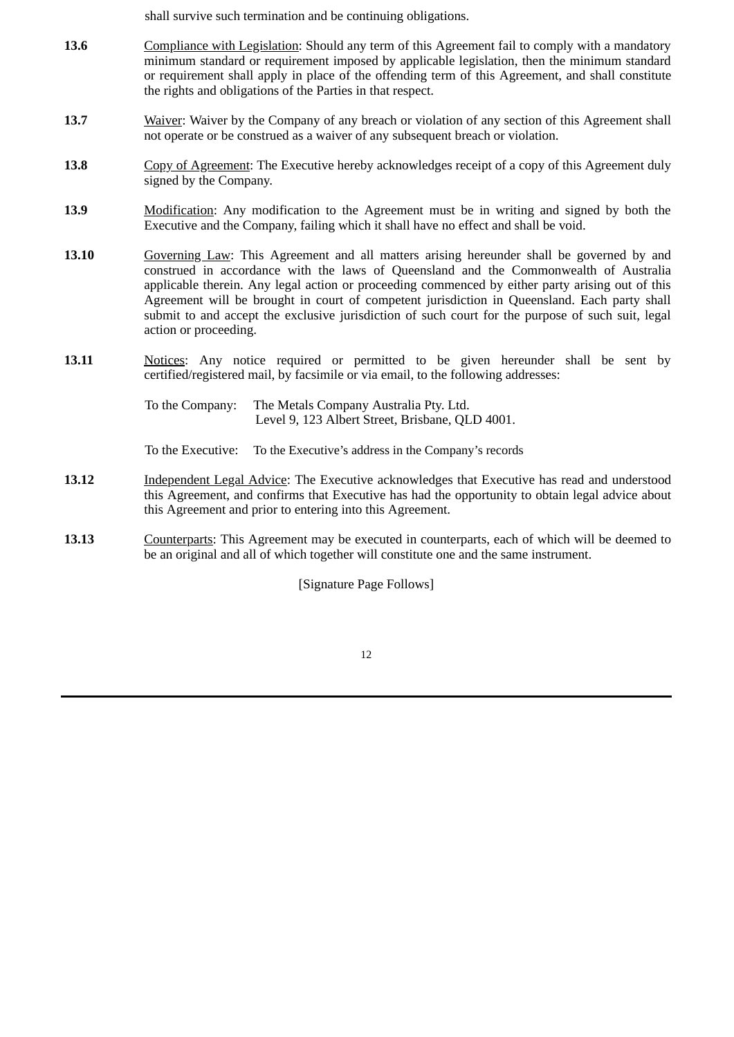shall survive such termination and be continuing obligations.

- **13.6** Compliance with Legislation: Should any term of this Agreement fail to comply with a mandatory minimum standard or requirement imposed by applicable legislation, then the minimum standard or requirement shall apply in place of the offending term of this Agreement, and shall constitute the rights and obligations of the Parties in that respect.
- **13.7** Waiver: Waiver by the Company of any breach or violation of any section of this Agreement shall not operate or be construed as a waiver of any subsequent breach or violation.
- **13.8** Copy of Agreement: The Executive hereby acknowledges receipt of a copy of this Agreement duly signed by the Company.
- **13.9** Modification: Any modification to the Agreement must be in writing and signed by both the Executive and the Company, failing which it shall have no effect and shall be void.
- **13.10** Governing Law: This Agreement and all matters arising hereunder shall be governed by and construed in accordance with the laws of Queensland and the Commonwealth of Australia applicable therein. Any legal action or proceeding commenced by either party arising out of this Agreement will be brought in court of competent jurisdiction in Queensland. Each party shall submit to and accept the exclusive jurisdiction of such court for the purpose of such suit, legal action or proceeding.
- **13.11** Notices: Any notice required or permitted to be given hereunder shall be sent by certified/registered mail, by facsimile or via email, to the following addresses:

To the Company: The Metals Company Australia Pty. Ltd. Level 9, 123 Albert Street, Brisbane, QLD 4001.

To the Executive: To the Executive's address in the Company's records

- **13.12** Independent Legal Advice: The Executive acknowledges that Executive has read and understood this Agreement, and confirms that Executive has had the opportunity to obtain legal advice about this Agreement and prior to entering into this Agreement.
- **13.13** Counterparts: This Agreement may be executed in counterparts, each of which will be deemed to be an original and all of which together will constitute one and the same instrument.

[Signature Page Follows]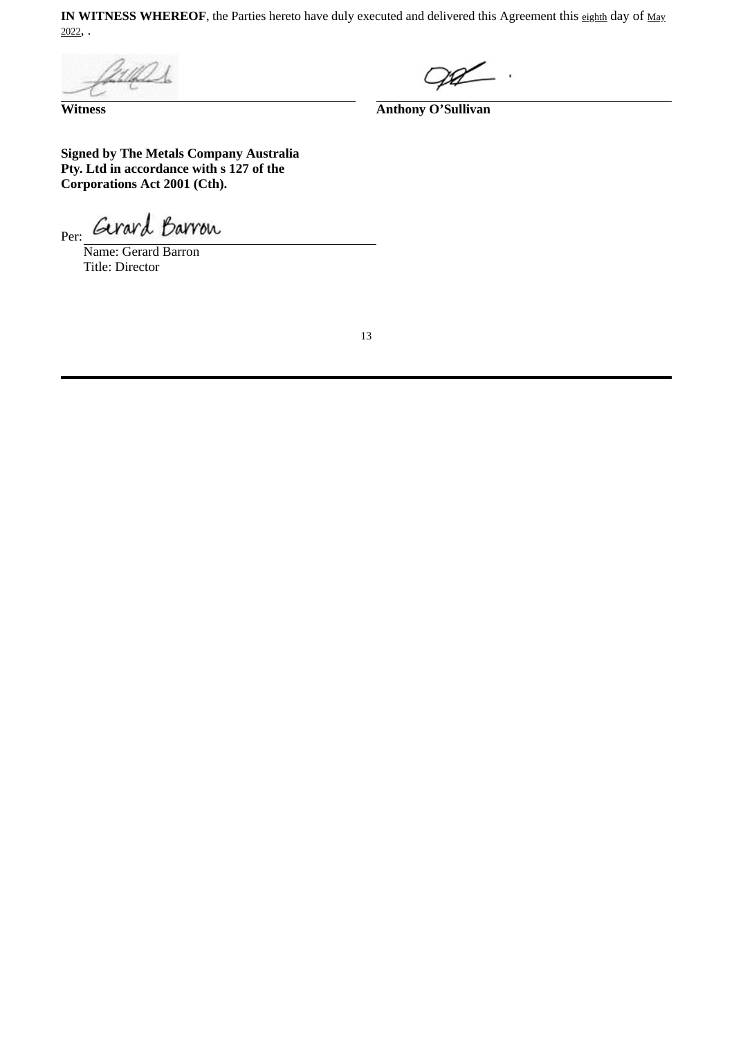**IN WITNESS WHEREOF**, the Parties hereto have duly executed and delivered this Agreement this eighth day of May  $2022,$ .

**Witness Anthony O'Sullivan**

**Signed by The Metals Company Australia Pty. Ltd in accordance with s 127 of the Corporations Act 2001 (Cth).**

Per: Gerard Barron

Name: Gerard Barron Title: Director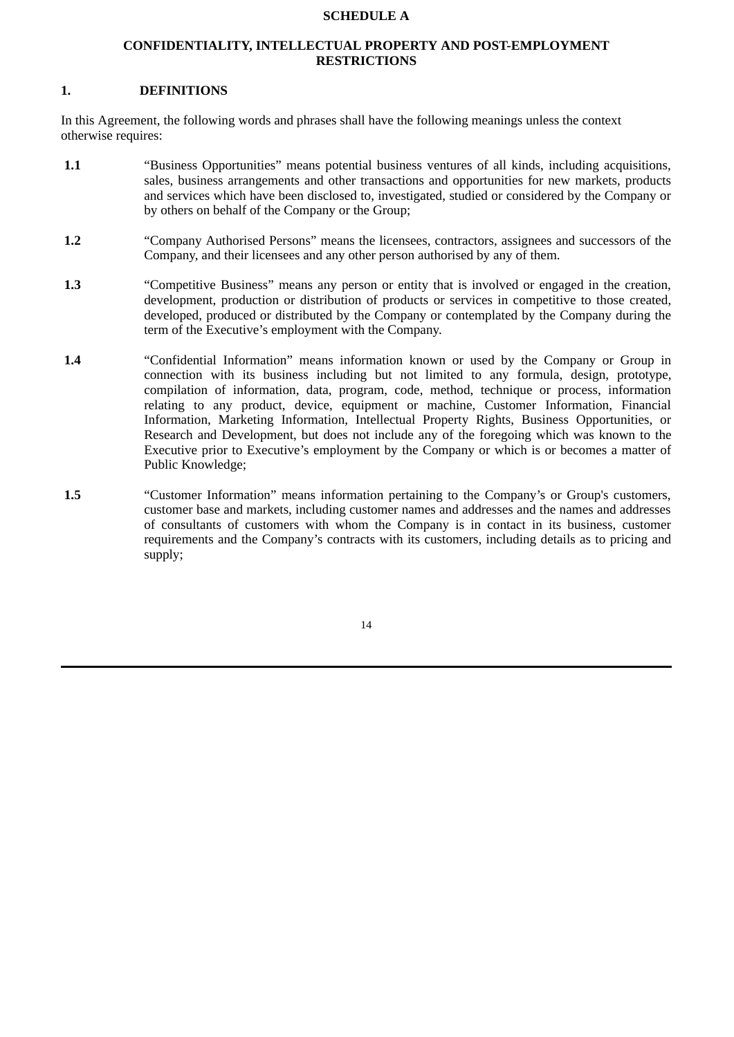#### **SCHEDULE A**

#### **CONFIDENTIALITY, INTELLECTUAL PROPERTY AND POST-EMPLOYMENT RESTRICTIONS**

#### **1. DEFINITIONS**

In this Agreement, the following words and phrases shall have the following meanings unless the context otherwise requires:

- **1.1** "Business Opportunities" means potential business ventures of all kinds, including acquisitions, sales, business arrangements and other transactions and opportunities for new markets, products and services which have been disclosed to, investigated, studied or considered by the Company or by others on behalf of the Company or the Group;
- **1.2** "Company Authorised Persons" means the licensees, contractors, assignees and successors of the Company, and their licensees and any other person authorised by any of them.
- **1.3** "Competitive Business" means any person or entity that is involved or engaged in the creation, development, production or distribution of products or services in competitive to those created, developed, produced or distributed by the Company or contemplated by the Company during the term of the Executive's employment with the Company.
- **1.4** "Confidential Information" means information known or used by the Company or Group in connection with its business including but not limited to any formula, design, prototype, compilation of information, data, program, code, method, technique or process, information relating to any product, device, equipment or machine, Customer Information, Financial Information, Marketing Information, Intellectual Property Rights, Business Opportunities, or Research and Development, but does not include any of the foregoing which was known to the Executive prior to Executive's employment by the Company or which is or becomes a matter of Public Knowledge;
- **1.5** "Customer Information" means information pertaining to the Company's or Group's customers, customer base and markets, including customer names and addresses and the names and addresses of consultants of customers with whom the Company is in contact in its business, customer requirements and the Company's contracts with its customers, including details as to pricing and supply;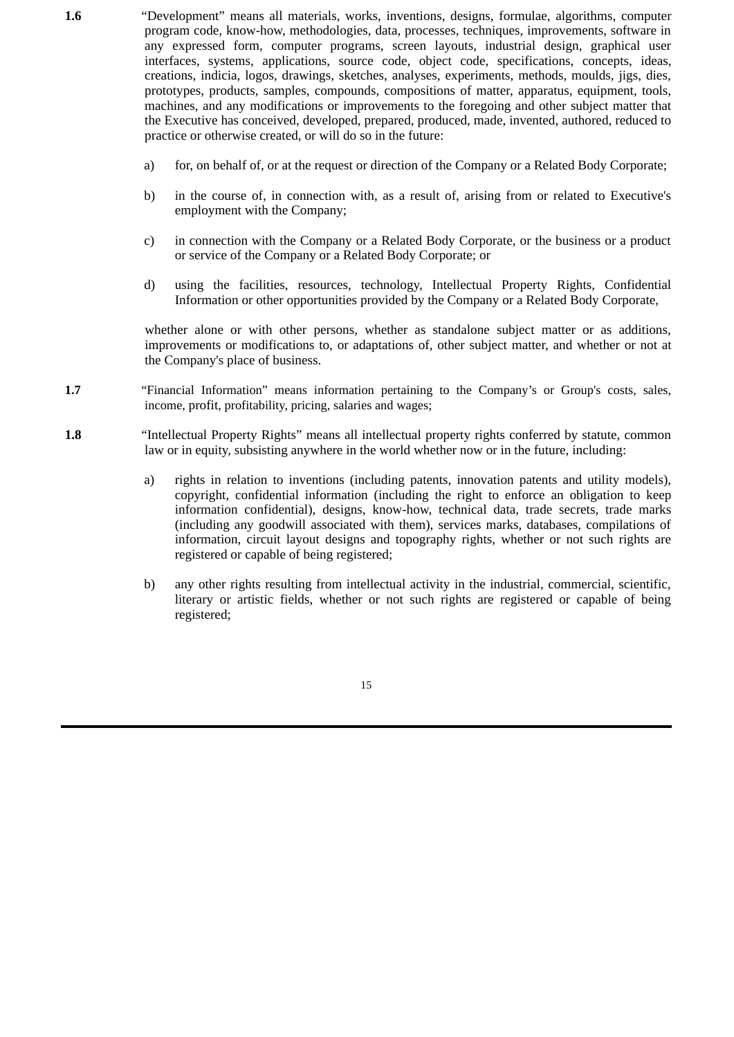- **1.6** "Development" means all materials, works, inventions, designs, formulae, algorithms, computer program code, know-how, methodologies, data, processes, techniques, improvements, software in any expressed form, computer programs, screen layouts, industrial design, graphical user interfaces, systems, applications, source code, object code, specifications, concepts, ideas, creations, indicia, logos, drawings, sketches, analyses, experiments, methods, moulds, jigs, dies, prototypes, products, samples, compounds, compositions of matter, apparatus, equipment, tools, machines, and any modifications or improvements to the foregoing and other subject matter that the Executive has conceived, developed, prepared, produced, made, invented, authored, reduced to practice or otherwise created, or will do so in the future:
	- a) for, on behalf of, or at the request or direction of the Company or a Related Body Corporate;
	- b) in the course of, in connection with, as a result of, arising from or related to Executive's employment with the Company;
	- c) in connection with the Company or a Related Body Corporate, or the business or a product or service of the Company or a Related Body Corporate; or
	- d) using the facilities, resources, technology, Intellectual Property Rights, Confidential Information or other opportunities provided by the Company or a Related Body Corporate,

whether alone or with other persons, whether as standalone subject matter or as additions, improvements or modifications to, or adaptations of, other subject matter, and whether or not at the Company's place of business.

- **1.7** "Financial Information" means information pertaining to the Company's or Group's costs, sales, income, profit, profitability, pricing, salaries and wages;
- **1.8** "Intellectual Property Rights" means all intellectual property rights conferred by statute, common law or in equity, subsisting anywhere in the world whether now or in the future, including:
	- a) rights in relation to inventions (including patents, innovation patents and utility models), copyright, confidential information (including the right to enforce an obligation to keep information confidential), designs, know-how, technical data, trade secrets, trade marks (including any goodwill associated with them), services marks, databases, compilations of information, circuit layout designs and topography rights, whether or not such rights are registered or capable of being registered;
	- b) any other rights resulting from intellectual activity in the industrial, commercial, scientific, literary or artistic fields, whether or not such rights are registered or capable of being registered;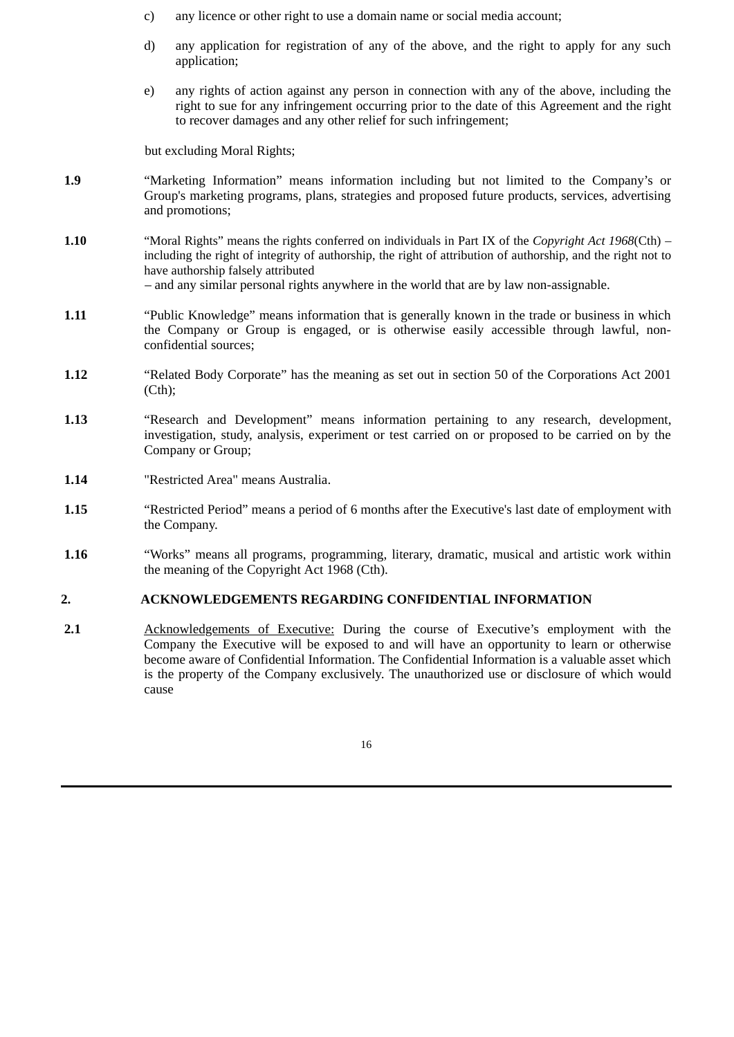- c) any licence or other right to use a domain name or social media account;
- d) any application for registration of any of the above, and the right to apply for any such application;
- e) any rights of action against any person in connection with any of the above, including the right to sue for any infringement occurring prior to the date of this Agreement and the right to recover damages and any other relief for such infringement;

but excluding Moral Rights;

- **1.9** "Marketing Information" means information including but not limited to the Company's or Group's marketing programs, plans, strategies and proposed future products, services, advertising and promotions;
- **1.10** "Moral Rights" means the rights conferred on individuals in Part IX of the *Copyright Act 1968*(Cth) including the right of integrity of authorship, the right of attribution of authorship, and the right not to have authorship falsely attributed – and any similar personal rights anywhere in the world that are by law non-assignable.
- **1.11** "Public Knowledge" means information that is generally known in the trade or business in which the Company or Group is engaged, or is otherwise easily accessible through lawful, nonconfidential sources;
- **1.12** "Related Body Corporate" has the meaning as set out in section 50 of the Corporations Act 2001  $(Ch):$
- **1.13** "Research and Development" means information pertaining to any research, development, investigation, study, analysis, experiment or test carried on or proposed to be carried on by the Company or Group;
- **1.14** "Restricted Area" means Australia.
- **1.15** "Restricted Period" means a period of 6 months after the Executive's last date of employment with the Company.
- **1.16** "Works" means all programs, programming, literary, dramatic, musical and artistic work within the meaning of the Copyright Act 1968 (Cth).

# **2. ACKNOWLEDGEMENTS REGARDING CONFIDENTIAL INFORMATION**

**2.1** Acknowledgements of Executive: During the course of Executive's employment with the Company the Executive will be exposed to and will have an opportunity to learn or otherwise become aware of Confidential Information. The Confidential Information is a valuable asset which is the property of the Company exclusively. The unauthorized use or disclosure of which would cause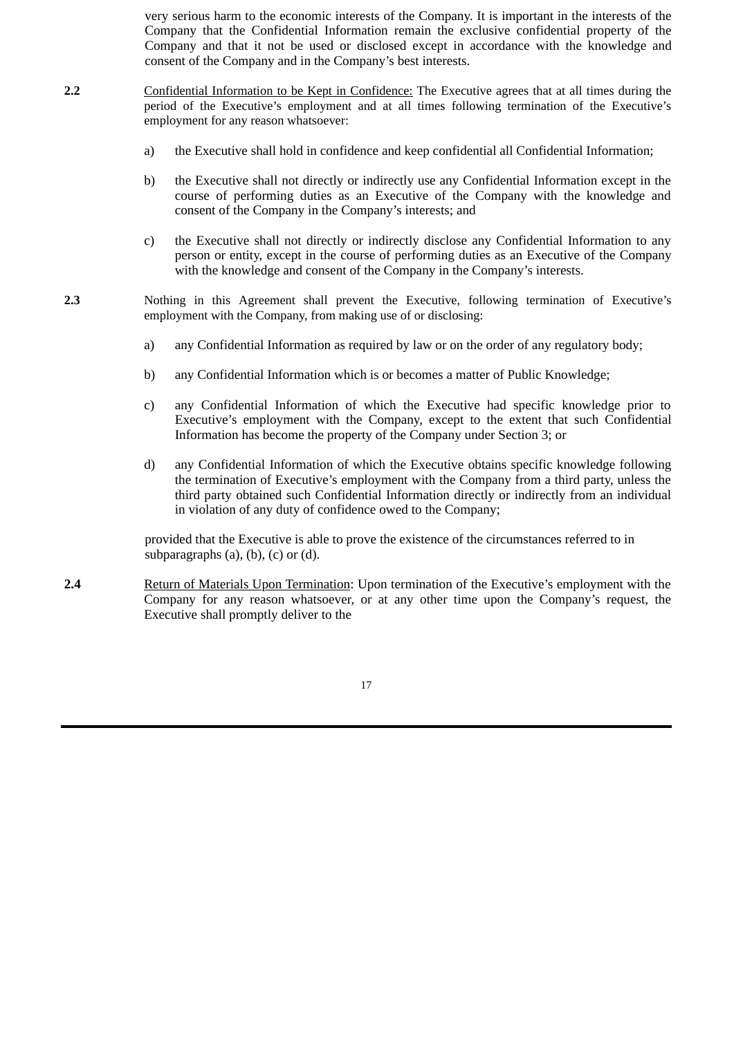very serious harm to the economic interests of the Company. It is important in the interests of the Company that the Confidential Information remain the exclusive confidential property of the Company and that it not be used or disclosed except in accordance with the knowledge and consent of the Company and in the Company's best interests.

- **2.2** Confidential Information to be Kept in Confidence: The Executive agrees that at all times during the period of the Executive's employment and at all times following termination of the Executive's employment for any reason whatsoever:
	- a) the Executive shall hold in confidence and keep confidential all Confidential Information;
	- b) the Executive shall not directly or indirectly use any Confidential Information except in the course of performing duties as an Executive of the Company with the knowledge and consent of the Company in the Company's interests; and
	- c) the Executive shall not directly or indirectly disclose any Confidential Information to any person or entity, except in the course of performing duties as an Executive of the Company with the knowledge and consent of the Company in the Company's interests.
- **2.3** Nothing in this Agreement shall prevent the Executive, following termination of Executive's employment with the Company, from making use of or disclosing:
	- a) any Confidential Information as required by law or on the order of any regulatory body;
	- b) any Confidential Information which is or becomes a matter of Public Knowledge;
	- c) any Confidential Information of which the Executive had specific knowledge prior to Executive's employment with the Company, except to the extent that such Confidential Information has become the property of the Company under Section 3; or
	- d) any Confidential Information of which the Executive obtains specific knowledge following the termination of Executive's employment with the Company from a third party, unless the third party obtained such Confidential Information directly or indirectly from an individual in violation of any duty of confidence owed to the Company;

provided that the Executive is able to prove the existence of the circumstances referred to in subparagraphs  $(a)$ ,  $(b)$ ,  $(c)$  or  $(d)$ .

**2.4** Return of Materials Upon Termination: Upon termination of the Executive's employment with the Company for any reason whatsoever, or at any other time upon the Company's request, the Executive shall promptly deliver to the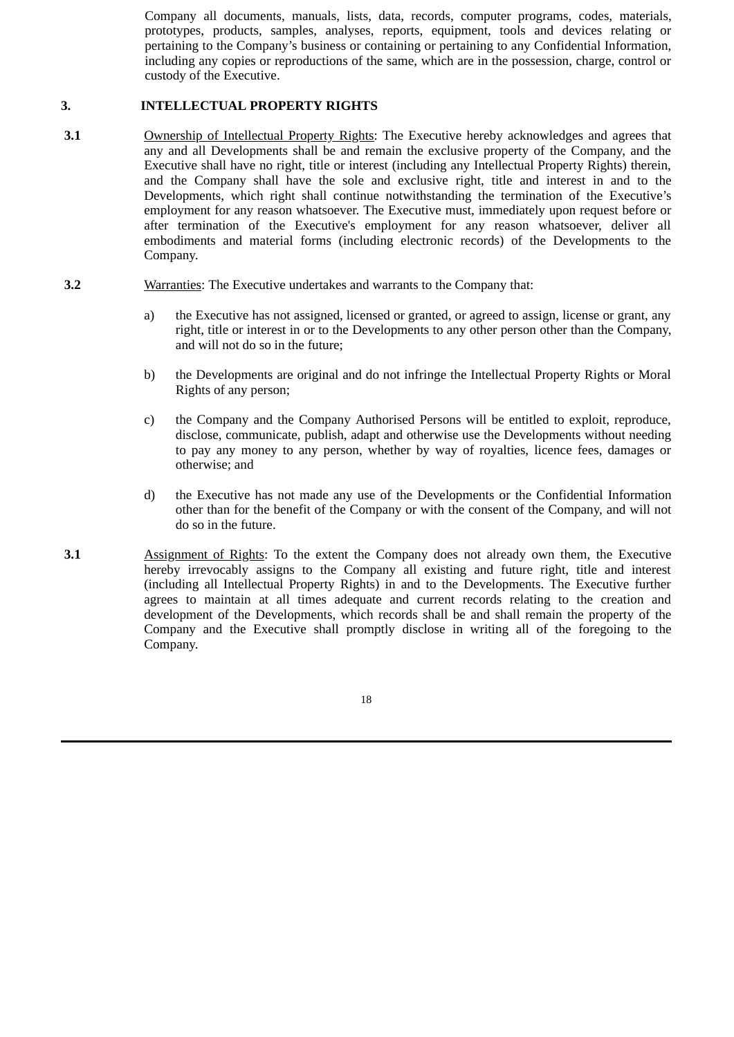Company all documents, manuals, lists, data, records, computer programs, codes, materials, prototypes, products, samples, analyses, reports, equipment, tools and devices relating or pertaining to the Company's business or containing or pertaining to any Confidential Information, including any copies or reproductions of the same, which are in the possession, charge, control or custody of the Executive.

### **3. INTELLECTUAL PROPERTY RIGHTS**

- **3.1** Ownership of Intellectual Property Rights: The Executive hereby acknowledges and agrees that any and all Developments shall be and remain the exclusive property of the Company, and the Executive shall have no right, title or interest (including any Intellectual Property Rights) therein, and the Company shall have the sole and exclusive right, title and interest in and to the Developments, which right shall continue notwithstanding the termination of the Executive's employment for any reason whatsoever. The Executive must, immediately upon request before or after termination of the Executive's employment for any reason whatsoever, deliver all embodiments and material forms (including electronic records) of the Developments to the Company.
- **3.2** Warranties: The Executive undertakes and warrants to the Company that:
	- a) the Executive has not assigned, licensed or granted, or agreed to assign, license or grant, any right, title or interest in or to the Developments to any other person other than the Company, and will not do so in the future;
	- b) the Developments are original and do not infringe the Intellectual Property Rights or Moral Rights of any person;
	- c) the Company and the Company Authorised Persons will be entitled to exploit, reproduce, disclose, communicate, publish, adapt and otherwise use the Developments without needing to pay any money to any person, whether by way of royalties, licence fees, damages or otherwise; and
	- d) the Executive has not made any use of the Developments or the Confidential Information other than for the benefit of the Company or with the consent of the Company, and will not do so in the future.
- **3.1** Assignment of Rights: To the extent the Company does not already own them, the Executive hereby irrevocably assigns to the Company all existing and future right, title and interest (including all Intellectual Property Rights) in and to the Developments. The Executive further agrees to maintain at all times adequate and current records relating to the creation and development of the Developments, which records shall be and shall remain the property of the Company and the Executive shall promptly disclose in writing all of the foregoing to the Company.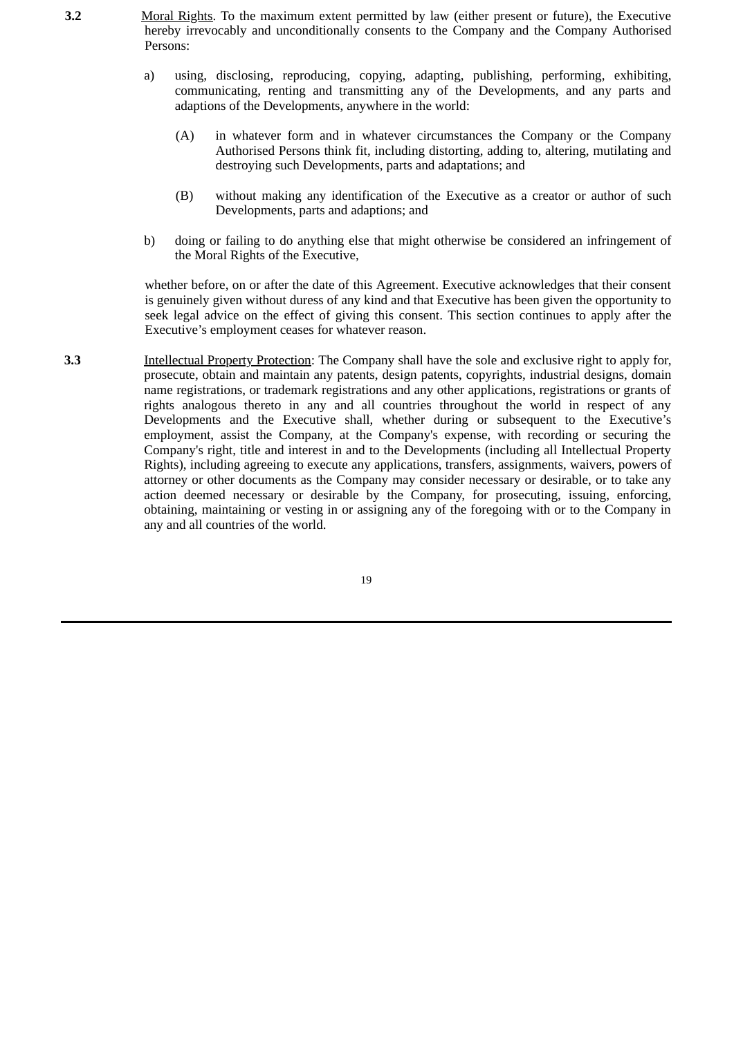- **3.2** Moral Rights. To the maximum extent permitted by law (either present or future), the Executive hereby irrevocably and unconditionally consents to the Company and the Company Authorised Persons:
	- a) using, disclosing, reproducing, copying, adapting, publishing, performing, exhibiting, communicating, renting and transmitting any of the Developments, and any parts and adaptions of the Developments, anywhere in the world:
		- (A) in whatever form and in whatever circumstances the Company or the Company Authorised Persons think fit, including distorting, adding to, altering, mutilating and destroying such Developments, parts and adaptations; and
		- (B) without making any identification of the Executive as a creator or author of such Developments, parts and adaptions; and
	- b) doing or failing to do anything else that might otherwise be considered an infringement of the Moral Rights of the Executive,

whether before, on or after the date of this Agreement. Executive acknowledges that their consent is genuinely given without duress of any kind and that Executive has been given the opportunity to seek legal advice on the effect of giving this consent. This section continues to apply after the Executive's employment ceases for whatever reason.

**3.3** Intellectual Property Protection: The Company shall have the sole and exclusive right to apply for, prosecute, obtain and maintain any patents, design patents, copyrights, industrial designs, domain name registrations, or trademark registrations and any other applications, registrations or grants of rights analogous thereto in any and all countries throughout the world in respect of any Developments and the Executive shall, whether during or subsequent to the Executive's employment, assist the Company, at the Company's expense, with recording or securing the Company's right, title and interest in and to the Developments (including all Intellectual Property Rights), including agreeing to execute any applications, transfers, assignments, waivers, powers of attorney or other documents as the Company may consider necessary or desirable, or to take any action deemed necessary or desirable by the Company, for prosecuting, issuing, enforcing, obtaining, maintaining or vesting in or assigning any of the foregoing with or to the Company in any and all countries of the world.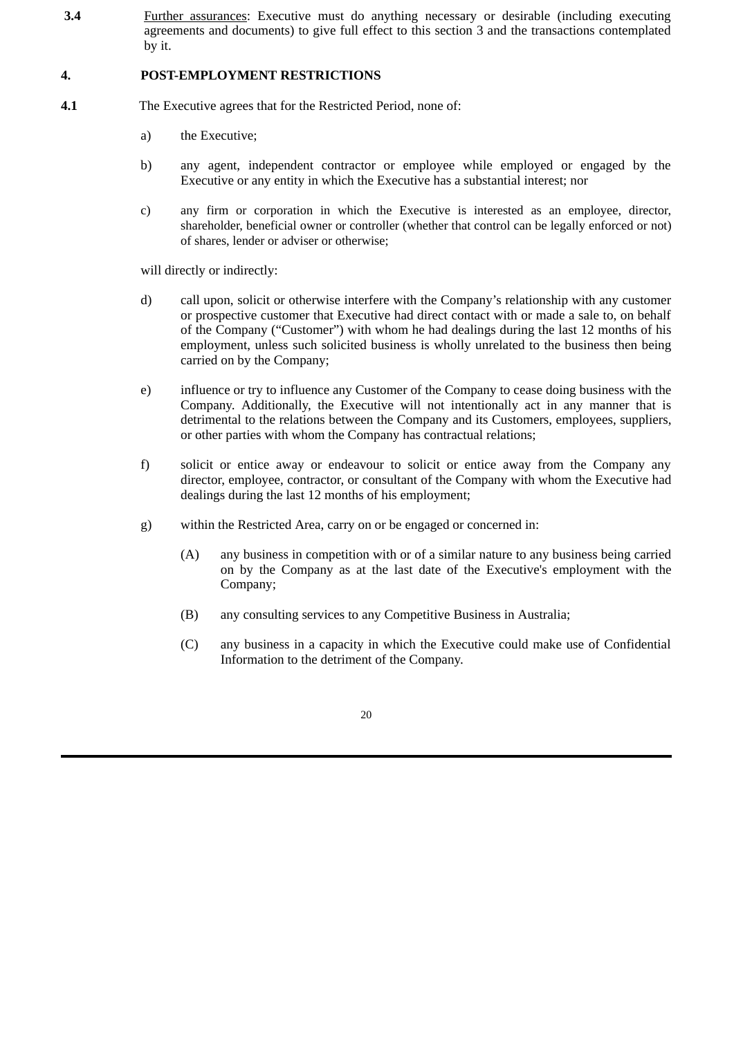**3.4** Further assurances: Executive must do anything necessary or desirable (including executing agreements and documents) to give full effect to this section 3 and the transactions contemplated by it.

### **4. POST-EMPLOYMENT RESTRICTIONS**

- **4.1** The Executive agrees that for the Restricted Period, none of:
	- a) the Executive;
	- b) any agent, independent contractor or employee while employed or engaged by the Executive or any entity in which the Executive has a substantial interest; nor
	- c) any firm or corporation in which the Executive is interested as an employee, director, shareholder, beneficial owner or controller (whether that control can be legally enforced or not) of shares, lender or adviser or otherwise;

will directly or indirectly:

- d) call upon, solicit or otherwise interfere with the Company's relationship with any customer or prospective customer that Executive had direct contact with or made a sale to, on behalf of the Company ("Customer") with whom he had dealings during the last 12 months of his employment, unless such solicited business is wholly unrelated to the business then being carried on by the Company;
- e) influence or try to influence any Customer of the Company to cease doing business with the Company. Additionally, the Executive will not intentionally act in any manner that is detrimental to the relations between the Company and its Customers, employees, suppliers, or other parties with whom the Company has contractual relations;
- f) solicit or entice away or endeavour to solicit or entice away from the Company any director, employee, contractor, or consultant of the Company with whom the Executive had dealings during the last 12 months of his employment;
- g) within the Restricted Area, carry on or be engaged or concerned in:
	- (A) any business in competition with or of a similar nature to any business being carried on by the Company as at the last date of the Executive's employment with the Company;
	- (B) any consulting services to any Competitive Business in Australia;
	- (C) any business in a capacity in which the Executive could make use of Confidential Information to the detriment of the Company.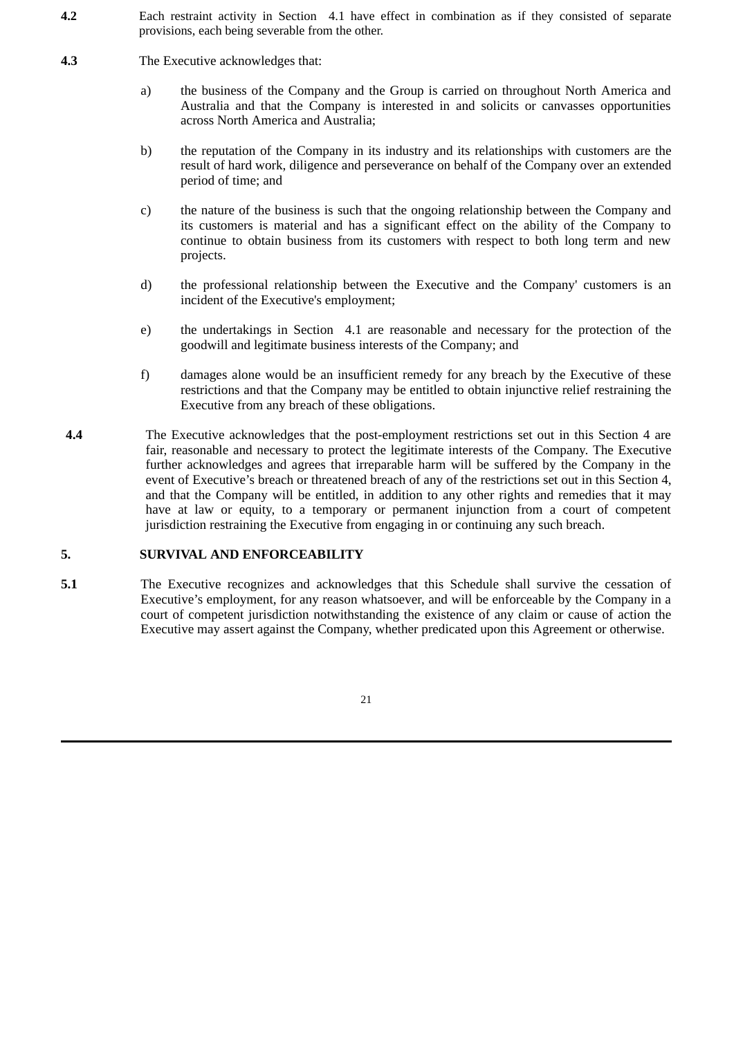- **4.2** Each restraint activity in Section 4.1 have effect in combination as if they consisted of separate provisions, each being severable from the other.
- **4.3** The Executive acknowledges that:
	- a) the business of the Company and the Group is carried on throughout North America and Australia and that the Company is interested in and solicits or canvasses opportunities across North America and Australia;
	- b) the reputation of the Company in its industry and its relationships with customers are the result of hard work, diligence and perseverance on behalf of the Company over an extended period of time; and
	- c) the nature of the business is such that the ongoing relationship between the Company and its customers is material and has a significant effect on the ability of the Company to continue to obtain business from its customers with respect to both long term and new projects.
	- d) the professional relationship between the Executive and the Company' customers is an incident of the Executive's employment;
	- e) the undertakings in Section 4.1 are reasonable and necessary for the protection of the goodwill and legitimate business interests of the Company; and
	- f) damages alone would be an insufficient remedy for any breach by the Executive of these restrictions and that the Company may be entitled to obtain injunctive relief restraining the Executive from any breach of these obligations.
- **4.4** The Executive acknowledges that the post-employment restrictions set out in this Section 4 are fair, reasonable and necessary to protect the legitimate interests of the Company. The Executive further acknowledges and agrees that irreparable harm will be suffered by the Company in the event of Executive's breach or threatened breach of any of the restrictions set out in this Section 4, and that the Company will be entitled, in addition to any other rights and remedies that it may have at law or equity, to a temporary or permanent injunction from a court of competent jurisdiction restraining the Executive from engaging in or continuing any such breach.

# **5. SURVIVAL AND ENFORCEABILITY**

**5.1** The Executive recognizes and acknowledges that this Schedule shall survive the cessation of Executive's employment, for any reason whatsoever, and will be enforceable by the Company in a court of competent jurisdiction notwithstanding the existence of any claim or cause of action the Executive may assert against the Company, whether predicated upon this Agreement or otherwise.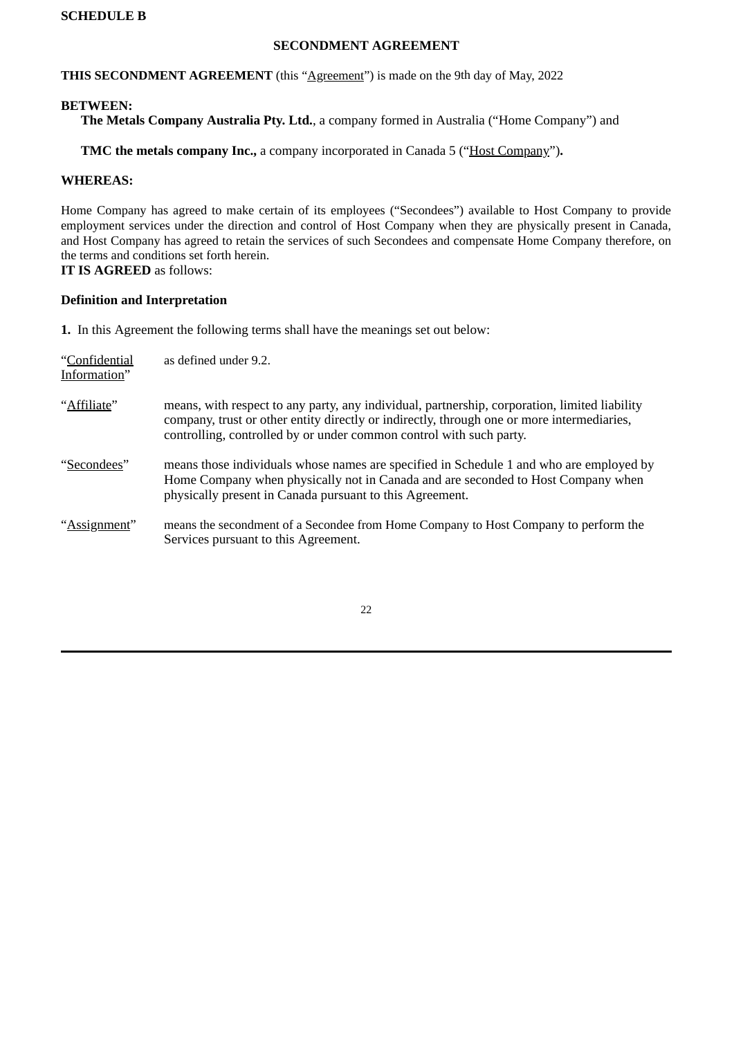# **SCHEDULE B**

# **SECONDMENT AGREEMENT**

**THIS SECONDMENT AGREEMENT** (this "Agreement") is made on the 9th day of May, 2022

### **BETWEEN:**

**The Metals Company Australia Pty. Ltd.**, a company formed in Australia ("Home Company") and

**TMC the metals company Inc.,** a company incorporated in Canada 5 ("Host Company")**.**

#### **WHEREAS:**

Home Company has agreed to make certain of its employees ("Secondees") available to Host Company to provide employment services under the direction and control of Host Company when they are physically present in Canada, and Host Company has agreed to retain the services of such Secondees and compensate Home Company therefore, on the terms and conditions set forth herein. **IT IS AGREED** as follows:

# **Definition and Interpretation**

**1.** In this Agreement the following terms shall have the meanings set out below:

| "Confidential<br>Information" | as defined under 9.2.                                                                                                                                                                                                                                              |
|-------------------------------|--------------------------------------------------------------------------------------------------------------------------------------------------------------------------------------------------------------------------------------------------------------------|
| "Affiliate"                   | means, with respect to any party, any individual, partnership, corporation, limited liability<br>company, trust or other entity directly or indirectly, through one or more intermediaries,<br>controlling, controlled by or under common control with such party. |
| "Secondees"                   | means those individuals whose names are specified in Schedule 1 and who are employed by<br>Home Company when physically not in Canada and are seconded to Host Company when<br>physically present in Canada pursuant to this Agreement.                            |
| "Assignment"                  | means the secondment of a Secondee from Home Company to Host Company to perform the<br>Services pursuant to this Agreement.                                                                                                                                        |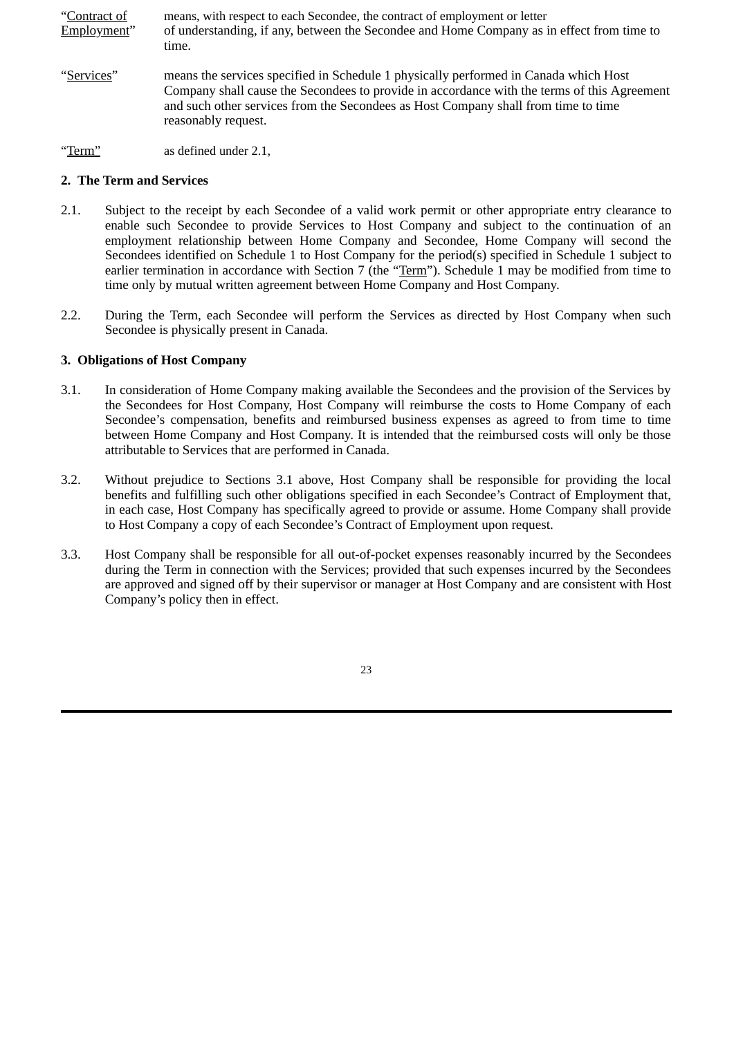| "Contract of<br>Employment" | means, with respect to each Secondee, the contract of employment or letter<br>of understanding, if any, between the Secondee and Home Company as in effect from time to<br>time.                                                                                                                 |
|-----------------------------|--------------------------------------------------------------------------------------------------------------------------------------------------------------------------------------------------------------------------------------------------------------------------------------------------|
| "Services"                  | means the services specified in Schedule 1 physically performed in Canada which Host<br>Company shall cause the Secondees to provide in accordance with the terms of this Agreement<br>and such other services from the Secondees as Host Company shall from time to time<br>reasonably request. |

"Term" as defined under 2.1,

#### **2. The Term and Services**

- 2.1. Subject to the receipt by each Secondee of a valid work permit or other appropriate entry clearance to enable such Secondee to provide Services to Host Company and subject to the continuation of an employment relationship between Home Company and Secondee, Home Company will second the Secondees identified on Schedule 1 to Host Company for the period(s) specified in Schedule 1 subject to earlier termination in accordance with Section 7 (the "Term"). Schedule 1 may be modified from time to time only by mutual written agreement between Home Company and Host Company.
- 2.2. During the Term, each Secondee will perform the Services as directed by Host Company when such Secondee is physically present in Canada.

# **3. Obligations of Host Company**

- 3.1. In consideration of Home Company making available the Secondees and the provision of the Services by the Secondees for Host Company, Host Company will reimburse the costs to Home Company of each Secondee's compensation, benefits and reimbursed business expenses as agreed to from time to time between Home Company and Host Company. It is intended that the reimbursed costs will only be those attributable to Services that are performed in Canada.
- 3.2. Without prejudice to Sections 3.1 above, Host Company shall be responsible for providing the local benefits and fulfilling such other obligations specified in each Secondee's Contract of Employment that, in each case, Host Company has specifically agreed to provide or assume. Home Company shall provide to Host Company a copy of each Secondee's Contract of Employment upon request.
- 3.3. Host Company shall be responsible for all out-of-pocket expenses reasonably incurred by the Secondees during the Term in connection with the Services; provided that such expenses incurred by the Secondees are approved and signed off by their supervisor or manager at Host Company and are consistent with Host Company's policy then in effect.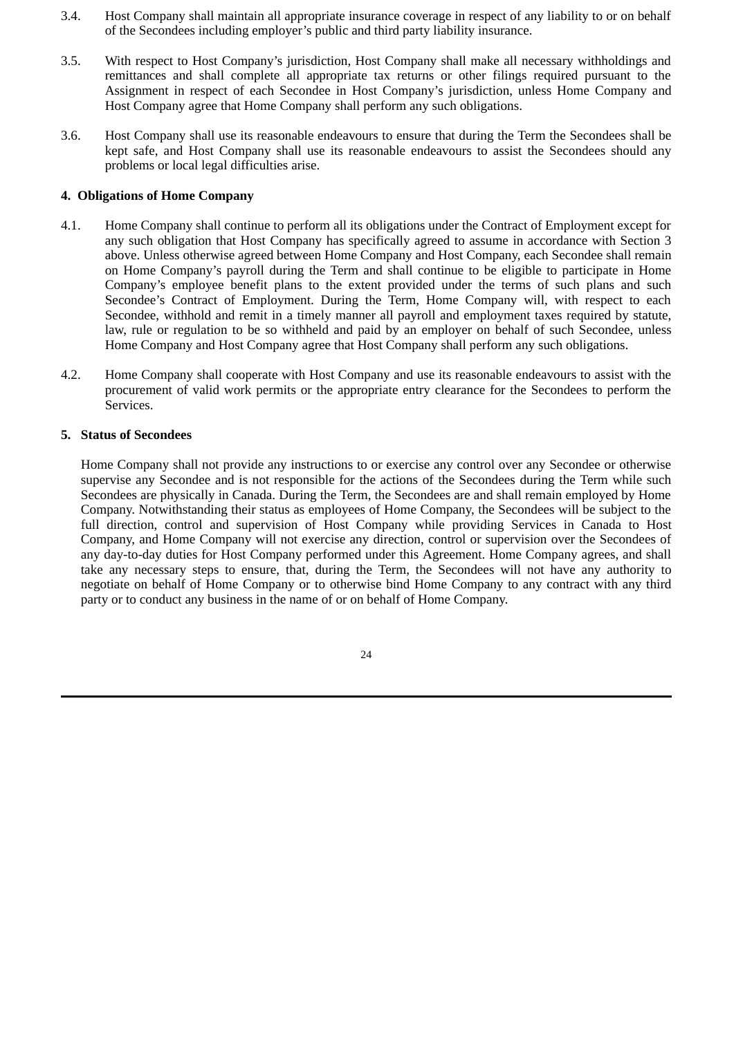- 3.4. Host Company shall maintain all appropriate insurance coverage in respect of any liability to or on behalf of the Secondees including employer's public and third party liability insurance.
- 3.5. With respect to Host Company's jurisdiction, Host Company shall make all necessary withholdings and remittances and shall complete all appropriate tax returns or other filings required pursuant to the Assignment in respect of each Secondee in Host Company's jurisdiction, unless Home Company and Host Company agree that Home Company shall perform any such obligations.
- 3.6. Host Company shall use its reasonable endeavours to ensure that during the Term the Secondees shall be kept safe, and Host Company shall use its reasonable endeavours to assist the Secondees should any problems or local legal difficulties arise.

# **4. Obligations of Home Company**

- 4.1. Home Company shall continue to perform all its obligations under the Contract of Employment except for any such obligation that Host Company has specifically agreed to assume in accordance with Section 3 above. Unless otherwise agreed between Home Company and Host Company, each Secondee shall remain on Home Company's payroll during the Term and shall continue to be eligible to participate in Home Company's employee benefit plans to the extent provided under the terms of such plans and such Secondee's Contract of Employment. During the Term, Home Company will, with respect to each Secondee, withhold and remit in a timely manner all payroll and employment taxes required by statute, law, rule or regulation to be so withheld and paid by an employer on behalf of such Secondee, unless Home Company and Host Company agree that Host Company shall perform any such obligations.
- 4.2. Home Company shall cooperate with Host Company and use its reasonable endeavours to assist with the procurement of valid work permits or the appropriate entry clearance for the Secondees to perform the Services.

#### **5. Status of Secondees**

Home Company shall not provide any instructions to or exercise any control over any Secondee or otherwise supervise any Secondee and is not responsible for the actions of the Secondees during the Term while such Secondees are physically in Canada. During the Term, the Secondees are and shall remain employed by Home Company. Notwithstanding their status as employees of Home Company, the Secondees will be subject to the full direction, control and supervision of Host Company while providing Services in Canada to Host Company, and Home Company will not exercise any direction, control or supervision over the Secondees of any day-to-day duties for Host Company performed under this Agreement. Home Company agrees, and shall take any necessary steps to ensure, that, during the Term, the Secondees will not have any authority to negotiate on behalf of Home Company or to otherwise bind Home Company to any contract with any third party or to conduct any business in the name of or on behalf of Home Company.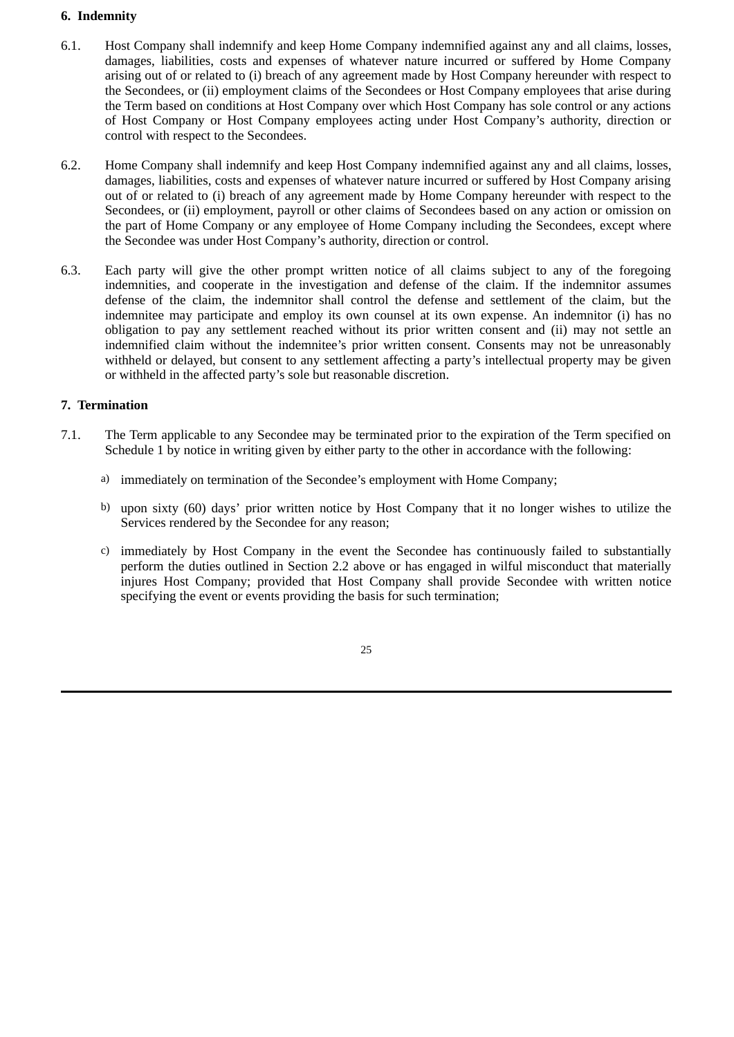# **6. Indemnity**

- 6.1. Host Company shall indemnify and keep Home Company indemnified against any and all claims, losses, damages, liabilities, costs and expenses of whatever nature incurred or suffered by Home Company arising out of or related to (i) breach of any agreement made by Host Company hereunder with respect to the Secondees, or (ii) employment claims of the Secondees or Host Company employees that arise during the Term based on conditions at Host Company over which Host Company has sole control or any actions of Host Company or Host Company employees acting under Host Company's authority, direction or control with respect to the Secondees.
- 6.2. Home Company shall indemnify and keep Host Company indemnified against any and all claims, losses, damages, liabilities, costs and expenses of whatever nature incurred or suffered by Host Company arising out of or related to (i) breach of any agreement made by Home Company hereunder with respect to the Secondees, or (ii) employment, payroll or other claims of Secondees based on any action or omission on the part of Home Company or any employee of Home Company including the Secondees, except where the Secondee was under Host Company's authority, direction or control.
- 6.3. Each party will give the other prompt written notice of all claims subject to any of the foregoing indemnities, and cooperate in the investigation and defense of the claim. If the indemnitor assumes defense of the claim, the indemnitor shall control the defense and settlement of the claim, but the indemnitee may participate and employ its own counsel at its own expense. An indemnitor (i) has no obligation to pay any settlement reached without its prior written consent and (ii) may not settle an indemnified claim without the indemnitee's prior written consent. Consents may not be unreasonably withheld or delayed, but consent to any settlement affecting a party's intellectual property may be given or withheld in the affected party's sole but reasonable discretion.

# **7. Termination**

- 7.1. The Term applicable to any Secondee may be terminated prior to the expiration of the Term specified on Schedule 1 by notice in writing given by either party to the other in accordance with the following:
	- a) immediately on termination of the Secondee's employment with Home Company;
	- b) upon sixty (60) days' prior written notice by Host Company that it no longer wishes to utilize the Services rendered by the Secondee for any reason;
	- c) immediately by Host Company in the event the Secondee has continuously failed to substantially perform the duties outlined in Section 2.2 above or has engaged in wilful misconduct that materially injures Host Company; provided that Host Company shall provide Secondee with written notice specifying the event or events providing the basis for such termination;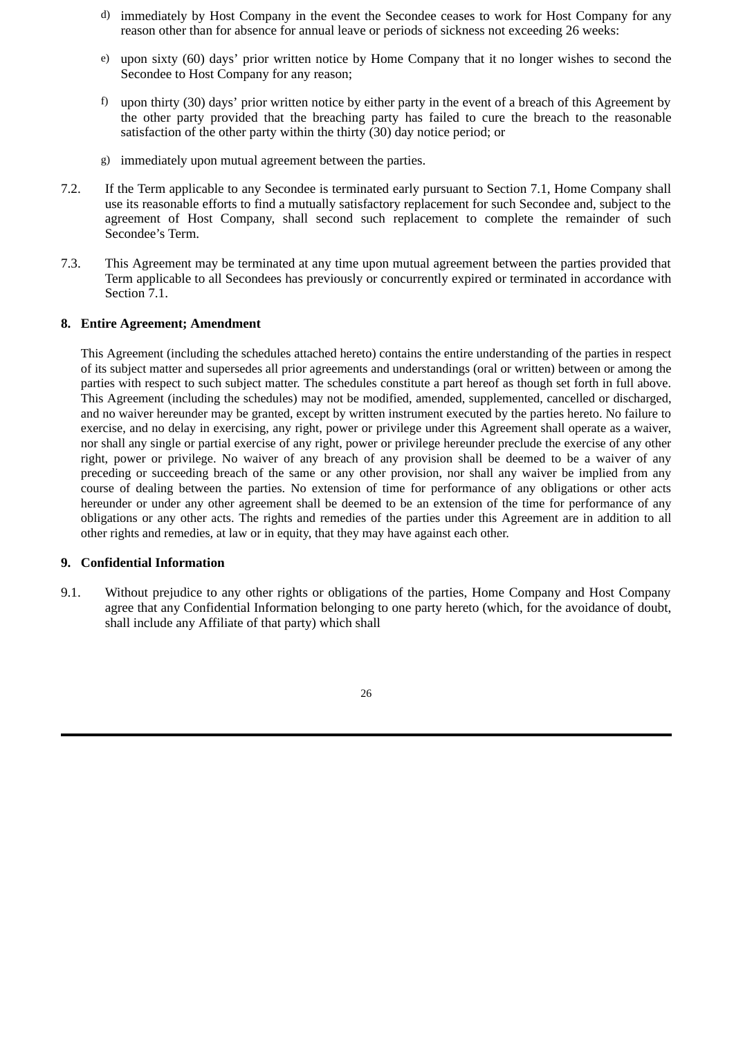- d) immediately by Host Company in the event the Secondee ceases to work for Host Company for any reason other than for absence for annual leave or periods of sickness not exceeding 26 weeks:
- e) upon sixty (60) days' prior written notice by Home Company that it no longer wishes to second the Secondee to Host Company for any reason;
- f) upon thirty (30) days' prior written notice by either party in the event of a breach of this Agreement by the other party provided that the breaching party has failed to cure the breach to the reasonable satisfaction of the other party within the thirty (30) day notice period; or
- g) immediately upon mutual agreement between the parties.
- 7.2. If the Term applicable to any Secondee is terminated early pursuant to Section 7.1, Home Company shall use its reasonable efforts to find a mutually satisfactory replacement for such Secondee and, subject to the agreement of Host Company, shall second such replacement to complete the remainder of such Secondee's Term.
- 7.3. This Agreement may be terminated at any time upon mutual agreement between the parties provided that Term applicable to all Secondees has previously or concurrently expired or terminated in accordance with Section 7.1.

#### **8. Entire Agreement; Amendment**

This Agreement (including the schedules attached hereto) contains the entire understanding of the parties in respect of its subject matter and supersedes all prior agreements and understandings (oral or written) between or among the parties with respect to such subject matter. The schedules constitute a part hereof as though set forth in full above. This Agreement (including the schedules) may not be modified, amended, supplemented, cancelled or discharged, and no waiver hereunder may be granted, except by written instrument executed by the parties hereto. No failure to exercise, and no delay in exercising, any right, power or privilege under this Agreement shall operate as a waiver, nor shall any single or partial exercise of any right, power or privilege hereunder preclude the exercise of any other right, power or privilege. No waiver of any breach of any provision shall be deemed to be a waiver of any preceding or succeeding breach of the same or any other provision, nor shall any waiver be implied from any course of dealing between the parties. No extension of time for performance of any obligations or other acts hereunder or under any other agreement shall be deemed to be an extension of the time for performance of any obligations or any other acts. The rights and remedies of the parties under this Agreement are in addition to all other rights and remedies, at law or in equity, that they may have against each other.

#### **9. Confidential Information**

9.1. Without prejudice to any other rights or obligations of the parties, Home Company and Host Company agree that any Confidential Information belonging to one party hereto (which, for the avoidance of doubt, shall include any Affiliate of that party) which shall

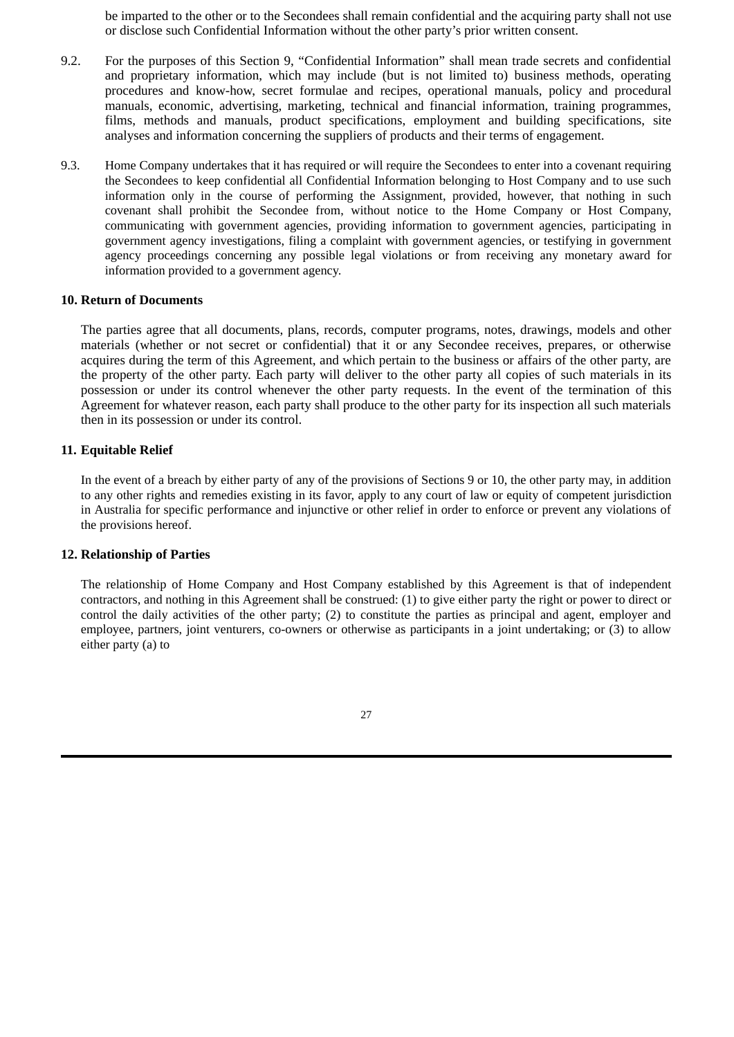be imparted to the other or to the Secondees shall remain confidential and the acquiring party shall not use or disclose such Confidential Information without the other party's prior written consent.

- 9.2. For the purposes of this Section 9, "Confidential Information" shall mean trade secrets and confidential and proprietary information, which may include (but is not limited to) business methods, operating procedures and know-how, secret formulae and recipes, operational manuals, policy and procedural manuals, economic, advertising, marketing, technical and financial information, training programmes, films, methods and manuals, product specifications, employment and building specifications, site analyses and information concerning the suppliers of products and their terms of engagement.
- 9.3. Home Company undertakes that it has required or will require the Secondees to enter into a covenant requiring the Secondees to keep confidential all Confidential Information belonging to Host Company and to use such information only in the course of performing the Assignment, provided, however, that nothing in such covenant shall prohibit the Secondee from, without notice to the Home Company or Host Company, communicating with government agencies, providing information to government agencies, participating in government agency investigations, filing a complaint with government agencies, or testifying in government agency proceedings concerning any possible legal violations or from receiving any monetary award for information provided to a government agency.

#### **10. Return of Documents**

The parties agree that all documents, plans, records, computer programs, notes, drawings, models and other materials (whether or not secret or confidential) that it or any Secondee receives, prepares, or otherwise acquires during the term of this Agreement, and which pertain to the business or affairs of the other party, are the property of the other party. Each party will deliver to the other party all copies of such materials in its possession or under its control whenever the other party requests. In the event of the termination of this Agreement for whatever reason, each party shall produce to the other party for its inspection all such materials then in its possession or under its control.

#### **11. Equitable Relief**

In the event of a breach by either party of any of the provisions of Sections 9 or 10, the other party may, in addition to any other rights and remedies existing in its favor, apply to any court of law or equity of competent jurisdiction in Australia for specific performance and injunctive or other relief in order to enforce or prevent any violations of the provisions hereof.

#### **12. Relationship of Parties**

The relationship of Home Company and Host Company established by this Agreement is that of independent contractors, and nothing in this Agreement shall be construed: (1) to give either party the right or power to direct or control the daily activities of the other party; (2) to constitute the parties as principal and agent, employer and employee, partners, joint venturers, co-owners or otherwise as participants in a joint undertaking; or (3) to allow either party (a) to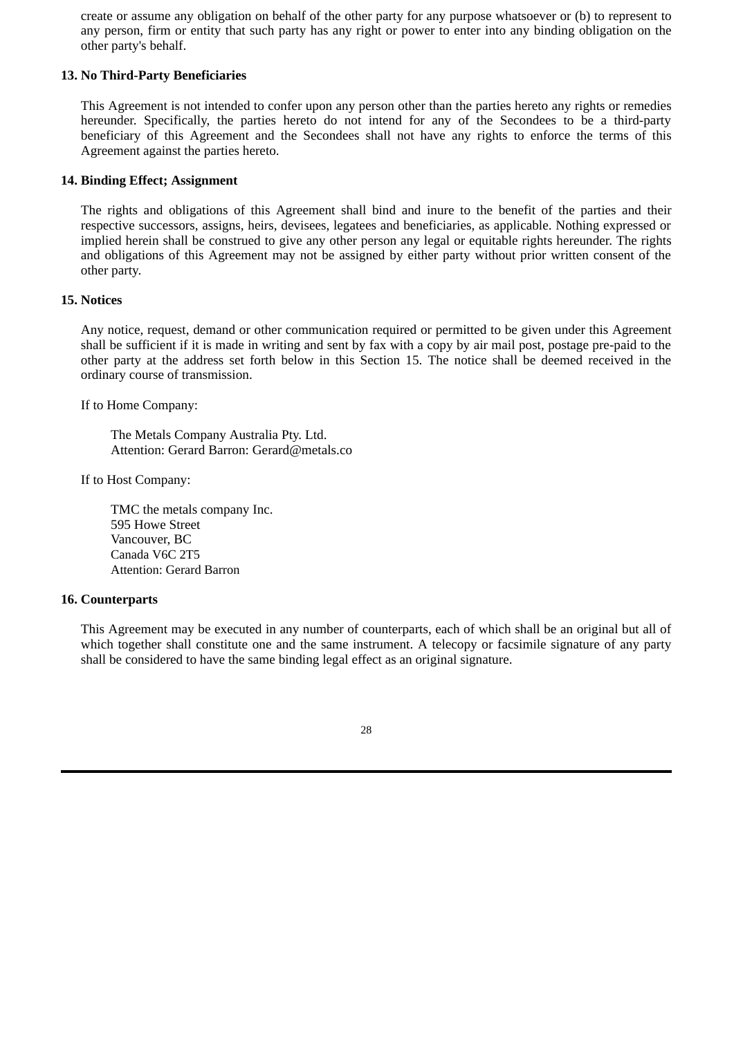create or assume any obligation on behalf of the other party for any purpose whatsoever or (b) to represent to any person, firm or entity that such party has any right or power to enter into any binding obligation on the other party's behalf.

#### **13. No Third-Party Beneficiaries**

This Agreement is not intended to confer upon any person other than the parties hereto any rights or remedies hereunder. Specifically, the parties hereto do not intend for any of the Secondees to be a third-party beneficiary of this Agreement and the Secondees shall not have any rights to enforce the terms of this Agreement against the parties hereto.

#### **14. Binding Effect; Assignment**

The rights and obligations of this Agreement shall bind and inure to the benefit of the parties and their respective successors, assigns, heirs, devisees, legatees and beneficiaries, as applicable. Nothing expressed or implied herein shall be construed to give any other person any legal or equitable rights hereunder. The rights and obligations of this Agreement may not be assigned by either party without prior written consent of the other party.

#### **15. Notices**

Any notice, request, demand or other communication required or permitted to be given under this Agreement shall be sufficient if it is made in writing and sent by fax with a copy by air mail post, postage pre-paid to the other party at the address set forth below in this Section 15. The notice shall be deemed received in the ordinary course of transmission.

If to Home Company:

The Metals Company Australia Pty. Ltd. Attention: Gerard Barron: Gerard@metals.co

If to Host Company:

TMC the metals company Inc. 595 Howe Street Vancouver, BC Canada V6C 2T5 Attention: Gerard Barron

#### **16. Counterparts**

This Agreement may be executed in any number of counterparts, each of which shall be an original but all of which together shall constitute one and the same instrument. A telecopy or facsimile signature of any party shall be considered to have the same binding legal effect as an original signature.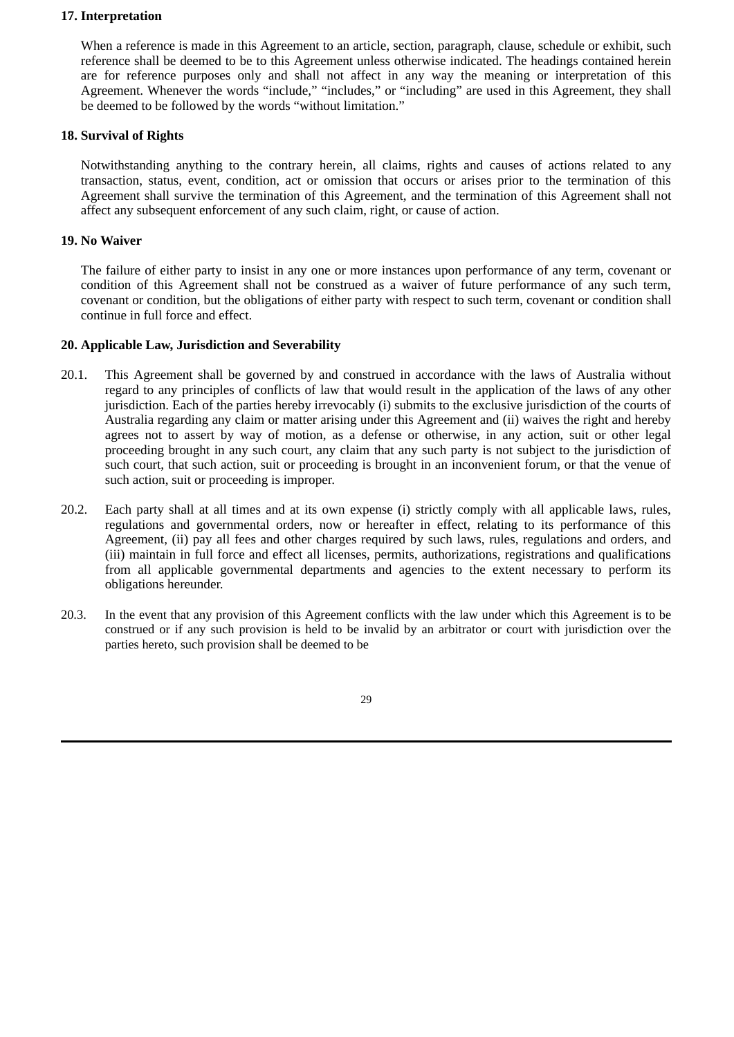#### **17. Interpretation**

When a reference is made in this Agreement to an article, section, paragraph, clause, schedule or exhibit, such reference shall be deemed to be to this Agreement unless otherwise indicated. The headings contained herein are for reference purposes only and shall not affect in any way the meaning or interpretation of this Agreement. Whenever the words "include," "includes," or "including" are used in this Agreement, they shall be deemed to be followed by the words "without limitation."

# **18. Survival of Rights**

Notwithstanding anything to the contrary herein, all claims, rights and causes of actions related to any transaction, status, event, condition, act or omission that occurs or arises prior to the termination of this Agreement shall survive the termination of this Agreement, and the termination of this Agreement shall not affect any subsequent enforcement of any such claim, right, or cause of action.

# **19. No Waiver**

The failure of either party to insist in any one or more instances upon performance of any term, covenant or condition of this Agreement shall not be construed as a waiver of future performance of any such term, covenant or condition, but the obligations of either party with respect to such term, covenant or condition shall continue in full force and effect.

# **20. Applicable Law, Jurisdiction and Severability**

- 20.1. This Agreement shall be governed by and construed in accordance with the laws of Australia without regard to any principles of conflicts of law that would result in the application of the laws of any other jurisdiction. Each of the parties hereby irrevocably (i) submits to the exclusive jurisdiction of the courts of Australia regarding any claim or matter arising under this Agreement and (ii) waives the right and hereby agrees not to assert by way of motion, as a defense or otherwise, in any action, suit or other legal proceeding brought in any such court, any claim that any such party is not subject to the jurisdiction of such court, that such action, suit or proceeding is brought in an inconvenient forum, or that the venue of such action, suit or proceeding is improper.
- 20.2. Each party shall at all times and at its own expense (i) strictly comply with all applicable laws, rules, regulations and governmental orders, now or hereafter in effect, relating to its performance of this Agreement, (ii) pay all fees and other charges required by such laws, rules, regulations and orders, and (iii) maintain in full force and effect all licenses, permits, authorizations, registrations and qualifications from all applicable governmental departments and agencies to the extent necessary to perform its obligations hereunder.
- 20.3. In the event that any provision of this Agreement conflicts with the law under which this Agreement is to be construed or if any such provision is held to be invalid by an arbitrator or court with jurisdiction over the parties hereto, such provision shall be deemed to be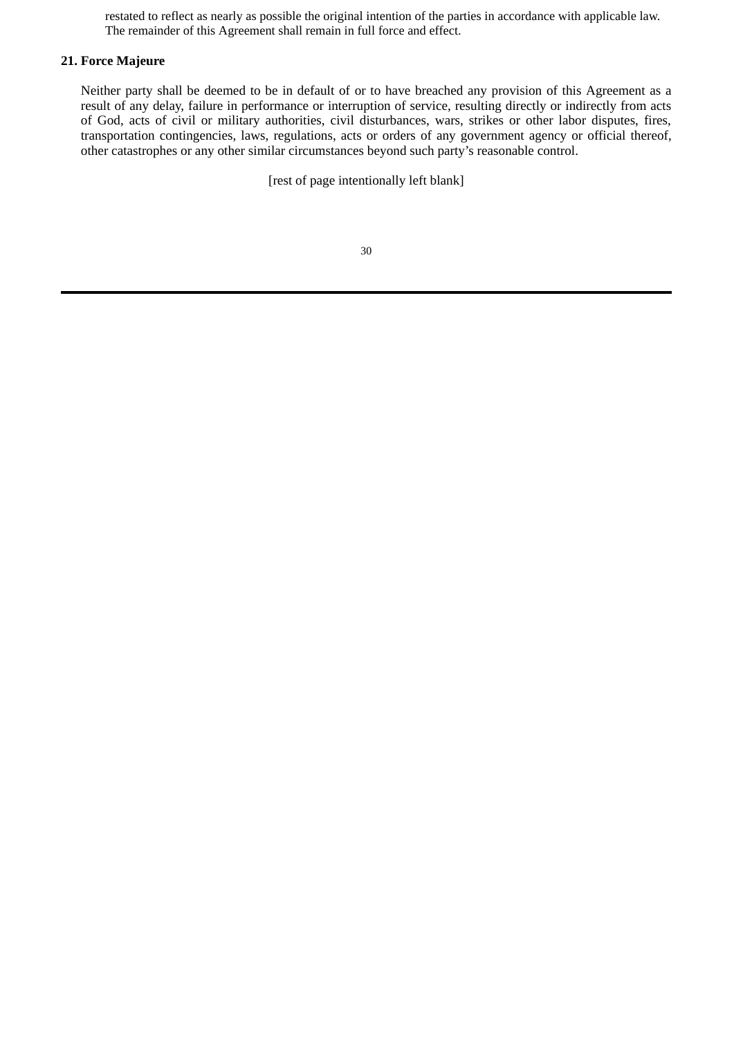restated to reflect as nearly as possible the original intention of the parties in accordance with applicable law. The remainder of this Agreement shall remain in full force and effect.

# **21. Force Majeure**

Neither party shall be deemed to be in default of or to have breached any provision of this Agreement as a result of any delay, failure in performance or interruption of service, resulting directly or indirectly from acts of God, acts of civil or military authorities, civil disturbances, wars, strikes or other labor disputes, fires, transportation contingencies, laws, regulations, acts or orders of any government agency or official thereof, other catastrophes or any other similar circumstances beyond such party's reasonable control.

[rest of page intentionally left blank]

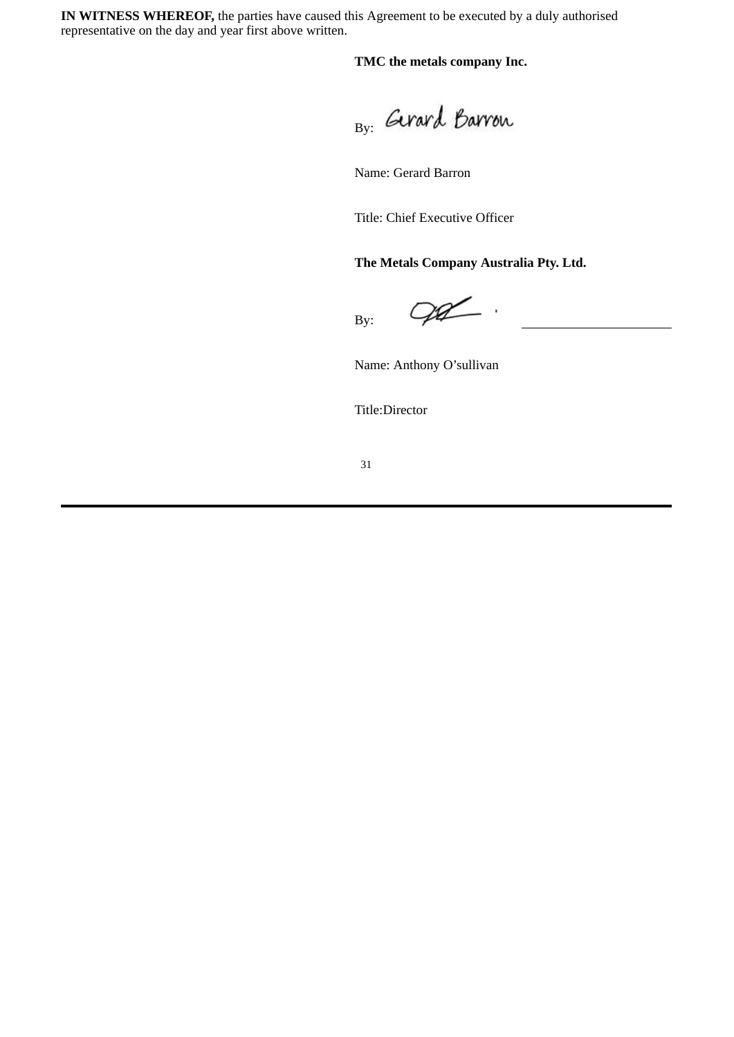**IN WITNESS WHEREOF,** the parties have caused this Agreement to be executed by a duly authorised representative on the day and year first above written.

**TMC the metals company Inc.**

By: Gerard Barron

Name: Gerard Barron

Title: Chief Executive Officer

**The Metals Company Australia Pty. Ltd.**

By:

 $C_{1}$ 

Name: Anthony O'sullivan

Title:Director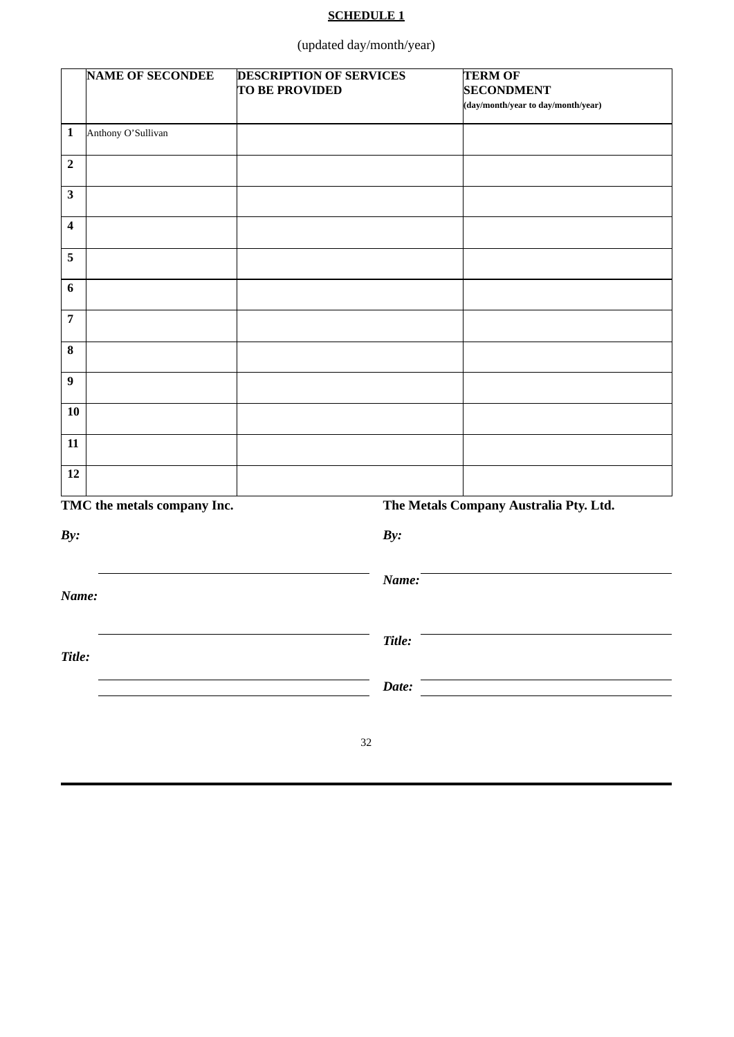# **SCHEDULE 1**

(updated day/month/year)

|                         | <b>NAME OF SECONDEE</b>            | <b>DESCRIPTION OF SERVICES</b><br><b>TO BE PROVIDED</b> |        | <b>TERM OF</b><br><b>SECONDMENT</b><br>(day/month/year to day/month/year) |
|-------------------------|------------------------------------|---------------------------------------------------------|--------|---------------------------------------------------------------------------|
| $\mathbf{1}$            | Anthony O'Sullivan                 |                                                         |        |                                                                           |
| $\overline{2}$          |                                    |                                                         |        |                                                                           |
| $\mathbf{3}$            |                                    |                                                         |        |                                                                           |
| $\overline{\mathbf{4}}$ |                                    |                                                         |        |                                                                           |
| ${\bf 5}$               |                                    |                                                         |        |                                                                           |
| $\boldsymbol{6}$        |                                    |                                                         |        |                                                                           |
| $\overline{7}$          |                                    |                                                         |        |                                                                           |
| $\bf{8}$                |                                    |                                                         |        |                                                                           |
| $\boldsymbol{9}$        |                                    |                                                         |        |                                                                           |
| 10                      |                                    |                                                         |        |                                                                           |
| 11                      |                                    |                                                         |        |                                                                           |
| 12                      |                                    |                                                         |        |                                                                           |
|                         | <b>TMC</b> the metals company Inc. |                                                         |        | The Metals Company Australia Pty. Ltd.                                    |
| By:                     |                                    |                                                         | By:    |                                                                           |
| Name:                   |                                    |                                                         | Name:  |                                                                           |
| Title:                  |                                    |                                                         | Title: |                                                                           |
|                         |                                    |                                                         | Date:  |                                                                           |
|                         |                                    | $32\,$                                                  |        |                                                                           |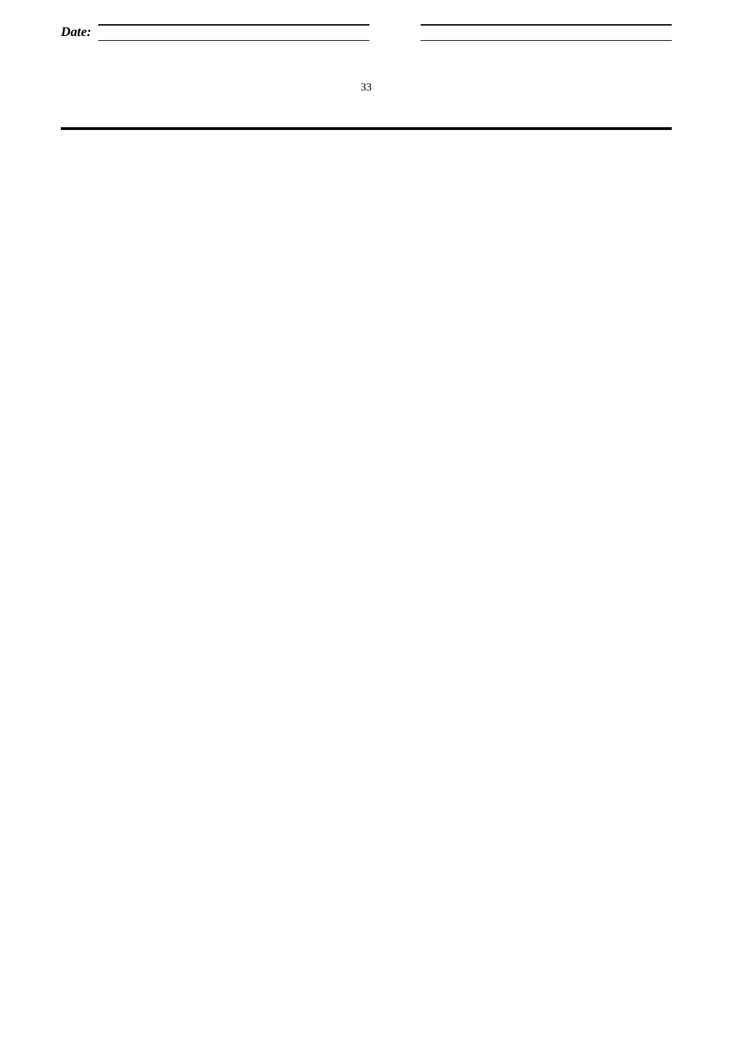*Date:*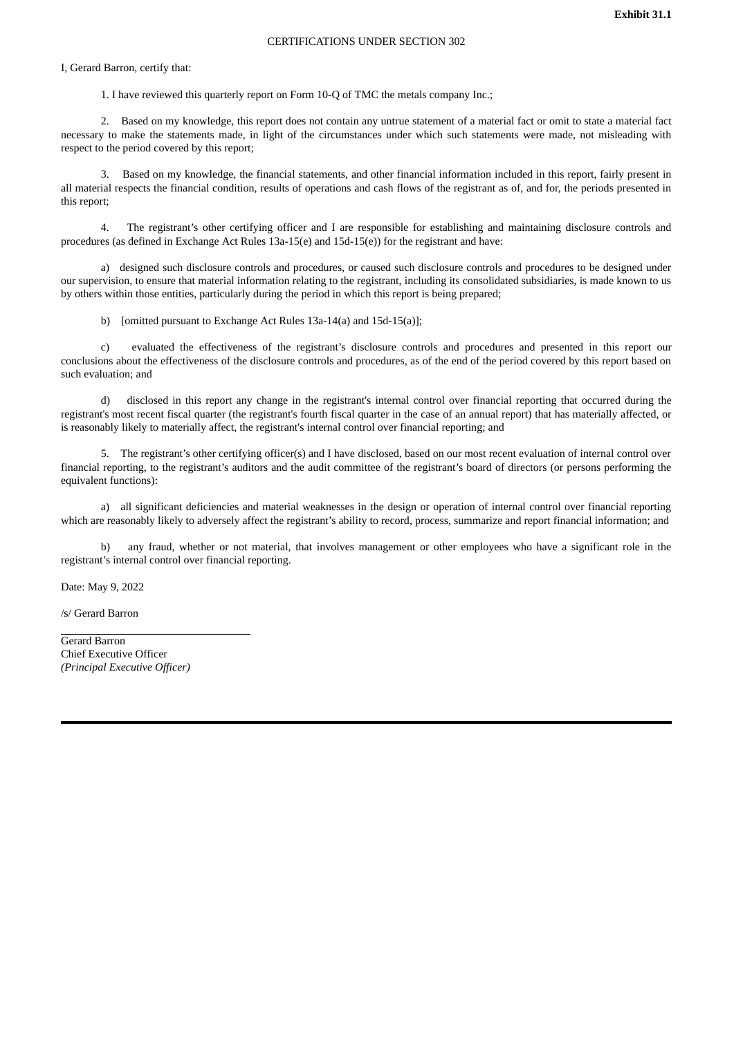#### CERTIFICATIONS UNDER SECTION 302

#### I, Gerard Barron, certify that:

1. I have reviewed this quarterly report on Form 10-Q of TMC the metals company Inc.;

2. Based on my knowledge, this report does not contain any untrue statement of a material fact or omit to state a material fact necessary to make the statements made, in light of the circumstances under which such statements were made, not misleading with respect to the period covered by this report;

3. Based on my knowledge, the financial statements, and other financial information included in this report, fairly present in all material respects the financial condition, results of operations and cash flows of the registrant as of, and for, the periods presented in this report;

4. The registrant's other certifying officer and I are responsible for establishing and maintaining disclosure controls and procedures (as defined in Exchange Act Rules 13a-15(e) and 15d-15(e)) for the registrant and have:

a) designed such disclosure controls and procedures, or caused such disclosure controls and procedures to be designed under our supervision, to ensure that material information relating to the registrant, including its consolidated subsidiaries, is made known to us by others within those entities, particularly during the period in which this report is being prepared;

b) [omitted pursuant to Exchange Act Rules 13a-14(a) and 15d-15(a)];

c) evaluated the effectiveness of the registrant's disclosure controls and procedures and presented in this report our conclusions about the effectiveness of the disclosure controls and procedures, as of the end of the period covered by this report based on such evaluation; and

d) disclosed in this report any change in the registrant's internal control over financial reporting that occurred during the registrant's most recent fiscal quarter (the registrant's fourth fiscal quarter in the case of an annual report) that has materially affected, or is reasonably likely to materially affect, the registrant's internal control over financial reporting; and

5. The registrant's other certifying officer(s) and I have disclosed, based on our most recent evaluation of internal control over financial reporting, to the registrant's auditors and the audit committee of the registrant's board of directors (or persons performing the equivalent functions):

a) all significant deficiencies and material weaknesses in the design or operation of internal control over financial reporting which are reasonably likely to adversely affect the registrant's ability to record, process, summarize and report financial information; and

b) any fraud, whether or not material, that involves management or other employees who have a significant role in the registrant's internal control over financial reporting.

Date: May 9, 2022

/s/ Gerard Barron

Gerard Barron Chief Executive Officer *(Principal Executive Officer)*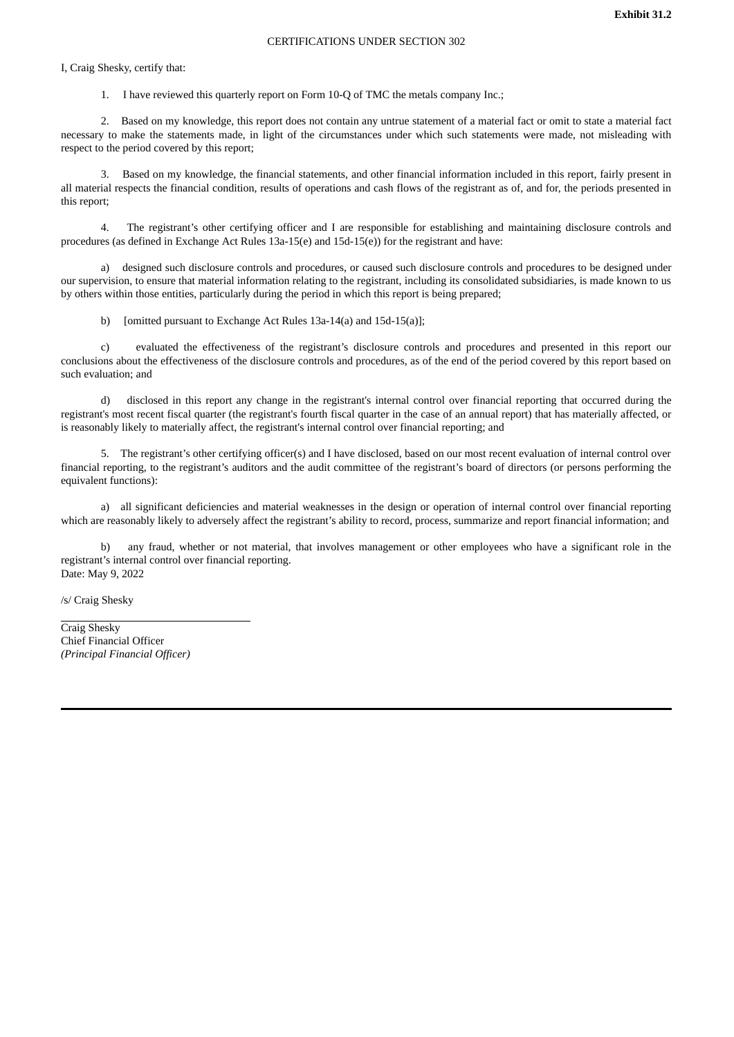#### CERTIFICATIONS UNDER SECTION 302

I, Craig Shesky, certify that:

1. I have reviewed this quarterly report on Form 10-Q of TMC the metals company Inc.;

2. Based on my knowledge, this report does not contain any untrue statement of a material fact or omit to state a material fact necessary to make the statements made, in light of the circumstances under which such statements were made, not misleading with respect to the period covered by this report;

3. Based on my knowledge, the financial statements, and other financial information included in this report, fairly present in all material respects the financial condition, results of operations and cash flows of the registrant as of, and for, the periods presented in this report;

4. The registrant's other certifying officer and I are responsible for establishing and maintaining disclosure controls and procedures (as defined in Exchange Act Rules 13a-15(e) and 15d-15(e)) for the registrant and have:

a) designed such disclosure controls and procedures, or caused such disclosure controls and procedures to be designed under our supervision, to ensure that material information relating to the registrant, including its consolidated subsidiaries, is made known to us by others within those entities, particularly during the period in which this report is being prepared;

b) [omitted pursuant to Exchange Act Rules 13a-14(a) and 15d-15(a)];

c) evaluated the effectiveness of the registrant's disclosure controls and procedures and presented in this report our conclusions about the effectiveness of the disclosure controls and procedures, as of the end of the period covered by this report based on such evaluation; and

d) disclosed in this report any change in the registrant's internal control over financial reporting that occurred during the registrant's most recent fiscal quarter (the registrant's fourth fiscal quarter in the case of an annual report) that has materially affected, or is reasonably likely to materially affect, the registrant's internal control over financial reporting; and

5. The registrant's other certifying officer(s) and I have disclosed, based on our most recent evaluation of internal control over financial reporting, to the registrant's auditors and the audit committee of the registrant's board of directors (or persons performing the equivalent functions):

a) all significant deficiencies and material weaknesses in the design or operation of internal control over financial reporting which are reasonably likely to adversely affect the registrant's ability to record, process, summarize and report financial information; and

b) any fraud, whether or not material, that involves management or other employees who have a significant role in the registrant's internal control over financial reporting. Date: May 9, 2022

/s/ Craig Shesky

Craig Shesky Chief Financial Officer *(Principal Financial Officer)*